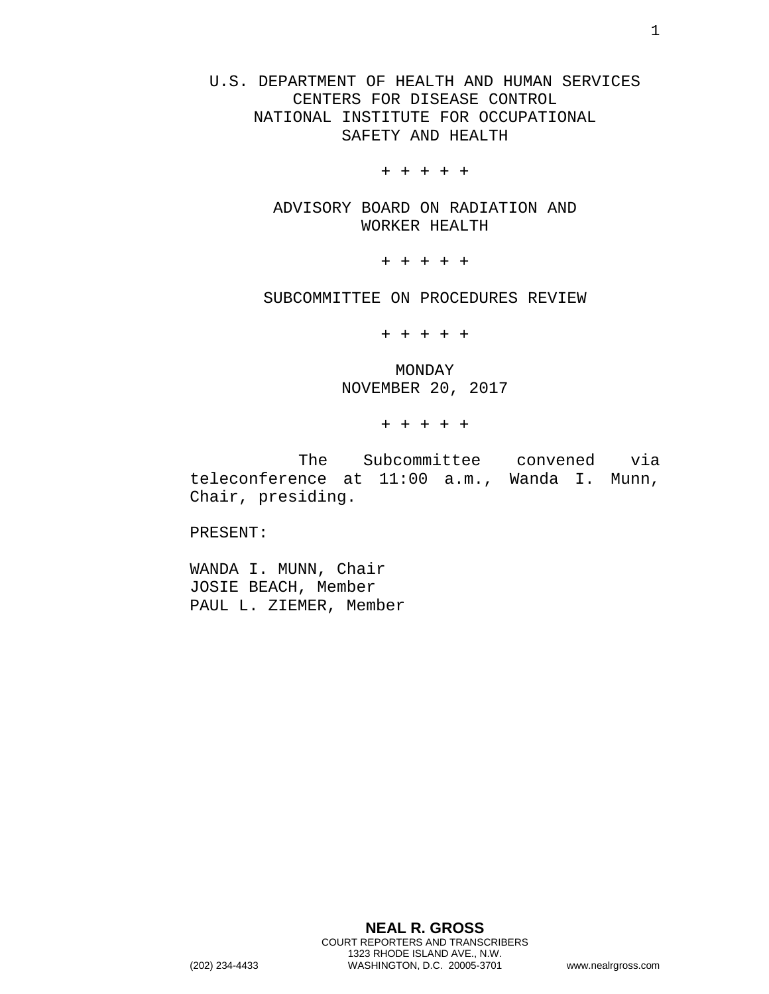U.S. DEPARTMENT OF HEALTH AND HUMAN SERVICES CENTERS FOR DISEASE CONTROL NATIONAL INSTITUTE FOR OCCUPATIONAL SAFETY AND HEALTH

+ + + + +

ADVISORY BOARD ON RADIATION AND WORKER HEALTH

+ + + + +

SUBCOMMITTEE ON PROCEDURES REVIEW

+ + + + +

MONDAY NOVEMBER 20, 2017

+ + + + +

The Subcommittee convened via teleconference at 11:00 a.m., Wanda I. Munn, Chair, presiding.

PRESENT:

WANDA I. MUNN, Chair JOSIE BEACH, Member PAUL L. ZIEMER, Member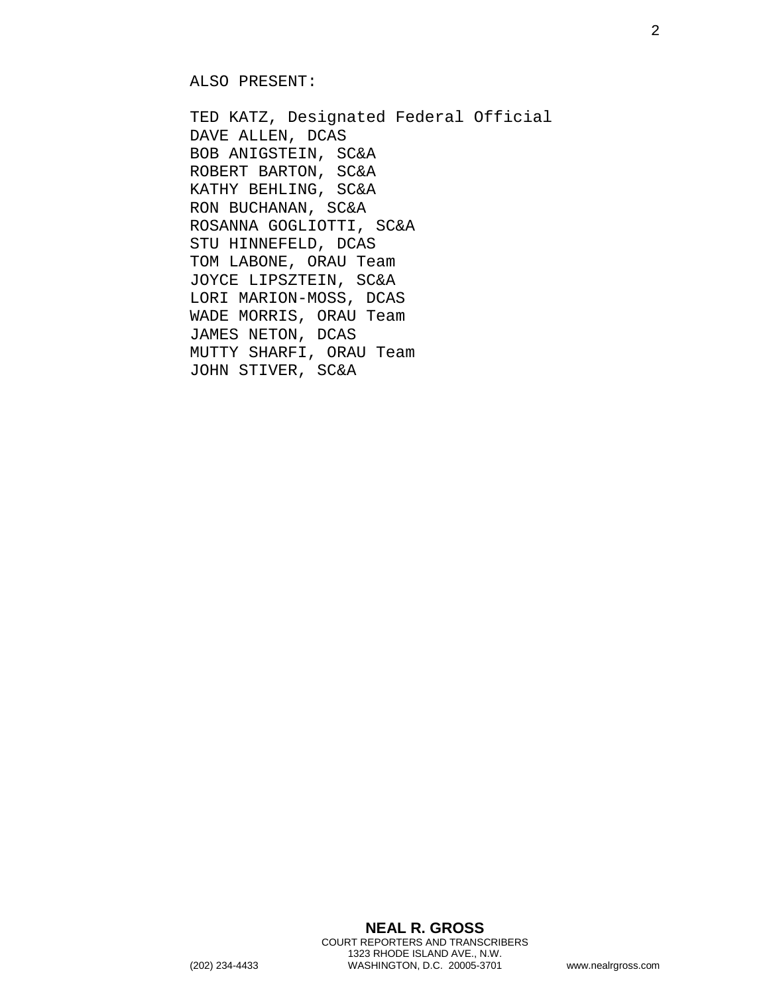ALSO PRESENT:

TED KATZ, Designated Federal Official DAVE ALLEN, DCAS BOB ANIGSTEIN, SC&A ROBERT BARTON, SC&A KATHY BEHLING, SC&A RON BUCHANAN, SC&A ROSANNA GOGLIOTTI, SC&A STU HINNEFELD, DCAS TOM LABONE, ORAU Team JOYCE LIPSZTEIN, SC&A LORI MARION-MOSS, DCAS WADE MORRIS, ORAU Team JAMES NETON, DCAS MUTTY SHARFI, ORAU Team JOHN STIVER, SC&A

**NEAL R. GROSS** COURT REPORTERS AND TRANSCRIBERS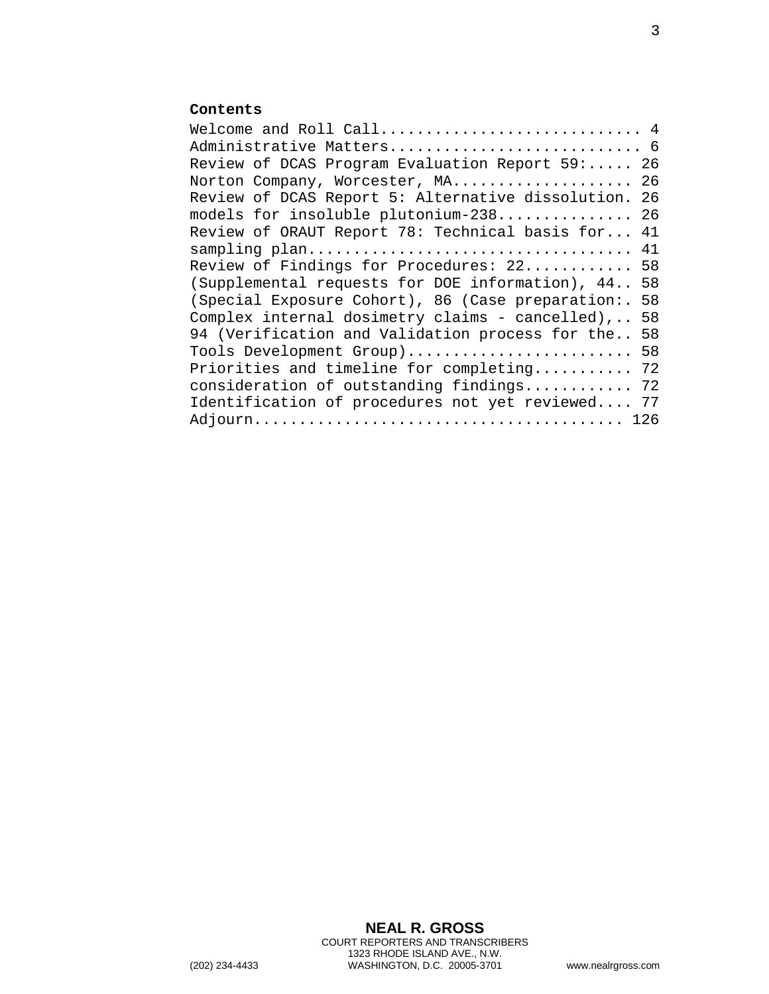## **Contents**

| Administrative Matters 6                             |
|------------------------------------------------------|
| Review of DCAS Program Evaluation Report 59: 26      |
| Norton Company, Worcester, MA 26                     |
| Review of DCAS Report 5: Alternative dissolution. 26 |
| models for insoluble plutonium-238 26                |
| Review of ORAUT Report 78: Technical basis for 41    |
|                                                      |
| Review of Findings for Procedures: 22 58             |
| (Supplemental requests for DOE information), 44 58   |
| (Special Exposure Cohort), 86 (Case preparation: 58  |
| Complex internal dosimetry claims - cancelled), 58   |
| 94 (Verification and Validation process for the 58   |
| Tools Development Group) 58                          |
| Priorities and timeline for completing 72            |
| consideration of outstanding findings 72             |
| Identification of procedures not yet reviewed 77     |
|                                                      |
|                                                      |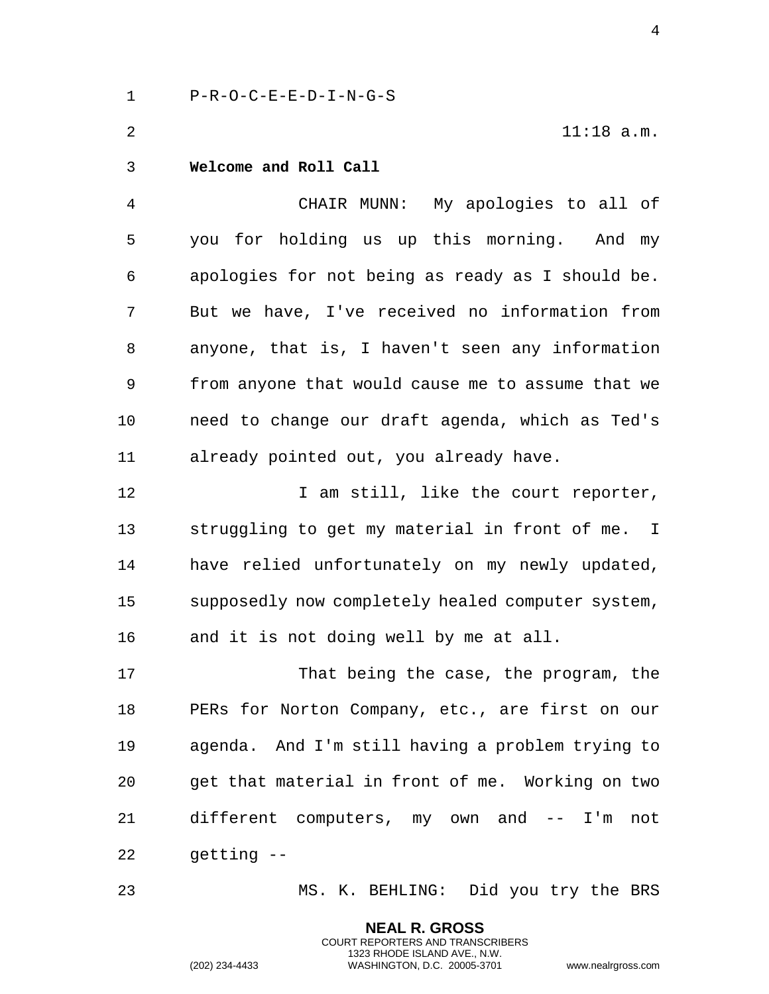1 P-R-O-C-E-E-D-I-N-G-S

2 11:18 a.m.

<span id="page-3-0"></span>3 **Welcome and Roll Call**

4 CHAIR MUNN: My apologies to all of 5 you for holding us up this morning. And my 6 apologies for not being as ready as I should be. 7 But we have, I've received no information from 8 anyone, that is, I haven't seen any information 9 from anyone that would cause me to assume that we 10 need to change our draft agenda, which as Ted's 11 already pointed out, you already have.

12 12 I am still, like the court reporter, 13 struggling to get my material in front of me. I 14 have relied unfortunately on my newly updated, 15 supposedly now completely healed computer system, 16 and it is not doing well by me at all.

17 That being the case, the program, the 18 PERs for Norton Company, etc., are first on our 19 agenda. And I'm still having a problem trying to 20 get that material in front of me. Working on two 21 different computers, my own and -- I'm not 22 getting --

23 MS. K. BEHLING: Did you try the BRS

**NEAL R. GROSS** COURT REPORTERS AND TRANSCRIBERS 1323 RHODE ISLAND AVE., N.W.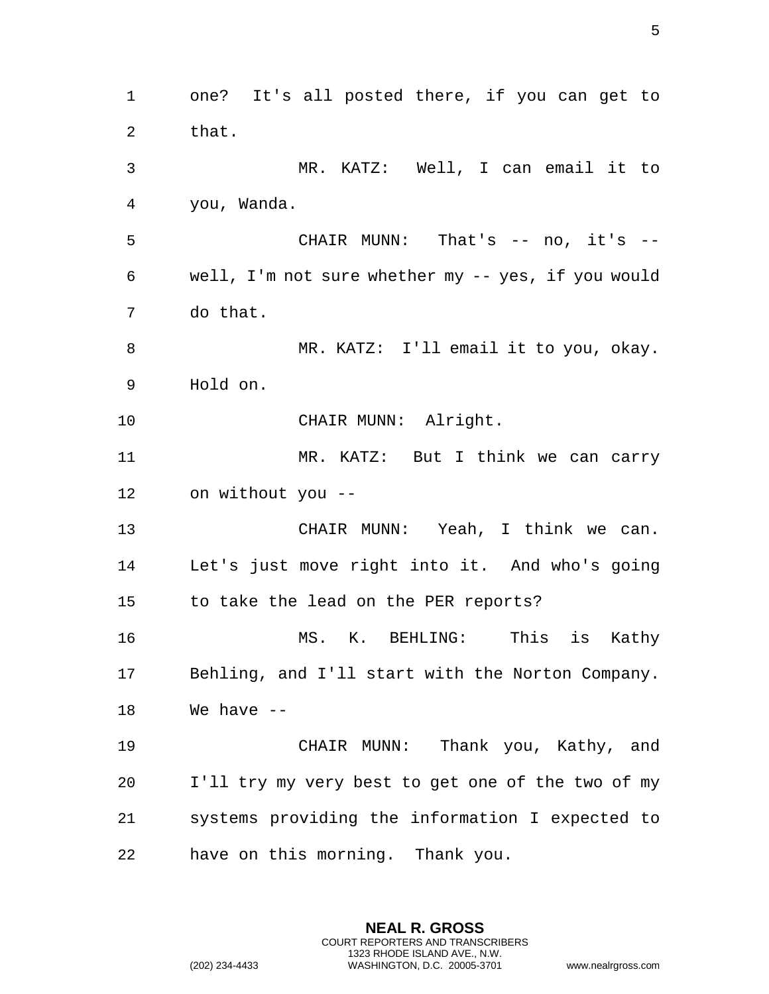one? It's all posted there, if you can get to that. MR. KATZ: Well, I can email it to you, Wanda. CHAIR MUNN: That's -- no, it's -- well, I'm not sure whether my -- yes, if you would do that. MR. KATZ: I'll email it to you, okay. Hold on. CHAIR MUNN: Alright. 11 MR. KATZ: But I think we can carry on without you -- CHAIR MUNN: Yeah, I think we can. Let's just move right into it. And who's going to take the lead on the PER reports? MS. K. BEHLING: This is Kathy Behling, and I'll start with the Norton Company. We have -- CHAIR MUNN: Thank you, Kathy, and I'll try my very best to get one of the two of my systems providing the information I expected to have on this morning. Thank you.

> **NEAL R. GROSS** COURT REPORTERS AND TRANSCRIBERS 1323 RHODE ISLAND AVE., N.W.

(202) 234-4433 WASHINGTON, D.C. 20005-3701 www.nealrgross.com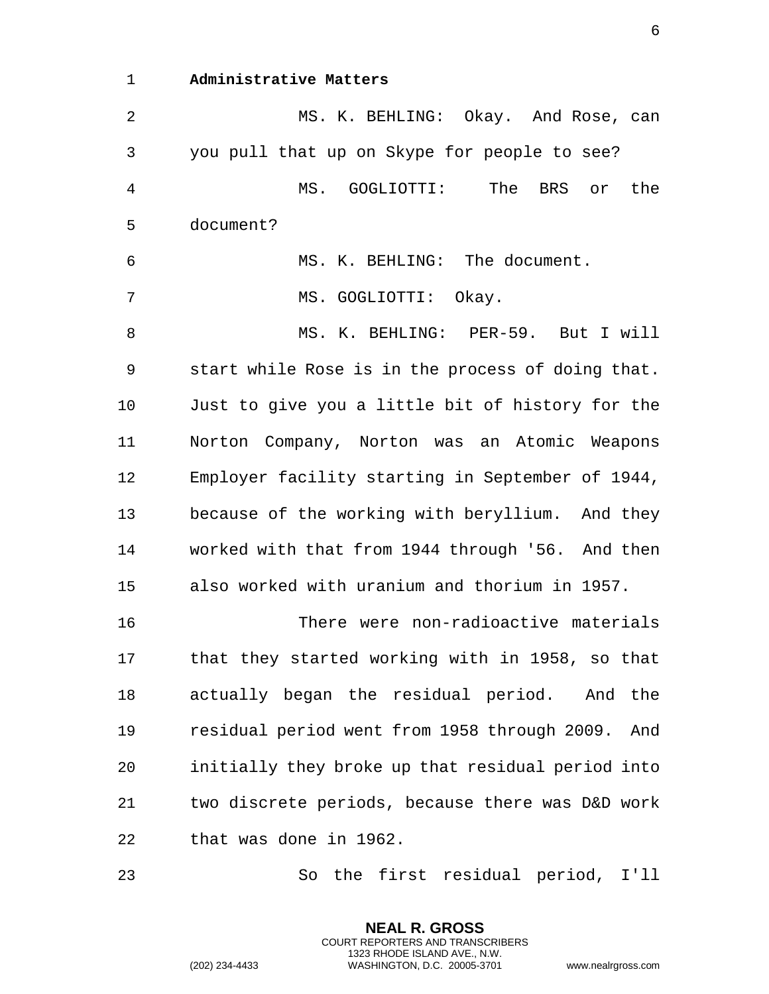<span id="page-5-0"></span>1 **Administrative Matters** 

2 MS. K. BEHLING: Okay. And Rose, can 3 you pull that up on Skype for people to see? 4 MS. GOGLIOTTI: The BRS or the 5 document? 6 MS. K. BEHLING: The document. 7 MS. GOGLIOTTI: Okay. 8 MS. K. BEHLING: PER-59. But I will 9 start while Rose is in the process of doing that. 10 Just to give you a little bit of history for the 11 Norton Company, Norton was an Atomic Weapons 12 Employer facility starting in September of 1944, 13 because of the working with beryllium. And they 14 worked with that from 1944 through '56. And then 15 also worked with uranium and thorium in 1957. 16 There were non-radioactive materials 17 that they started working with in 1958, so that 18 actually began the residual period. And the 19 residual period went from 1958 through 2009. And 20 initially they broke up that residual period into 21 two discrete periods, because there was D&D work 22 that was done in 1962.

23 So the first residual period, I'll

**NEAL R. GROSS** COURT REPORTERS AND TRANSCRIBERS 1323 RHODE ISLAND AVE., N.W.

(202) 234-4433 WASHINGTON, D.C. 20005-3701 www.nealrgross.com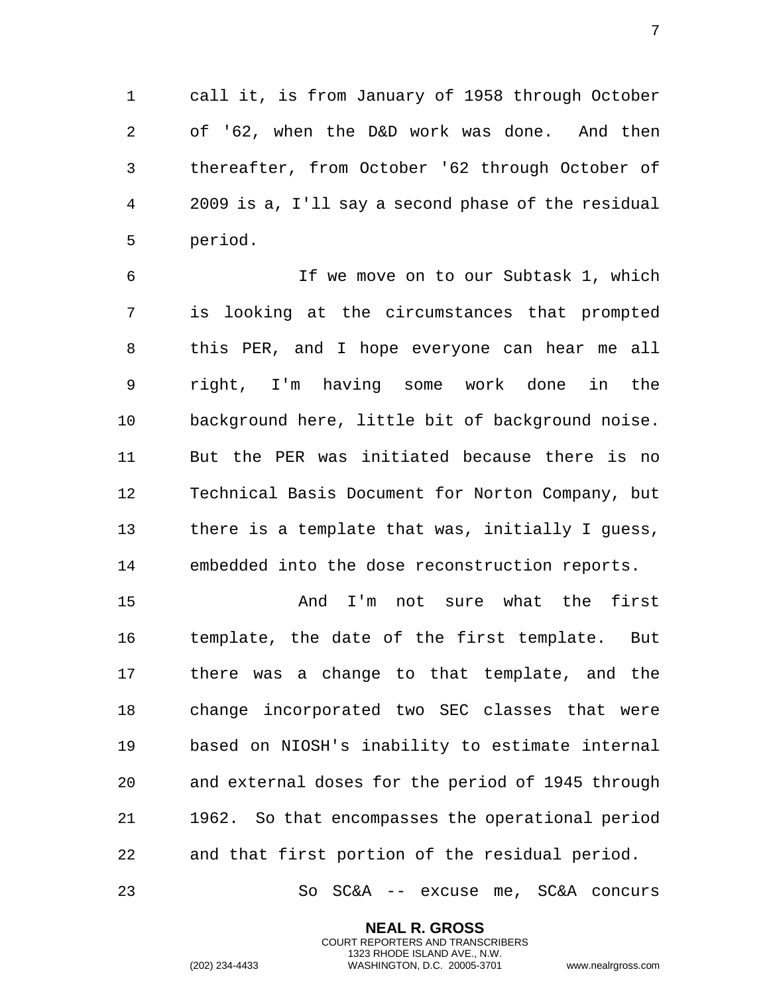call it, is from January of 1958 through October of '62, when the D&D work was done. And then thereafter, from October '62 through October of 2009 is a, I'll say a second phase of the residual period.

 If we move on to our Subtask 1, which is looking at the circumstances that prompted this PER, and I hope everyone can hear me all right, I'm having some work done in the background here, little bit of background noise. But the PER was initiated because there is no Technical Basis Document for Norton Company, but there is a template that was, initially I guess, embedded into the dose reconstruction reports.

 And I'm not sure what the first template, the date of the first template. But there was a change to that template, and the change incorporated two SEC classes that were based on NIOSH's inability to estimate internal and external doses for the period of 1945 through 1962. So that encompasses the operational period and that first portion of the residual period.

So SC&A -- excuse me, SC&A concurs

**NEAL R. GROSS** COURT REPORTERS AND TRANSCRIBERS 1323 RHODE ISLAND AVE., N.W.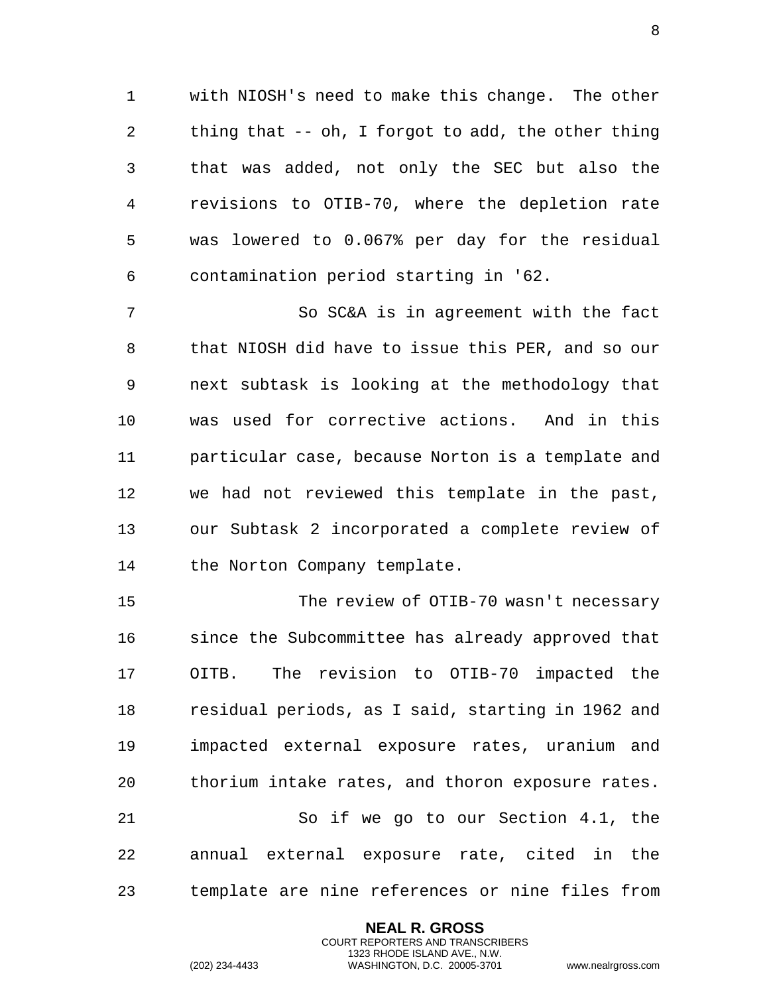with NIOSH's need to make this change. The other thing that -- oh, I forgot to add, the other thing that was added, not only the SEC but also the revisions to OTIB-70, where the depletion rate was lowered to 0.067% per day for the residual contamination period starting in '62.

 So SC&A is in agreement with the fact that NIOSH did have to issue this PER, and so our next subtask is looking at the methodology that was used for corrective actions. And in this particular case, because Norton is a template and we had not reviewed this template in the past, our Subtask 2 incorporated a complete review of the Norton Company template.

 The review of OTIB-70 wasn't necessary since the Subcommittee has already approved that OITB. The revision to OTIB-70 impacted the residual periods, as I said, starting in 1962 and impacted external exposure rates, uranium and thorium intake rates, and thoron exposure rates. So if we go to our Section 4.1, the annual external exposure rate, cited in the template are nine references or nine files from

> **NEAL R. GROSS** COURT REPORTERS AND TRANSCRIBERS 1323 RHODE ISLAND AVE., N.W.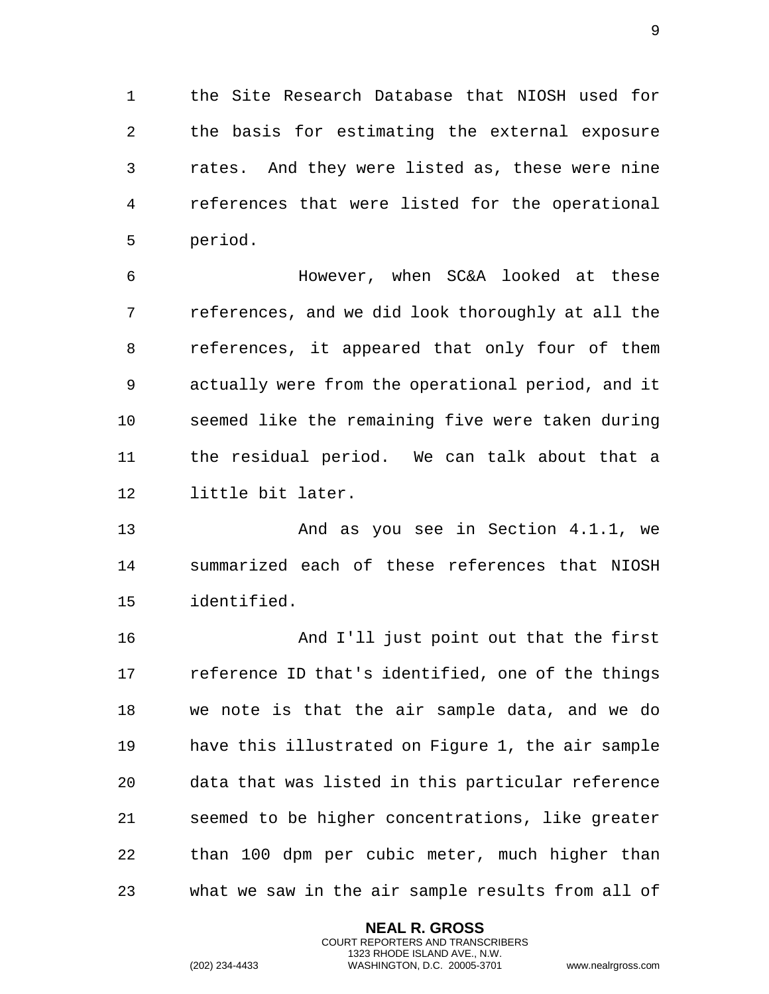the Site Research Database that NIOSH used for the basis for estimating the external exposure rates. And they were listed as, these were nine references that were listed for the operational period.

 However, when SC&A looked at these references, and we did look thoroughly at all the references, it appeared that only four of them actually were from the operational period, and it seemed like the remaining five were taken during the residual period. We can talk about that a little bit later.

 And as you see in Section 4.1.1, we summarized each of these references that NIOSH identified.

 And I'll just point out that the first reference ID that's identified, one of the things we note is that the air sample data, and we do have this illustrated on Figure 1, the air sample data that was listed in this particular reference seemed to be higher concentrations, like greater than 100 dpm per cubic meter, much higher than what we saw in the air sample results from all of

> **NEAL R. GROSS** COURT REPORTERS AND TRANSCRIBERS 1323 RHODE ISLAND AVE., N.W.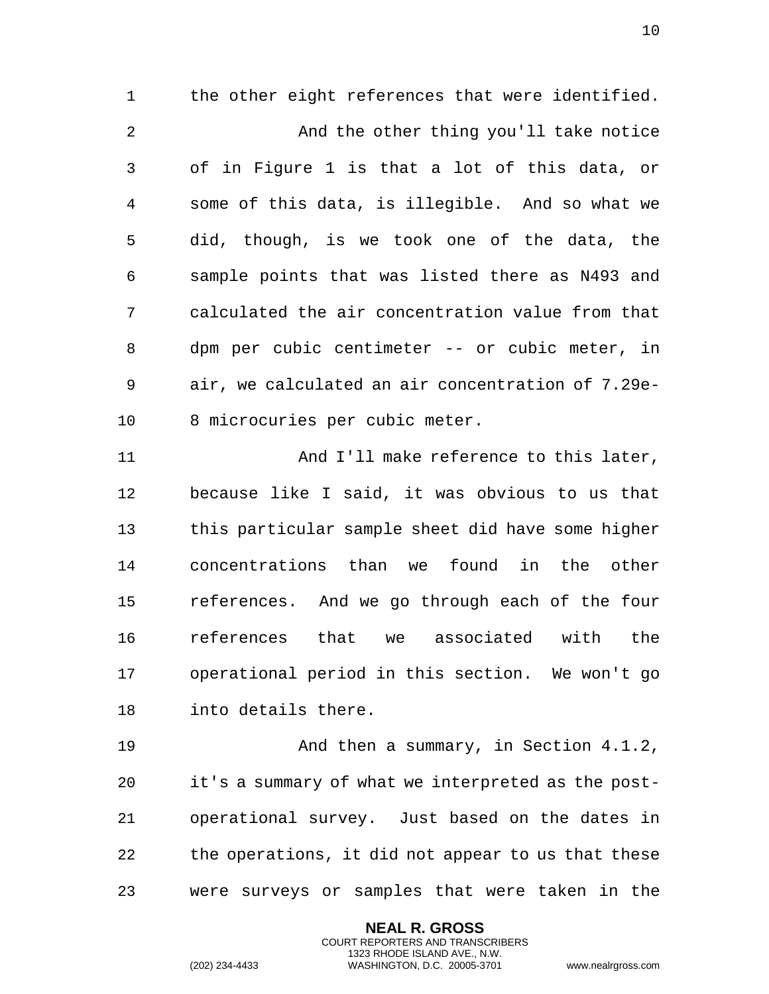the other eight references that were identified. And the other thing you'll take notice of in Figure 1 is that a lot of this data, or some of this data, is illegible. And so what we did, though, is we took one of the data, the sample points that was listed there as N493 and calculated the air concentration value from that dpm per cubic centimeter -- or cubic meter, in air, we calculated an air concentration of 7.29e-8 microcuries per cubic meter.

11 And I'll make reference to this later, because like I said, it was obvious to us that this particular sample sheet did have some higher concentrations than we found in the other references. And we go through each of the four references that we associated with the operational period in this section. We won't go into details there.

 And then a summary, in Section 4.1.2, it's a summary of what we interpreted as the post- operational survey. Just based on the dates in the operations, it did not appear to us that these were surveys or samples that were taken in the

> **NEAL R. GROSS** COURT REPORTERS AND TRANSCRIBERS 1323 RHODE ISLAND AVE., N.W.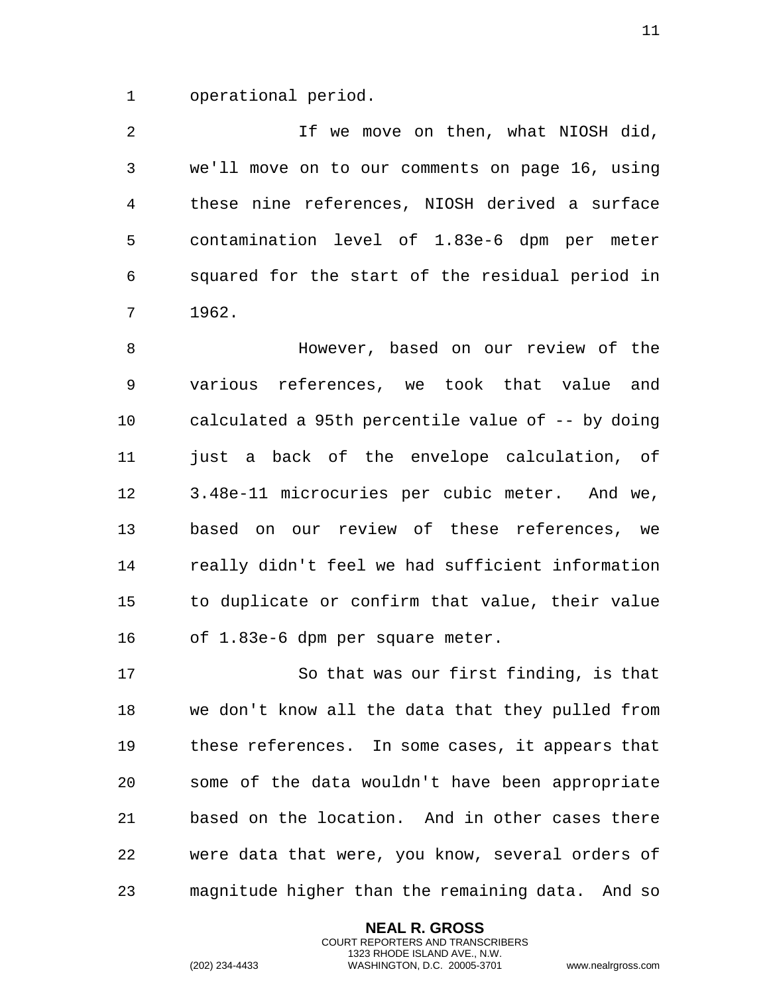operational period.

 If we move on then, what NIOSH did, we'll move on to our comments on page 16, using these nine references, NIOSH derived a surface contamination level of 1.83e-6 dpm per meter squared for the start of the residual period in 1962.

 However, based on our review of the various references, we took that value and calculated a 95th percentile value of -- by doing just a back of the envelope calculation, of 3.48e-11 microcuries per cubic meter. And we, based on our review of these references, we really didn't feel we had sufficient information to duplicate or confirm that value, their value of 1.83e-6 dpm per square meter.

 So that was our first finding, is that we don't know all the data that they pulled from these references. In some cases, it appears that some of the data wouldn't have been appropriate based on the location. And in other cases there were data that were, you know, several orders of magnitude higher than the remaining data. And so

> **NEAL R. GROSS** COURT REPORTERS AND TRANSCRIBERS 1323 RHODE ISLAND AVE., N.W.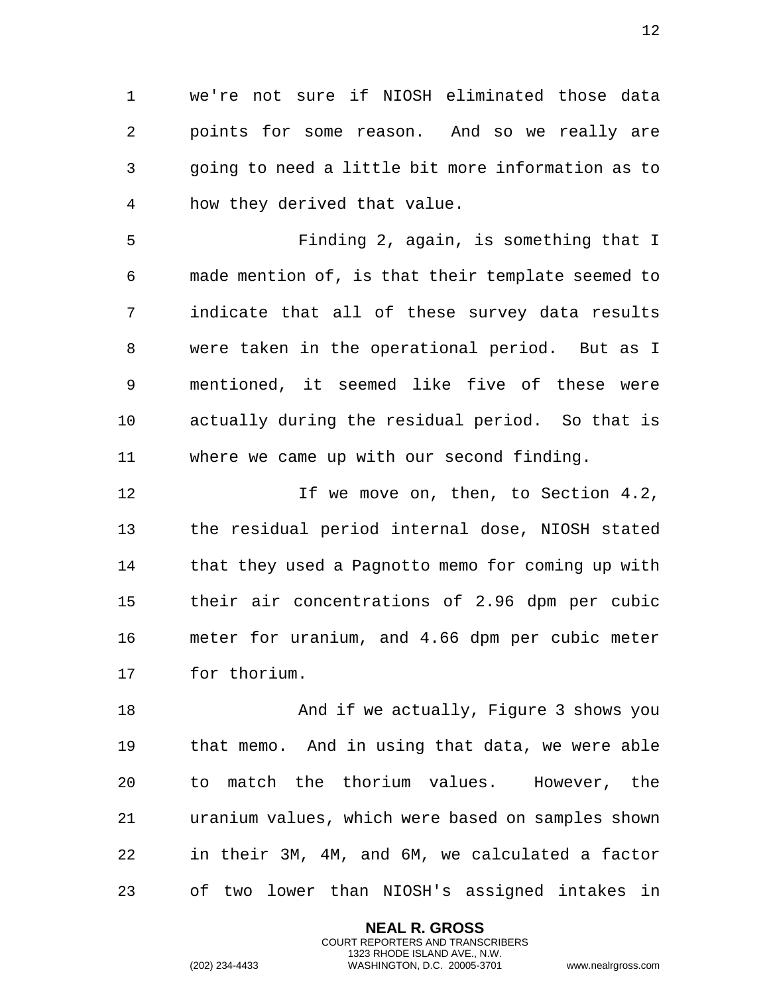we're not sure if NIOSH eliminated those data points for some reason. And so we really are going to need a little bit more information as to how they derived that value.

 Finding 2, again, is something that I made mention of, is that their template seemed to indicate that all of these survey data results were taken in the operational period. But as I mentioned, it seemed like five of these were actually during the residual period. So that is where we came up with our second finding.

12 12 If we move on, then, to Section 4.2, the residual period internal dose, NIOSH stated that they used a Pagnotto memo for coming up with their air concentrations of 2.96 dpm per cubic meter for uranium, and 4.66 dpm per cubic meter for thorium.

18 And if we actually, Figure 3 shows you that memo. And in using that data, we were able to match the thorium values. However, the uranium values, which were based on samples shown in their 3M, 4M, and 6M, we calculated a factor of two lower than NIOSH's assigned intakes in

> **NEAL R. GROSS** COURT REPORTERS AND TRANSCRIBERS 1323 RHODE ISLAND AVE., N.W.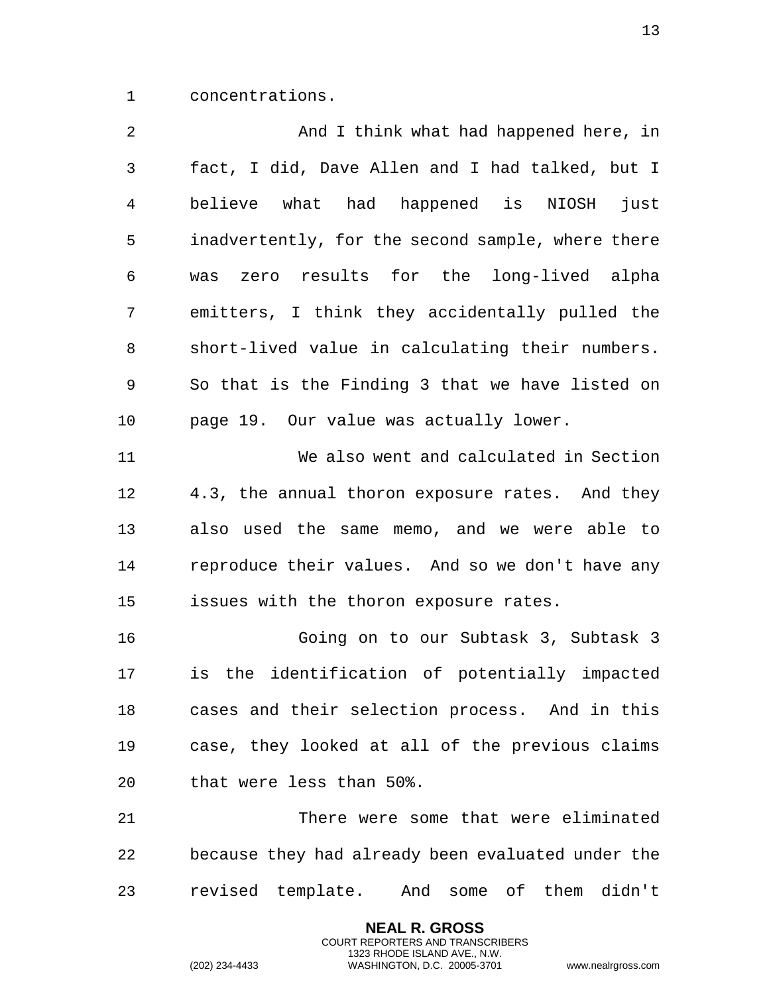concentrations.

 And I think what had happened here, in fact, I did, Dave Allen and I had talked, but I believe what had happened is NIOSH just inadvertently, for the second sample, where there was zero results for the long-lived alpha emitters, I think they accidentally pulled the short-lived value in calculating their numbers. So that is the Finding 3 that we have listed on page 19. Our value was actually lower. We also went and calculated in Section 4.3, the annual thoron exposure rates. And they also used the same memo, and we were able to reproduce their values. And so we don't have any issues with the thoron exposure rates.

 Going on to our Subtask 3, Subtask 3 is the identification of potentially impacted cases and their selection process. And in this case, they looked at all of the previous claims that were less than 50%.

 There were some that were eliminated because they had already been evaluated under the revised template. And some of them didn't

> **NEAL R. GROSS** COURT REPORTERS AND TRANSCRIBERS 1323 RHODE ISLAND AVE., N.W.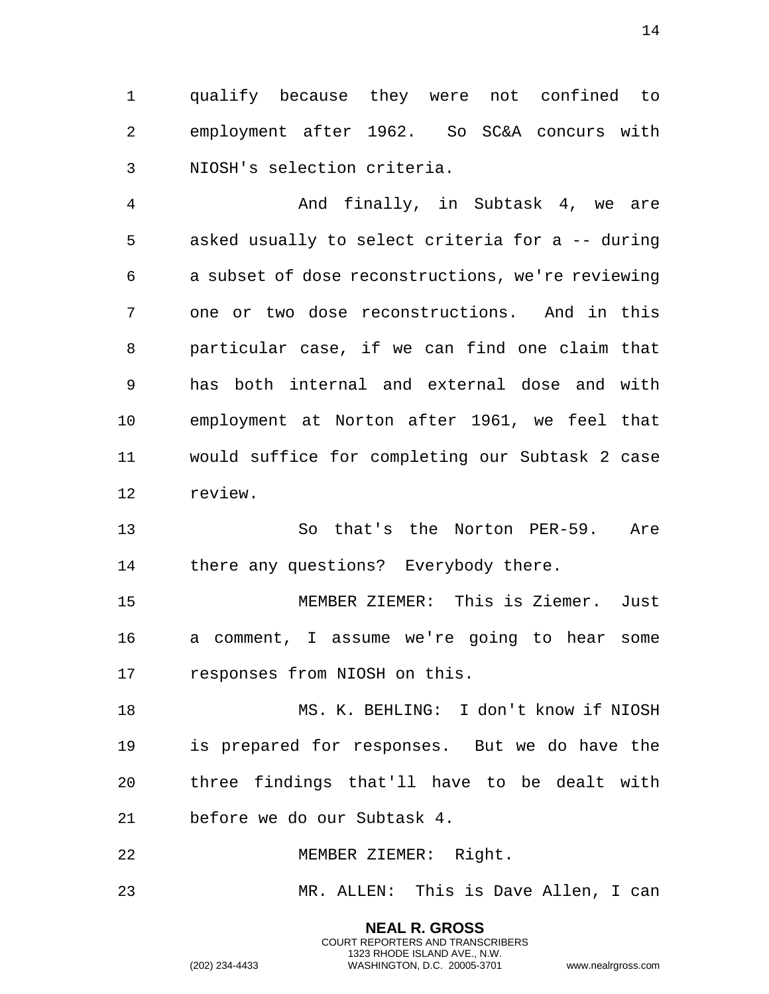qualify because they were not confined to employment after 1962. So SC&A concurs with NIOSH's selection criteria.

 And finally, in Subtask 4, we are asked usually to select criteria for a -- during a subset of dose reconstructions, we're reviewing one or two dose reconstructions. And in this particular case, if we can find one claim that has both internal and external dose and with employment at Norton after 1961, we feel that would suffice for completing our Subtask 2 case review.

 So that's the Norton PER-59. Are there any questions? Everybody there.

 MEMBER ZIEMER: This is Ziemer. Just a comment, I assume we're going to hear some responses from NIOSH on this.

 MS. K. BEHLING: I don't know if NIOSH is prepared for responses. But we do have the three findings that'll have to be dealt with before we do our Subtask 4.

MEMBER ZIEMER: Right.

MR. ALLEN: This is Dave Allen, I can

**NEAL R. GROSS** COURT REPORTERS AND TRANSCRIBERS 1323 RHODE ISLAND AVE., N.W.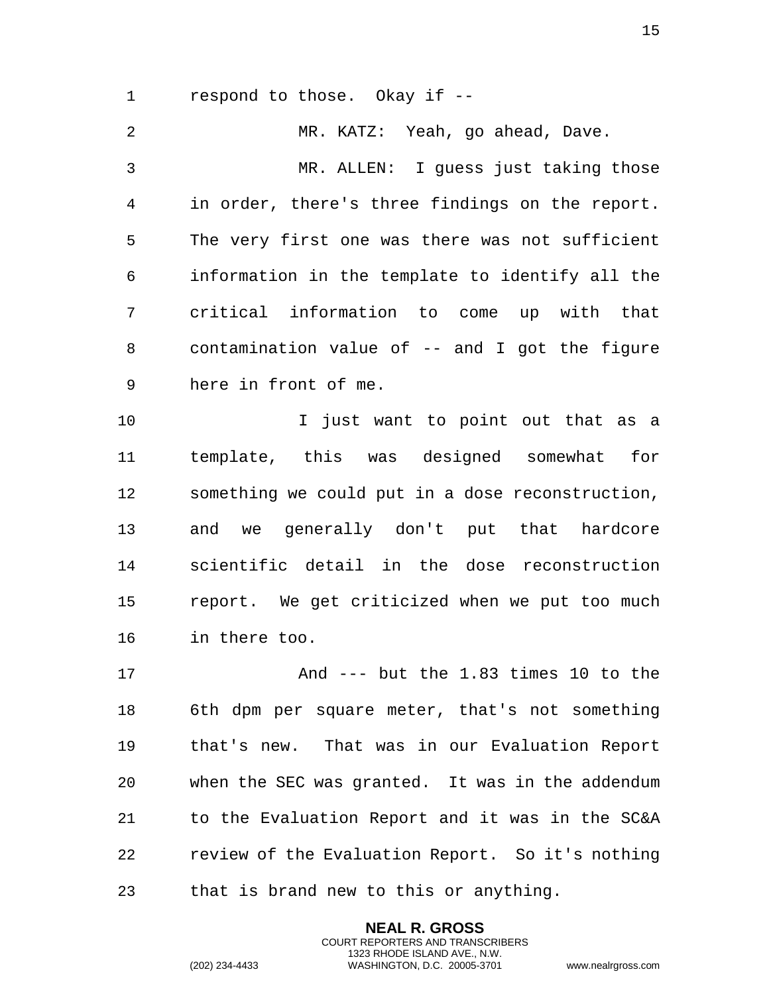respond to those. Okay if --

 MR. KATZ: Yeah, go ahead, Dave. MR. ALLEN: I guess just taking those in order, there's three findings on the report. The very first one was there was not sufficient information in the template to identify all the critical information to come up with that contamination value of -- and I got the figure here in front of me. I just want to point out that as a template, this was designed somewhat for something we could put in a dose reconstruction, and we generally don't put that hardcore scientific detail in the dose reconstruction report. We get criticized when we put too much in there too. And --- but the 1.83 times 10 to the 6th dpm per square meter, that's not something that's new. That was in our Evaluation Report when the SEC was granted. It was in the addendum to the Evaluation Report and it was in the SC&A

that is brand new to this or anything.

**NEAL R. GROSS** COURT REPORTERS AND TRANSCRIBERS 1323 RHODE ISLAND AVE., N.W.

review of the Evaluation Report. So it's nothing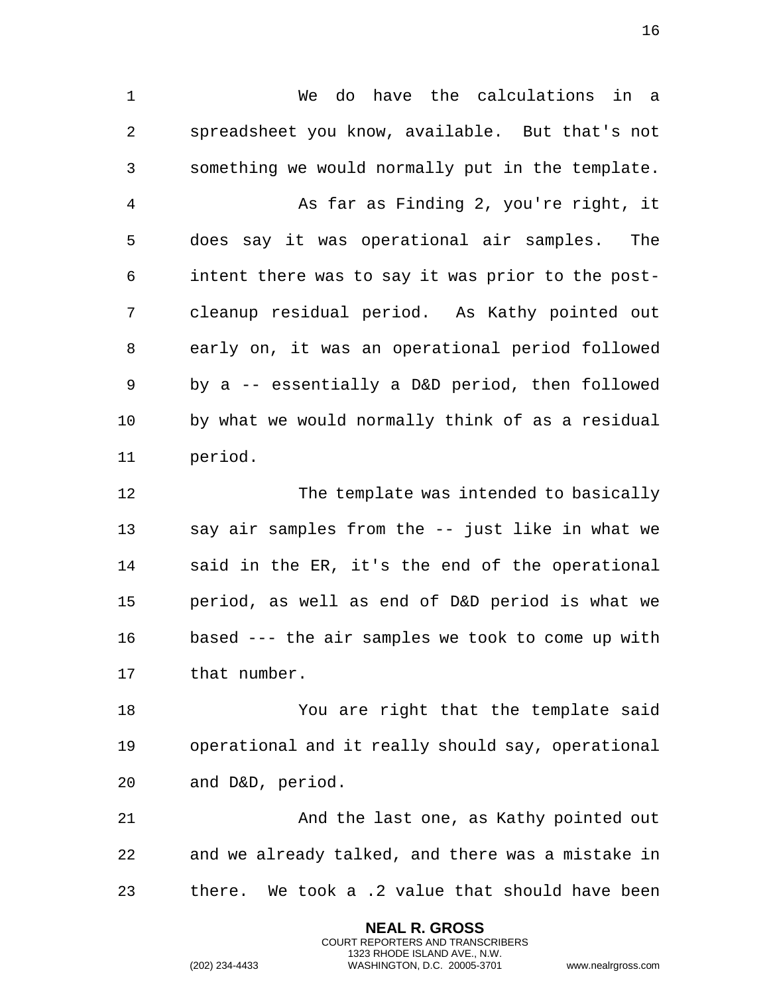We do have the calculations in a spreadsheet you know, available. But that's not something we would normally put in the template. As far as Finding 2, you're right, it does say it was operational air samples. The intent there was to say it was prior to the post- cleanup residual period. As Kathy pointed out early on, it was an operational period followed by a -- essentially a D&D period, then followed by what we would normally think of as a residual period. The template was intended to basically say air samples from the -- just like in what we said in the ER, it's the end of the operational period, as well as end of D&D period is what we based --- the air samples we took to come up with that number.

 You are right that the template said operational and it really should say, operational and D&D, period.

21 And the last one, as Kathy pointed out and we already talked, and there was a mistake in there. We took a .2 value that should have been

> **NEAL R. GROSS** COURT REPORTERS AND TRANSCRIBERS 1323 RHODE ISLAND AVE., N.W.

(202) 234-4433 WASHINGTON, D.C. 20005-3701 www.nealrgross.com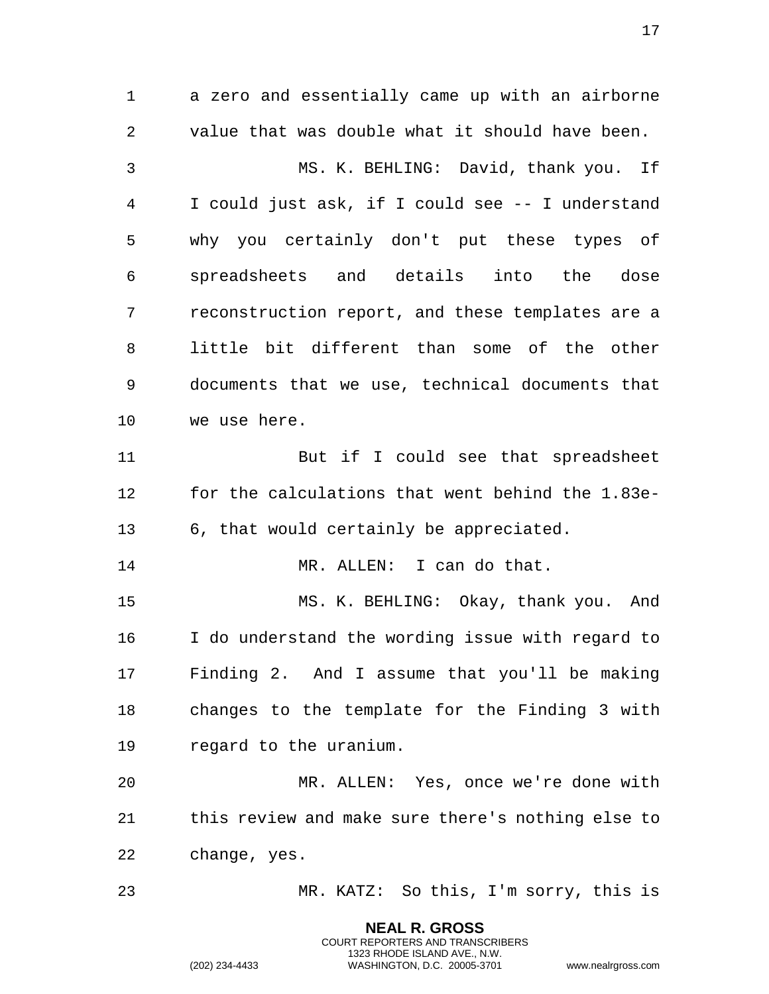a zero and essentially came up with an airborne value that was double what it should have been. MS. K. BEHLING: David, thank you. If I could just ask, if I could see -- I understand why you certainly don't put these types of spreadsheets and details into the dose reconstruction report, and these templates are a little bit different than some of the other documents that we use, technical documents that we use here. But if I could see that spreadsheet for the calculations that went behind the 1.83e- 6, that would certainly be appreciated. 14 MR. ALLEN: I can do that. MS. K. BEHLING: Okay, thank you. And I do understand the wording issue with regard to Finding 2. And I assume that you'll be making changes to the template for the Finding 3 with regard to the uranium. MR. ALLEN: Yes, once we're done with this review and make sure there's nothing else to change, yes. MR. KATZ: So this, I'm sorry, this is

> **NEAL R. GROSS** COURT REPORTERS AND TRANSCRIBERS 1323 RHODE ISLAND AVE., N.W.

(202) 234-4433 WASHINGTON, D.C. 20005-3701 www.nealrgross.com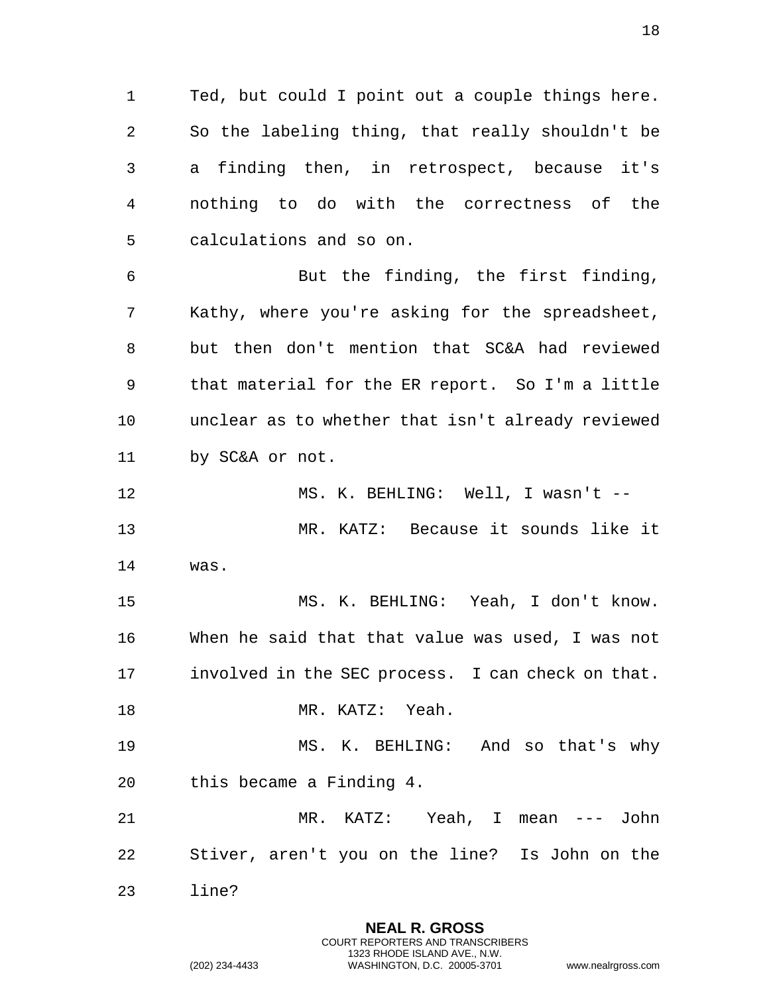1 Ted, but could I point out a couple things here. 2 So the labeling thing, that really shouldn't be 3 a finding then, in retrospect, because it's 4 nothing to do with the correctness of the 5 calculations and so on.

6 But the finding, the first finding, 7 Kathy, where you're asking for the spreadsheet, 8 but then don't mention that SC&A had reviewed 9 that material for the ER report. So I'm a little 10 unclear as to whether that isn't already reviewed 11 by SC&A or not.

12 MS. K. BEHLING: Well, I wasn't -- 13 MR. KATZ: Because it sounds like it 14 was.

15 MS. K. BEHLING: Yeah, I don't know. 16 When he said that that value was used, I was not 17 involved in the SEC process. I can check on that.

18 MR. KATZ: Yeah.

19 MS. K. BEHLING: And so that's why 20 this became a Finding 4.

21 MR. KATZ: Yeah, I mean --- John 22 Stiver, aren't you on the line? Is John on the

> **NEAL R. GROSS** COURT REPORTERS AND TRANSCRIBERS 1323 RHODE ISLAND AVE., N.W.

23 line?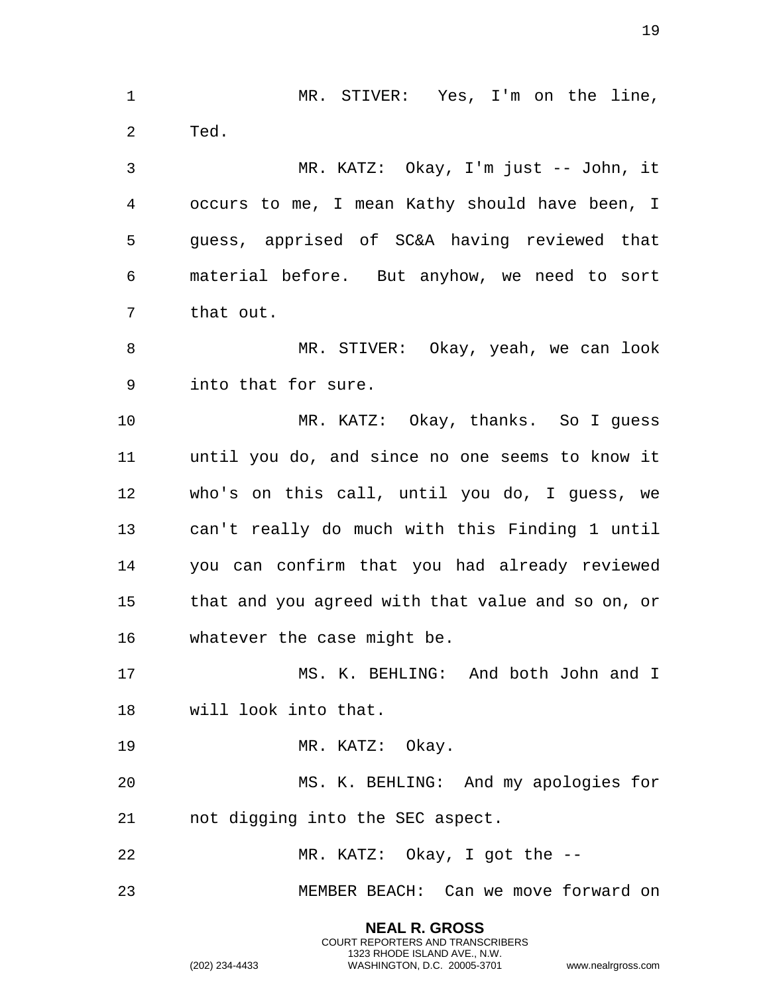**NEAL R. GROSS** 1 MR. STIVER: Yes, I'm on the line, 2 Ted. 3 MR. KATZ: Okay, I'm just -- John, it 4 occurs to me, I mean Kathy should have been, I 5 guess, apprised of SC&A having reviewed that 6 material before. But anyhow, we need to sort 7 that out. 8 MR. STIVER: Okay, yeah, we can look 9 into that for sure. 10 MR. KATZ: Okay, thanks. So I guess 11 until you do, and since no one seems to know it 12 who's on this call, until you do, I guess, we 13 can't really do much with this Finding 1 until 14 you can confirm that you had already reviewed 15 that and you agreed with that value and so on, or 16 whatever the case might be. 17 MS. K. BEHLING: And both John and I 18 will look into that. 19 MR. KATZ: Okay. 20 MS. K. BEHLING: And my apologies for 21 not digging into the SEC aspect. 22 MR. KATZ: Okay, I got the -- 23 MEMBER BEACH: Can we move forward on

> COURT REPORTERS AND TRANSCRIBERS 1323 RHODE ISLAND AVE., N.W.

(202) 234-4433 WASHINGTON, D.C. 20005-3701 www.nealrgross.com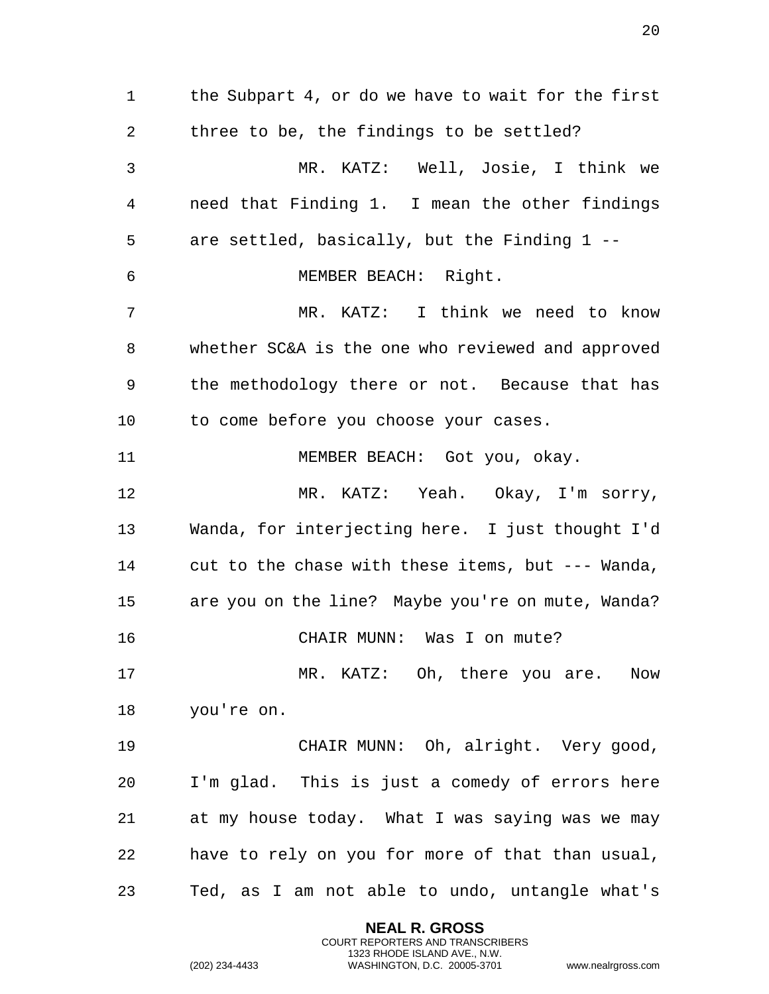the Subpart 4, or do we have to wait for the first three to be, the findings to be settled? MR. KATZ: Well, Josie, I think we need that Finding 1. I mean the other findings are settled, basically, but the Finding 1 -- MEMBER BEACH: Right. MR. KATZ: I think we need to know whether SC&A is the one who reviewed and approved the methodology there or not. Because that has to come before you choose your cases. MEMBER BEACH: Got you, okay. MR. KATZ: Yeah. Okay, I'm sorry, Wanda, for interjecting here. I just thought I'd cut to the chase with these items, but --- Wanda, are you on the line? Maybe you're on mute, Wanda? CHAIR MUNN: Was I on mute? MR. KATZ: Oh, there you are. Now you're on. CHAIR MUNN: Oh, alright. Very good, I'm glad. This is just a comedy of errors here at my house today. What I was saying was we may have to rely on you for more of that than usual, Ted, as I am not able to undo, untangle what's

> **NEAL R. GROSS** COURT REPORTERS AND TRANSCRIBERS 1323 RHODE ISLAND AVE., N.W.

(202) 234-4433 WASHINGTON, D.C. 20005-3701 www.nealrgross.com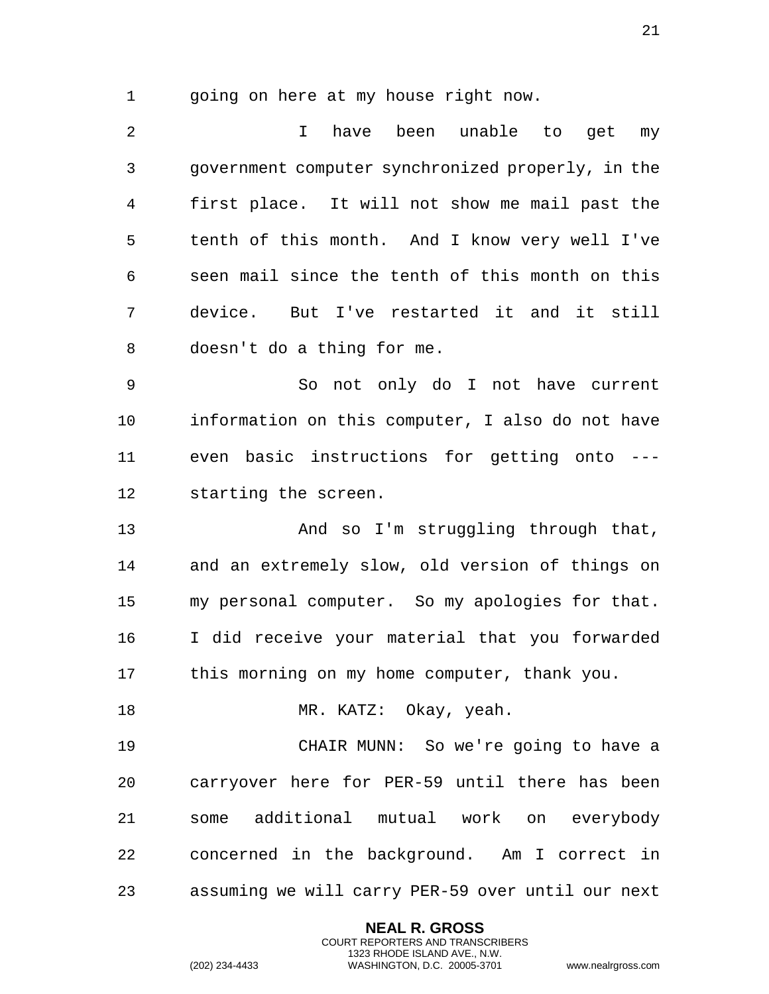going on here at my house right now.

 I have been unable to get my government computer synchronized properly, in the first place. It will not show me mail past the tenth of this month. And I know very well I've seen mail since the tenth of this month on this device. But I've restarted it and it still doesn't do a thing for me.

 So not only do I not have current information on this computer, I also do not have even basic instructions for getting onto --- starting the screen.

 And so I'm struggling through that, and an extremely slow, old version of things on my personal computer. So my apologies for that. I did receive your material that you forwarded this morning on my home computer, thank you.

18 MR. KATZ: Okay, yeah.

 CHAIR MUNN: So we're going to have a carryover here for PER-59 until there has been some additional mutual work on everybody concerned in the background. Am I correct in assuming we will carry PER-59 over until our next

> **NEAL R. GROSS** COURT REPORTERS AND TRANSCRIBERS 1323 RHODE ISLAND AVE., N.W.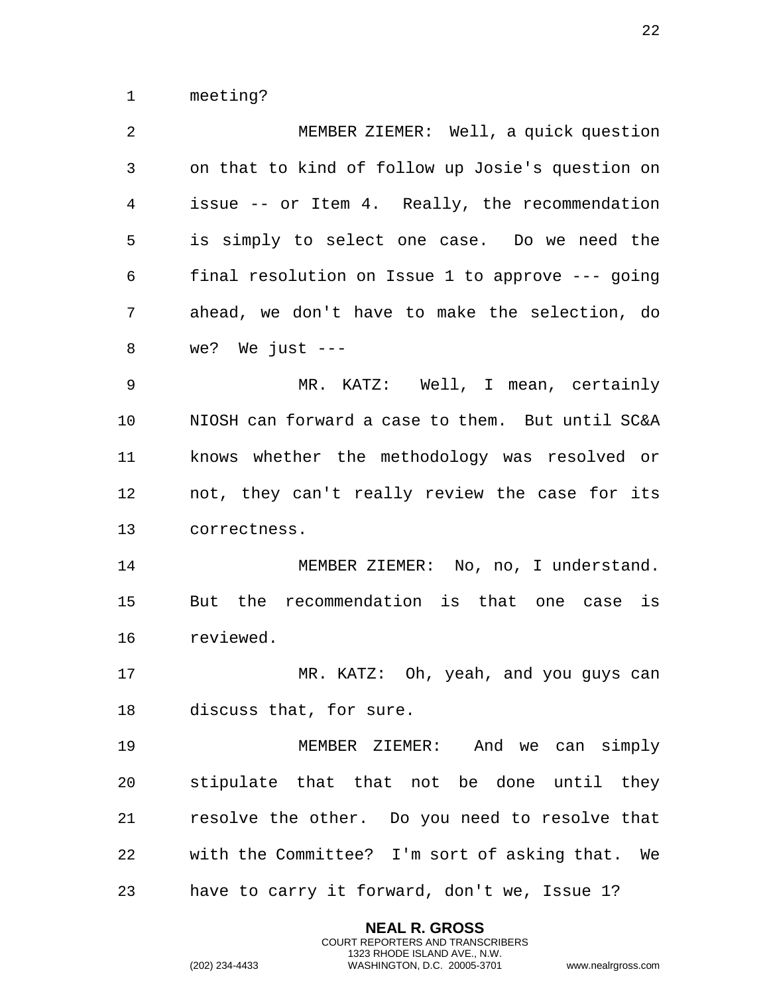meeting?

| $\overline{a}$ | MEMBER ZIEMER: Well, a quick question            |
|----------------|--------------------------------------------------|
| 3              | on that to kind of follow up Josie's question on |
| 4              | issue -- or Item 4. Really, the recommendation   |
| 5              | is simply to select one case. Do we need the     |
| 6              | final resolution on Issue 1 to approve --- going |
| 7              | ahead, we don't have to make the selection, do   |
| 8              | we? We just $---$                                |
| 9              | MR. KATZ: Well, I mean, certainly                |
| 10             | NIOSH can forward a case to them. But until SC&A |
| 11             | knows whether the methodology was resolved or    |
| 12             | not, they can't really review the case for its   |
| 13             | correctness.                                     |
| 14             | MEMBER ZIEMER: No, no, I understand.             |
| 15             | But the recommendation is that one case is       |
| 16             | reviewed.                                        |
| 17             | MR. KATZ: Oh, yeah, and you guys can             |
| 18             | discuss that, for sure.                          |
| 19             | MEMBER ZIEMER: And we can simply                 |
| 20             | stipulate that that not be done until they       |
| 21             | resolve the other. Do you need to resolve that   |
| 22             | with the Committee? I'm sort of asking that. We  |
| 23             | have to carry it forward, don't we, Issue 1?     |

**NEAL R. GROSS** COURT REPORTERS AND TRANSCRIBERS 1323 RHODE ISLAND AVE., N.W.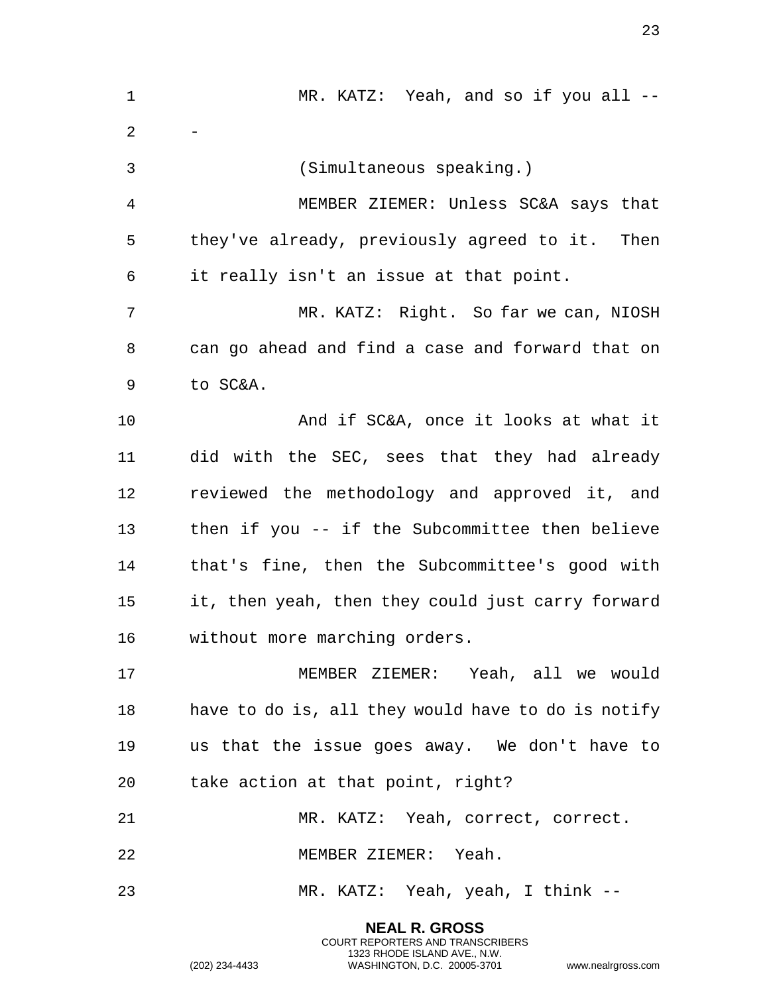| $\mathbf{1}$ | MR. KATZ: Yeah, and so if you all --               |
|--------------|----------------------------------------------------|
| 2            |                                                    |
| 3            | (Simultaneous speaking.)                           |
| 4            | MEMBER ZIEMER: Unless SC&A says that               |
| 5            | they've already, previously agreed to it. Then     |
| 6            | it really isn't an issue at that point.            |
| 7            | MR. KATZ: Right. So far we can, NIOSH              |
| 8            | can go ahead and find a case and forward that on   |
| 9            | to SC&A.                                           |
| 10           | And if SC&A, once it looks at what it              |
| 11           | did with the SEC, sees that they had already       |
| 12           | reviewed the methodology and approved it, and      |
| 13           | then if you -- if the Subcommittee then believe    |
| 14           | that's fine, then the Subcommittee's good with     |
| 15           | it, then yeah, then they could just carry forward  |
| 16           | without more marching orders.                      |
| 17           | MEMBER ZIEMER: Yeah, all we would                  |
| 18           | have to do is, all they would have to do is notify |
| 19           | us that the issue goes away. We don't have to      |
| 20           | take action at that point, right?                  |
| 21           | MR. KATZ: Yeah, correct, correct.                  |
| 22           | MEMBER ZIEMER: Yeah.                               |
| 23           | MR. KATZ: Yeah, yeah, I think --                   |
|              |                                                    |

**NEAL R. GROSS** COURT REPORTERS AND TRANSCRIBERS 1323 RHODE ISLAND AVE., N.W.

(202) 234-4433 WASHINGTON, D.C. 20005-3701 www.nealrgross.com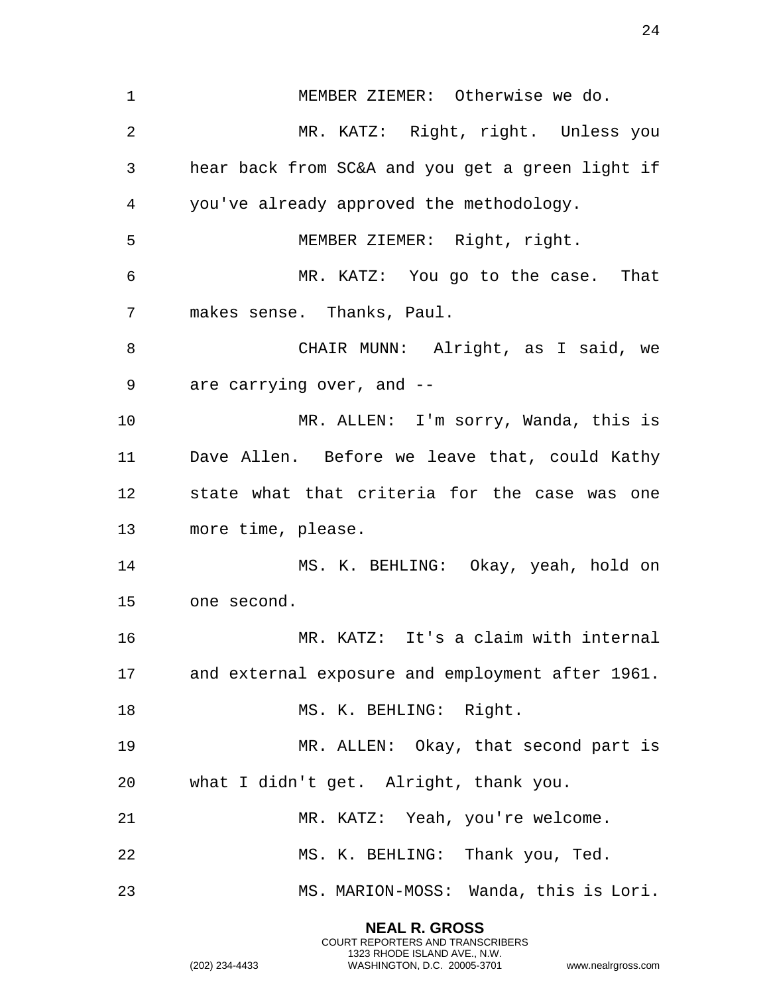MEMBER ZIEMER: Otherwise we do. MR. KATZ: Right, right. Unless you hear back from SC&A and you get a green light if you've already approved the methodology. MEMBER ZIEMER: Right, right. MR. KATZ: You go to the case. That makes sense. Thanks, Paul. CHAIR MUNN: Alright, as I said, we are carrying over, and -- MR. ALLEN: I'm sorry, Wanda, this is Dave Allen. Before we leave that, could Kathy state what that criteria for the case was one more time, please. MS. K. BEHLING: Okay, yeah, hold on one second. MR. KATZ: It's a claim with internal and external exposure and employment after 1961. 18 MS. K. BEHLING: Right. MR. ALLEN: Okay, that second part is what I didn't get. Alright, thank you. MR. KATZ: Yeah, you're welcome. 22 MS. K. BEHLING: Thank you, Ted. MS. MARION-MOSS: Wanda, this is Lori.

> **NEAL R. GROSS** COURT REPORTERS AND TRANSCRIBERS 1323 RHODE ISLAND AVE., N.W.

(202) 234-4433 WASHINGTON, D.C. 20005-3701 www.nealrgross.com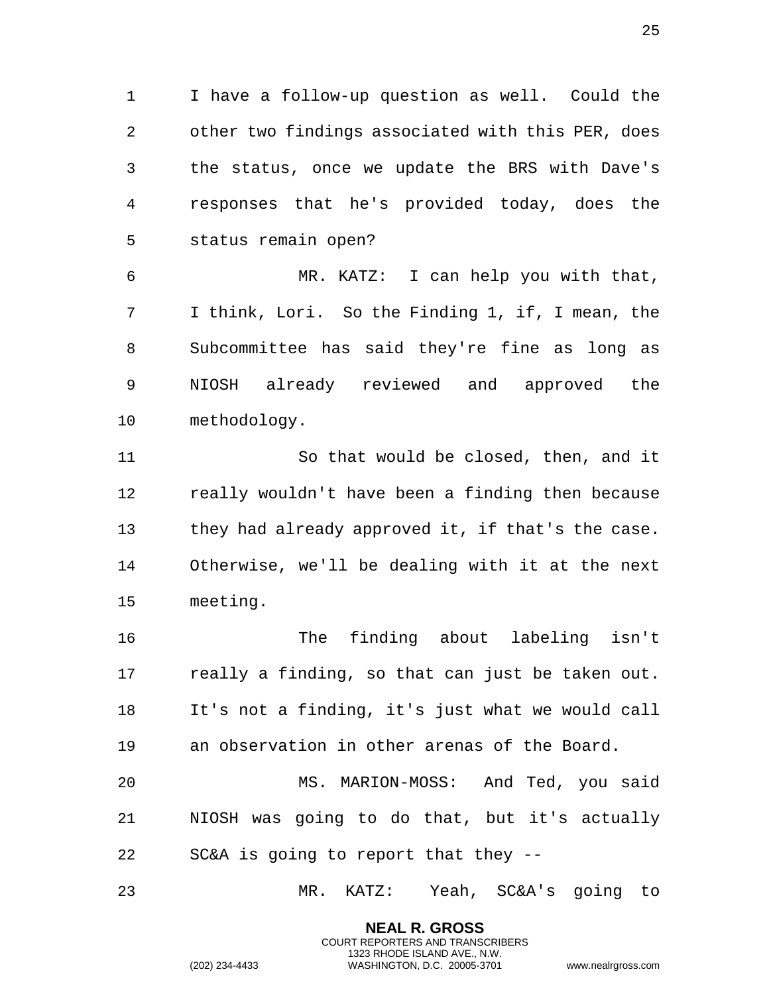I have a follow-up question as well. Could the other two findings associated with this PER, does the status, once we update the BRS with Dave's responses that he's provided today, does the status remain open?

 MR. KATZ: I can help you with that, I think, Lori. So the Finding 1, if, I mean, the Subcommittee has said they're fine as long as NIOSH already reviewed and approved the methodology.

 So that would be closed, then, and it really wouldn't have been a finding then because they had already approved it, if that's the case. Otherwise, we'll be dealing with it at the next meeting.

 The finding about labeling isn't really a finding, so that can just be taken out. It's not a finding, it's just what we would call an observation in other arenas of the Board.

 MS. MARION-MOSS: And Ted, you said NIOSH was going to do that, but it's actually SC&A is going to report that they --

MR. KATZ: Yeah, SC&A's going to

**NEAL R. GROSS** COURT REPORTERS AND TRANSCRIBERS 1323 RHODE ISLAND AVE., N.W.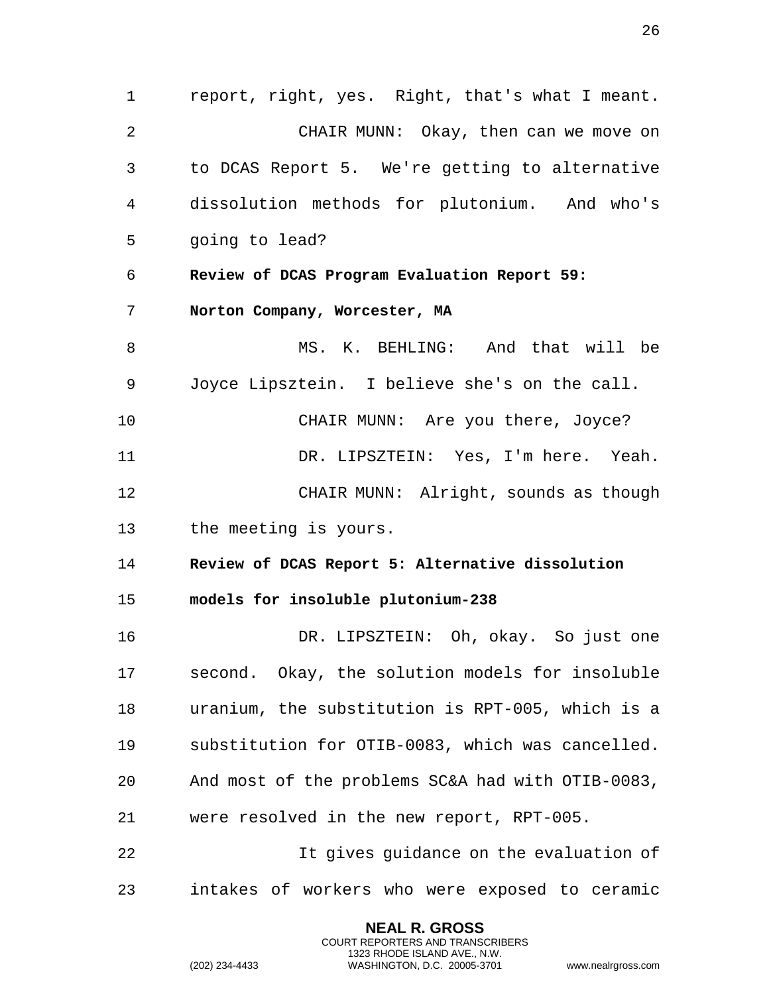<span id="page-25-1"></span><span id="page-25-0"></span>1 report, right, yes. Right, that's what I meant. 2 CHAIR MUNN: Okay, then can we move on 3 to DCAS Report 5. We're getting to alternative 4 dissolution methods for plutonium. And who's 5 going to lead? 6 **Review of DCAS Program Evaluation Report 59:**  7 **Norton Company, Worcester, MA**  8 MS. K. BEHLING: And that will be 9 Joyce Lipsztein. I believe she's on the call. 10 CHAIR MUNN: Are you there, Joyce? 11 DR. LIPSZTEIN: Yes, I'm here. Yeah. 12 CHAIR MUNN: Alright, sounds as though 13 the meeting is yours. 14 **Review of DCAS Report 5: Alternative dissolution**  15 **models for insoluble plutonium-238**  16 DR. LIPSZTEIN: Oh, okay. So just one 17 second. Okay, the solution models for insoluble 18 uranium, the substitution is RPT-005, which is a 19 substitution for OTIB-0083, which was cancelled. 20 And most of the problems SC&A had with OTIB-0083, 21 were resolved in the new report, RPT-005. 22 It gives guidance on the evaluation of 23 intakes of workers who were exposed to ceramic

> <span id="page-25-3"></span><span id="page-25-2"></span>**NEAL R. GROSS** COURT REPORTERS AND TRANSCRIBERS 1323 RHODE ISLAND AVE., N.W.

(202) 234-4433 WASHINGTON, D.C. 20005-3701 www.nealrgross.com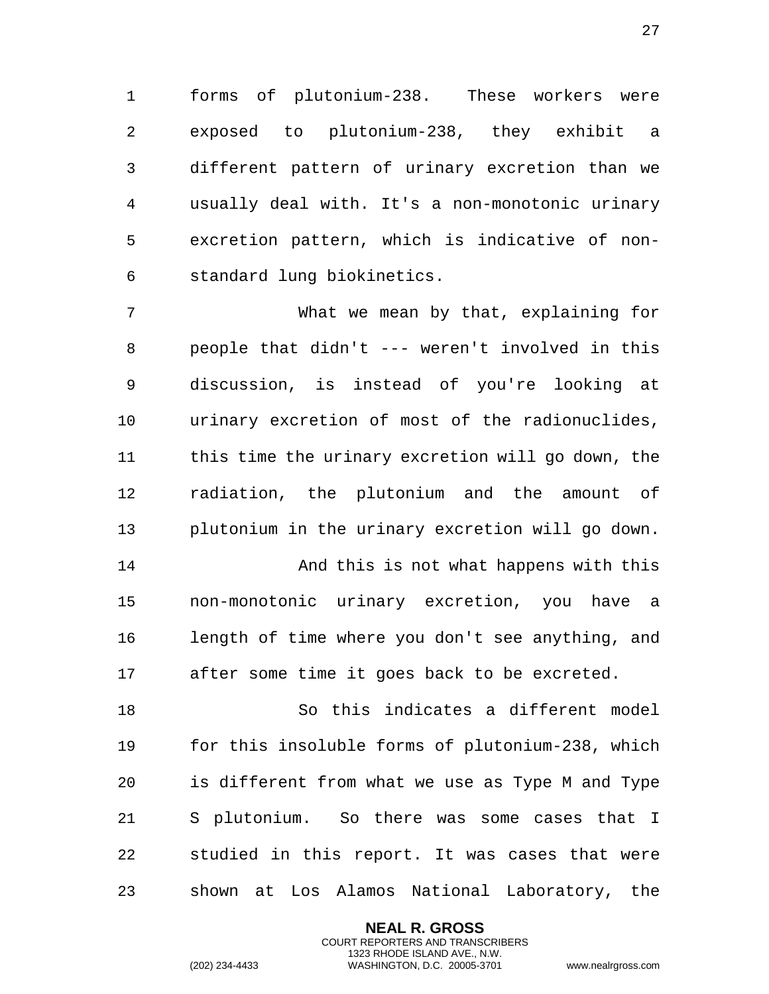forms of plutonium-238. These workers were exposed to plutonium-238, they exhibit a different pattern of urinary excretion than we usually deal with. It's a non-monotonic urinary excretion pattern, which is indicative of non-standard lung biokinetics.

 What we mean by that, explaining for people that didn't --- weren't involved in this discussion, is instead of you're looking at urinary excretion of most of the radionuclides, this time the urinary excretion will go down, the radiation, the plutonium and the amount of plutonium in the urinary excretion will go down.

14 And this is not what happens with this non-monotonic urinary excretion, you have a length of time where you don't see anything, and after some time it goes back to be excreted.

 So this indicates a different model for this insoluble forms of plutonium-238, which is different from what we use as Type M and Type S plutonium. So there was some cases that I studied in this report. It was cases that were shown at Los Alamos National Laboratory, the

> **NEAL R. GROSS** COURT REPORTERS AND TRANSCRIBERS 1323 RHODE ISLAND AVE., N.W.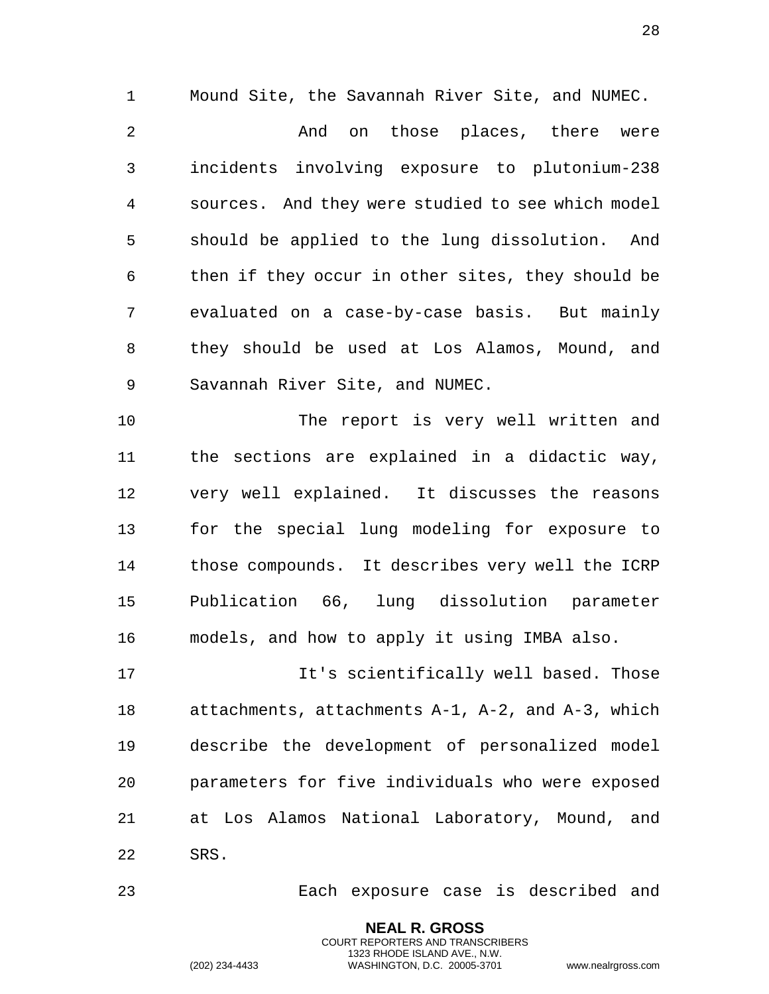Mound Site, the Savannah River Site, and NUMEC.

 And on those places, there were incidents involving exposure to plutonium-238 sources. And they were studied to see which model should be applied to the lung dissolution. And then if they occur in other sites, they should be evaluated on a case-by-case basis. But mainly they should be used at Los Alamos, Mound, and Savannah River Site, and NUMEC.

 The report is very well written and the sections are explained in a didactic way, very well explained. It discusses the reasons for the special lung modeling for exposure to those compounds. It describes very well the ICRP Publication 66, lung dissolution parameter models, and how to apply it using IMBA also.

 It's scientifically well based. Those attachments, attachments A-1, A-2, and A-3, which describe the development of personalized model parameters for five individuals who were exposed at Los Alamos National Laboratory, Mound, and SRS.

Each exposure case is described and

**NEAL R. GROSS** COURT REPORTERS AND TRANSCRIBERS 1323 RHODE ISLAND AVE., N.W.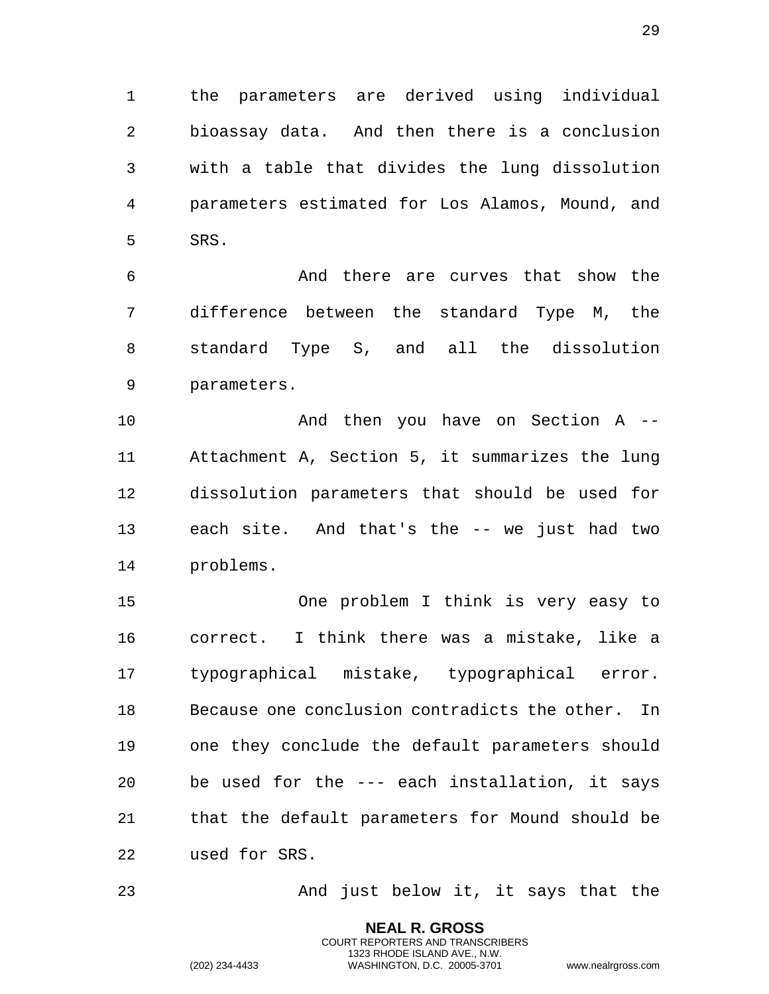the parameters are derived using individual bioassay data. And then there is a conclusion with a table that divides the lung dissolution parameters estimated for Los Alamos, Mound, and SRS.

 And there are curves that show the difference between the standard Type M, the standard Type S, and all the dissolution parameters.

 And then you have on Section A -- Attachment A, Section 5, it summarizes the lung dissolution parameters that should be used for each site. And that's the -- we just had two problems.

 One problem I think is very easy to correct. I think there was a mistake, like a typographical mistake, typographical error. Because one conclusion contradicts the other. In one they conclude the default parameters should be used for the --- each installation, it says that the default parameters for Mound should be used for SRS.

23 And just below it, it says that the

**NEAL R. GROSS** COURT REPORTERS AND TRANSCRIBERS 1323 RHODE ISLAND AVE., N.W.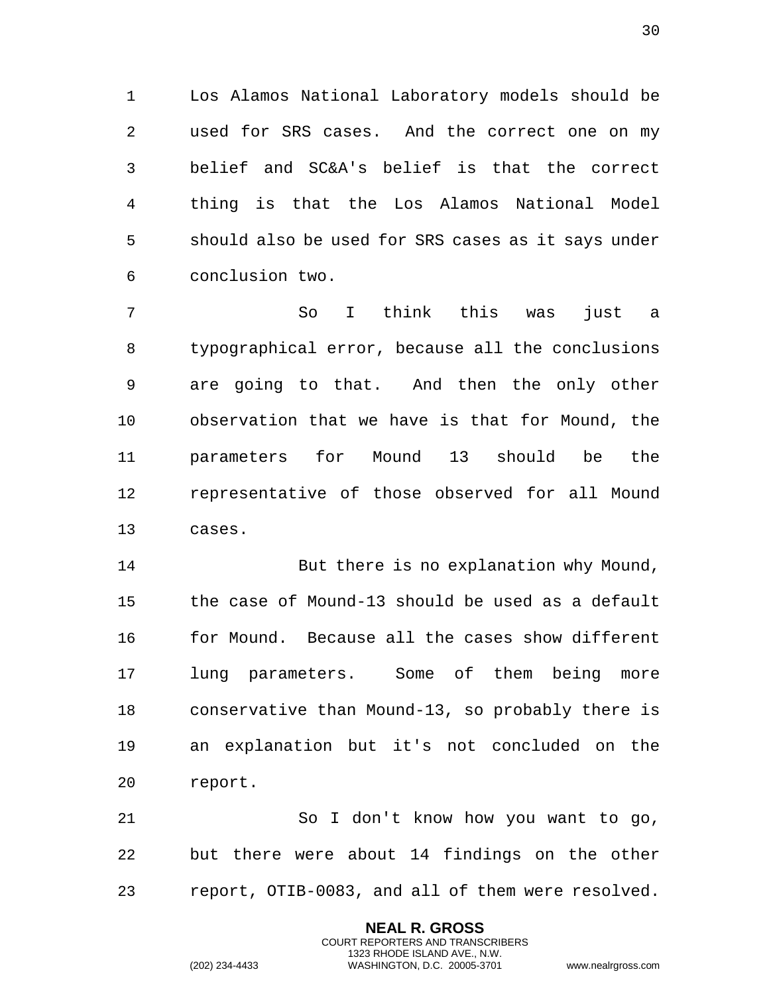Los Alamos National Laboratory models should be used for SRS cases. And the correct one on my belief and SC&A's belief is that the correct thing is that the Los Alamos National Model should also be used for SRS cases as it says under conclusion two.

 So I think this was just a typographical error, because all the conclusions are going to that. And then the only other observation that we have is that for Mound, the parameters for Mound 13 should be the representative of those observed for all Mound cases.

 But there is no explanation why Mound, the case of Mound-13 should be used as a default for Mound. Because all the cases show different lung parameters. Some of them being more conservative than Mound-13, so probably there is an explanation but it's not concluded on the report.

 So I don't know how you want to go, but there were about 14 findings on the other report, OTIB-0083, and all of them were resolved.

> **NEAL R. GROSS** COURT REPORTERS AND TRANSCRIBERS 1323 RHODE ISLAND AVE., N.W.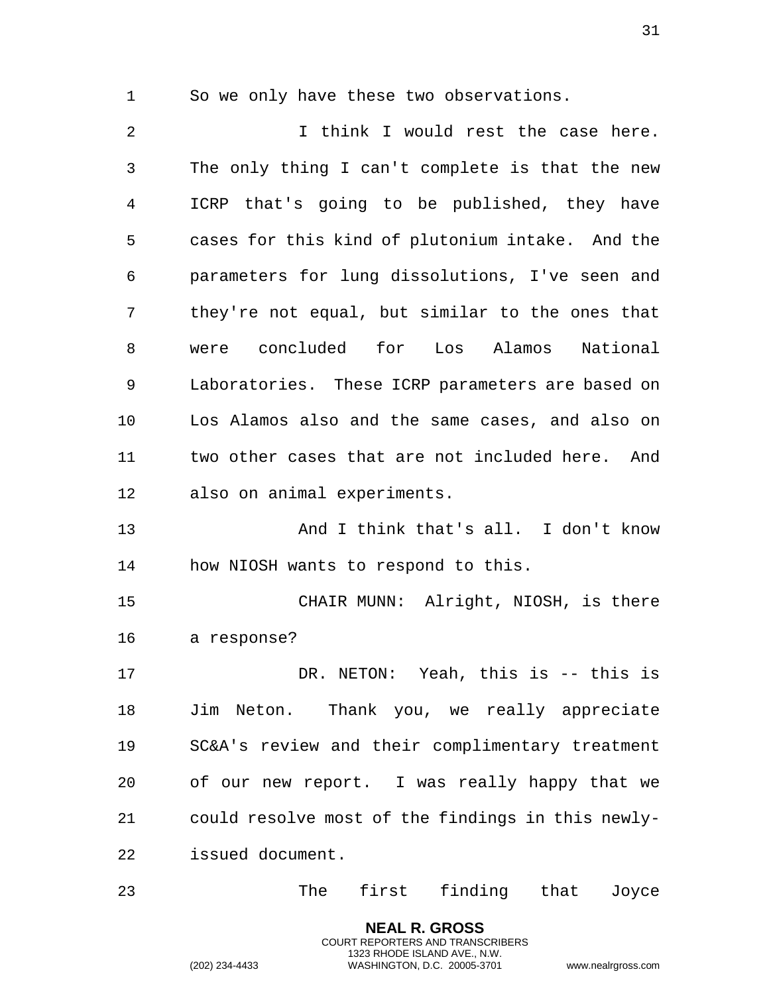So we only have these two observations.

 I think I would rest the case here. The only thing I can't complete is that the new ICRP that's going to be published, they have cases for this kind of plutonium intake. And the parameters for lung dissolutions, I've seen and they're not equal, but similar to the ones that were concluded for Los Alamos National Laboratories. These ICRP parameters are based on Los Alamos also and the same cases, and also on two other cases that are not included here. And also on animal experiments. And I think that's all. I don't know how NIOSH wants to respond to this. CHAIR MUNN: Alright, NIOSH, is there a response? DR. NETON: Yeah, this is -- this is Jim Neton. Thank you, we really appreciate SC&A's review and their complimentary treatment

 of our new report. I was really happy that we could resolve most of the findings in this newly-issued document.

The first finding that Joyce

**NEAL R. GROSS** COURT REPORTERS AND TRANSCRIBERS 1323 RHODE ISLAND AVE., N.W.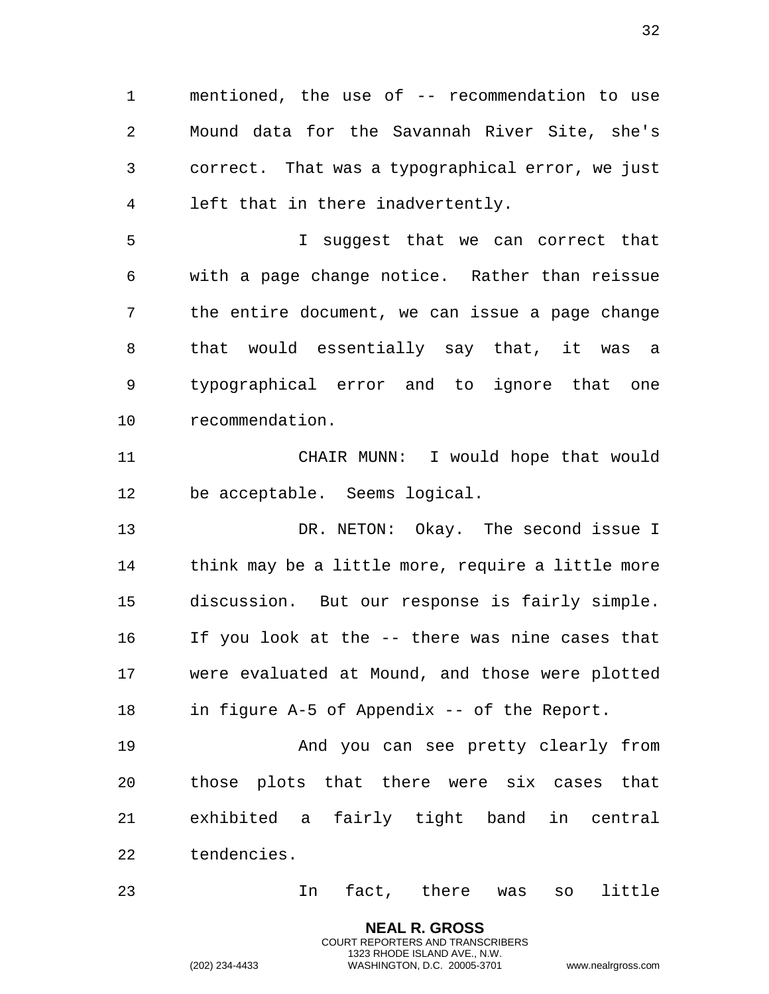mentioned, the use of -- recommendation to use Mound data for the Savannah River Site, she's correct. That was a typographical error, we just left that in there inadvertently.

 I suggest that we can correct that with a page change notice. Rather than reissue the entire document, we can issue a page change that would essentially say that, it was a typographical error and to ignore that one recommendation.

 CHAIR MUNN: I would hope that would be acceptable. Seems logical.

 DR. NETON: Okay. The second issue I think may be a little more, require a little more discussion. But our response is fairly simple. If you look at the -- there was nine cases that were evaluated at Mound, and those were plotted in figure A-5 of Appendix -- of the Report.

 And you can see pretty clearly from those plots that there were six cases that exhibited a fairly tight band in central tendencies.

In fact, there was so little

**NEAL R. GROSS** COURT REPORTERS AND TRANSCRIBERS 1323 RHODE ISLAND AVE., N.W.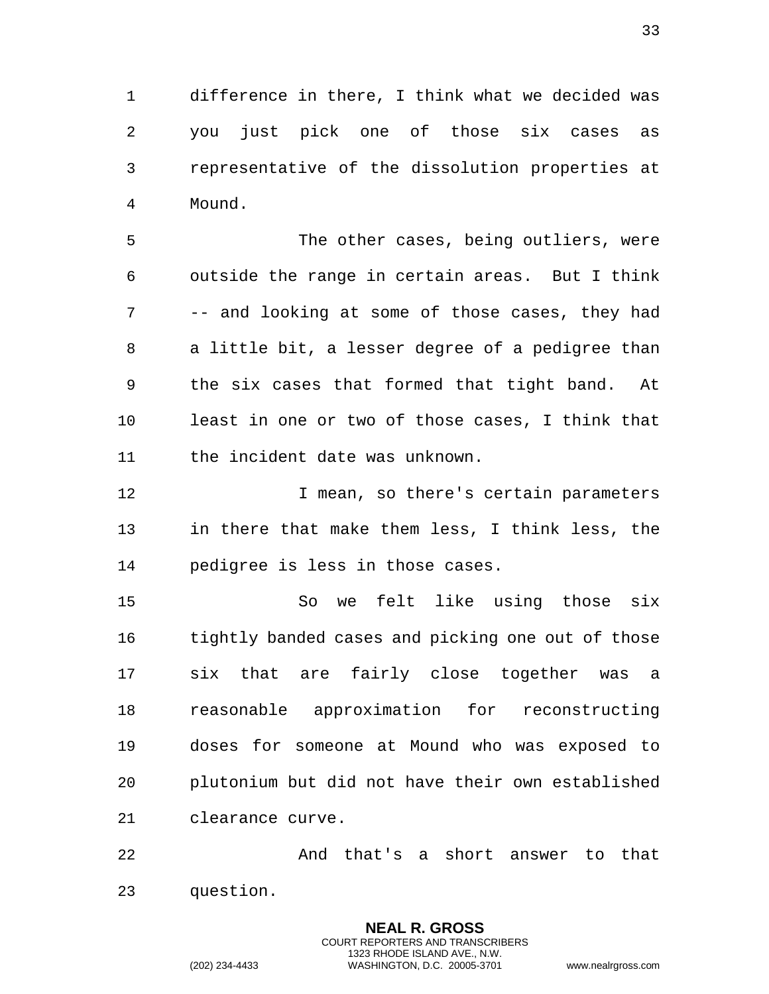difference in there, I think what we decided was you just pick one of those six cases as representative of the dissolution properties at Mound.

 The other cases, being outliers, were outside the range in certain areas. But I think -- and looking at some of those cases, they had a little bit, a lesser degree of a pedigree than the six cases that formed that tight band. At least in one or two of those cases, I think that the incident date was unknown.

12 12 I mean, so there's certain parameters in there that make them less, I think less, the pedigree is less in those cases.

 So we felt like using those six tightly banded cases and picking one out of those six that are fairly close together was a reasonable approximation for reconstructing doses for someone at Mound who was exposed to plutonium but did not have their own established clearance curve.

 And that's a short answer to that question.

> **NEAL R. GROSS** COURT REPORTERS AND TRANSCRIBERS 1323 RHODE ISLAND AVE., N.W.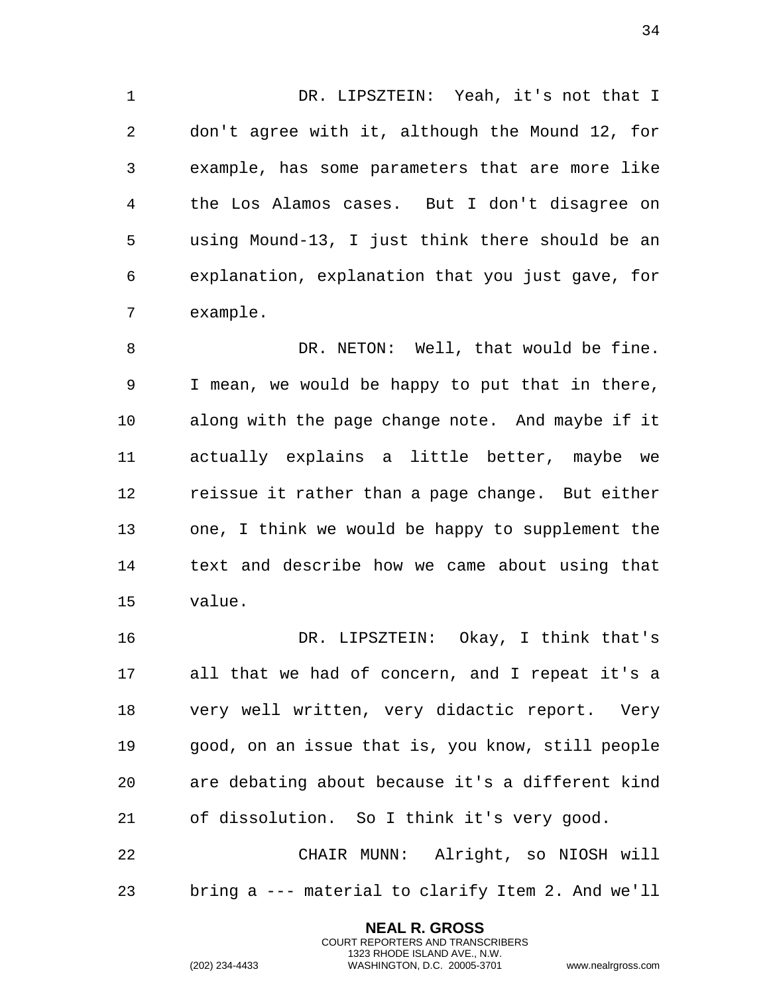DR. LIPSZTEIN: Yeah, it's not that I don't agree with it, although the Mound 12, for example, has some parameters that are more like the Los Alamos cases. But I don't disagree on using Mound-13, I just think there should be an explanation, explanation that you just gave, for example.

 DR. NETON: Well, that would be fine. I mean, we would be happy to put that in there, along with the page change note. And maybe if it actually explains a little better, maybe we reissue it rather than a page change. But either one, I think we would be happy to supplement the text and describe how we came about using that value.

 DR. LIPSZTEIN: Okay, I think that's all that we had of concern, and I repeat it's a very well written, very didactic report. Very good, on an issue that is, you know, still people are debating about because it's a different kind of dissolution. So I think it's very good.

 CHAIR MUNN: Alright, so NIOSH will bring a --- material to clarify Item 2. And we'll

> **NEAL R. GROSS** COURT REPORTERS AND TRANSCRIBERS 1323 RHODE ISLAND AVE., N.W.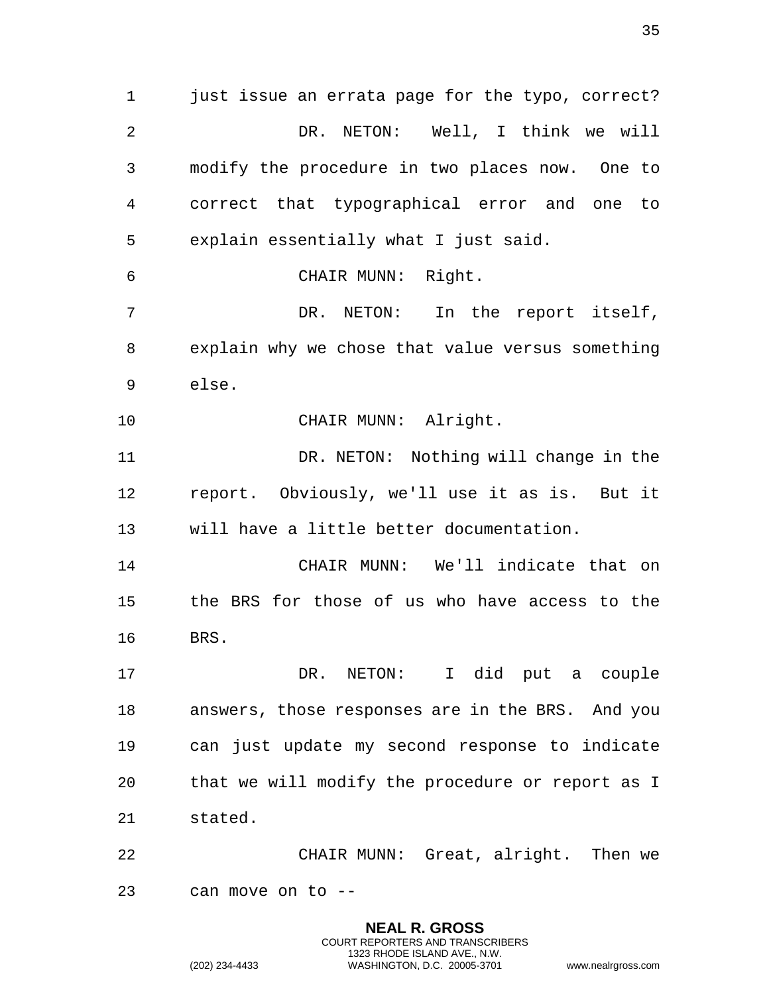just issue an errata page for the typo, correct? DR. NETON: Well, I think we will modify the procedure in two places now. One to correct that typographical error and one to explain essentially what I just said. CHAIR MUNN: Right. DR. NETON: In the report itself, explain why we chose that value versus something else. CHAIR MUNN: Alright. DR. NETON: Nothing will change in the report. Obviously, we'll use it as is. But it will have a little better documentation. CHAIR MUNN: We'll indicate that on the BRS for those of us who have access to the BRS. DR. NETON: I did put a couple answers, those responses are in the BRS. And you can just update my second response to indicate that we will modify the procedure or report as I stated. CHAIR MUNN: Great, alright. Then we can move on to --

> **NEAL R. GROSS** COURT REPORTERS AND TRANSCRIBERS 1323 RHODE ISLAND AVE., N.W.

(202) 234-4433 WASHINGTON, D.C. 20005-3701 www.nealrgross.com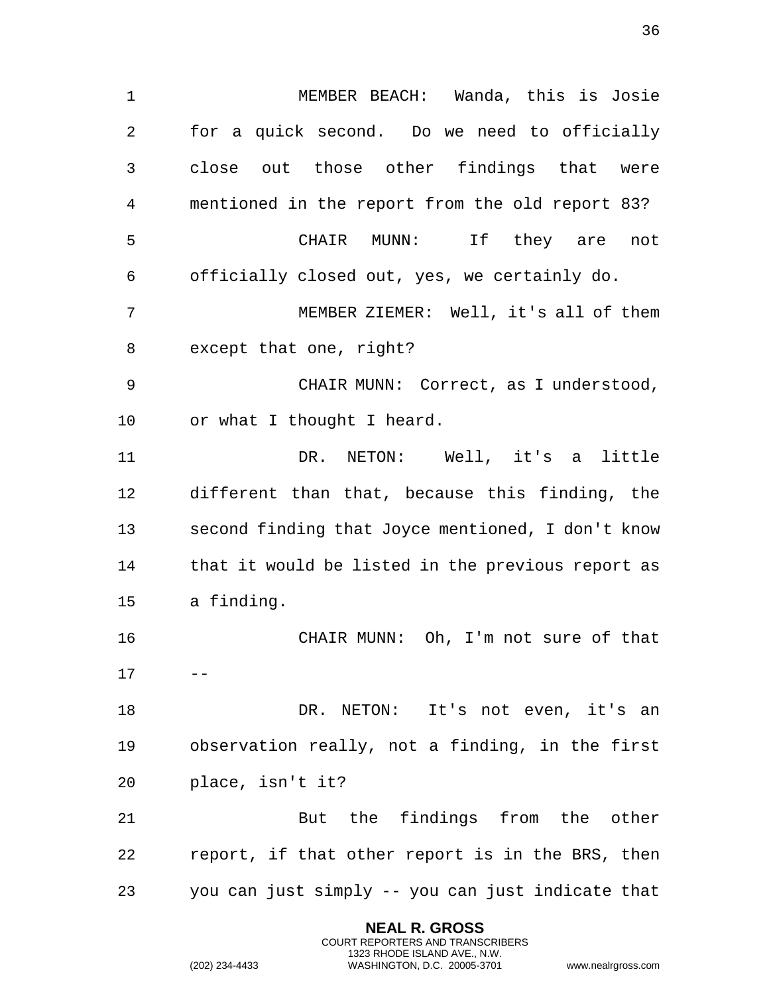MEMBER BEACH: Wanda, this is Josie for a quick second. Do we need to officially close out those other findings that were mentioned in the report from the old report 83? CHAIR MUNN: If they are not officially closed out, yes, we certainly do. MEMBER ZIEMER: Well, it's all of them except that one, right? CHAIR MUNN: Correct, as I understood, 10 or what I thought I heard. DR. NETON: Well, it's a little different than that, because this finding, the second finding that Joyce mentioned, I don't know that it would be listed in the previous report as a finding. CHAIR MUNN: Oh, I'm not sure of that  $17 - -$ 18 DR. NETON: It's not even, it's an observation really, not a finding, in the first place, isn't it? But the findings from the other report, if that other report is in the BRS, then you can just simply -- you can just indicate that

> **NEAL R. GROSS** COURT REPORTERS AND TRANSCRIBERS 1323 RHODE ISLAND AVE., N.W.

(202) 234-4433 WASHINGTON, D.C. 20005-3701 www.nealrgross.com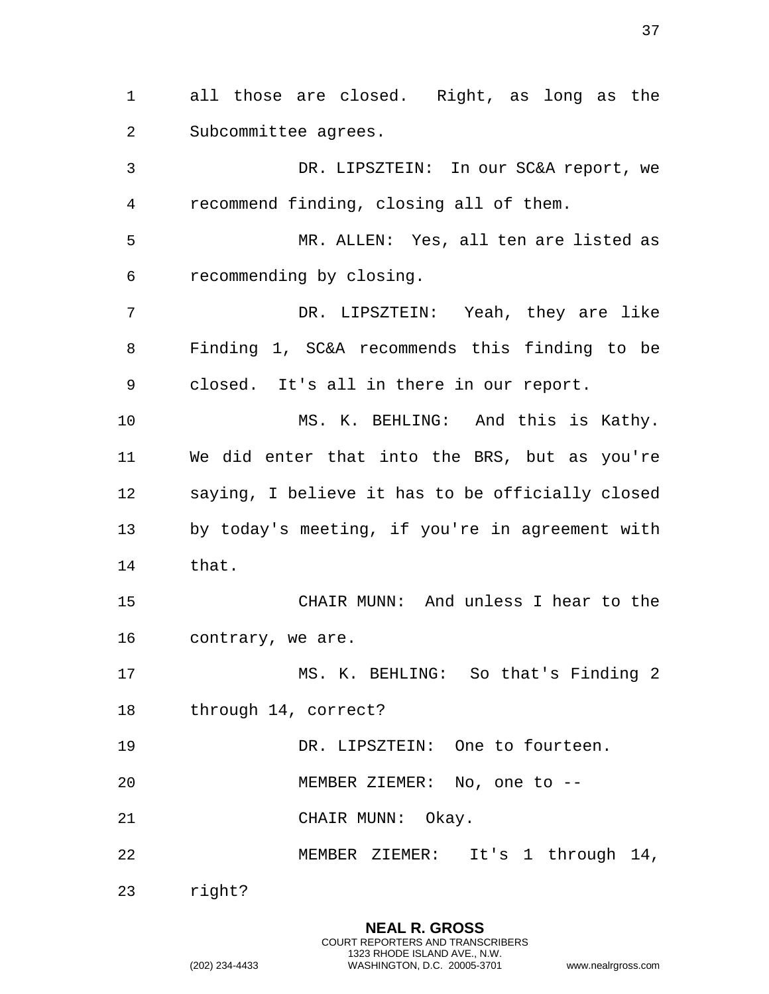all those are closed. Right, as long as the Subcommittee agrees.

 DR. LIPSZTEIN: In our SC&A report, we recommend finding, closing all of them.

 MR. ALLEN: Yes, all ten are listed as recommending by closing.

 DR. LIPSZTEIN: Yeah, they are like Finding 1, SC&A recommends this finding to be closed. It's all in there in our report.

 MS. K. BEHLING: And this is Kathy. We did enter that into the BRS, but as you're saying, I believe it has to be officially closed by today's meeting, if you're in agreement with that.

 CHAIR MUNN: And unless I hear to the contrary, we are.

MS. K. BEHLING: So that's Finding 2

through 14, correct?

DR. LIPSZTEIN: One to fourteen.

MEMBER ZIEMER: No, one to --

21 CHAIR MUNN: Okay.

MEMBER ZIEMER: It's 1 through 14,

right?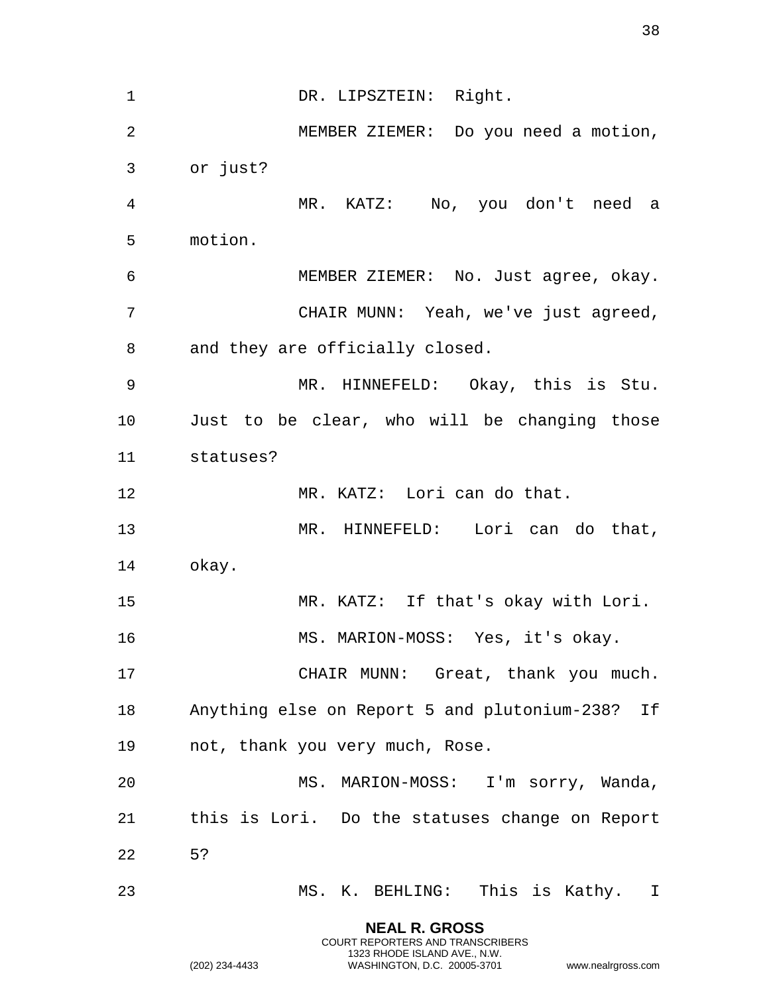**NEAL R. GROSS** COURT REPORTERS AND TRANSCRIBERS 1 DR. LIPSZTEIN: Right. MEMBER ZIEMER: Do you need a motion, or just? MR. KATZ: No, you don't need a motion. MEMBER ZIEMER: No. Just agree, okay. CHAIR MUNN: Yeah, we've just agreed, and they are officially closed. MR. HINNEFELD: Okay, this is Stu. Just to be clear, who will be changing those statuses? MR. KATZ: Lori can do that. MR. HINNEFELD: Lori can do that, okay. MR. KATZ: If that's okay with Lori. MS. MARION-MOSS: Yes, it's okay. CHAIR MUNN: Great, thank you much. Anything else on Report 5 and plutonium-238? If not, thank you very much, Rose. MS. MARION-MOSS: I'm sorry, Wanda, this is Lori. Do the statuses change on Report 5? MS. K. BEHLING: This is Kathy. I

1323 RHODE ISLAND AVE., N.W.

(202) 234-4433 WASHINGTON, D.C. 20005-3701 www.nealrgross.com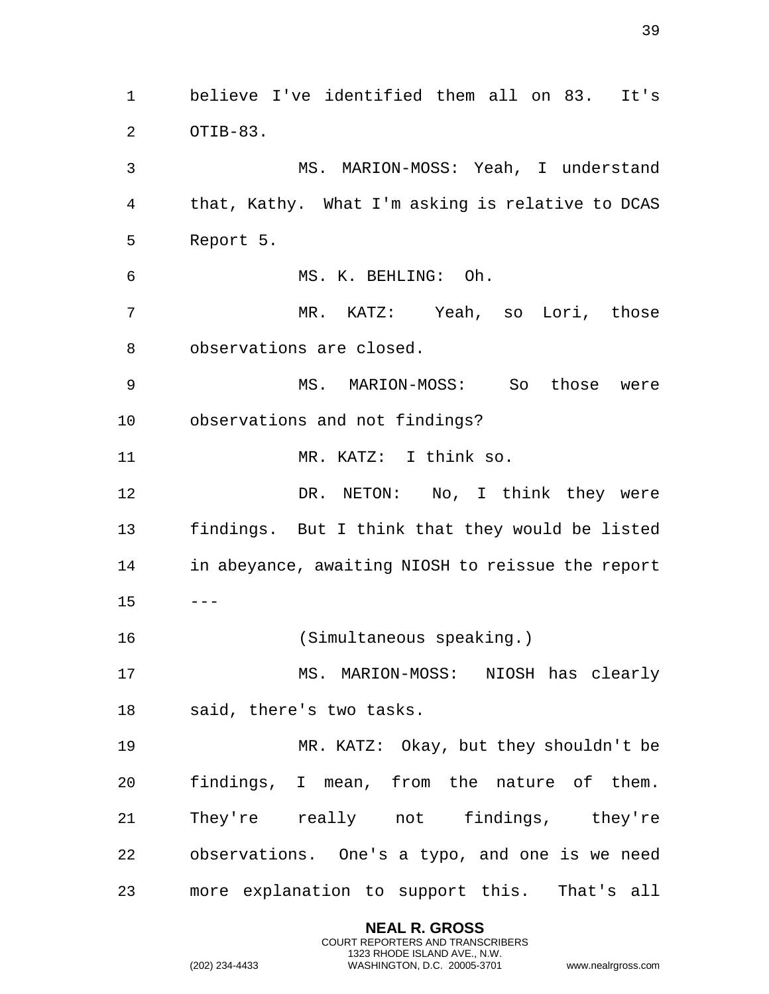believe I've identified them all on 83. It's OTIB-83. MS. MARION-MOSS: Yeah, I understand that, Kathy. What I'm asking is relative to DCAS Report 5. MS. K. BEHLING: Oh. MR. KATZ: Yeah, so Lori, those observations are closed. MS. MARION-MOSS: So those were observations and not findings? MR. KATZ: I think so. DR. NETON: No, I think they were findings. But I think that they would be listed in abeyance, awaiting NIOSH to reissue the report  $15 - -$  (Simultaneous speaking.) MS. MARION-MOSS: NIOSH has clearly said, there's two tasks. MR. KATZ: Okay, but they shouldn't be findings, I mean, from the nature of them. They're really not findings, they're observations. One's a typo, and one is we need more explanation to support this. That's all

> **NEAL R. GROSS** COURT REPORTERS AND TRANSCRIBERS 1323 RHODE ISLAND AVE., N.W.

(202) 234-4433 WASHINGTON, D.C. 20005-3701 www.nealrgross.com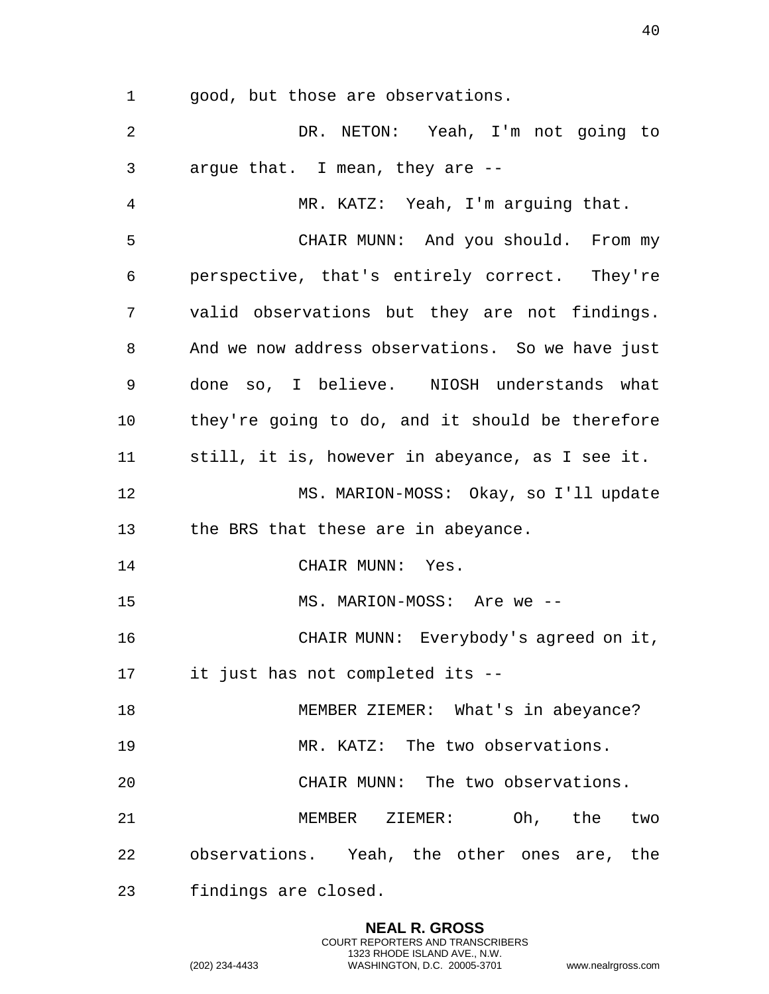good, but those are observations.

 DR. NETON: Yeah, I'm not going to argue that. I mean, they are -- MR. KATZ: Yeah, I'm arguing that. CHAIR MUNN: And you should. From my perspective, that's entirely correct. They're valid observations but they are not findings. And we now address observations. So we have just done so, I believe. NIOSH understands what they're going to do, and it should be therefore still, it is, however in abeyance, as I see it. MS. MARION-MOSS: Okay, so I'll update the BRS that these are in abeyance. 14 CHAIR MUNN: Yes. MS. MARION-MOSS: Are we -- CHAIR MUNN: Everybody's agreed on it, it just has not completed its -- 18 MEMBER ZIEMER: What's in abeyance? MR. KATZ: The two observations. CHAIR MUNN: The two observations. MEMBER ZIEMER: Oh, the two observations. Yeah, the other ones are, the findings are closed.

> **NEAL R. GROSS** COURT REPORTERS AND TRANSCRIBERS 1323 RHODE ISLAND AVE., N.W.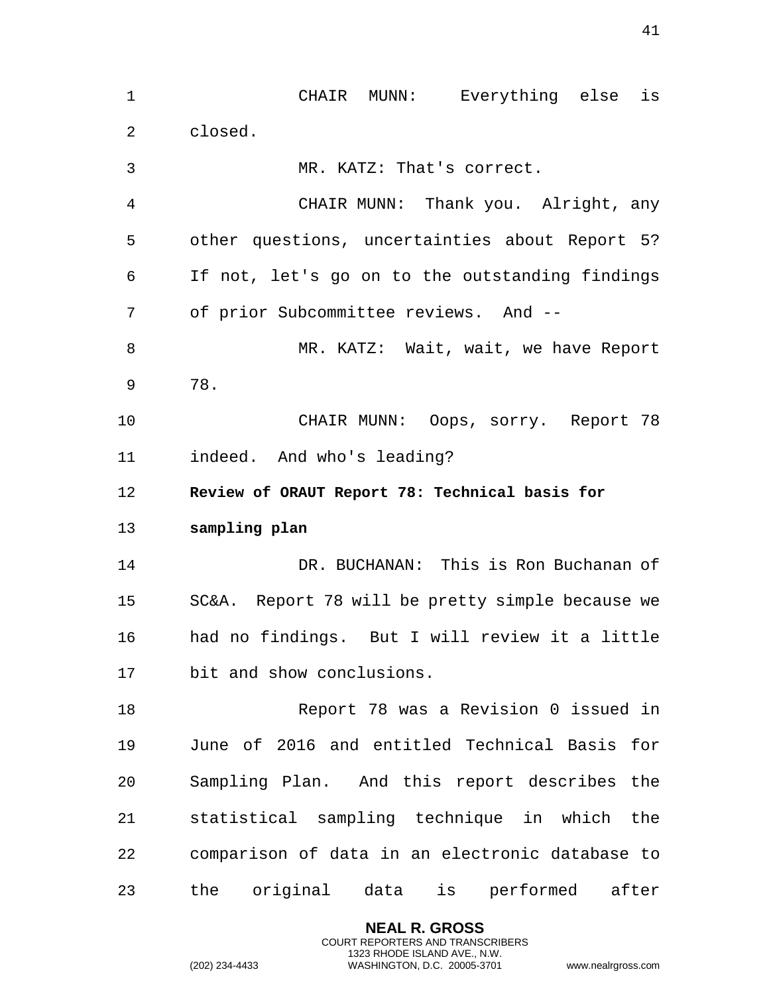1 CHAIR MUNN: Everything else is 2 closed. 3 MR. KATZ: That's correct. 4 CHAIR MUNN: Thank you. Alright, any 5 other questions, uncertainties about Report 5? 6 If not, let's go on to the outstanding findings 7 of prior Subcommittee reviews. And -- 8 MR. KATZ: Wait, wait, we have Report 9 78. 10 CHAIR MUNN: Oops, sorry. Report 78 11 indeed. And who's leading? 12 **Review of ORAUT Report 78: Technical basis for**  13 **sampling plan**  14 DR. BUCHANAN: This is Ron Buchanan of 15 SC&A. Report 78 will be pretty simple because we 16 had no findings. But I will review it a little 17 bit and show conclusions. 18 Report 78 was a Revision 0 issued in 19 June of 2016 and entitled Technical Basis for 20 Sampling Plan. And this report describes the 21 statistical sampling technique in which the 22 comparison of data in an electronic database to 23 the original data is performed after

> **NEAL R. GROSS** COURT REPORTERS AND TRANSCRIBERS 1323 RHODE ISLAND AVE., N.W.

(202) 234-4433 WASHINGTON, D.C. 20005-3701 www.nealrgross.com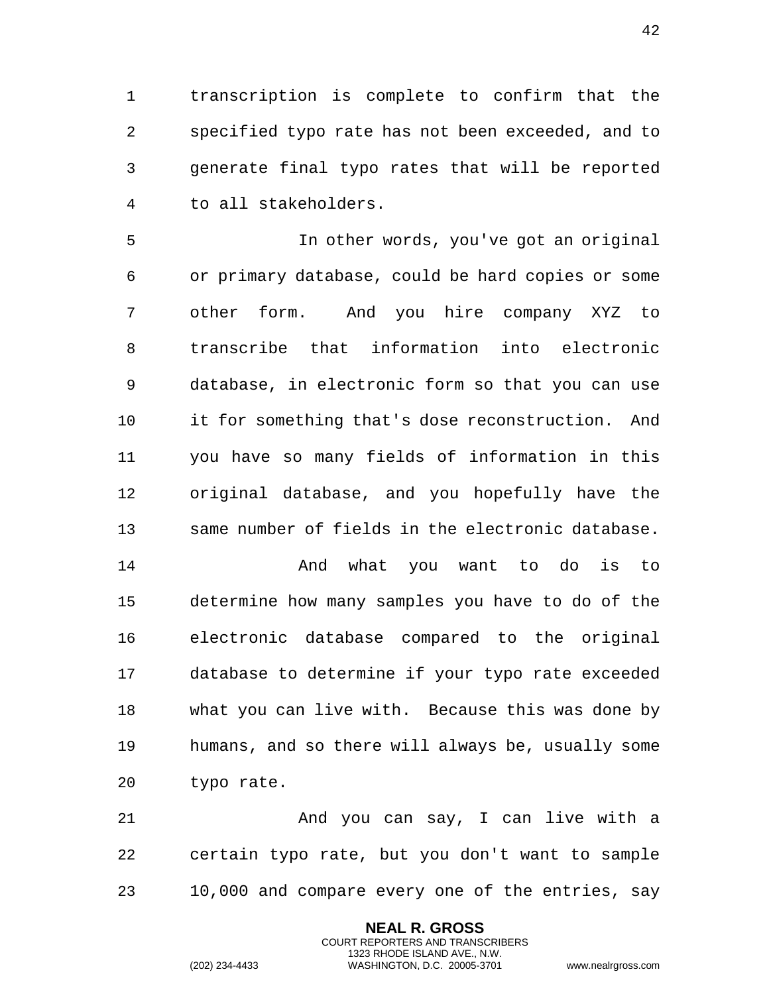1 transcription is complete to confirm that the 2 specified typo rate has not been exceeded, and to 3 generate final typo rates that will be reported 4 to all stakeholders.

5 In other words, you've got an original 6 or primary database, could be hard copies or some 7 other form. And you hire company XYZ to 8 transcribe that information into electronic 9 database, in electronic form so that you can use 10 it for something that's dose reconstruction. And 11 you have so many fields of information in this 12 original database, and you hopefully have the 13 same number of fields in the electronic database.

14 And what you want to do is to 15 determine how many samples you have to do of the 16 electronic database compared to the original 17 database to determine if your typo rate exceeded 18 what you can live with. Because this was done by 19 humans, and so there will always be, usually some 20 typo rate.

21 And you can say, I can live with a 22 certain typo rate, but you don't want to sample 23 10,000 and compare every one of the entries, say

> **NEAL R. GROSS** COURT REPORTERS AND TRANSCRIBERS 1323 RHODE ISLAND AVE., N.W.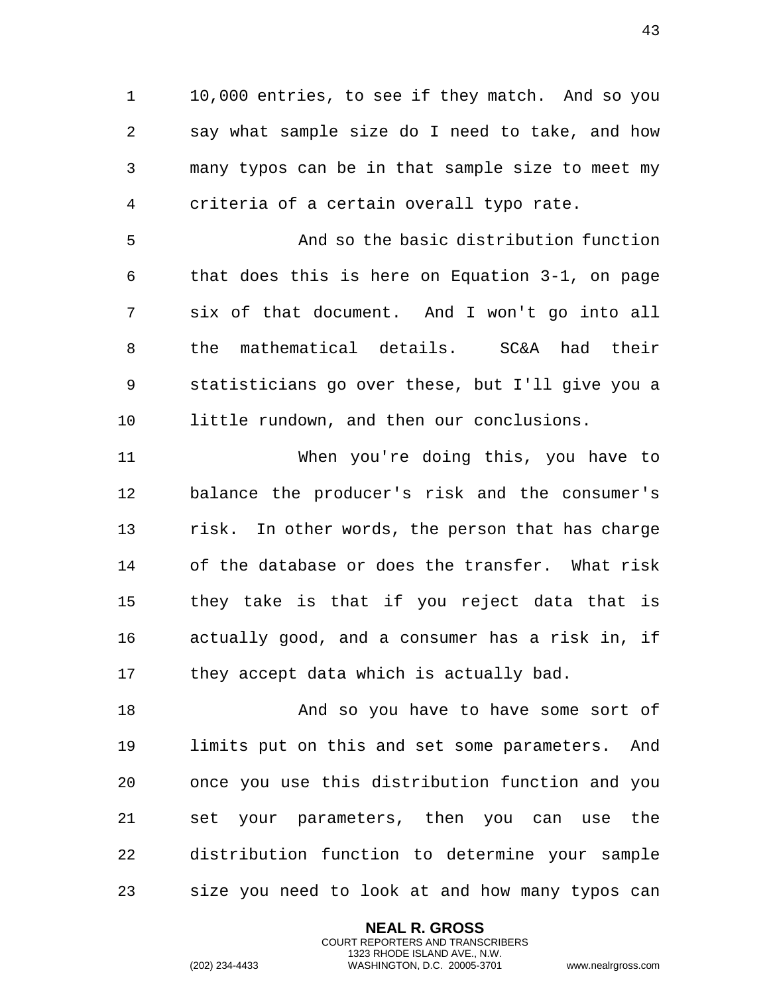10,000 entries, to see if they match. And so you say what sample size do I need to take, and how many typos can be in that sample size to meet my criteria of a certain overall typo rate.

 And so the basic distribution function that does this is here on Equation 3-1, on page six of that document. And I won't go into all the mathematical details. SC&A had their statisticians go over these, but I'll give you a little rundown, and then our conclusions.

 When you're doing this, you have to balance the producer's risk and the consumer's risk. In other words, the person that has charge of the database or does the transfer. What risk they take is that if you reject data that is actually good, and a consumer has a risk in, if 17 they accept data which is actually bad.

18 And so you have to have some sort of limits put on this and set some parameters. And once you use this distribution function and you set your parameters, then you can use the distribution function to determine your sample size you need to look at and how many typos can

> **NEAL R. GROSS** COURT REPORTERS AND TRANSCRIBERS 1323 RHODE ISLAND AVE., N.W.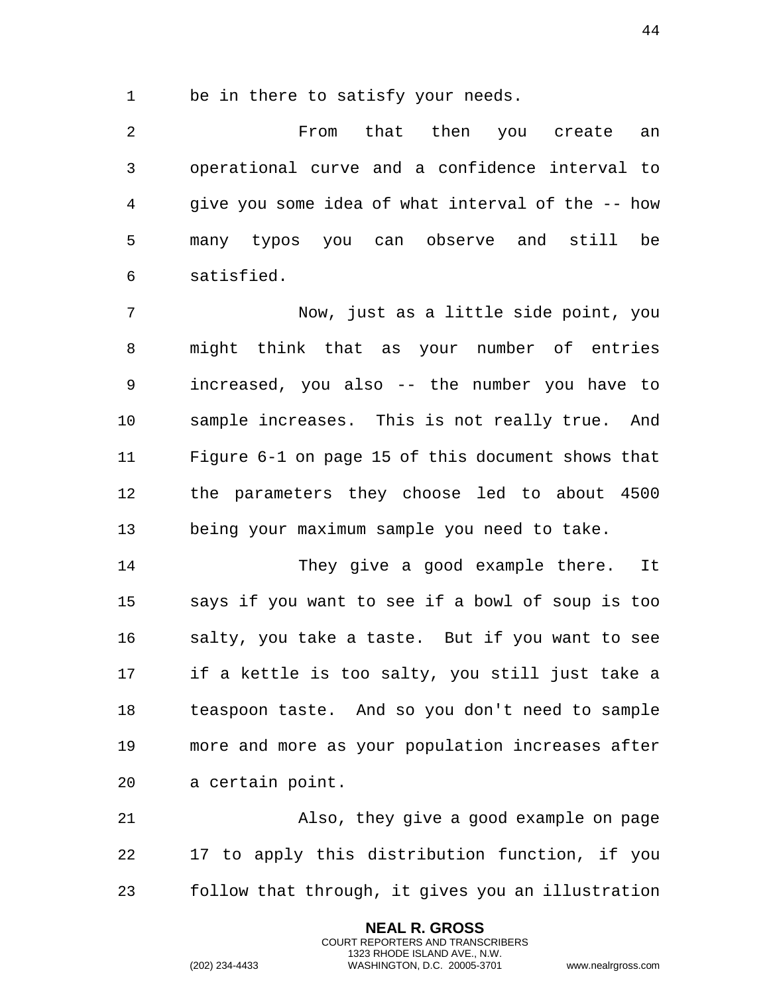1 be in there to satisfy your needs.

 From that then you create an operational curve and a confidence interval to give you some idea of what interval of the -- how many typos you can observe and still be satisfied.

 Now, just as a little side point, you might think that as your number of entries increased, you also -- the number you have to sample increases. This is not really true. And Figure 6-1 on page 15 of this document shows that the parameters they choose led to about 4500 being your maximum sample you need to take.

14 They give a good example there. It says if you want to see if a bowl of soup is too salty, you take a taste. But if you want to see if a kettle is too salty, you still just take a teaspoon taste. And so you don't need to sample more and more as your population increases after a certain point.

 Also, they give a good example on page 17 to apply this distribution function, if you follow that through, it gives you an illustration

> **NEAL R. GROSS** COURT REPORTERS AND TRANSCRIBERS 1323 RHODE ISLAND AVE., N.W.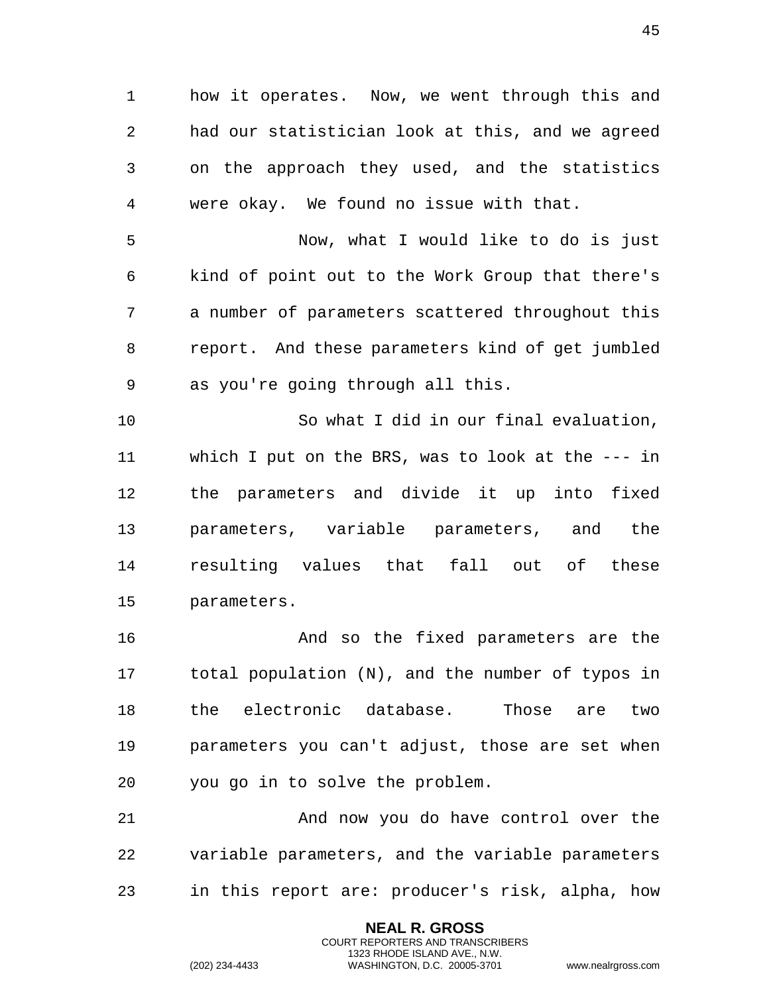how it operates. Now, we went through this and had our statistician look at this, and we agreed on the approach they used, and the statistics were okay. We found no issue with that.

 Now, what I would like to do is just kind of point out to the Work Group that there's a number of parameters scattered throughout this report. And these parameters kind of get jumbled as you're going through all this.

 So what I did in our final evaluation, which I put on the BRS, was to look at the --- in the parameters and divide it up into fixed parameters, variable parameters, and the resulting values that fall out of these parameters.

 And so the fixed parameters are the total population (N), and the number of typos in the electronic database. Those are two parameters you can't adjust, those are set when you go in to solve the problem.

 And now you do have control over the variable parameters, and the variable parameters in this report are: producer's risk, alpha, how

> **NEAL R. GROSS** COURT REPORTERS AND TRANSCRIBERS 1323 RHODE ISLAND AVE., N.W.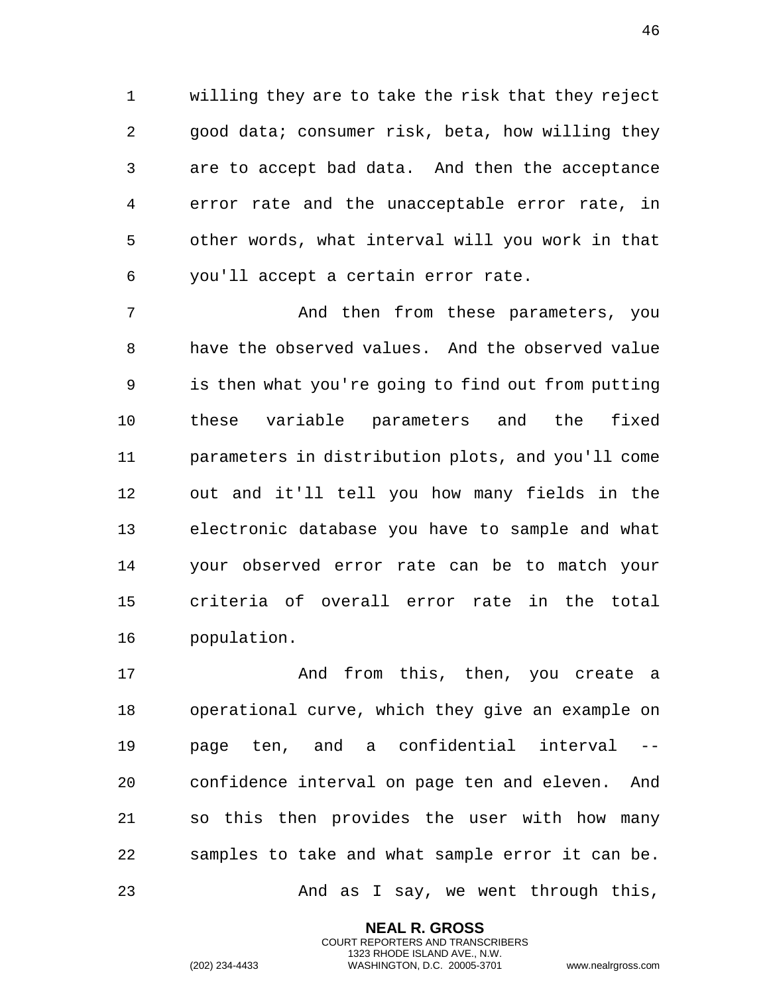willing they are to take the risk that they reject good data; consumer risk, beta, how willing they are to accept bad data. And then the acceptance error rate and the unacceptable error rate, in other words, what interval will you work in that you'll accept a certain error rate.

 And then from these parameters, you have the observed values. And the observed value is then what you're going to find out from putting these variable parameters and the fixed parameters in distribution plots, and you'll come out and it'll tell you how many fields in the electronic database you have to sample and what your observed error rate can be to match your criteria of overall error rate in the total population.

**And from this, then, you create a**  operational curve, which they give an example on page ten, and a confidential interval -- confidence interval on page ten and eleven. And so this then provides the user with how many samples to take and what sample error it can be. And as I say, we went through this,

> **NEAL R. GROSS** COURT REPORTERS AND TRANSCRIBERS 1323 RHODE ISLAND AVE., N.W.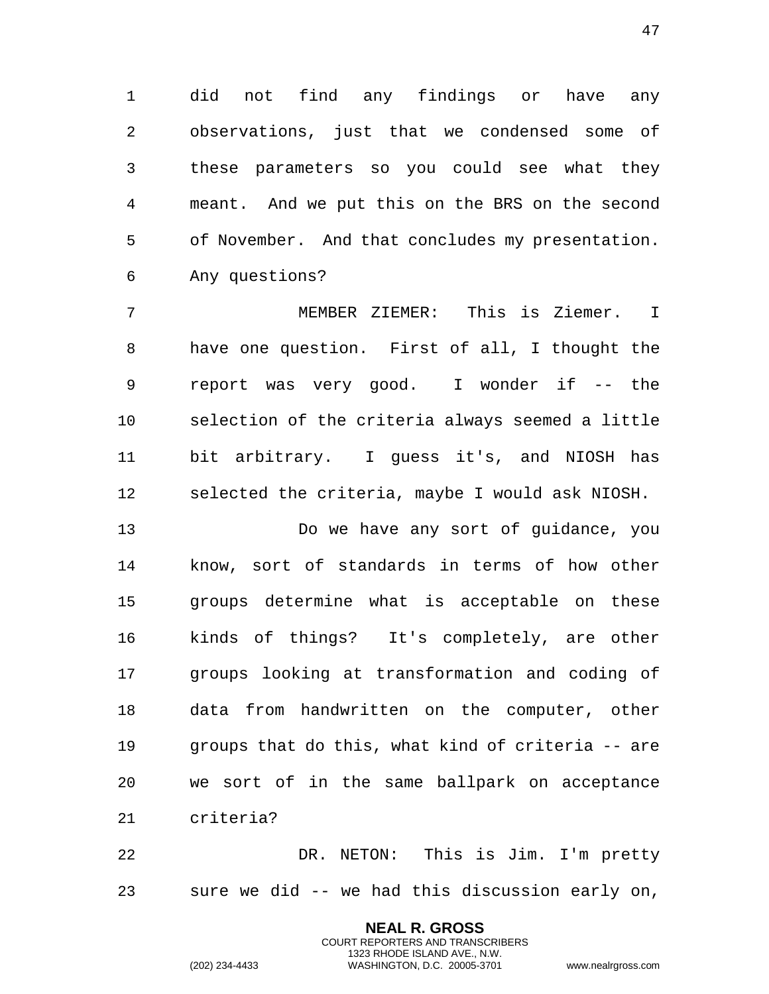did not find any findings or have any observations, just that we condensed some of these parameters so you could see what they meant. And we put this on the BRS on the second of November. And that concludes my presentation. Any questions?

 MEMBER ZIEMER: This is Ziemer. I have one question. First of all, I thought the report was very good. I wonder if -- the selection of the criteria always seemed a little bit arbitrary. I guess it's, and NIOSH has selected the criteria, maybe I would ask NIOSH.

 Do we have any sort of guidance, you know, sort of standards in terms of how other groups determine what is acceptable on these kinds of things? It's completely, are other groups looking at transformation and coding of data from handwritten on the computer, other groups that do this, what kind of criteria -- are we sort of in the same ballpark on acceptance criteria?

 DR. NETON: This is Jim. I'm pretty sure we did -- we had this discussion early on,

> **NEAL R. GROSS** COURT REPORTERS AND TRANSCRIBERS 1323 RHODE ISLAND AVE., N.W.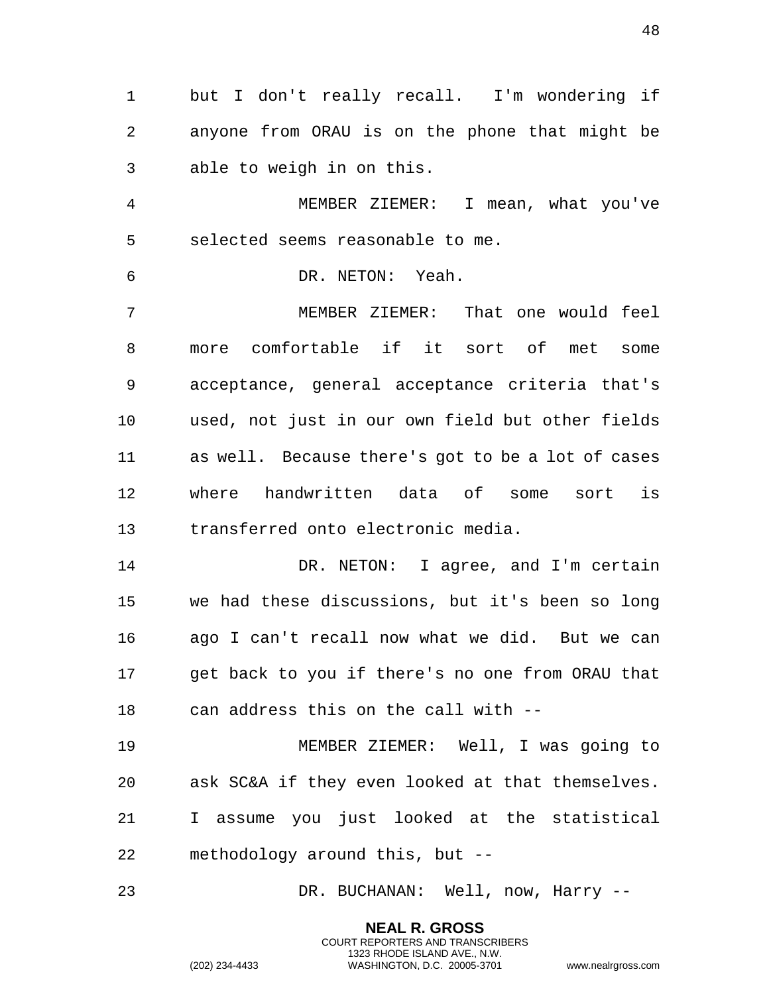but I don't really recall. I'm wondering if anyone from ORAU is on the phone that might be able to weigh in on this.

 MEMBER ZIEMER: I mean, what you've selected seems reasonable to me.

DR. NETON: Yeah.

 MEMBER ZIEMER: That one would feel more comfortable if it sort of met some acceptance, general acceptance criteria that's used, not just in our own field but other fields as well. Because there's got to be a lot of cases where handwritten data of some sort is transferred onto electronic media.

 DR. NETON: I agree, and I'm certain we had these discussions, but it's been so long ago I can't recall now what we did. But we can get back to you if there's no one from ORAU that can address this on the call with --

 MEMBER ZIEMER: Well, I was going to ask SC&A if they even looked at that themselves. I assume you just looked at the statistical methodology around this, but --

DR. BUCHANAN: Well, now, Harry --

**NEAL R. GROSS** COURT REPORTERS AND TRANSCRIBERS 1323 RHODE ISLAND AVE., N.W.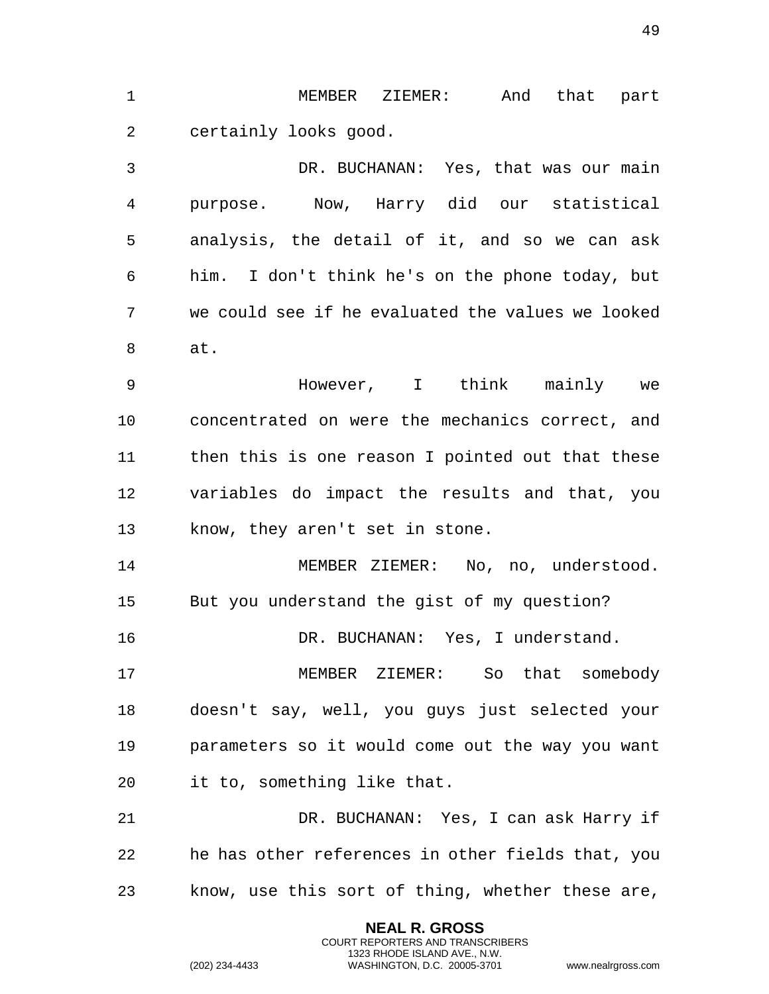MEMBER ZIEMER: And that part certainly looks good. DR. BUCHANAN: Yes, that was our main purpose. Now, Harry did our statistical analysis, the detail of it, and so we can ask him. I don't think he's on the phone today, but we could see if he evaluated the values we looked at. However, I think mainly we concentrated on were the mechanics correct, and then this is one reason I pointed out that these variables do impact the results and that, you know, they aren't set in stone. 14 MEMBER ZIEMER: No, no, understood. But you understand the gist of my question? DR. BUCHANAN: Yes, I understand. MEMBER ZIEMER: So that somebody doesn't say, well, you guys just selected your parameters so it would come out the way you want it to, something like that. DR. BUCHANAN: Yes, I can ask Harry if he has other references in other fields that, you know, use this sort of thing, whether these are,

> **NEAL R. GROSS** COURT REPORTERS AND TRANSCRIBERS 1323 RHODE ISLAND AVE., N.W.

(202) 234-4433 WASHINGTON, D.C. 20005-3701 www.nealrgross.com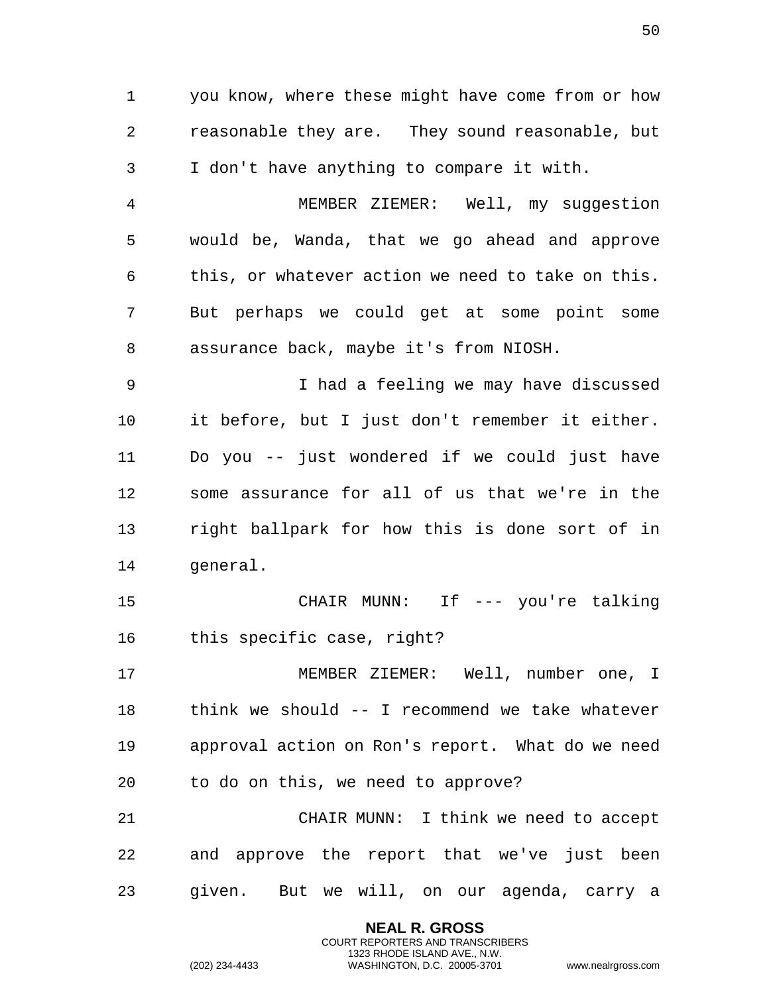you know, where these might have come from or how reasonable they are. They sound reasonable, but I don't have anything to compare it with.

 MEMBER ZIEMER: Well, my suggestion would be, Wanda, that we go ahead and approve this, or whatever action we need to take on this. But perhaps we could get at some point some assurance back, maybe it's from NIOSH.

 I had a feeling we may have discussed it before, but I just don't remember it either. Do you -- just wondered if we could just have some assurance for all of us that we're in the right ballpark for how this is done sort of in general.

 CHAIR MUNN: If --- you're talking this specific case, right?

 MEMBER ZIEMER: Well, number one, I think we should -- I recommend we take whatever approval action on Ron's report. What do we need to do on this, we need to approve?

 CHAIR MUNN: I think we need to accept and approve the report that we've just been given. But we will, on our agenda, carry a

> **NEAL R. GROSS** COURT REPORTERS AND TRANSCRIBERS 1323 RHODE ISLAND AVE., N.W.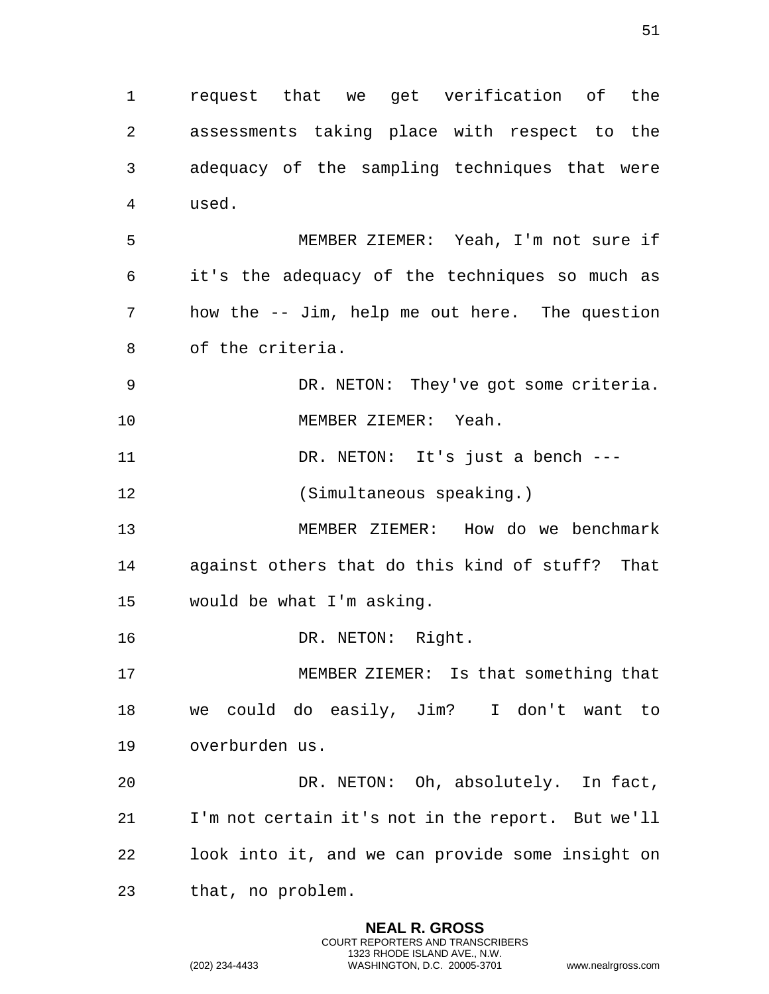request that we get verification of the assessments taking place with respect to the adequacy of the sampling techniques that were used. MEMBER ZIEMER: Yeah, I'm not sure if it's the adequacy of the techniques so much as how the -- Jim, help me out here. The question of the criteria. DR. NETON: They've got some criteria. MEMBER ZIEMER: Yeah. DR. NETON: It's just a bench --- (Simultaneous speaking.) MEMBER ZIEMER: How do we benchmark against others that do this kind of stuff? That would be what I'm asking. 16 DR. NETON: Right. MEMBER ZIEMER: Is that something that we could do easily, Jim? I don't want to overburden us. DR. NETON: Oh, absolutely. In fact, I'm not certain it's not in the report. But we'll look into it, and we can provide some insight on that, no problem.

> **NEAL R. GROSS** COURT REPORTERS AND TRANSCRIBERS 1323 RHODE ISLAND AVE., N.W.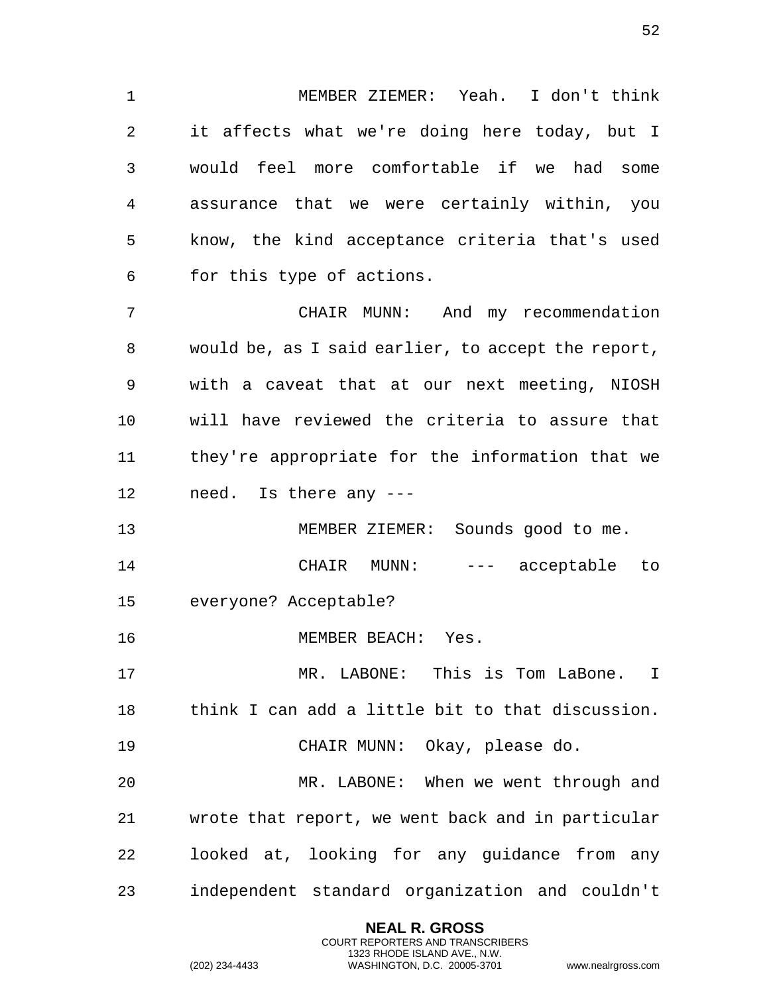MEMBER ZIEMER: Yeah. I don't think it affects what we're doing here today, but I would feel more comfortable if we had some assurance that we were certainly within, you know, the kind acceptance criteria that's used for this type of actions.

 CHAIR MUNN: And my recommendation would be, as I said earlier, to accept the report, with a caveat that at our next meeting, NIOSH will have reviewed the criteria to assure that they're appropriate for the information that we need. Is there any ---

 MEMBER ZIEMER: Sounds good to me. CHAIR MUNN: --- acceptable to everyone? Acceptable?

MEMBER BEACH: Yes.

 MR. LABONE: This is Tom LaBone. I think I can add a little bit to that discussion.

CHAIR MUNN: Okay, please do.

 MR. LABONE: When we went through and wrote that report, we went back and in particular looked at, looking for any guidance from any independent standard organization and couldn't

> **NEAL R. GROSS** COURT REPORTERS AND TRANSCRIBERS 1323 RHODE ISLAND AVE., N.W.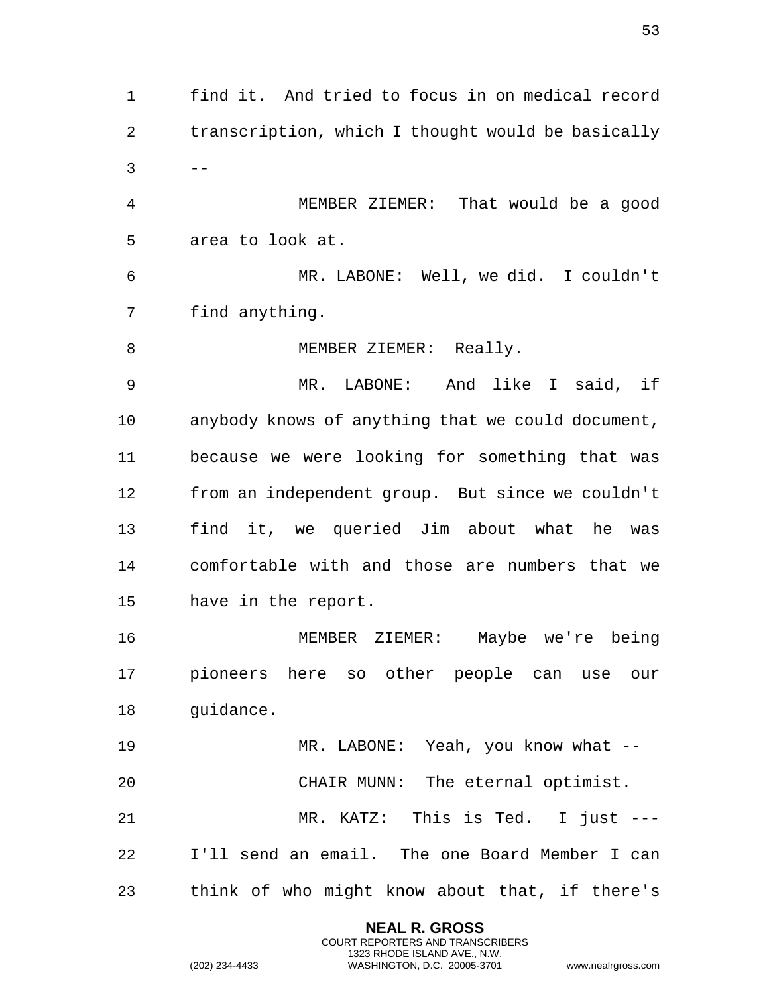find it. And tried to focus in on medical record transcription, which I thought would be basically  $3 - -$  MEMBER ZIEMER: That would be a good area to look at. MR. LABONE: Well, we did. I couldn't find anything. 8 MEMBER ZIEMER: Really. MR. LABONE: And like I said, if anybody knows of anything that we could document, because we were looking for something that was from an independent group. But since we couldn't find it, we queried Jim about what he was comfortable with and those are numbers that we have in the report. MEMBER ZIEMER: Maybe we're being pioneers here so other people can use our guidance. MR. LABONE: Yeah, you know what -- CHAIR MUNN: The eternal optimist. MR. KATZ: This is Ted. I just --- I'll send an email. The one Board Member I can think of who might know about that, if there's

> **NEAL R. GROSS** COURT REPORTERS AND TRANSCRIBERS 1323 RHODE ISLAND AVE., N.W.

(202) 234-4433 WASHINGTON, D.C. 20005-3701 www.nealrgross.com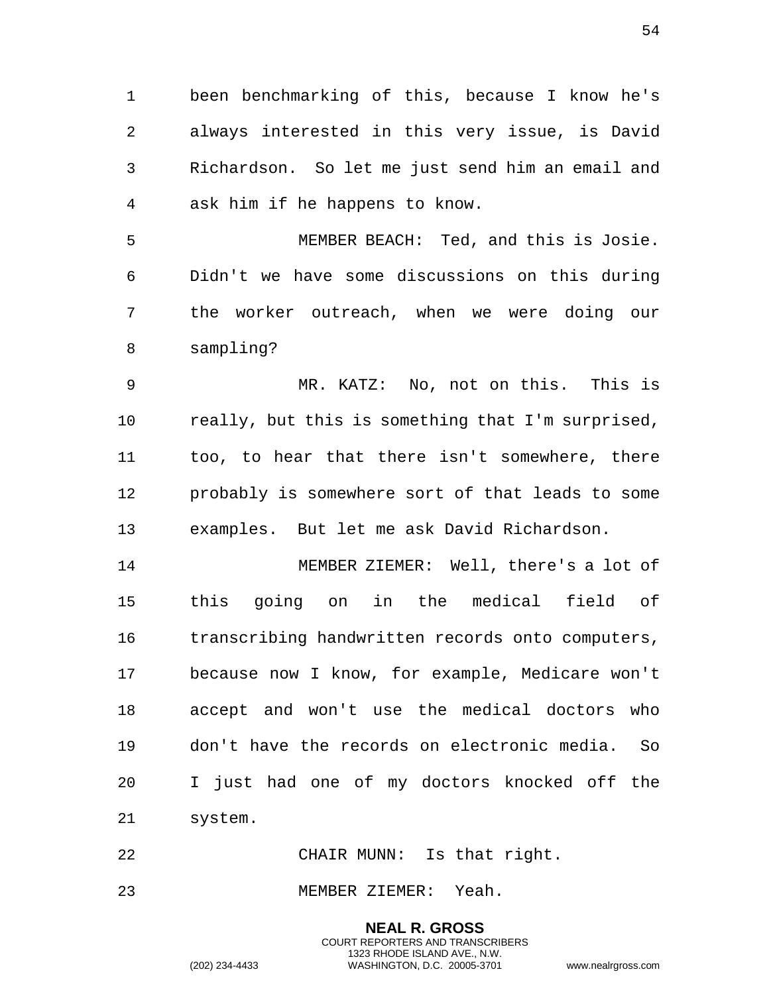been benchmarking of this, because I know he's always interested in this very issue, is David Richardson. So let me just send him an email and ask him if he happens to know.

 MEMBER BEACH: Ted, and this is Josie. Didn't we have some discussions on this during the worker outreach, when we were doing our sampling?

 MR. KATZ: No, not on this. This is really, but this is something that I'm surprised, too, to hear that there isn't somewhere, there probably is somewhere sort of that leads to some examples. But let me ask David Richardson.

 MEMBER ZIEMER: Well, there's a lot of this going on in the medical field of transcribing handwritten records onto computers, because now I know, for example, Medicare won't accept and won't use the medical doctors who don't have the records on electronic media. So I just had one of my doctors knocked off the system.

> **NEAL R. GROSS** COURT REPORTERS AND TRANSCRIBERS

CHAIR MUNN: Is that right.

MEMBER ZIEMER: Yeah.

1323 RHODE ISLAND AVE., N.W. (202) 234-4433 WASHINGTON, D.C. 20005-3701 www.nealrgross.com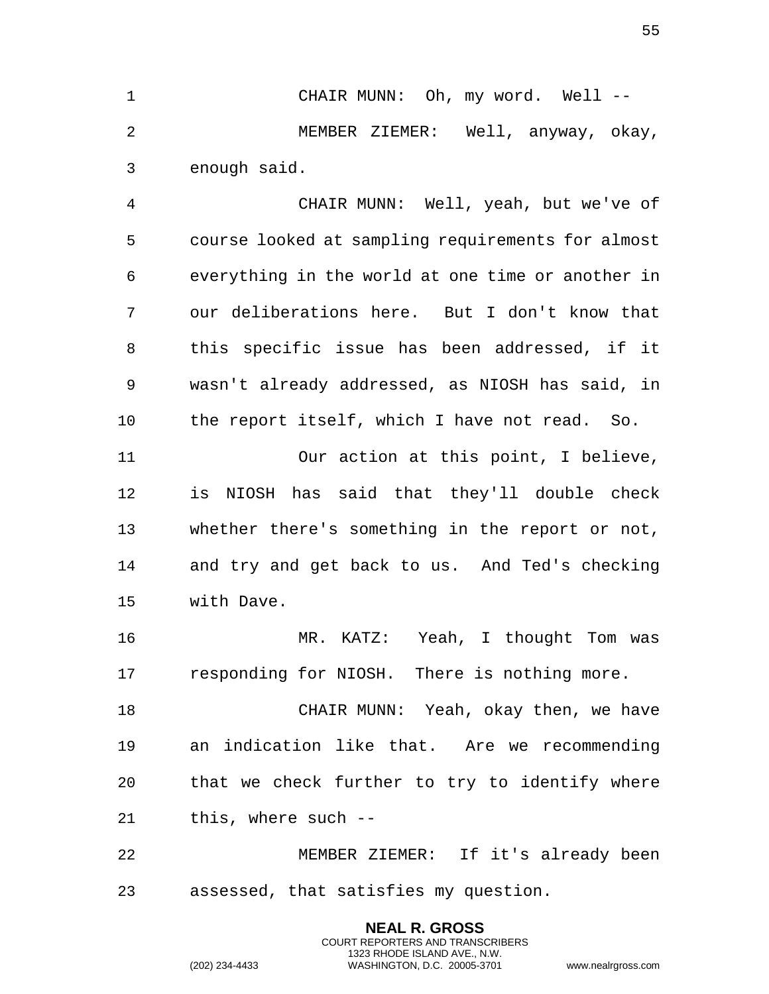1 CHAIR MUNN: Oh, my word. Well -- MEMBER ZIEMER: Well, anyway, okay, enough said. CHAIR MUNN: Well, yeah, but we've of course looked at sampling requirements for almost everything in the world at one time or another in our deliberations here. But I don't know that this specific issue has been addressed, if it wasn't already addressed, as NIOSH has said, in the report itself, which I have not read. So. Our action at this point, I believe, is NIOSH has said that they'll double check whether there's something in the report or not, and try and get back to us. And Ted's checking with Dave. MR. KATZ: Yeah, I thought Tom was responding for NIOSH. There is nothing more. CHAIR MUNN: Yeah, okay then, we have an indication like that. Are we recommending that we check further to try to identify where this, where such -- MEMBER ZIEMER: If it's already been assessed, that satisfies my question.

> **NEAL R. GROSS** COURT REPORTERS AND TRANSCRIBERS 1323 RHODE ISLAND AVE., N.W.

(202) 234-4433 WASHINGTON, D.C. 20005-3701 www.nealrgross.com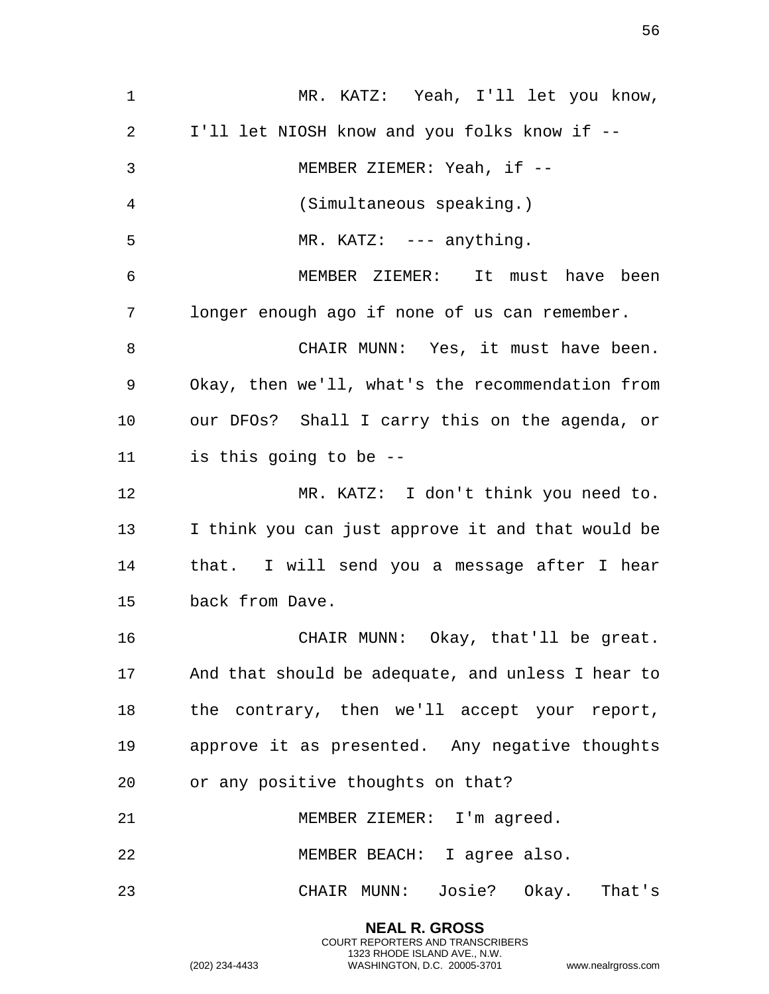| $\mathbf{1}$ | MR. KATZ: Yeah, I'll let you know,                |
|--------------|---------------------------------------------------|
| 2            | I'll let NIOSH know and you folks know if --      |
| 3            | MEMBER ZIEMER: Yeah, if --                        |
| 4            | (Simultaneous speaking.)                          |
| 5            | $MR. KATZ: --- anything.$                         |
| 6            | MEMBER ZIEMER: It must have been                  |
| 7            | longer enough ago if none of us can remember.     |
| 8            | CHAIR MUNN: Yes, it must have been.               |
| 9            | Okay, then we'll, what's the recommendation from  |
| 10           | our DFOs? Shall I carry this on the agenda, or    |
| 11           | is this going to be --                            |
| 12           | MR. KATZ: I don't think you need to.              |
| 13           | I think you can just approve it and that would be |
| 14           | that. I will send you a message after I hear      |
| 15           | back from Dave.                                   |
| 16           | CHAIR MUNN: Okay, that'll be great.               |
| 17           | And that should be adequate, and unless I hear to |
| 18           | the contrary, then we'll accept your report,      |
| 19           | approve it as presented. Any negative thoughts    |
| 20           | or any positive thoughts on that?                 |
| 21           | MEMBER ZIEMER: I'm agreed.                        |
| 22           | MEMBER BEACH: I agree also.                       |
| 23           | CHAIR MUNN: Josie? Okay. That's                   |
|              |                                                   |

**NEAL R. GROSS** COURT REPORTERS AND TRANSCRIBERS 1323 RHODE ISLAND AVE., N.W.

(202) 234-4433 WASHINGTON, D.C. 20005-3701 www.nealrgross.com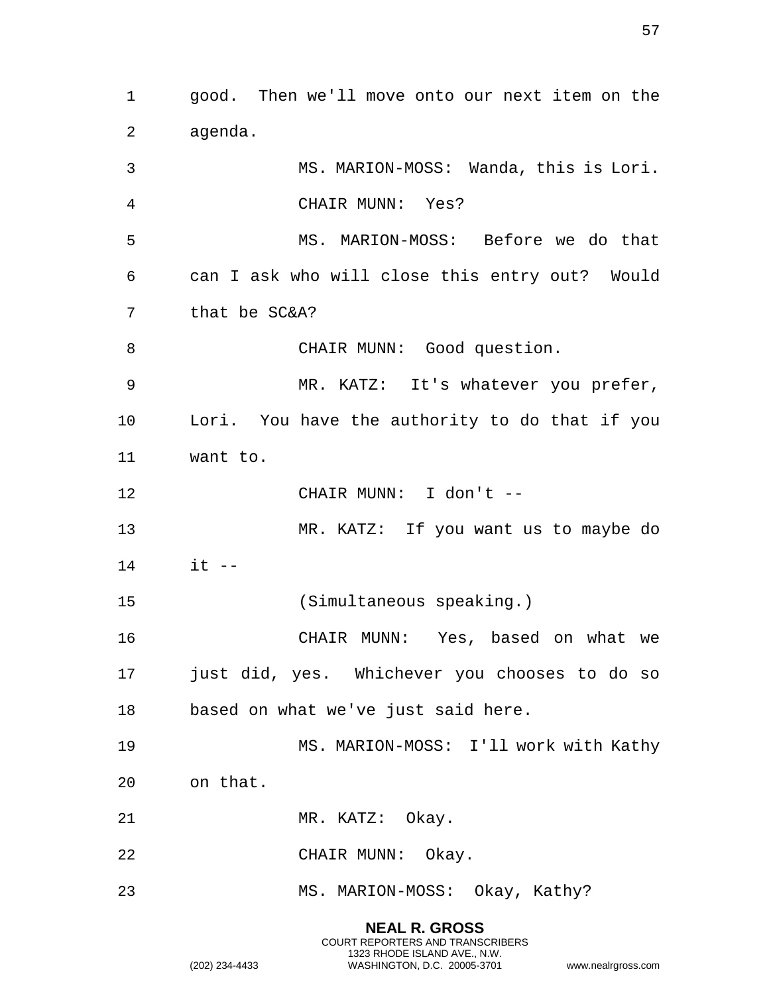1 good. Then we'll move onto our next item on the 2 agenda. 3 MS. MARION-MOSS: Wanda, this is Lori. 4 CHAIR MUNN: Yes? 5 MS. MARION-MOSS: Before we do that 6 can I ask who will close this entry out? Would 7 that be SC&A? 8 CHAIR MUNN: Good question. 9 MR. KATZ: It's whatever you prefer, 10 Lori. You have the authority to do that if you 11 want to. 12 CHAIR MUNN: I don't -- 13 MR. KATZ: If you want us to maybe do 14 it -- 15 (Simultaneous speaking.) 16 CHAIR MUNN: Yes, based on what we 17 just did, yes. Whichever you chooses to do so 18 based on what we've just said here. 19 MS. MARION-MOSS: I'll work with Kathy 20 on that. 21 MR. KATZ: Okay. 22 CHAIR MUNN: Okay. 23 MS. MARION-MOSS: Okay, Kathy?

> **NEAL R. GROSS** COURT REPORTERS AND TRANSCRIBERS 1323 RHODE ISLAND AVE., N.W.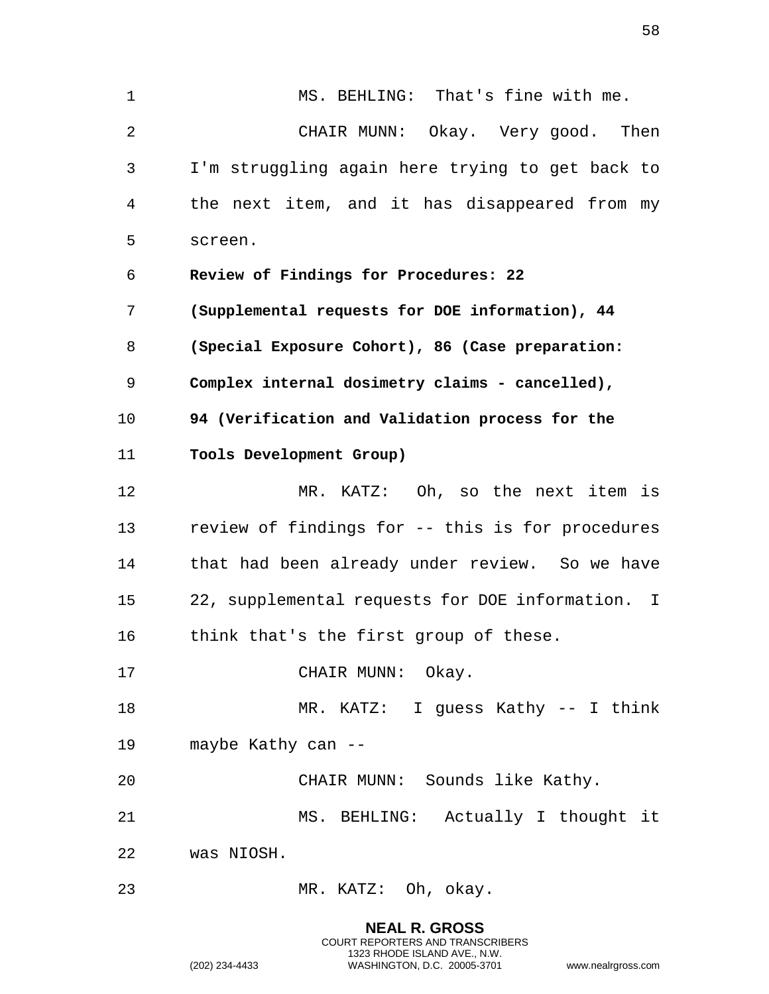1 MS. BEHLING: That's fine with me. 2 CHAIR MUNN: Okay. Very good. Then 3 I'm struggling again here trying to get back to 4 the next item, and it has disappeared from my 5 screen. 6 **Review of Findings for Procedures: 22**  7 **(Supplemental requests for DOE information), 44**  8 **(Special Exposure Cohort), 86 (Case preparation:**  9 **Complex internal dosimetry claims - cancelled),**  10 **94 (Verification and Validation process for the**  11 **Tools Development Group)**  12 MR. KATZ: Oh, so the next item is 13 review of findings for -- this is for procedures 14 that had been already under review. So we have 15 22, supplemental requests for DOE information. I 16 think that's the first group of these. 17 CHAIR MUNN: Okay. 18 MR. KATZ: I guess Kathy -- I think 19 maybe Kathy can -- 20 CHAIR MUNN: Sounds like Kathy. 21 MS. BEHLING: Actually I thought it 22 was NIOSH. 23 MR. KATZ: Oh, okay.

> **NEAL R. GROSS** COURT REPORTERS AND TRANSCRIBERS 1323 RHODE ISLAND AVE., N.W.

(202) 234-4433 WASHINGTON, D.C. 20005-3701 www.nealrgross.com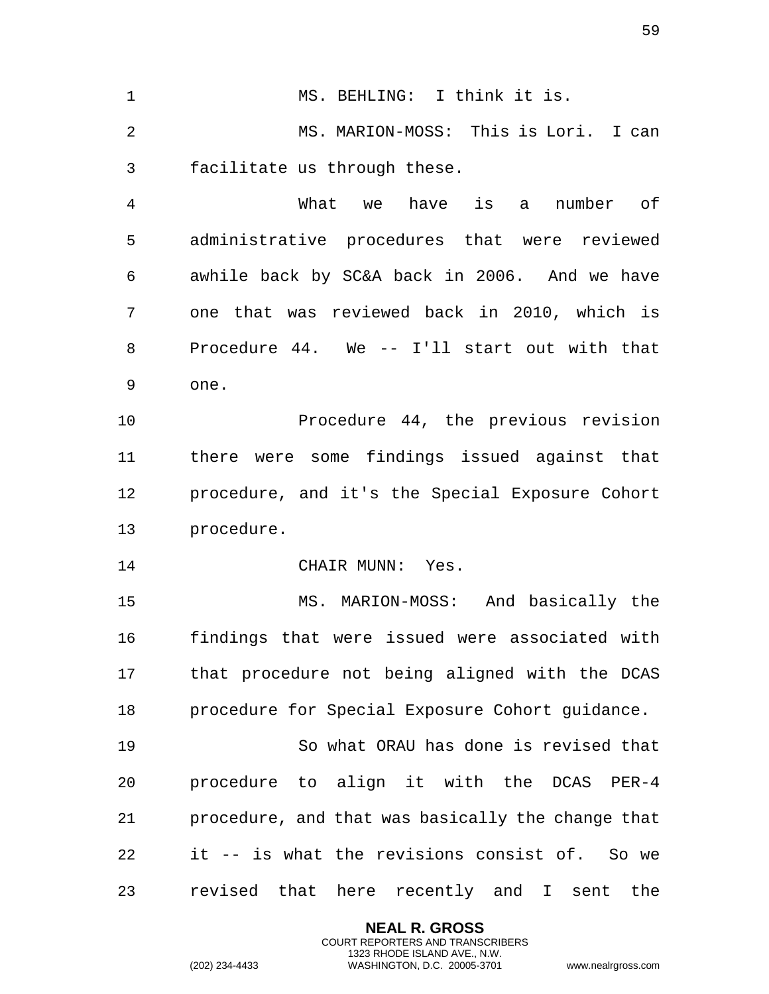1 MS. BEHLING: I think it is. 2 MS. MARION-MOSS: This is Lori. I can 3 facilitate us through these. 4 What we have is a number of 5 administrative procedures that were reviewed 6 awhile back by SC&A back in 2006. And we have 7 one that was reviewed back in 2010, which is 8 Procedure 44. We -- I'll start out with that 9 one. 10 Procedure 44, the previous revision 11 there were some findings issued against that 12 procedure, and it's the Special Exposure Cohort 13 procedure. 14 CHAIR MUNN: Yes. 15 MS. MARION-MOSS: And basically the 16 findings that were issued were associated with 17 that procedure not being aligned with the DCAS 18 procedure for Special Exposure Cohort guidance.

19 So what ORAU has done is revised that 20 procedure to align it with the DCAS PER-4 21 procedure, and that was basically the change that 22 it -- is what the revisions consist of. So we 23 revised that here recently and I sent the

> **NEAL R. GROSS** COURT REPORTERS AND TRANSCRIBERS 1323 RHODE ISLAND AVE., N.W.

(202) 234-4433 WASHINGTON, D.C. 20005-3701 www.nealrgross.com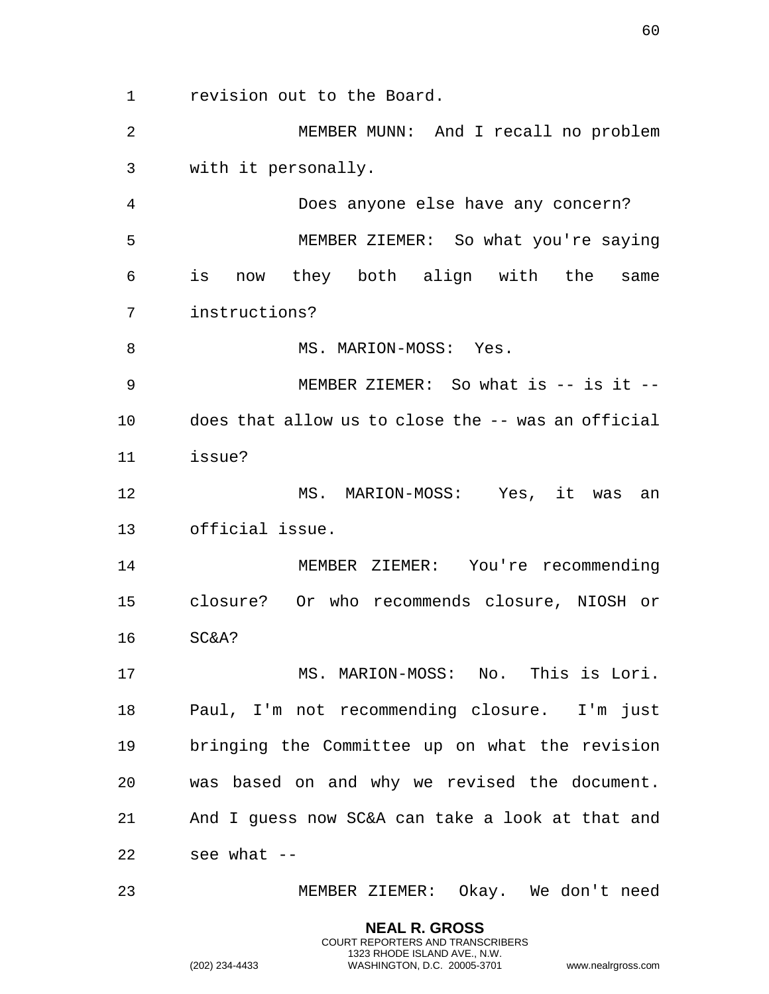revision out to the Board.

 MEMBER MUNN: And I recall no problem with it personally.

 Does anyone else have any concern? MEMBER ZIEMER: So what you're saying is now they both align with the same instructions?

8 MS. MARION-MOSS: Yes.

9 MEMBER ZIEMER: So what is -- is it -- does that allow us to close the -- was an official issue?

 MS. MARION-MOSS: Yes, it was an official issue.

 MEMBER ZIEMER: You're recommending closure? Or who recommends closure, NIOSH or SC&A?

 MS. MARION-MOSS: No. This is Lori. Paul, I'm not recommending closure. I'm just bringing the Committee up on what the revision was based on and why we revised the document. And I guess now SC&A can take a look at that and see what  $-$ 

MEMBER ZIEMER: Okay. We don't need

**NEAL R. GROSS** COURT REPORTERS AND TRANSCRIBERS 1323 RHODE ISLAND AVE., N.W.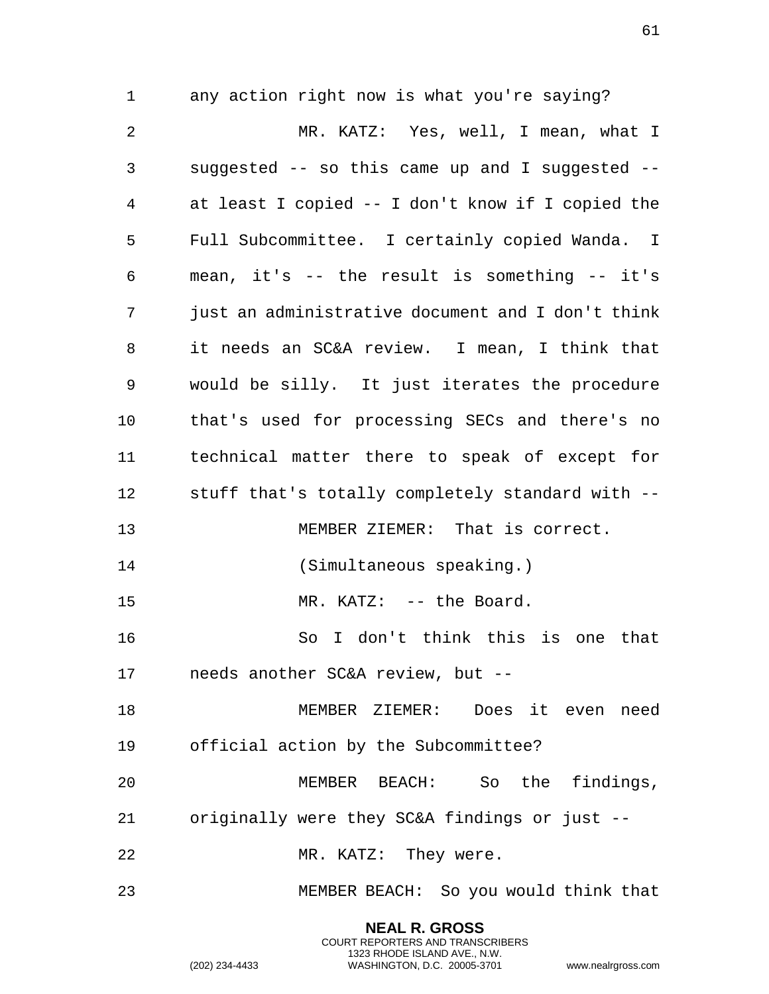any action right now is what you're saying?

 MR. KATZ: Yes, well, I mean, what I suggested -- so this came up and I suggested -- at least I copied -- I don't know if I copied the Full Subcommittee. I certainly copied Wanda. I mean, it's -- the result is something -- it's just an administrative document and I don't think it needs an SC&A review. I mean, I think that would be silly. It just iterates the procedure that's used for processing SECs and there's no technical matter there to speak of except for stuff that's totally completely standard with -- MEMBER ZIEMER: That is correct. (Simultaneous speaking.) 15 MR. KATZ: -- the Board. So I don't think this is one that needs another SC&A review, but -- MEMBER ZIEMER: Does it even need official action by the Subcommittee? MEMBER BEACH: So the findings, originally were they SC&A findings or just -- 22 MR. KATZ: They were. MEMBER BEACH: So you would think that

> **NEAL R. GROSS** COURT REPORTERS AND TRANSCRIBERS 1323 RHODE ISLAND AVE., N.W.

(202) 234-4433 WASHINGTON, D.C. 20005-3701 www.nealrgross.com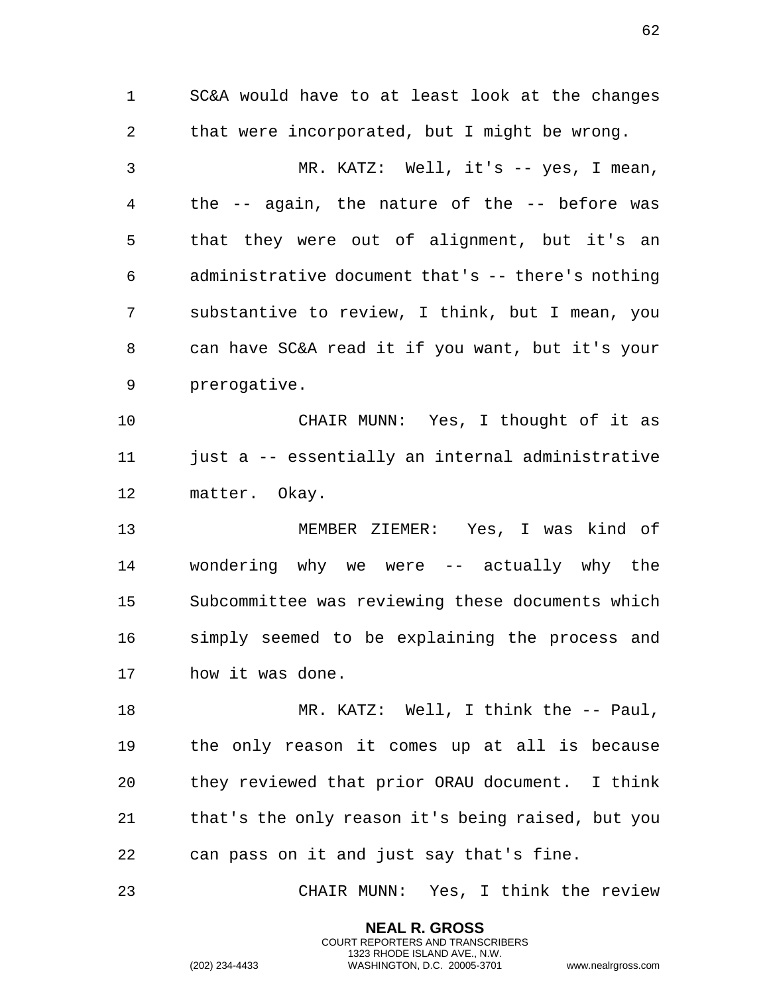SC&A would have to at least look at the changes that were incorporated, but I might be wrong. MR. KATZ: Well, it's -- yes, I mean, the -- again, the nature of the -- before was that they were out of alignment, but it's an administrative document that's -- there's nothing substantive to review, I think, but I mean, you can have SC&A read it if you want, but it's your prerogative. CHAIR MUNN: Yes, I thought of it as just a -- essentially an internal administrative matter. Okay. MEMBER ZIEMER: Yes, I was kind of wondering why we were -- actually why the Subcommittee was reviewing these documents which simply seemed to be explaining the process and how it was done. MR. KATZ: Well, I think the -- Paul, the only reason it comes up at all is because they reviewed that prior ORAU document. I think that's the only reason it's being raised, but you can pass on it and just say that's fine. CHAIR MUNN: Yes, I think the review

> **NEAL R. GROSS** COURT REPORTERS AND TRANSCRIBERS 1323 RHODE ISLAND AVE., N.W.

(202) 234-4433 WASHINGTON, D.C. 20005-3701 www.nealrgross.com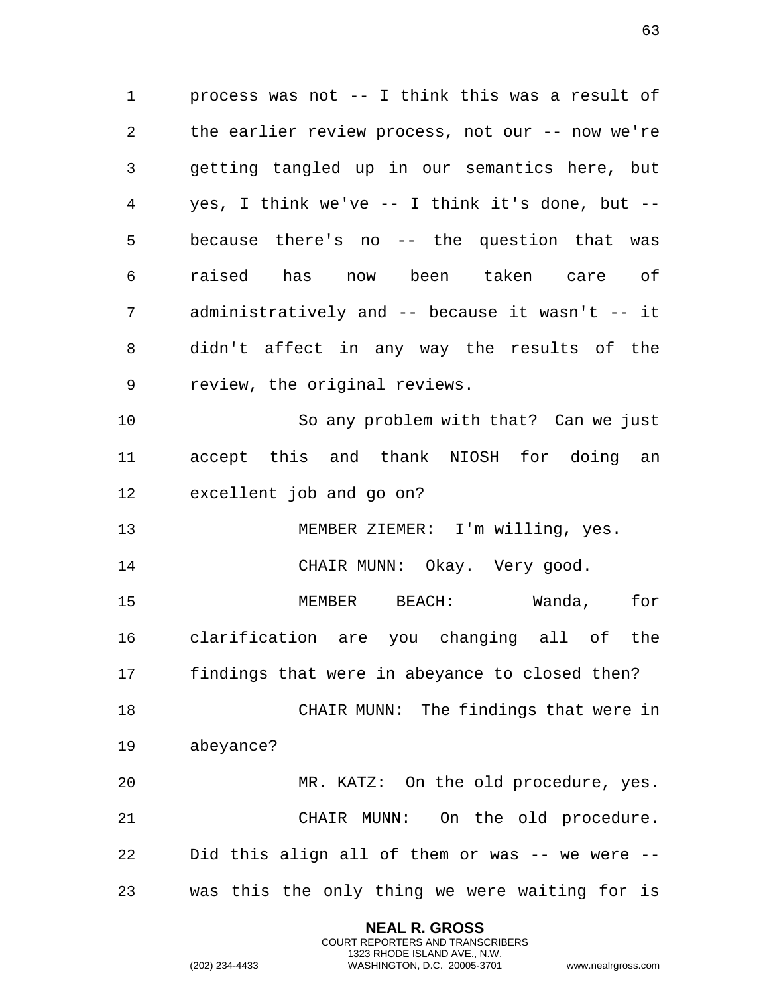process was not -- I think this was a result of the earlier review process, not our -- now we're getting tangled up in our semantics here, but yes, I think we've -- I think it's done, but -- because there's no -- the question that was raised has now been taken care of administratively and -- because it wasn't -- it didn't affect in any way the results of the review, the original reviews.

 So any problem with that? Can we just accept this and thank NIOSH for doing an excellent job and go on?

MEMBER ZIEMER: I'm willing, yes.

CHAIR MUNN: Okay. Very good.

 MEMBER BEACH: Wanda, for clarification are you changing all of the findings that were in abeyance to closed then?

 CHAIR MUNN: The findings that were in abeyance?

 MR. KATZ: On the old procedure, yes. CHAIR MUNN: On the old procedure. Did this align all of them or was -- we were -- was this the only thing we were waiting for is

> **NEAL R. GROSS** COURT REPORTERS AND TRANSCRIBERS 1323 RHODE ISLAND AVE., N.W.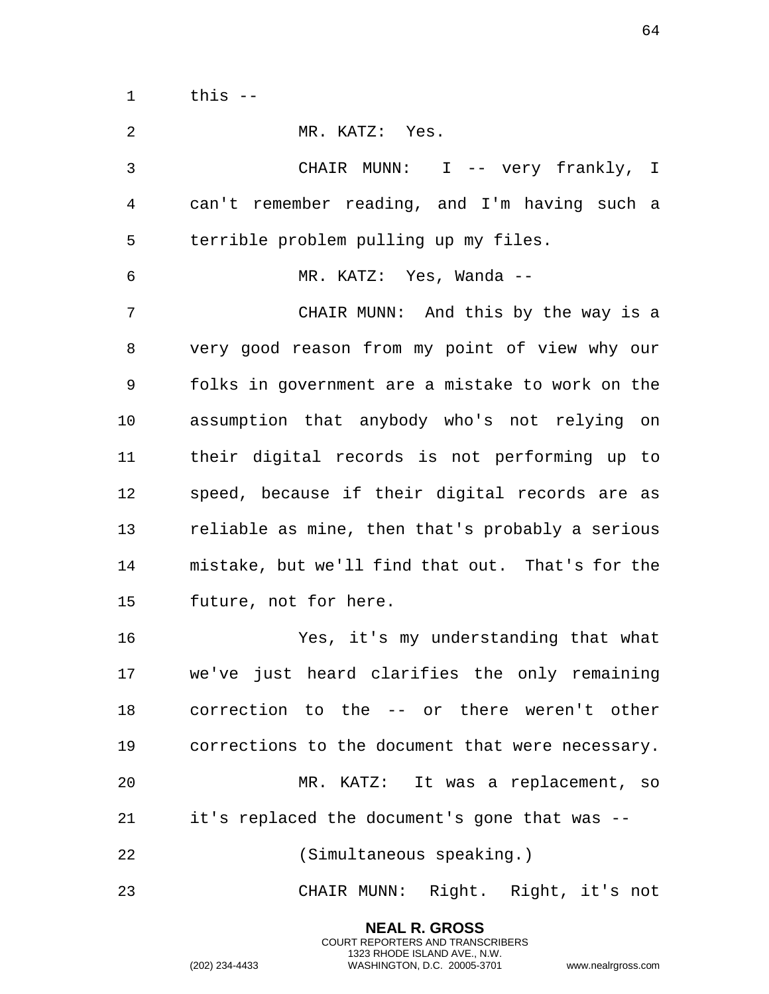this --

| 2              | MR. KATZ: Yes.                                   |
|----------------|--------------------------------------------------|
| 3              | CHAIR MUNN: I -- very frankly, I                 |
| $\overline{4}$ | can't remember reading, and I'm having such a    |
| 5              | terrible problem pulling up my files.            |
| 6              | MR. KATZ: Yes, Wanda --                          |
| 7              | CHAIR MUNN: And this by the way is a             |
| 8              | very good reason from my point of view why our   |
| 9              | folks in government are a mistake to work on the |
| 10             | assumption that anybody who's not relying on     |
| 11             | their digital records is not performing up to    |
| 12             | speed, because if their digital records are as   |
| 13             | reliable as mine, then that's probably a serious |
| 14             | mistake, but we'll find that out. That's for the |
| 15             | future, not for here.                            |
| 16             | Yes, it's my understanding that what             |
| 17             | we've just heard clarifies the only remaining    |
| 18             | correction to the -- or there weren't other      |
| 19             | corrections to the document that were necessary. |
| 20             | MR. KATZ: It was a replacement, so               |
| 21             | it's replaced the document's gone that was --    |
| 22             | (Simultaneous speaking.)                         |
| 23             | CHAIR MUNN: Right. Right, it's not               |

**NEAL R. GROSS** COURT REPORTERS AND TRANSCRIBERS 1323 RHODE ISLAND AVE., N.W.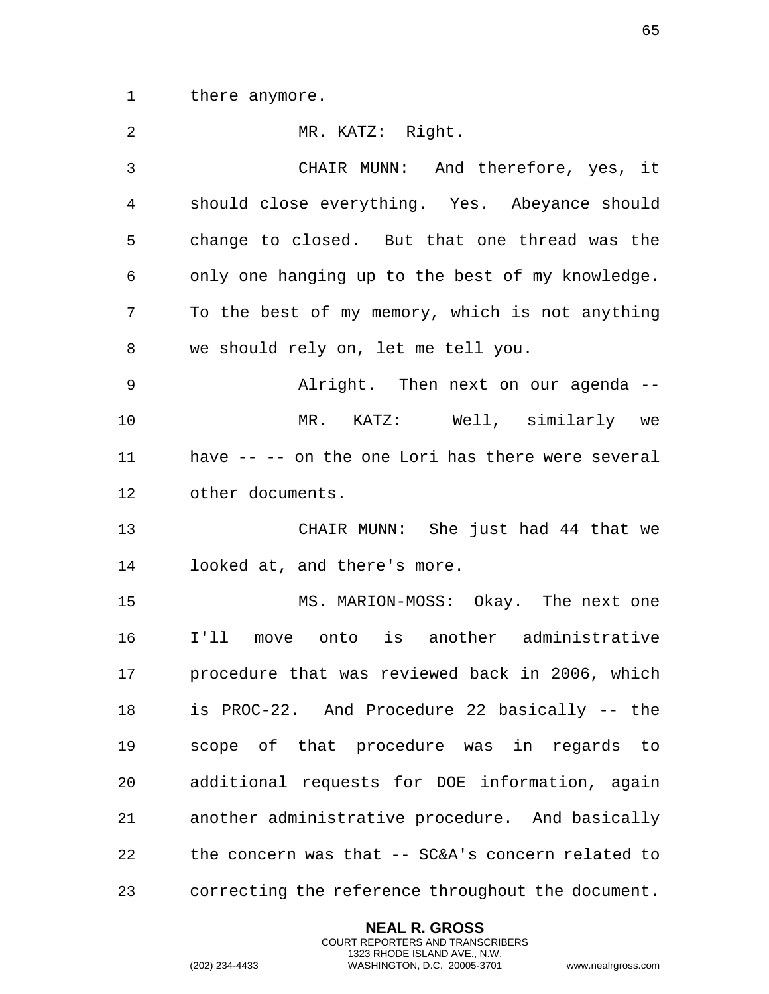there anymore.

| $\overline{2}$ | MR. KATZ: Right.                                  |
|----------------|---------------------------------------------------|
| 3              | CHAIR MUNN: And therefore, yes, it                |
| 4              | should close everything. Yes. Abeyance should     |
| 5              | change to closed. But that one thread was the     |
| 6              | only one hanging up to the best of my knowledge.  |
| 7              | To the best of my memory, which is not anything   |
| 8              | we should rely on, let me tell you.               |
| $\mathsf 9$    | Alright. Then next on our agenda --               |
| 10             | MR. KATZ: Well, similarly we                      |
| 11             | have -- -- on the one Lori has there were several |
| 12             | other documents.                                  |
| 13             | CHAIR MUNN: She just had 44 that we               |
| 14             | looked at, and there's more.                      |
| 15             | MS. MARION-MOSS: Okay. The next one               |
| 16             | I'll move onto is another administrative          |
| $17$           | procedure that was reviewed back in 2006, which   |
| 18             | is PROC-22. And Procedure 22 basically -- the     |
| 19             | scope of that procedure was in regards to         |
| 20             | additional requests for DOE information, again    |
| 21             | another administrative procedure. And basically   |
| 22             | the concern was that -- SC&A's concern related to |
| 23             | correcting the reference throughout the document. |

**NEAL R. GROSS** COURT REPORTERS AND TRANSCRIBERS 1323 RHODE ISLAND AVE., N.W.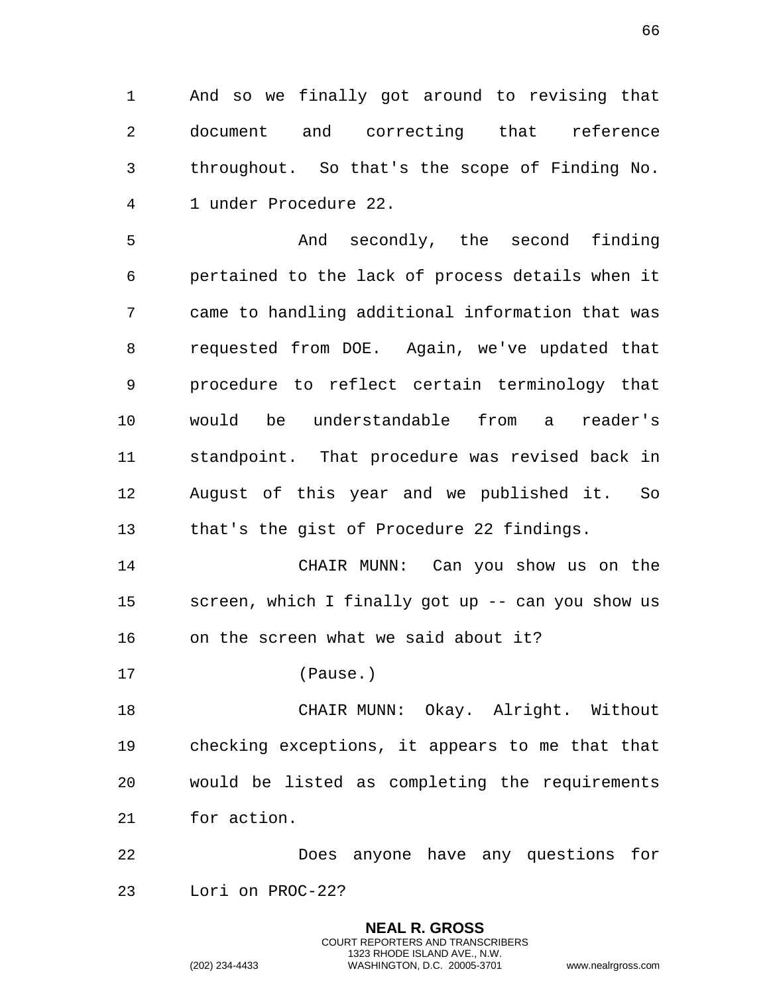And so we finally got around to revising that document and correcting that reference throughout. So that's the scope of Finding No. 1 under Procedure 22.

 And secondly, the second finding pertained to the lack of process details when it came to handling additional information that was requested from DOE. Again, we've updated that procedure to reflect certain terminology that would be understandable from a reader's standpoint. That procedure was revised back in August of this year and we published it. So that's the gist of Procedure 22 findings.

 CHAIR MUNN: Can you show us on the screen, which I finally got up -- can you show us on the screen what we said about it?

(Pause.)

 CHAIR MUNN: Okay. Alright. Without checking exceptions, it appears to me that that would be listed as completing the requirements for action.

 Does anyone have any questions for Lori on PROC-22?

> **NEAL R. GROSS** COURT REPORTERS AND TRANSCRIBERS 1323 RHODE ISLAND AVE., N.W.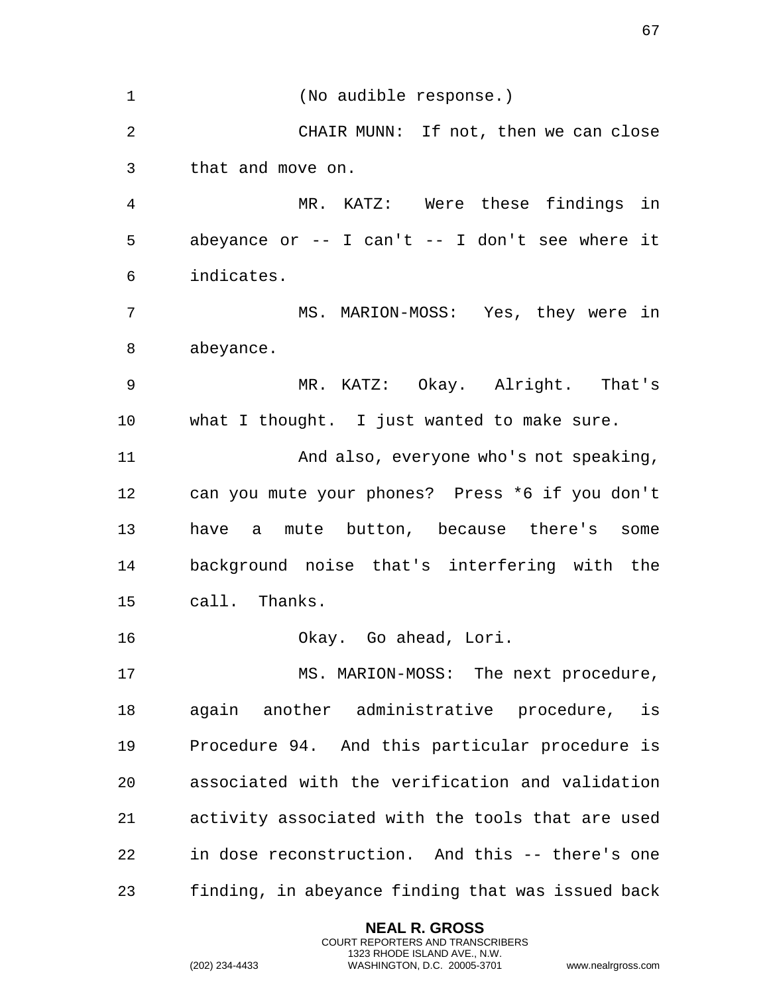(No audible response.) CHAIR MUNN: If not, then we can close that and move on. MR. KATZ: Were these findings in abeyance or -- I can't -- I don't see where it indicates. MS. MARION-MOSS: Yes, they were in abeyance. MR. KATZ: Okay. Alright. That's what I thought. I just wanted to make sure. And also, everyone who's not speaking, can you mute your phones? Press \*6 if you don't have a mute button, because there's some background noise that's interfering with the call. Thanks. Okay. Go ahead, Lori. 17 MS. MARION-MOSS: The next procedure, again another administrative procedure, is Procedure 94. And this particular procedure is associated with the verification and validation activity associated with the tools that are used in dose reconstruction. And this -- there's one finding, in abeyance finding that was issued back

> **NEAL R. GROSS** COURT REPORTERS AND TRANSCRIBERS 1323 RHODE ISLAND AVE., N.W.

(202) 234-4433 WASHINGTON, D.C. 20005-3701 www.nealrgross.com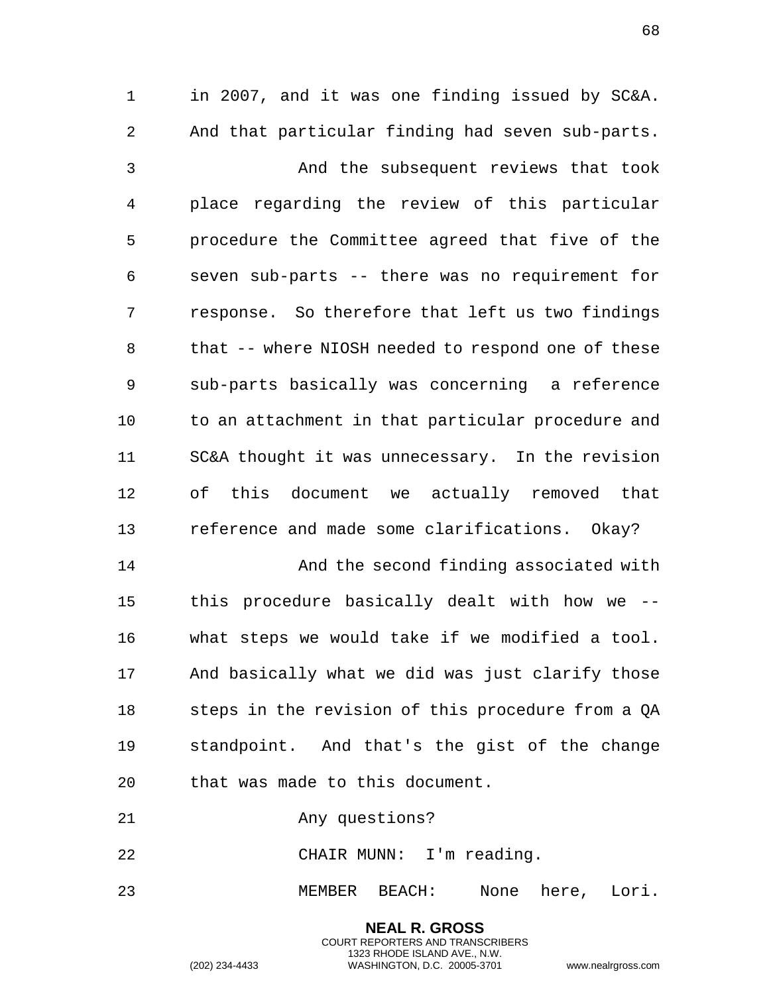in 2007, and it was one finding issued by SC&A. And that particular finding had seven sub-parts. And the subsequent reviews that took place regarding the review of this particular procedure the Committee agreed that five of the seven sub-parts -- there was no requirement for response. So therefore that left us two findings that -- where NIOSH needed to respond one of these sub-parts basically was concerning a reference 10 to an attachment in that particular procedure and SC&A thought it was unnecessary. In the revision of this document we actually removed that reference and made some clarifications. Okay? And the second finding associated with this procedure basically dealt with how we -- what steps we would take if we modified a tool. And basically what we did was just clarify those steps in the revision of this procedure from a QA standpoint. And that's the gist of the change that was made to this document. Any questions? CHAIR MUNN: I'm reading.

MEMBER BEACH: None here, Lori.

**NEAL R. GROSS** COURT REPORTERS AND TRANSCRIBERS 1323 RHODE ISLAND AVE., N.W.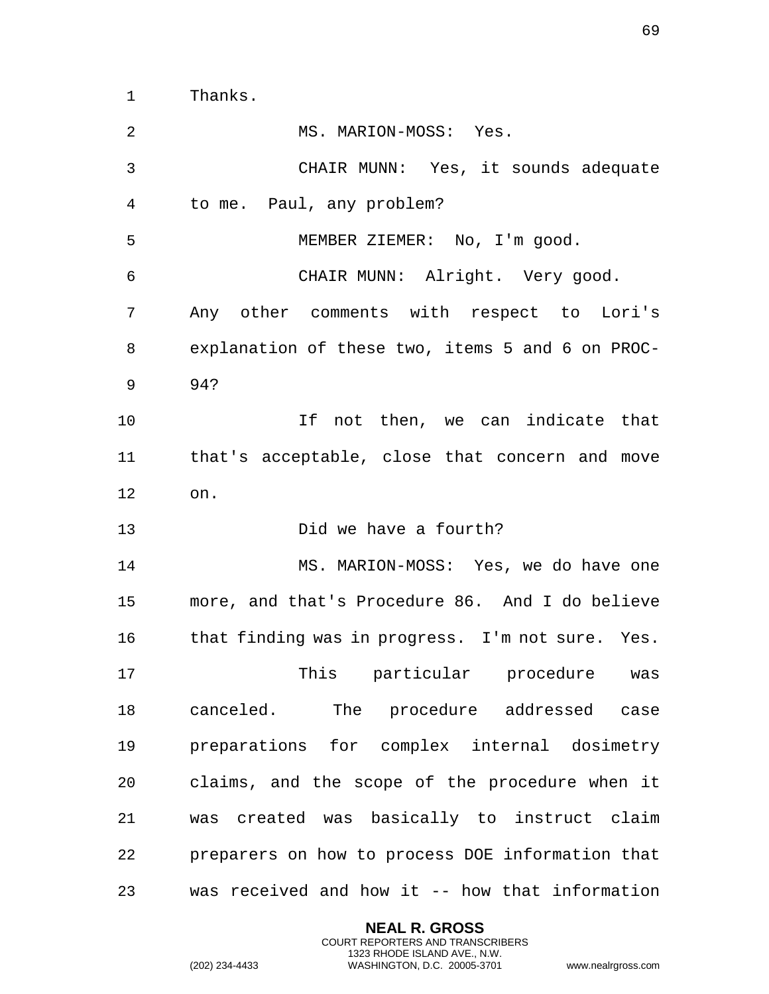Thanks.

| 2              | MS. MARION-MOSS: Yes.                            |
|----------------|--------------------------------------------------|
| $\mathfrak{Z}$ | CHAIR MUNN: Yes, it sounds adequate              |
| 4              | to me. Paul, any problem?                        |
| 5              | MEMBER ZIEMER: No, I'm good.                     |
| 6              | CHAIR MUNN: Alright. Very good.                  |
| 7              | Any other comments with respect to Lori's        |
| 8              | explanation of these two, items 5 and 6 on PROC- |
| 9              | 94?                                              |
| 10             | If not then, we can indicate that                |
| 11             | that's acceptable, close that concern and move   |
| 12             | on.                                              |
|                |                                                  |
| 13             | Did we have a fourth?                            |
| 14             | MS. MARION-MOSS: Yes, we do have one             |
| 15             | more, and that's Procedure 86. And I do believe  |
| 16             | that finding was in progress. I'm not sure. Yes. |
| 17             | This particular procedure<br>was                 |
| 18             | canceled. The procedure addressed case           |
| 19             | preparations for complex internal dosimetry      |
| 20             | claims, and the scope of the procedure when it   |
| 21             | was created was basically to instruct claim      |
| 22             | preparers on how to process DOE information that |

**NEAL R. GROSS** COURT REPORTERS AND TRANSCRIBERS 1323 RHODE ISLAND AVE., N.W.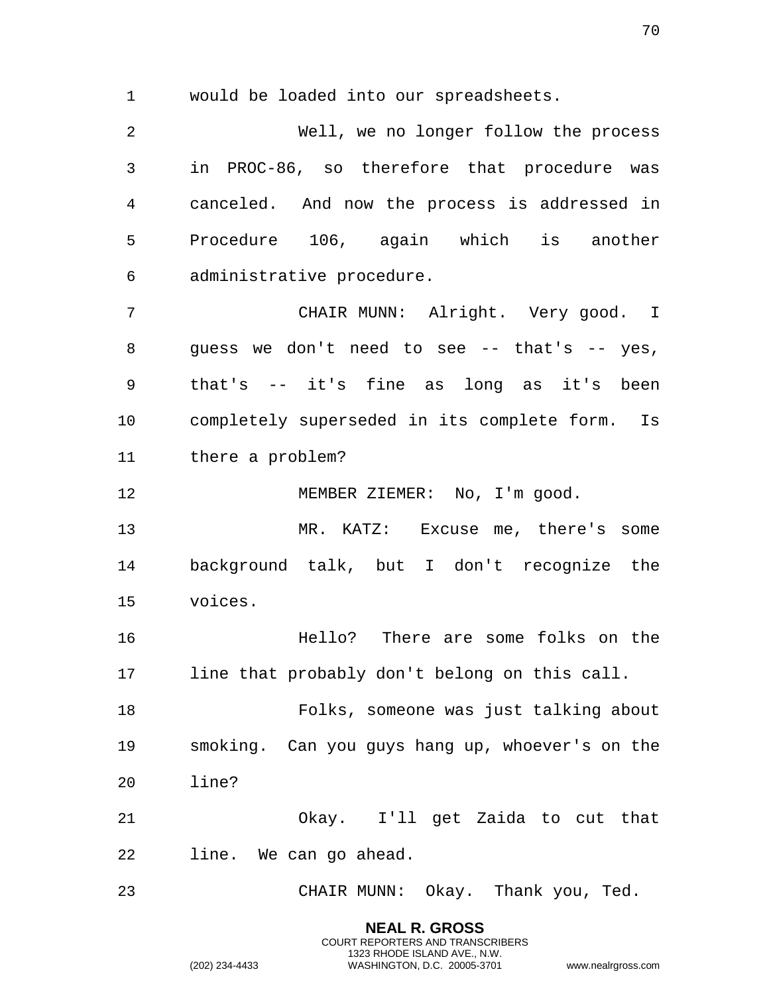would be loaded into our spreadsheets.

 Well, we no longer follow the process in PROC-86, so therefore that procedure was canceled. And now the process is addressed in Procedure 106, again which is another administrative procedure. CHAIR MUNN: Alright. Very good. I 8 guess we don't need to see -- that's -- yes, that's -- it's fine as long as it's been completely superseded in its complete form. Is there a problem? 12 MEMBER ZIEMER: No, I'm good. MR. KATZ: Excuse me, there's some background talk, but I don't recognize the voices. Hello? There are some folks on the 17 line that probably don't belong on this call. Folks, someone was just talking about smoking. Can you guys hang up, whoever's on the line? Okay. I'll get Zaida to cut that line. We can go ahead. CHAIR MUNN: Okay. Thank you, Ted.

> **NEAL R. GROSS** COURT REPORTERS AND TRANSCRIBERS 1323 RHODE ISLAND AVE., N.W.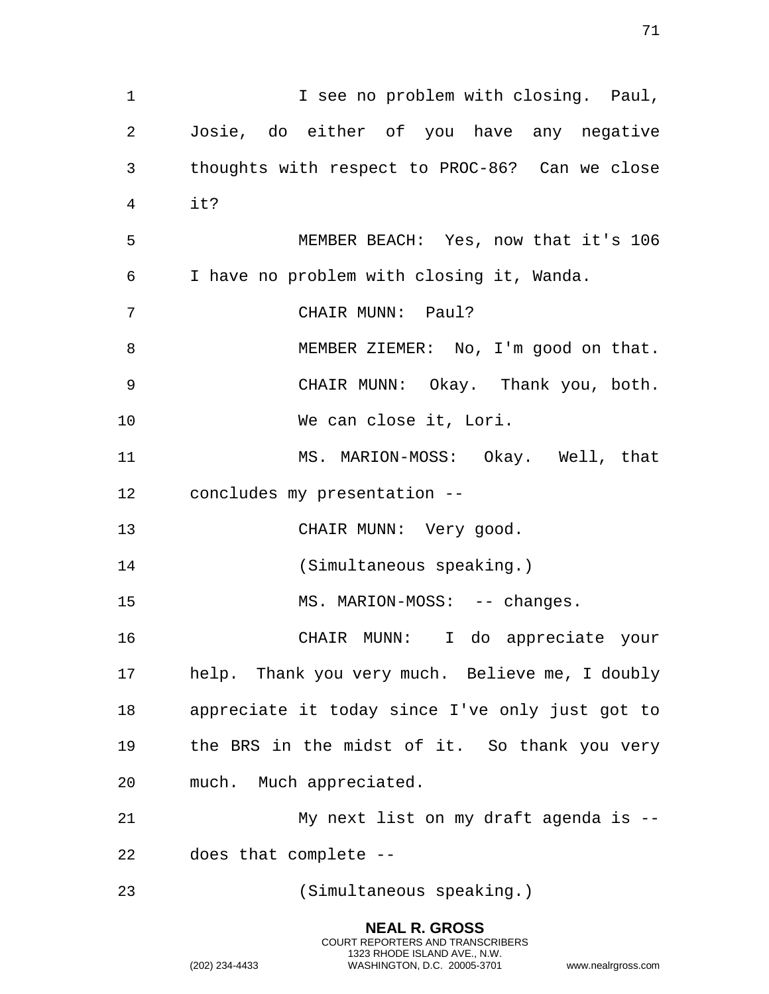1 I see no problem with closing. Paul, 2 Josie, do either of you have any negative 3 thoughts with respect to PROC-86? Can we close 4 it? 5 MEMBER BEACH: Yes, now that it's 106 6 I have no problem with closing it, Wanda. 7 CHAIR MUNN: Paul? 8 MEMBER ZIEMER: No, I'm good on that. 9 CHAIR MUNN: Okay. Thank you, both. 10 We can close it, Lori. 11 MS. MARION-MOSS: Okay. Well, that 12 concludes my presentation -- 13 CHAIR MUNN: Very good. 14 (Simultaneous speaking.) 15 MS. MARION-MOSS: -- changes. 16 CHAIR MUNN: I do appreciate your 17 help. Thank you very much. Believe me, I doubly 18 appreciate it today since I've only just got to 19 the BRS in the midst of it. So thank you very 20 much. Much appreciated. 21 My next list on my draft agenda is -- 22 does that complete -- 23 (Simultaneous speaking.)

> **NEAL R. GROSS** COURT REPORTERS AND TRANSCRIBERS 1323 RHODE ISLAND AVE., N.W.

(202) 234-4433 WASHINGTON, D.C. 20005-3701 www.nealrgross.com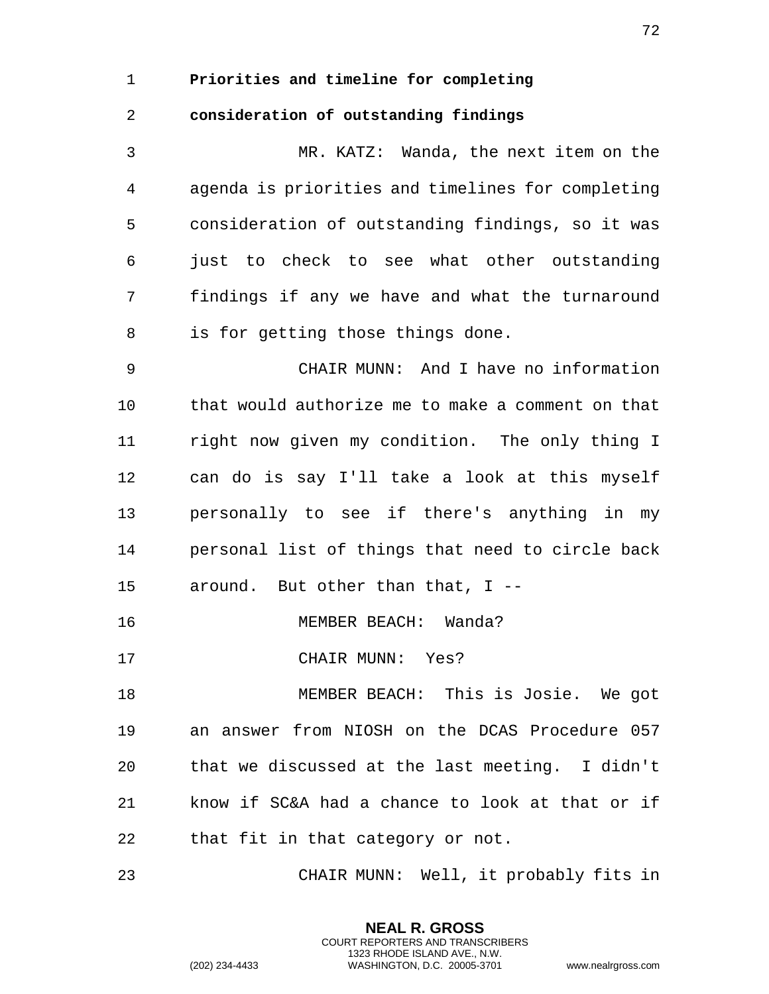## 1 **Priorities and timeline for completing**

## 2 **consideration of outstanding findings**

3 MR. KATZ: Wanda, the next item on the 4 agenda is priorities and timelines for completing 5 consideration of outstanding findings, so it was 6 just to check to see what other outstanding 7 findings if any we have and what the turnaround 8 is for getting those things done.

9 CHAIR MUNN: And I have no information 10 that would authorize me to make a comment on that 11 right now given my condition. The only thing I 12 can do is say I'll take a look at this myself 13 personally to see if there's anything in my 14 personal list of things that need to circle back 15 around. But other than that, I --

16 MEMBER BEACH: Wanda?

17 CHAIR MUNN: Yes?

18 MEMBER BEACH: This is Josie. We got 19 an answer from NIOSH on the DCAS Procedure 057 20 that we discussed at the last meeting. I didn't 21 know if SC&A had a chance to look at that or if 22 that fit in that category or not.

23 CHAIR MUNN: Well, it probably fits in

**NEAL R. GROSS** COURT REPORTERS AND TRANSCRIBERS 1323 RHODE ISLAND AVE., N.W.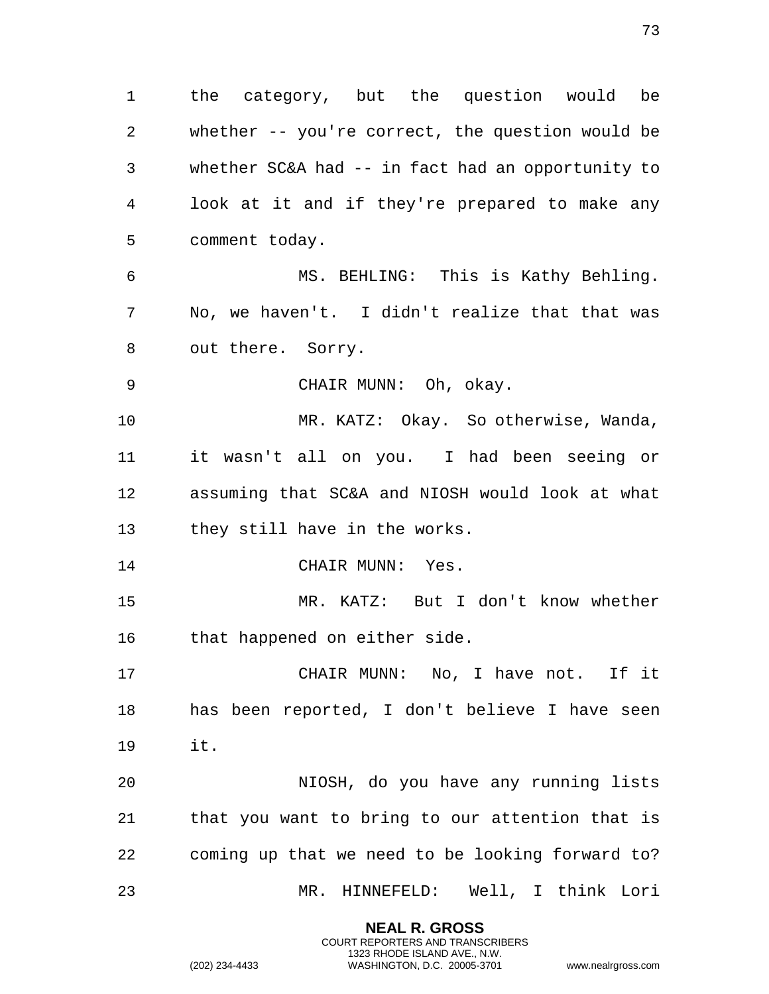the category, but the question would be whether -- you're correct, the question would be whether SC&A had -- in fact had an opportunity to look at it and if they're prepared to make any comment today.

 MS. BEHLING: This is Kathy Behling. No, we haven't. I didn't realize that that was out there. Sorry.

CHAIR MUNN: Oh, okay.

 MR. KATZ: Okay. So otherwise, Wanda, it wasn't all on you. I had been seeing or assuming that SC&A and NIOSH would look at what they still have in the works.

14 CHAIR MUNN: Yes.

 MR. KATZ: But I don't know whether that happened on either side.

 CHAIR MUNN: No, I have not. If it has been reported, I don't believe I have seen it.

 NIOSH, do you have any running lists that you want to bring to our attention that is coming up that we need to be looking forward to? MR. HINNEFELD: Well, I think Lori

> **NEAL R. GROSS** COURT REPORTERS AND TRANSCRIBERS 1323 RHODE ISLAND AVE., N.W.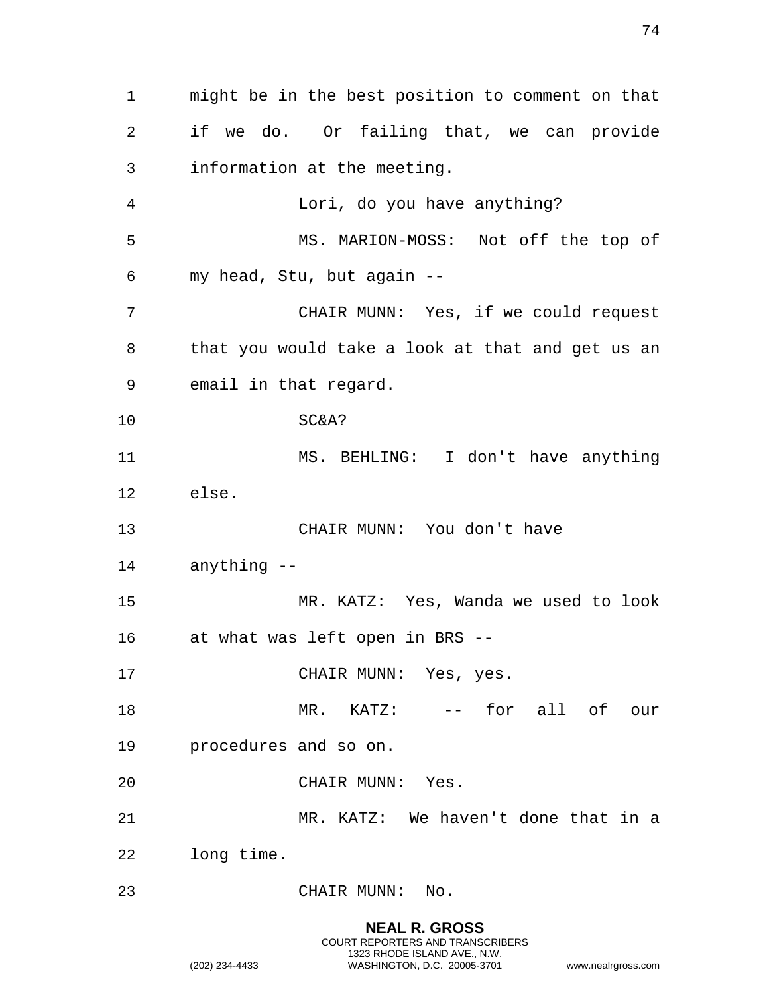might be in the best position to comment on that if we do. Or failing that, we can provide information at the meeting. Lori, do you have anything? MS. MARION-MOSS: Not off the top of my head, Stu, but again -- CHAIR MUNN: Yes, if we could request that you would take a look at that and get us an email in that regard. SC&A? MS. BEHLING: I don't have anything else. CHAIR MUNN: You don't have anything -- MR. KATZ: Yes, Wanda we used to look at what was left open in BRS -- 17 CHAIR MUNN: Yes, yes. 18 MR. KATZ: -- for all of our procedures and so on. CHAIR MUNN: Yes. MR. KATZ: We haven't done that in a long time. CHAIR MUNN: No.

> **NEAL R. GROSS** COURT REPORTERS AND TRANSCRIBERS 1323 RHODE ISLAND AVE., N.W.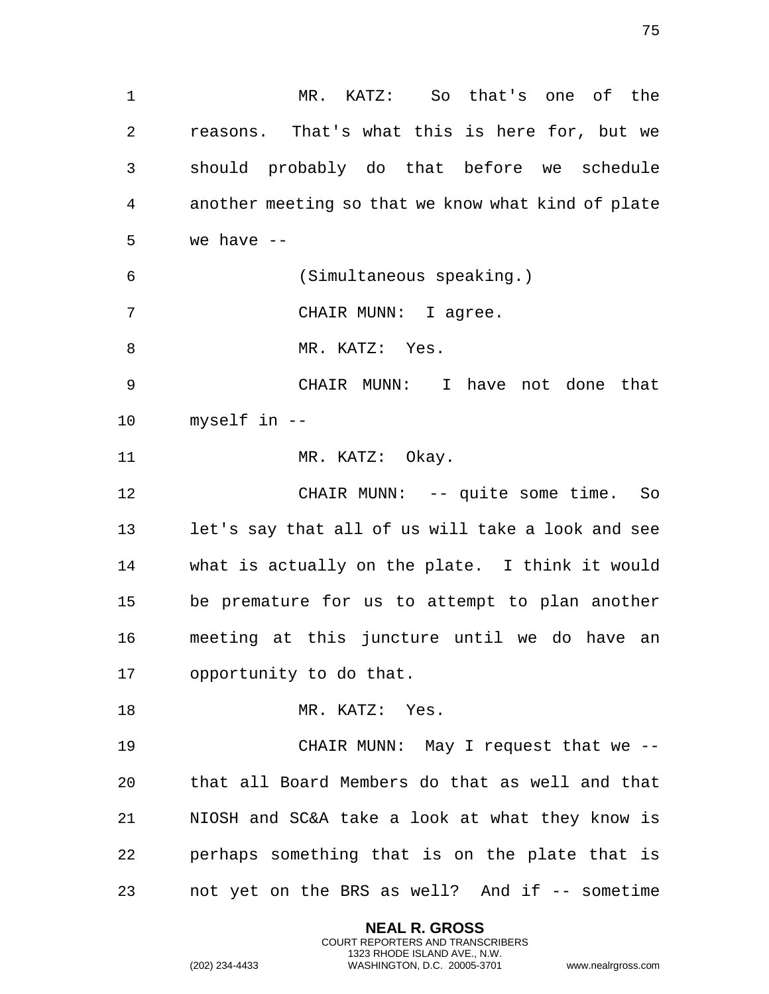MR. KATZ: So that's one of the reasons. That's what this is here for, but we should probably do that before we schedule another meeting so that we know what kind of plate we have -- (Simultaneous speaking.) CHAIR MUNN: I agree. 8 MR. KATZ: Yes. CHAIR MUNN: I have not done that myself in -- 11 MR. KATZ: Okay. CHAIR MUNN: -- quite some time. So let's say that all of us will take a look and see what is actually on the plate. I think it would be premature for us to attempt to plan another meeting at this juncture until we do have an opportunity to do that. 18 MR. KATZ: Yes. CHAIR MUNN: May I request that we -- that all Board Members do that as well and that NIOSH and SC&A take a look at what they know is perhaps something that is on the plate that is not yet on the BRS as well? And if -- sometime

> **NEAL R. GROSS** COURT REPORTERS AND TRANSCRIBERS 1323 RHODE ISLAND AVE., N.W.

(202) 234-4433 WASHINGTON, D.C. 20005-3701 www.nealrgross.com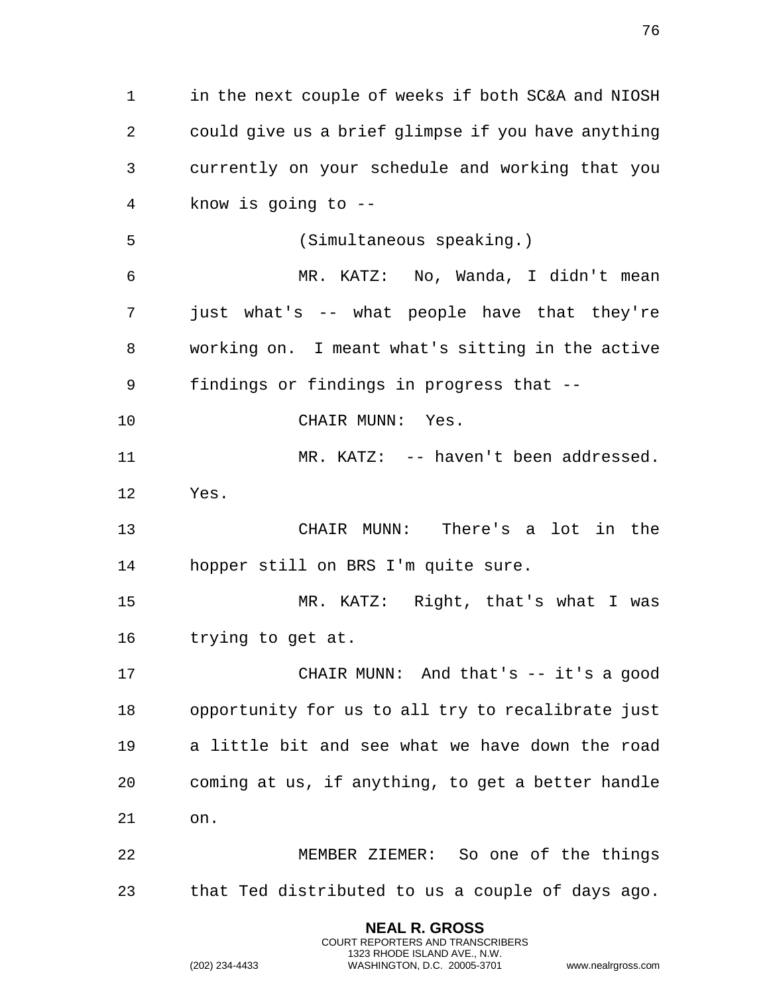in the next couple of weeks if both SC&A and NIOSH could give us a brief glimpse if you have anything currently on your schedule and working that you know is going to -- (Simultaneous speaking.) MR. KATZ: No, Wanda, I didn't mean just what's -- what people have that they're working on. I meant what's sitting in the active findings or findings in progress that -- 10 CHAIR MUNN: Yes. MR. KATZ: -- haven't been addressed. Yes. CHAIR MUNN: There's a lot in the hopper still on BRS I'm quite sure. MR. KATZ: Right, that's what I was trying to get at. CHAIR MUNN: And that's -- it's a good opportunity for us to all try to recalibrate just a little bit and see what we have down the road coming at us, if anything, to get a better handle on. MEMBER ZIEMER: So one of the things that Ted distributed to us a couple of days ago.

> **NEAL R. GROSS** COURT REPORTERS AND TRANSCRIBERS 1323 RHODE ISLAND AVE., N.W.

(202) 234-4433 WASHINGTON, D.C. 20005-3701 www.nealrgross.com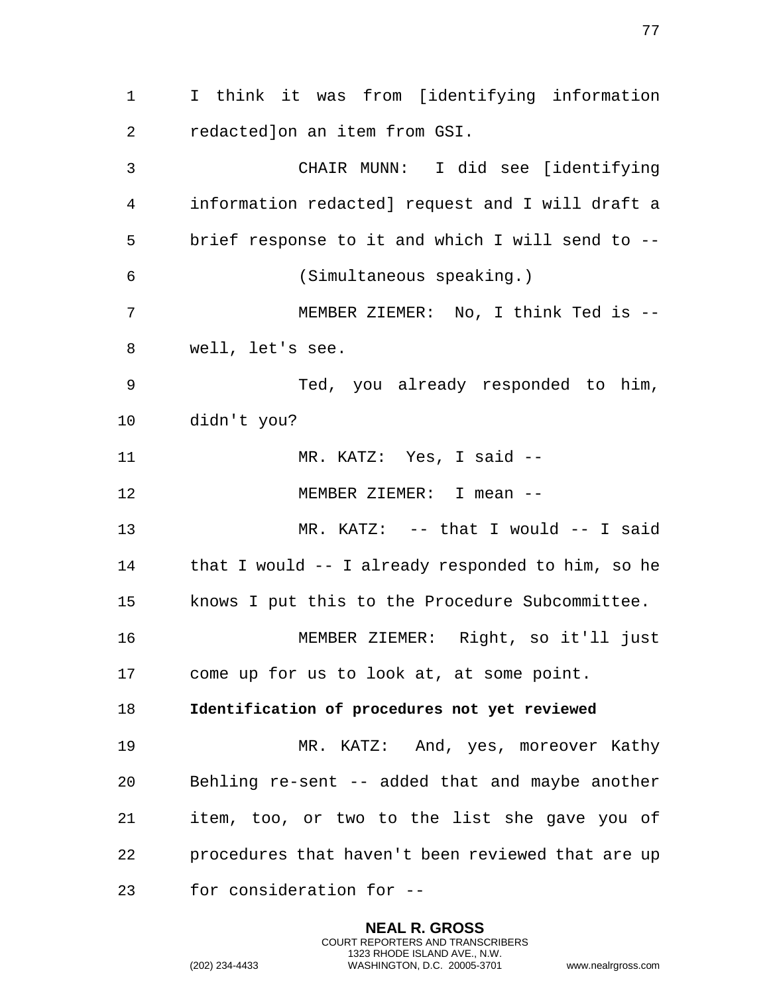1 I think it was from [identifying information 2 redacted]on an item from GSI. 3 CHAIR MUNN: I did see [identifying 4 information redacted] request and I will draft a 5 brief response to it and which I will send to -- 6 (Simultaneous speaking.) 7 MEMBER ZIEMER: No, I think Ted is -- 8 well, let's see. 9 Ted, you already responded to him, 10 didn't you? 11 MR. KATZ: Yes, I said -- 12 MEMBER ZIEMER: I mean -- 13 MR. KATZ: -- that I would -- I said 14 that I would -- I already responded to him, so he 15 knows I put this to the Procedure Subcommittee. 16 MEMBER ZIEMER: Right, so it'll just 17 come up for us to look at, at some point. 18 **Identification of procedures not yet reviewed** 19 MR. KATZ: And, yes, moreover Kathy 20 Behling re-sent -- added that and maybe another 21 item, too, or two to the list she gave you of 22 procedures that haven't been reviewed that are up 23 for consideration for --

> **NEAL R. GROSS** COURT REPORTERS AND TRANSCRIBERS 1323 RHODE ISLAND AVE., N.W.

(202) 234-4433 WASHINGTON, D.C. 20005-3701 www.nealrgross.com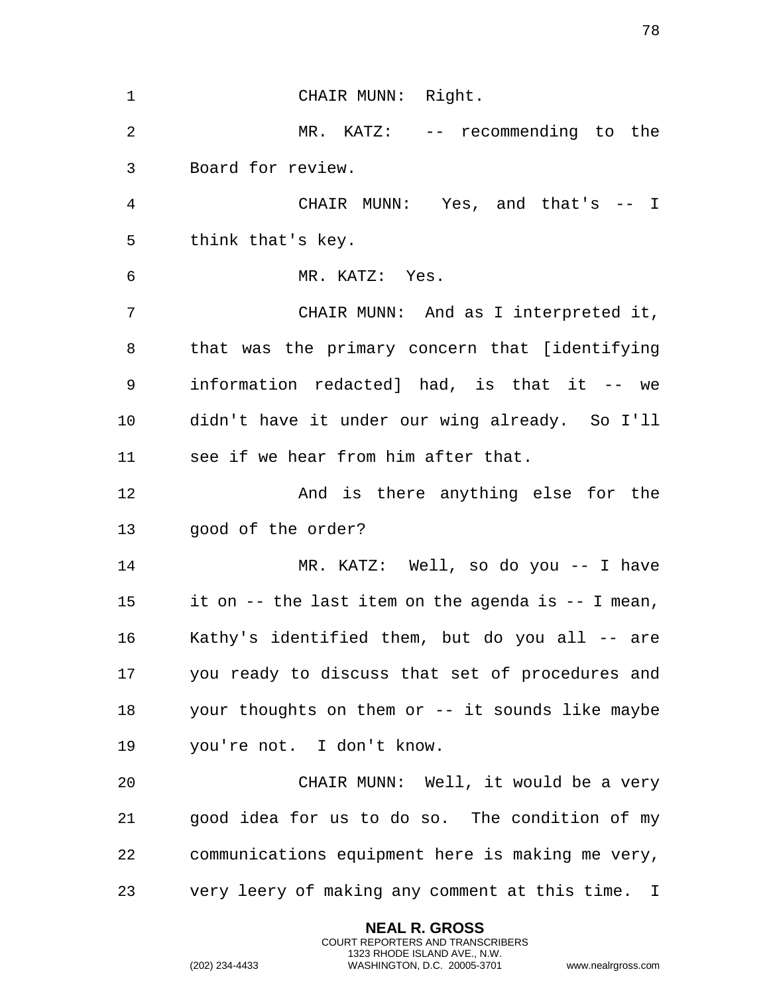| $\mathbf 1$ | CHAIR MUNN: Right.                                 |
|-------------|----------------------------------------------------|
| 2           | MR. KATZ: -- recommending to the                   |
| 3           | Board for review.                                  |
| 4           | CHAIR MUNN: Yes, and that's -- I                   |
| 5           | think that's key.                                  |
| 6           | MR. KATZ: Yes.                                     |
| 7           | CHAIR MUNN: And as I interpreted it,               |
| 8           | that was the primary concern that [identifying     |
| 9           | information redacted] had, is that it -- we        |
| 10          | didn't have it under our wing already. So I'll     |
| 11          | see if we hear from him after that.                |
| 12          | And is there anything else for the                 |
| 13          | good of the order?                                 |
| 14          | MR. KATZ: Well, so do you -- I have                |
| 15          | it on -- the last item on the agenda is -- I mean, |
| 16          | Kathy's identified them, but do you all -- are     |
| 17          | you ready to discuss that set of procedures and    |
| 18          | your thoughts on them or -- it sounds like maybe   |
| 19          | you're not. I don't know.                          |
| 20          | CHAIR MUNN: Well, it would be a very               |
| 21          | good idea for us to do so. The condition of my     |
| 22          | communications equipment here is making me very,   |
| 23          | very leery of making any comment at this time. I   |

**NEAL R. GROSS** COURT REPORTERS AND TRANSCRIBERS 1323 RHODE ISLAND AVE., N.W.

(202) 234-4433 WASHINGTON, D.C. 20005-3701 www.nealrgross.com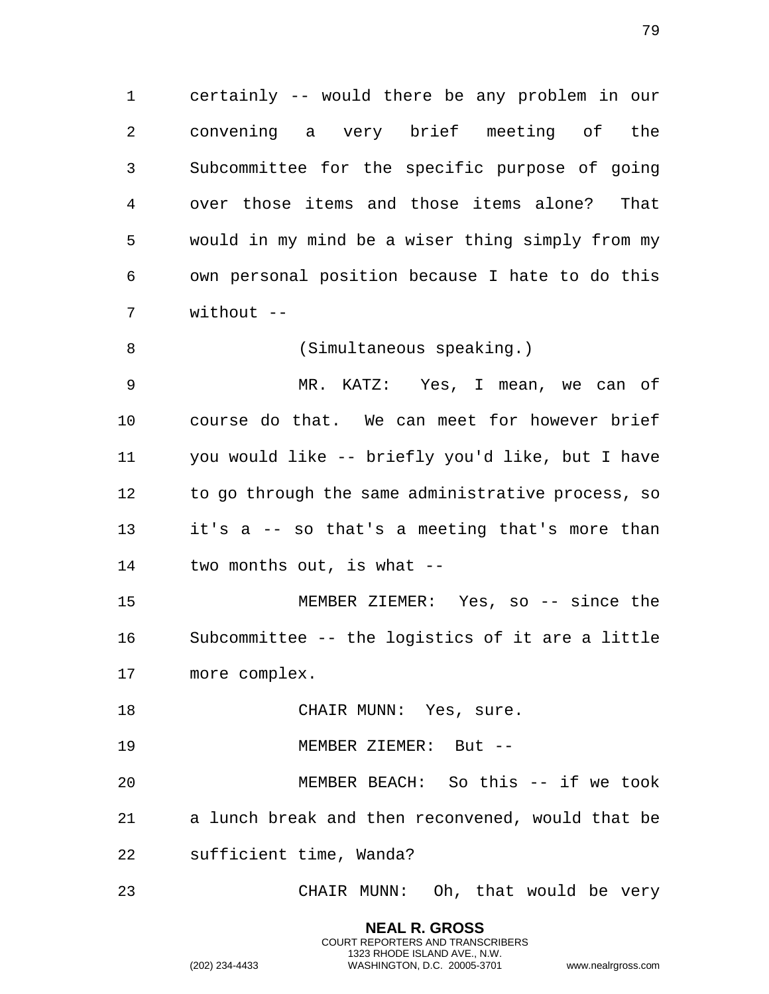certainly -- would there be any problem in our convening a very brief meeting of the Subcommittee for the specific purpose of going over those items and those items alone? That would in my mind be a wiser thing simply from my own personal position because I hate to do this without --

8 (Simultaneous speaking.)

 MR. KATZ: Yes, I mean, we can of course do that. We can meet for however brief you would like -- briefly you'd like, but I have to go through the same administrative process, so it's a -- so that's a meeting that's more than two months out, is what --

 MEMBER ZIEMER: Yes, so -- since the Subcommittee -- the logistics of it are a little more complex.

18 CHAIR MUNN: Yes, sure.

MEMBER ZIEMER: But --

 MEMBER BEACH: So this -- if we took a lunch break and then reconvened, would that be sufficient time, Wanda?

CHAIR MUNN: Oh, that would be very

**NEAL R. GROSS** COURT REPORTERS AND TRANSCRIBERS 1323 RHODE ISLAND AVE., N.W.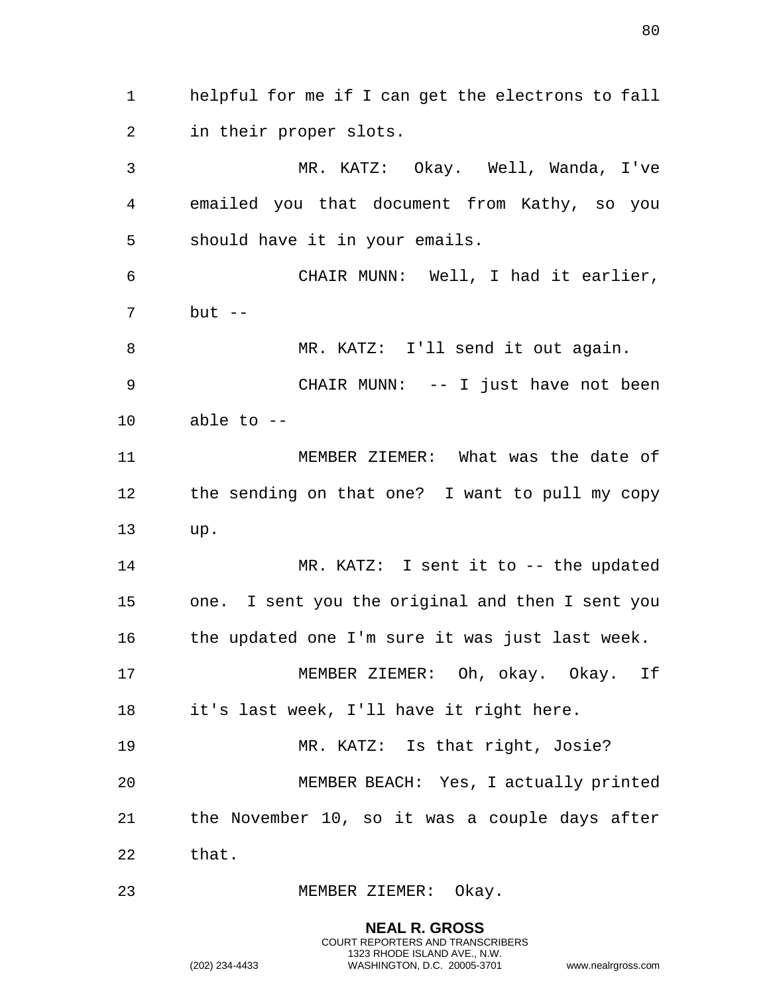helpful for me if I can get the electrons to fall in their proper slots. MR. KATZ: Okay. Well, Wanda, I've emailed you that document from Kathy, so you should have it in your emails. CHAIR MUNN: Well, I had it earlier, but  $-$ 8 MR. KATZ: I'll send it out again. CHAIR MUNN: -- I just have not been able to -- MEMBER ZIEMER: What was the date of the sending on that one? I want to pull my copy up. MR. KATZ: I sent it to -- the updated one. I sent you the original and then I sent you the updated one I'm sure it was just last week. 17 MEMBER ZIEMER: Oh, okay. Okay. If it's last week, I'll have it right here. MR. KATZ: Is that right, Josie? MEMBER BEACH: Yes, I actually printed the November 10, so it was a couple days after that. MEMBER ZIEMER: Okay.

> **NEAL R. GROSS** COURT REPORTERS AND TRANSCRIBERS 1323 RHODE ISLAND AVE., N.W.

(202) 234-4433 WASHINGTON, D.C. 20005-3701 www.nealrgross.com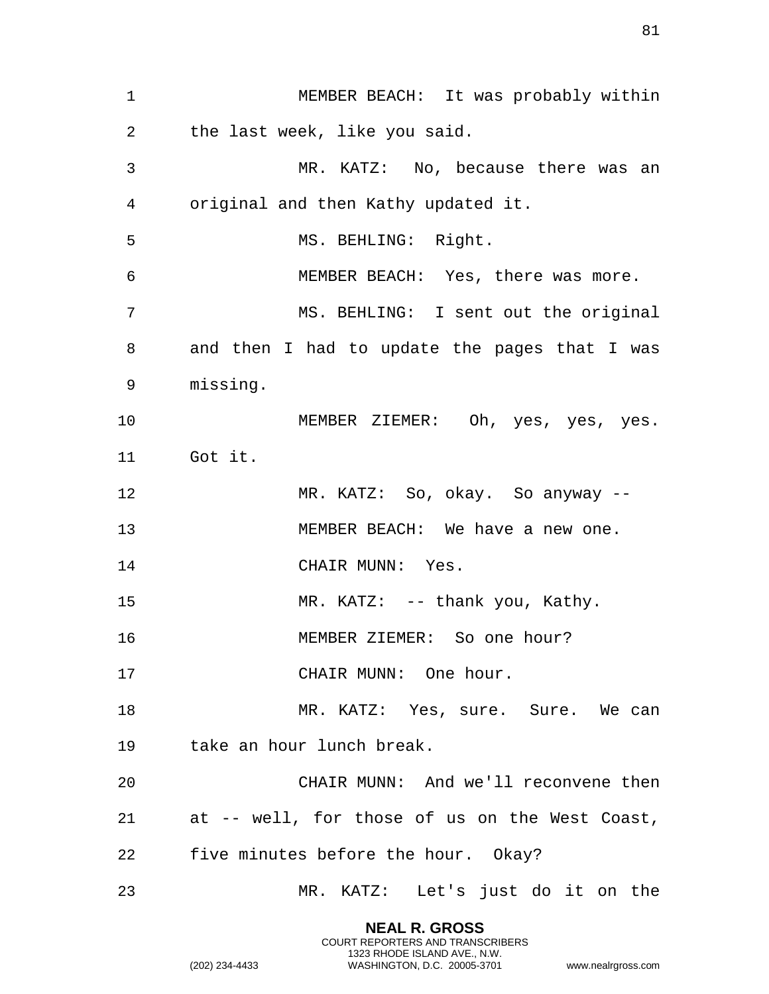MEMBER BEACH: It was probably within the last week, like you said. MR. KATZ: No, because there was an original and then Kathy updated it. MS. BEHLING: Right. MEMBER BEACH: Yes, there was more. MS. BEHLING: I sent out the original and then I had to update the pages that I was missing. MEMBER ZIEMER: Oh, yes, yes, yes. Got it. MR. KATZ: So, okay. So anyway -- 13 MEMBER BEACH: We have a new one. 14 CHAIR MUNN: Yes. MR. KATZ: -- thank you, Kathy. MEMBER ZIEMER: So one hour? 17 CHAIR MUNN: One hour. MR. KATZ: Yes, sure. Sure. We can take an hour lunch break. CHAIR MUNN: And we'll reconvene then at -- well, for those of us on the West Coast, five minutes before the hour. Okay? MR. KATZ: Let's just do it on the

> **NEAL R. GROSS** COURT REPORTERS AND TRANSCRIBERS 1323 RHODE ISLAND AVE., N.W.

(202) 234-4433 WASHINGTON, D.C. 20005-3701 www.nealrgross.com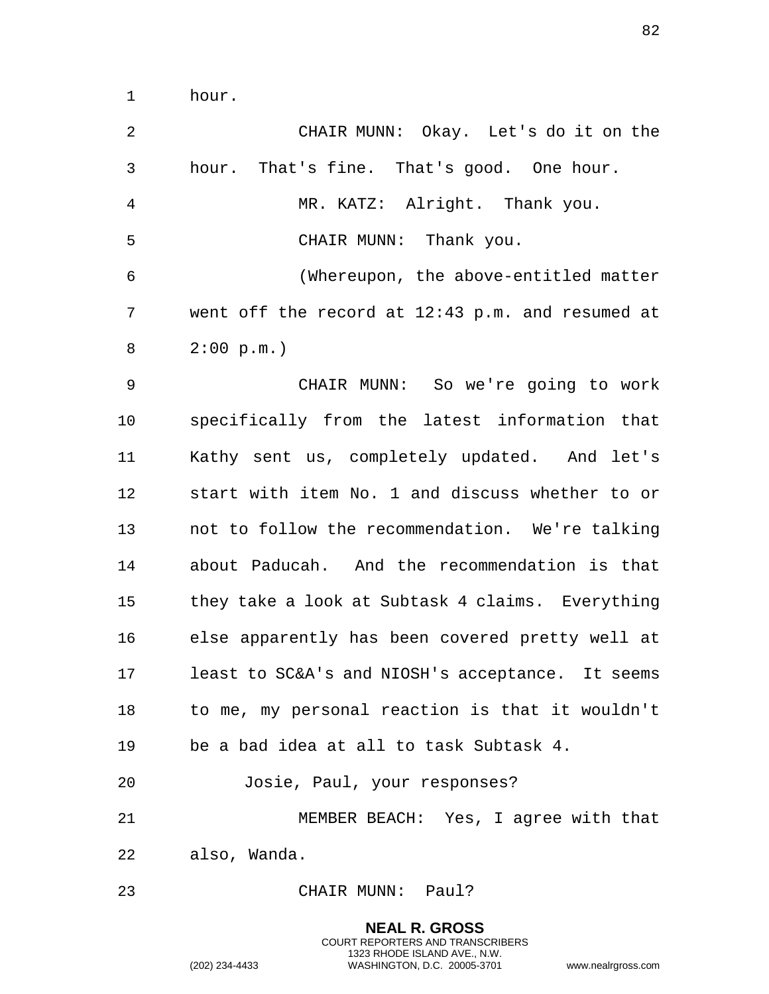hour.

| $\overline{2}$ | CHAIR MUNN: Okay. Let's do it on the             |
|----------------|--------------------------------------------------|
| 3              | hour. That's fine. That's good. One hour.        |
| $\overline{4}$ | MR. KATZ: Alright. Thank you.                    |
| 5              | CHAIR MUNN: Thank you.                           |
| 6              | (Whereupon, the above-entitled matter            |
| 7              | went off the record at 12:43 p.m. and resumed at |
| 8              | 2:00 p.m.                                        |
| 9              | CHAIR MUNN: So we're going to work               |
| 10             | specifically from the latest information that    |
| 11             | Kathy sent us, completely updated. And let's     |
| 12             | start with item No. 1 and discuss whether to or  |
| 13             | not to follow the recommendation. We're talking  |
| 14             | about Paducah. And the recommendation is that    |
| 15             | they take a look at Subtask 4 claims. Everything |
| 16             | else apparently has been covered pretty well at  |
| 17             | least to SC&A's and NIOSH's acceptance. It seems |
| 18             | to me, my personal reaction is that it wouldn't  |
| 19             | be a bad idea at all to task Subtask 4.          |
| 20             | Josie, Paul, your responses?                     |
| 21             | MEMBER BEACH: Yes, I agree with that             |
| 22             | also, Wanda.                                     |
| 23             | CHAIR MUNN: Paul?                                |

**NEAL R. GROSS** COURT REPORTERS AND TRANSCRIBERS 1323 RHODE ISLAND AVE., N.W.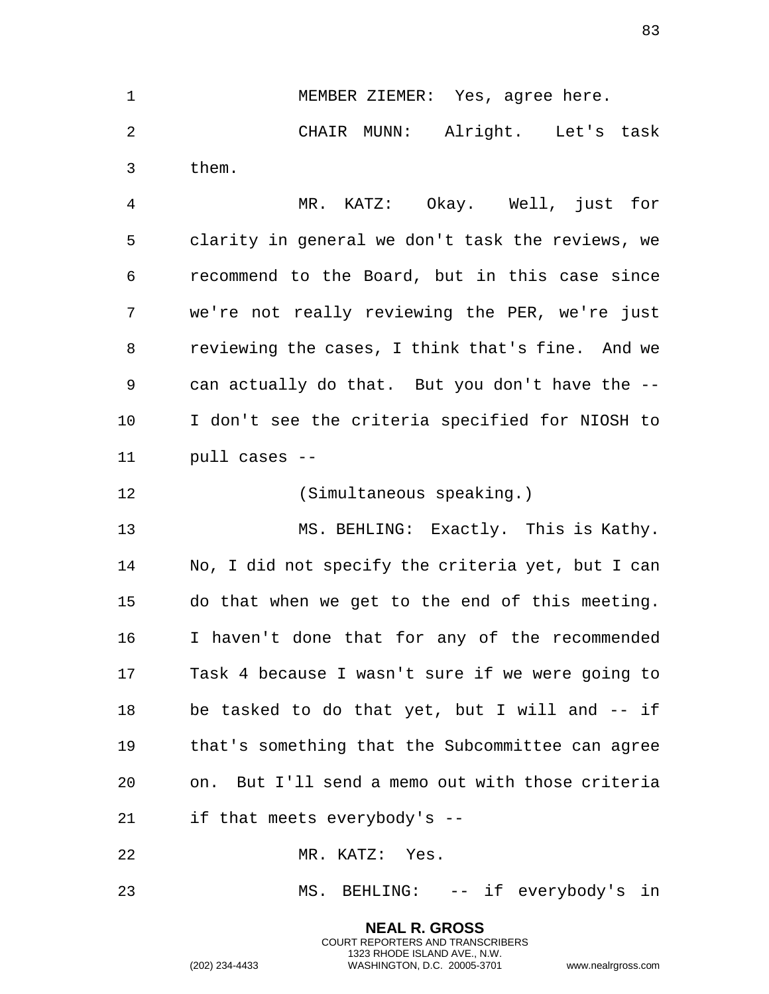MEMBER ZIEMER: Yes, agree here. CHAIR MUNN: Alright. Let's task them.

 MR. KATZ: Okay. Well, just for clarity in general we don't task the reviews, we recommend to the Board, but in this case since we're not really reviewing the PER, we're just reviewing the cases, I think that's fine. And we can actually do that. But you don't have the -- I don't see the criteria specified for NIOSH to pull cases --

(Simultaneous speaking.)

 MS. BEHLING: Exactly. This is Kathy. No, I did not specify the criteria yet, but I can do that when we get to the end of this meeting. I haven't done that for any of the recommended Task 4 because I wasn't sure if we were going to be tasked to do that yet, but I will and -- if that's something that the Subcommittee can agree on. But I'll send a memo out with those criteria if that meets everybody's --

MR. KATZ: Yes.

MS. BEHLING: -- if everybody's in

**NEAL R. GROSS** COURT REPORTERS AND TRANSCRIBERS 1323 RHODE ISLAND AVE., N.W.

(202) 234-4433 WASHINGTON, D.C. 20005-3701 www.nealrgross.com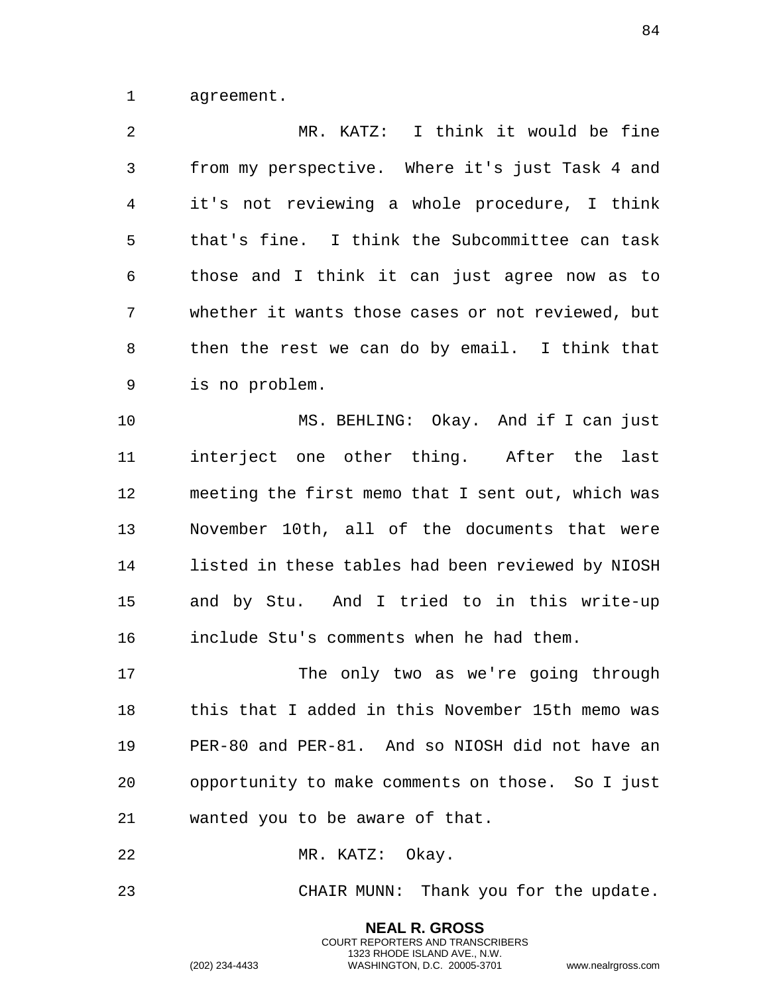agreement.

 MR. KATZ: I think it would be fine from my perspective. Where it's just Task 4 and it's not reviewing a whole procedure, I think that's fine. I think the Subcommittee can task those and I think it can just agree now as to whether it wants those cases or not reviewed, but then the rest we can do by email. I think that is no problem. MS. BEHLING: Okay. And if I can just

 interject one other thing. After the last meeting the first memo that I sent out, which was November 10th, all of the documents that were listed in these tables had been reviewed by NIOSH and by Stu. And I tried to in this write-up include Stu's comments when he had them.

17 The only two as we're going through this that I added in this November 15th memo was PER-80 and PER-81. And so NIOSH did not have an opportunity to make comments on those. So I just wanted you to be aware of that.

MR. KATZ: Okay.

CHAIR MUNN: Thank you for the update.

**NEAL R. GROSS** COURT REPORTERS AND TRANSCRIBERS 1323 RHODE ISLAND AVE., N.W.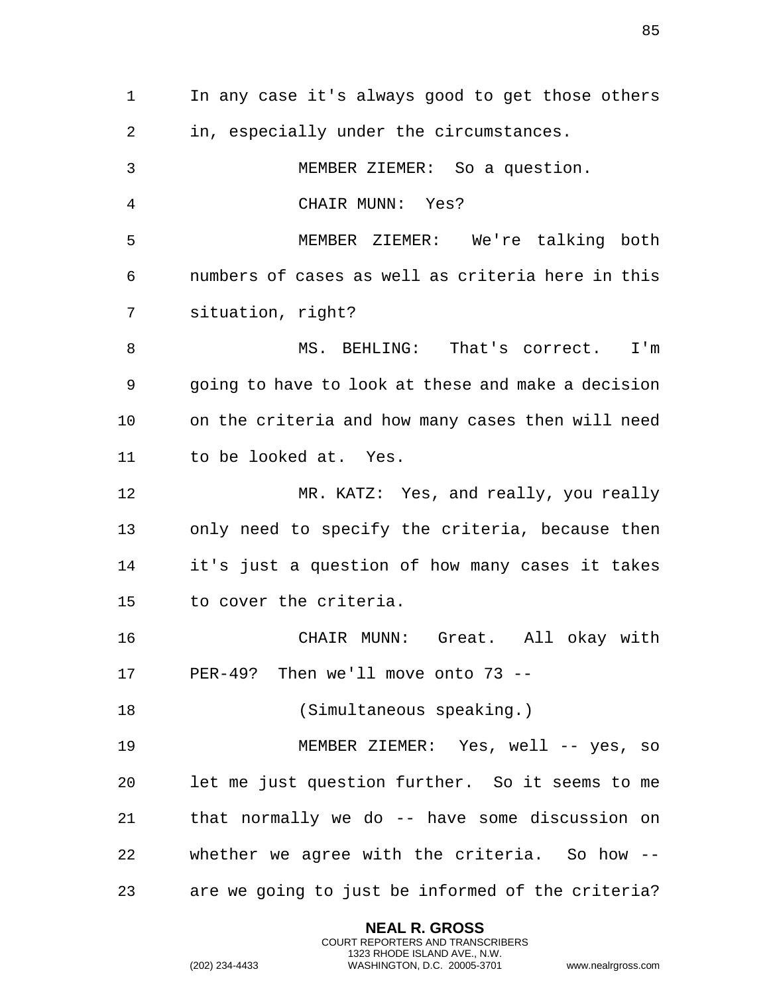In any case it's always good to get those others in, especially under the circumstances. MEMBER ZIEMER: So a question. CHAIR MUNN: Yes? MEMBER ZIEMER: We're talking both numbers of cases as well as criteria here in this situation, right? 8 MS. BEHLING: That's correct. I'm going to have to look at these and make a decision on the criteria and how many cases then will need to be looked at. Yes. MR. KATZ: Yes, and really, you really only need to specify the criteria, because then it's just a question of how many cases it takes to cover the criteria. CHAIR MUNN: Great. All okay with PER-49? Then we'll move onto 73 -- (Simultaneous speaking.) MEMBER ZIEMER: Yes, well -- yes, so let me just question further. So it seems to me that normally we do -- have some discussion on whether we agree with the criteria. So how -- are we going to just be informed of the criteria?

> **NEAL R. GROSS** COURT REPORTERS AND TRANSCRIBERS 1323 RHODE ISLAND AVE., N.W.

(202) 234-4433 WASHINGTON, D.C. 20005-3701 www.nealrgross.com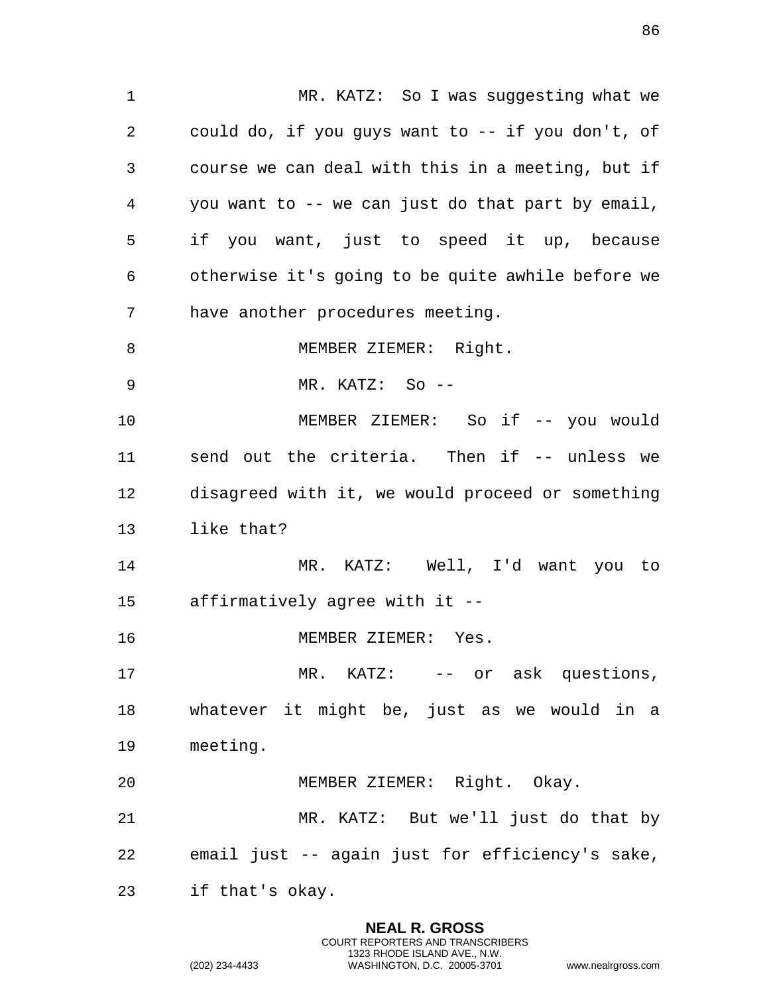MR. KATZ: So I was suggesting what we could do, if you guys want to -- if you don't, of course we can deal with this in a meeting, but if you want to -- we can just do that part by email, if you want, just to speed it up, because otherwise it's going to be quite awhile before we have another procedures meeting. 8 MEMBER ZIEMER: Right. MR. KATZ: So -- MEMBER ZIEMER: So if -- you would send out the criteria. Then if -- unless we disagreed with it, we would proceed or something like that? MR. KATZ: Well, I'd want you to affirmatively agree with it -- MEMBER ZIEMER: Yes. MR. KATZ: -- or ask questions, whatever it might be, just as we would in a meeting. MEMBER ZIEMER: Right. Okay. MR. KATZ: But we'll just do that by email just -- again just for efficiency's sake, if that's okay.

> **NEAL R. GROSS** COURT REPORTERS AND TRANSCRIBERS 1323 RHODE ISLAND AVE., N.W.

(202) 234-4433 WASHINGTON, D.C. 20005-3701 www.nealrgross.com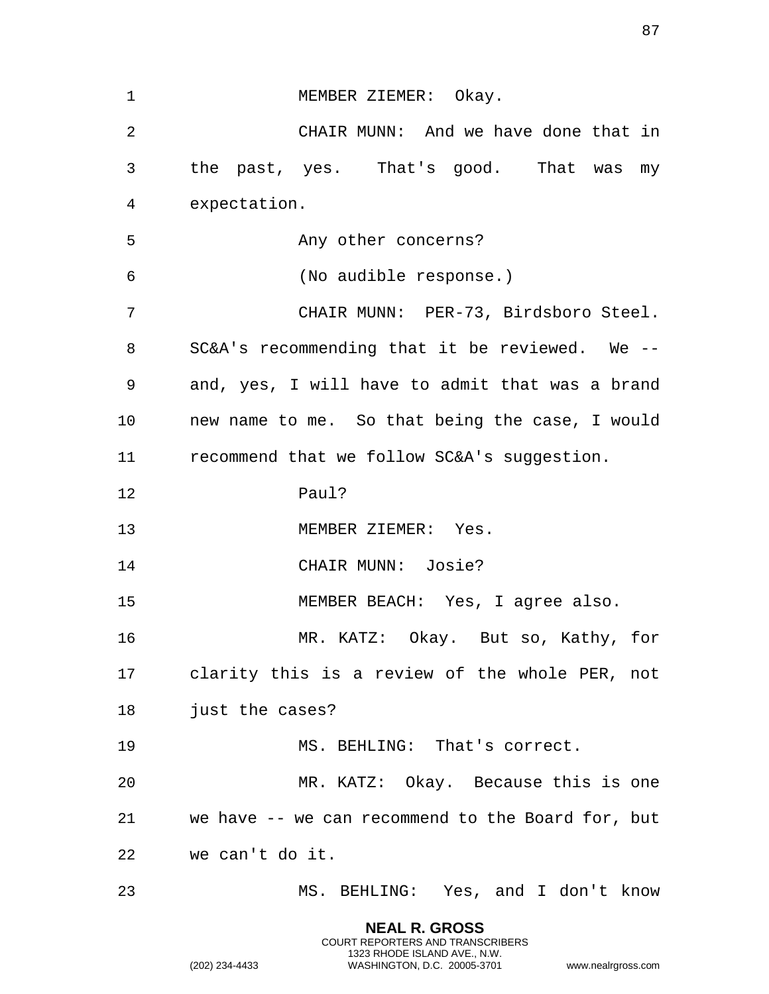| $\mathbf 1$ | MEMBER ZIEMER: Okay.                              |
|-------------|---------------------------------------------------|
| 2           | CHAIR MUNN: And we have done that in              |
| 3           | the past, yes. That's good. That was my           |
| 4           | expectation.                                      |
| 5           | Any other concerns?                               |
| 6           | (No audible response.)                            |
| 7           | CHAIR MUNN: PER-73, Birdsboro Steel.              |
| 8           | SC&A's recommending that it be reviewed. We --    |
| 9           | and, yes, I will have to admit that was a brand   |
| 10          | new name to me. So that being the case, I would   |
| 11          | recommend that we follow SC&A's suggestion.       |
| 12          | Paul?                                             |
| 13          | MEMBER ZIEMER: Yes.                               |
| 14          | CHAIR MUNN: Josie?                                |
| 15          | MEMBER BEACH: Yes, I agree also.                  |
| 16          | MR. KATZ: Okay. But so, Kathy, for                |
|             | 17 clarity this is a review of the whole PER, not |
| 18          | just the cases?                                   |
| 19          | MS. BEHLING: That's correct.                      |
| 20          | MR. KATZ: Okay. Because this is one               |
| 21          | we have -- we can recommend to the Board for, but |
| 22          | we can't do it.                                   |
| 23          | MS. BEHLING: Yes, and I don't know                |
|             |                                                   |

**NEAL R. GROSS** COURT REPORTERS AND TRANSCRIBERS 1323 RHODE ISLAND AVE., N.W.

(202) 234-4433 WASHINGTON, D.C. 20005-3701 www.nealrgross.com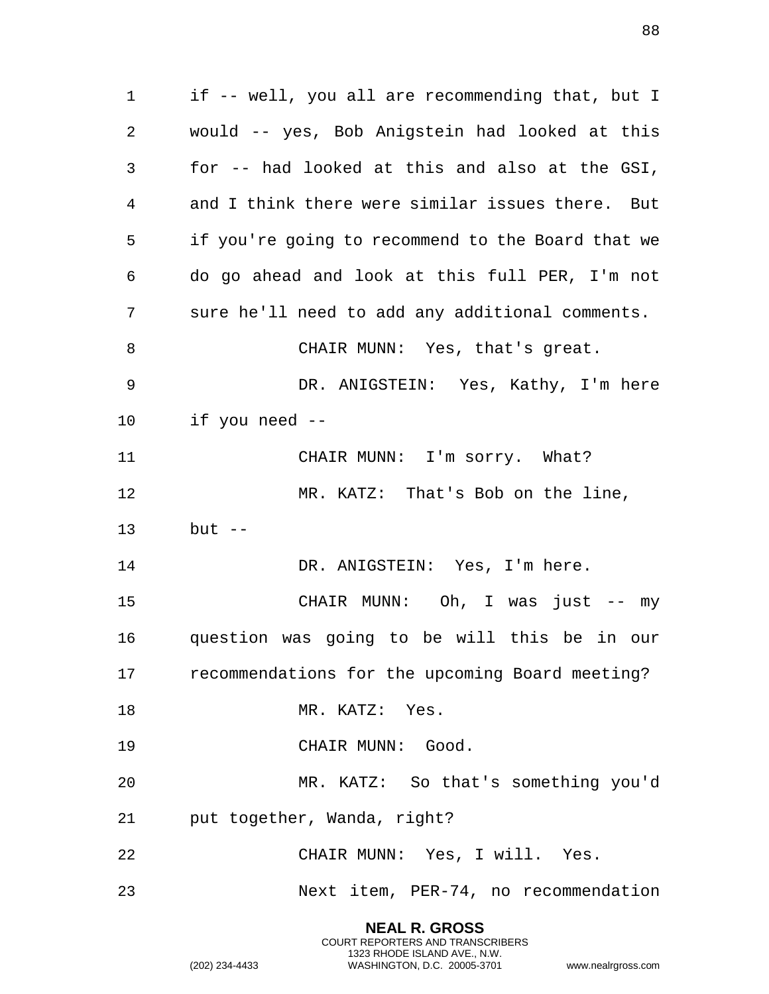**NEAL R. GROSS** if -- well, you all are recommending that, but I would -- yes, Bob Anigstein had looked at this for -- had looked at this and also at the GSI, and I think there were similar issues there. But if you're going to recommend to the Board that we do go ahead and look at this full PER, I'm not sure he'll need to add any additional comments. 8 CHAIR MUNN: Yes, that's great. DR. ANIGSTEIN: Yes, Kathy, I'm here if you need -- 11 CHAIR MUNN: I'm sorry. What? MR. KATZ: That's Bob on the line, but -- 14 DR. ANIGSTEIN: Yes, I'm here. CHAIR MUNN: Oh, I was just -- my question was going to be will this be in our recommendations for the upcoming Board meeting? 18 MR. KATZ: Yes. CHAIR MUNN: Good. MR. KATZ: So that's something you'd put together, Wanda, right? CHAIR MUNN: Yes, I will. Yes. Next item, PER-74, no recommendation

> COURT REPORTERS AND TRANSCRIBERS 1323 RHODE ISLAND AVE., N.W.

(202) 234-4433 WASHINGTON, D.C. 20005-3701 www.nealrgross.com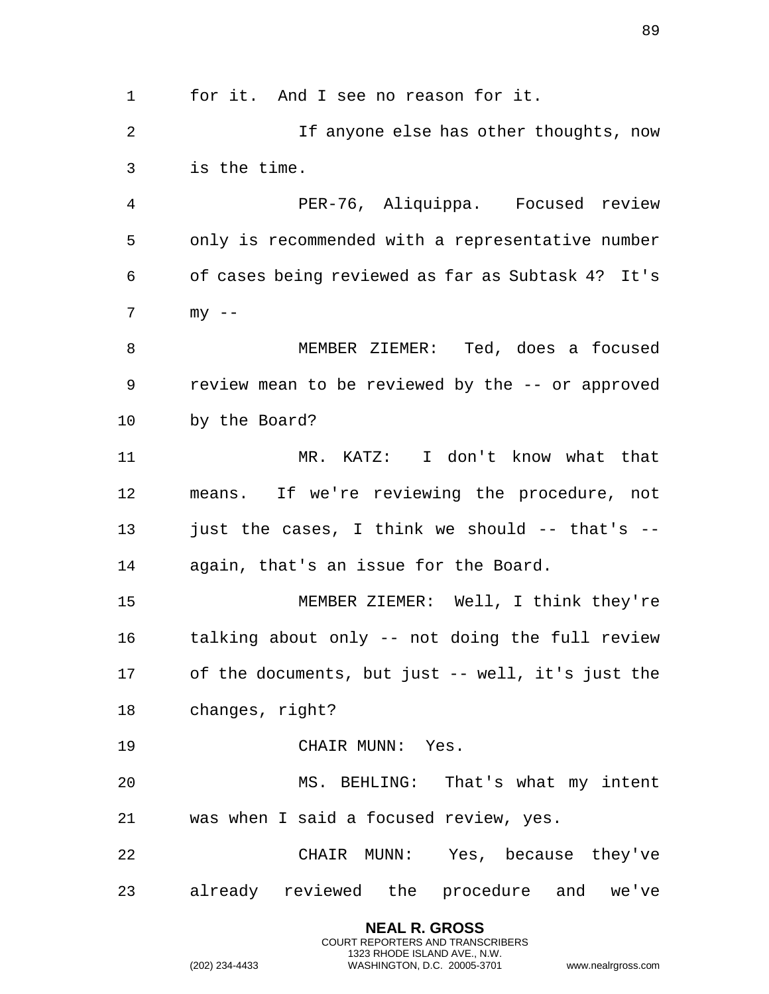for it. And I see no reason for it. If anyone else has other thoughts, now is the time. PER-76, Aliquippa. Focused review only is recommended with a representative number of cases being reviewed as far as Subtask 4? It's  $7 \qquad \qquad mV \qquad --$  MEMBER ZIEMER: Ted, does a focused review mean to be reviewed by the -- or approved by the Board? MR. KATZ: I don't know what that means. If we're reviewing the procedure, not just the cases, I think we should -- that's -- again, that's an issue for the Board. MEMBER ZIEMER: Well, I think they're talking about only -- not doing the full review of the documents, but just -- well, it's just the changes, right? CHAIR MUNN: Yes. MS. BEHLING: That's what my intent was when I said a focused review, yes. CHAIR MUNN: Yes, because they've already reviewed the procedure and we've

> **NEAL R. GROSS** COURT REPORTERS AND TRANSCRIBERS 1323 RHODE ISLAND AVE., N.W.

(202) 234-4433 WASHINGTON, D.C. 20005-3701 www.nealrgross.com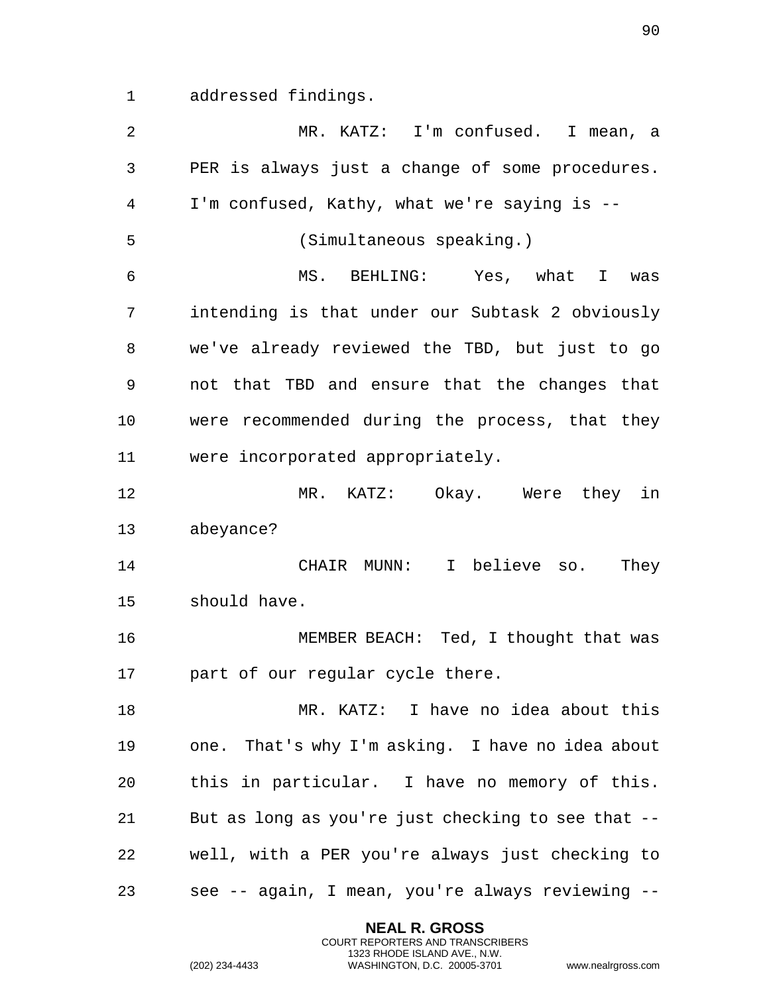addressed findings.

| 2  | MR. KATZ: I'm confused. I mean, a                  |
|----|----------------------------------------------------|
| 3  | PER is always just a change of some procedures.    |
| 4  | I'm confused, Kathy, what we're saying is --       |
| 5  | (Simultaneous speaking.)                           |
| 6  | MS. BEHLING: Yes, what I was                       |
| 7  | intending is that under our Subtask 2 obviously    |
| 8  | we've already reviewed the TBD, but just to go     |
| 9  | not that TBD and ensure that the changes that      |
| 10 | were recommended during the process, that they     |
| 11 | were incorporated appropriately.                   |
| 12 | MR. KATZ: Okay. Were they in                       |
| 13 | abeyance?                                          |
| 14 | CHAIR MUNN: I believe so.<br>They                  |
| 15 | should have.                                       |
| 16 | MEMBER BEACH: Ted, I thought that was              |
| 17 | part of our regular cycle there.                   |
| 18 | MR. KATZ: I have no idea about this                |
| 19 | one. That's why I'm asking. I have no idea about   |
| 20 | this in particular. I have no memory of this.      |
| 21 | But as long as you're just checking to see that -- |
| 22 | well, with a PER you're always just checking to    |
| 23 | see -- again, I mean, you're always reviewing --   |

**NEAL R. GROSS** COURT REPORTERS AND TRANSCRIBERS 1323 RHODE ISLAND AVE., N.W.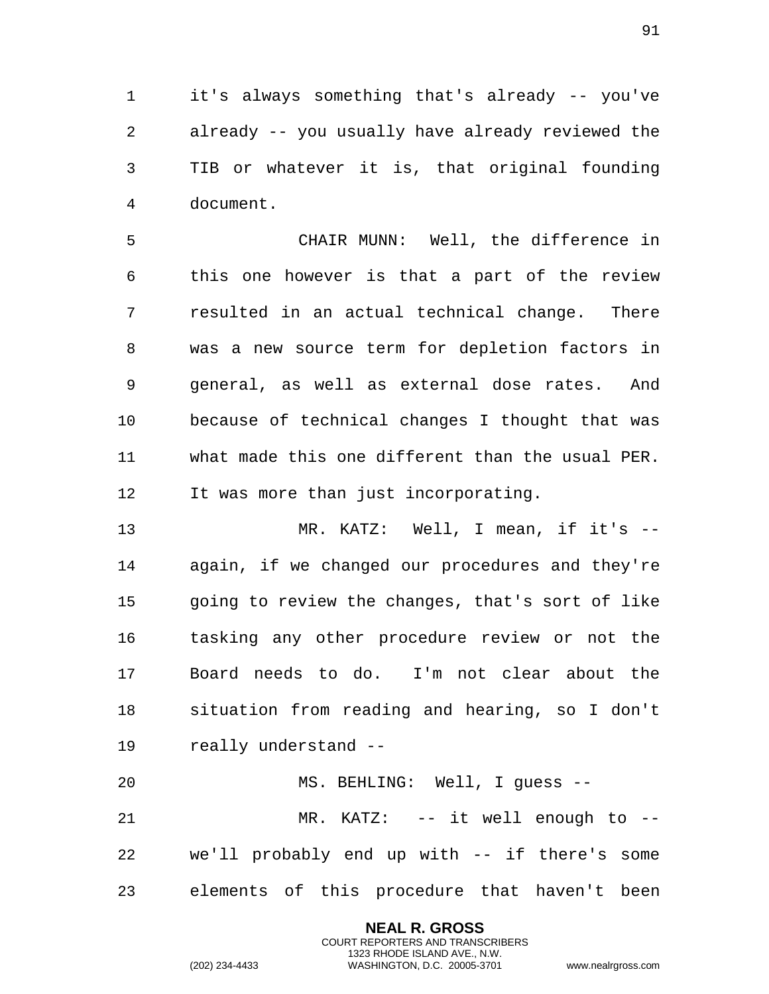it's always something that's already -- you've already -- you usually have already reviewed the TIB or whatever it is, that original founding document.

 CHAIR MUNN: Well, the difference in this one however is that a part of the review resulted in an actual technical change. There was a new source term for depletion factors in general, as well as external dose rates. And because of technical changes I thought that was what made this one different than the usual PER. It was more than just incorporating.

 MR. KATZ: Well, I mean, if it's -- again, if we changed our procedures and they're going to review the changes, that's sort of like tasking any other procedure review or not the Board needs to do. I'm not clear about the situation from reading and hearing, so I don't really understand --

 MS. BEHLING: Well, I guess -- MR. KATZ: -- it well enough to -- we'll probably end up with -- if there's some elements of this procedure that haven't been

> **NEAL R. GROSS** COURT REPORTERS AND TRANSCRIBERS 1323 RHODE ISLAND AVE., N.W.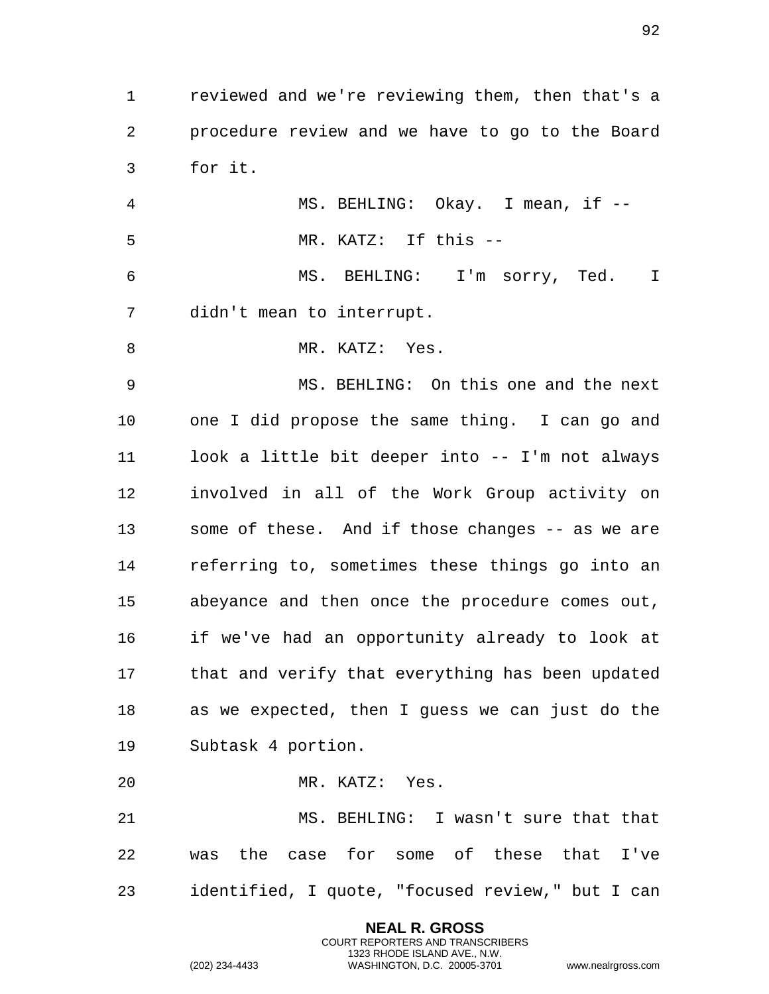reviewed and we're reviewing them, then that's a procedure review and we have to go to the Board for it.

 MS. BEHLING: Okay. I mean, if -- MR. KATZ: If this -- MS. BEHLING: I'm sorry, Ted. I

didn't mean to interrupt.

8 MR. KATZ: Yes.

 MS. BEHLING: On this one and the next one I did propose the same thing. I can go and look a little bit deeper into -- I'm not always involved in all of the Work Group activity on some of these. And if those changes -- as we are referring to, sometimes these things go into an abeyance and then once the procedure comes out, if we've had an opportunity already to look at that and verify that everything has been updated as we expected, then I guess we can just do the Subtask 4 portion.

MR. KATZ: Yes.

 MS. BEHLING: I wasn't sure that that was the case for some of these that I've identified, I quote, "focused review," but I can

> **NEAL R. GROSS** COURT REPORTERS AND TRANSCRIBERS 1323 RHODE ISLAND AVE., N.W.

(202) 234-4433 WASHINGTON, D.C. 20005-3701 www.nealrgross.com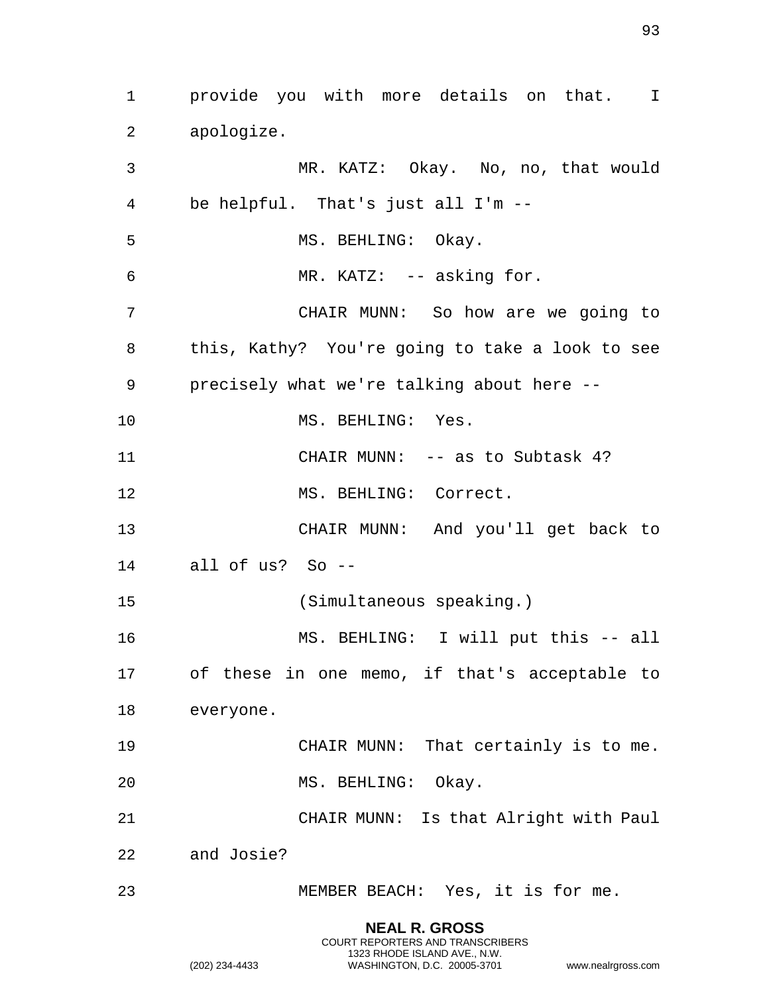provide you with more details on that. I apologize. MR. KATZ: Okay. No, no, that would be helpful. That's just all I'm -- 5 MS. BEHLING: Okay. MR. KATZ: -- asking for. CHAIR MUNN: So how are we going to this, Kathy? You're going to take a look to see precisely what we're talking about here -- 10 MS. BEHLING: Yes. CHAIR MUNN: -- as to Subtask 4? MS. BEHLING: Correct. CHAIR MUNN: And you'll get back to all of us? So -- (Simultaneous speaking.) MS. BEHLING: I will put this -- all of these in one memo, if that's acceptable to everyone. CHAIR MUNN: That certainly is to me. MS. BEHLING: Okay. CHAIR MUNN: Is that Alright with Paul and Josie? MEMBER BEACH: Yes, it is for me.

> **NEAL R. GROSS** COURT REPORTERS AND TRANSCRIBERS 1323 RHODE ISLAND AVE., N.W.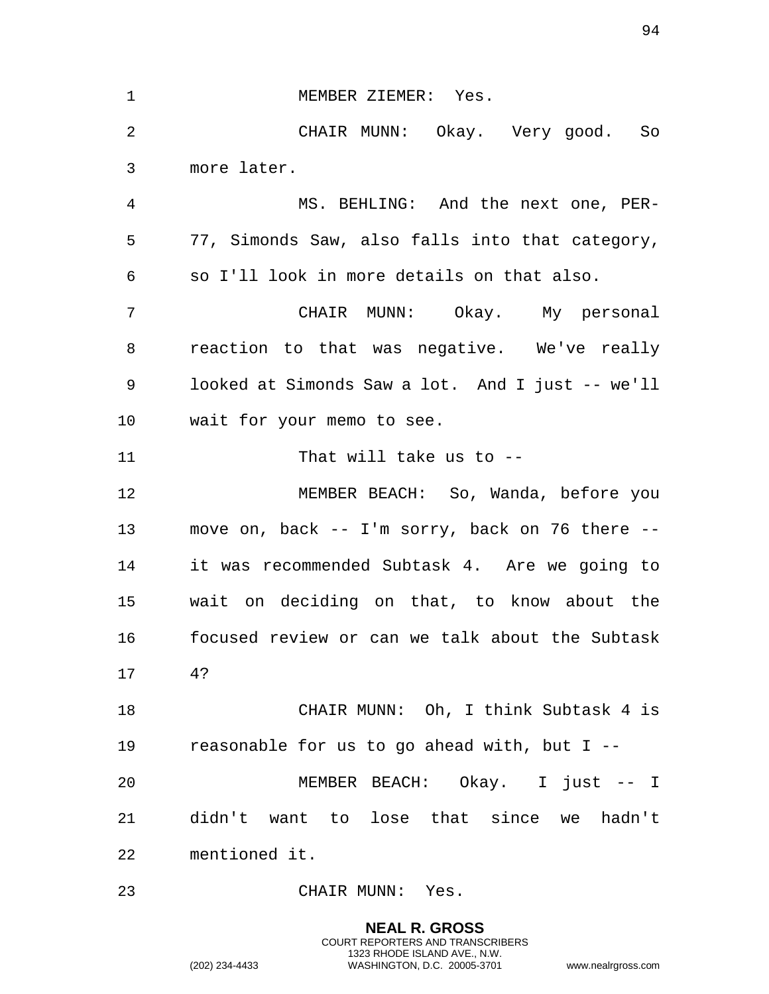MEMBER ZIEMER: Yes. CHAIR MUNN: Okay. Very good. So more later. MS. BEHLING: And the next one, PER- 77, Simonds Saw, also falls into that category, so I'll look in more details on that also. CHAIR MUNN: Okay. My personal reaction to that was negative. We've really looked at Simonds Saw a lot. And I just -- we'll wait for your memo to see. That will take us to -- MEMBER BEACH: So, Wanda, before you move on, back -- I'm sorry, back on 76 there -- it was recommended Subtask 4. Are we going to wait on deciding on that, to know about the focused review or can we talk about the Subtask 4? CHAIR MUNN: Oh, I think Subtask 4 is reasonable for us to go ahead with, but I -- MEMBER BEACH: Okay. I just -- I didn't want to lose that since we hadn't mentioned it. CHAIR MUNN: Yes.

> **NEAL R. GROSS** COURT REPORTERS AND TRANSCRIBERS 1323 RHODE ISLAND AVE., N.W.

(202) 234-4433 WASHINGTON, D.C. 20005-3701 www.nealrgross.com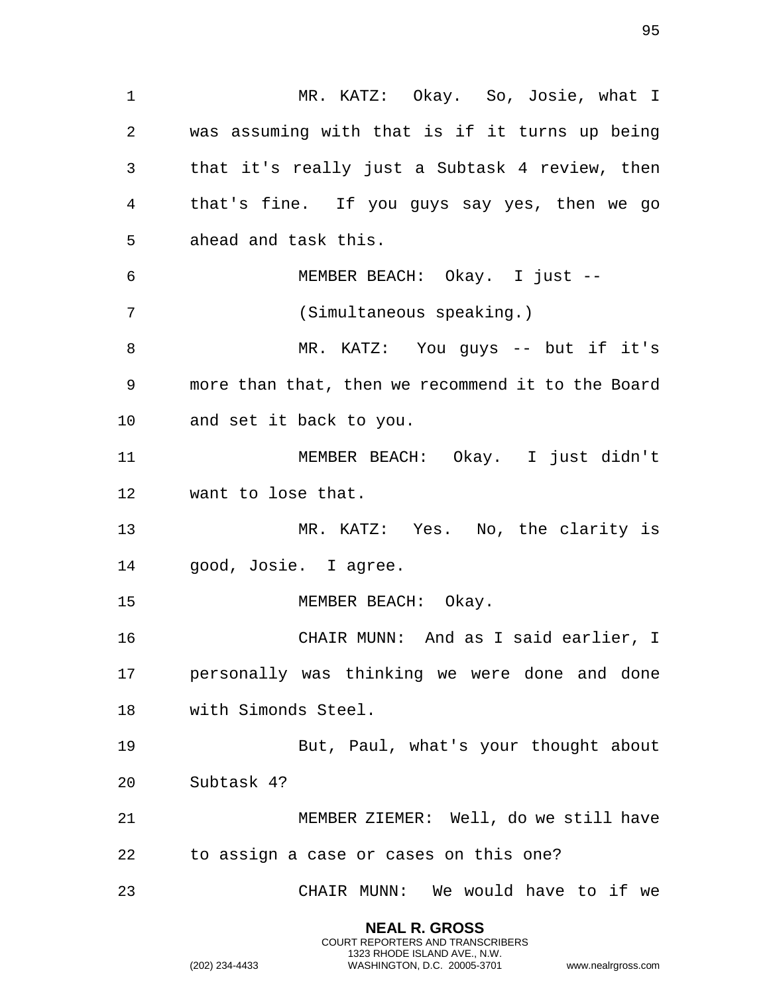1 MR. KATZ: Okay. So, Josie, what I 2 was assuming with that is if it turns up being 3 that it's really just a Subtask 4 review, then 4 that's fine. If you guys say yes, then we go 5 ahead and task this. 6 MEMBER BEACH: Okay. I just -- 7 (Simultaneous speaking.) 8 MR. KATZ: You guys -- but if it's 9 more than that, then we recommend it to the Board 10 and set it back to you. 11 MEMBER BEACH: Okay. I just didn't 12 want to lose that. 13 MR. KATZ: Yes. No, the clarity is 14 good, Josie. I agree. 15 MEMBER BEACH: Okay. 16 CHAIR MUNN: And as I said earlier, I 17 personally was thinking we were done and done 18 with Simonds Steel. 19 But, Paul, what's your thought about 20 Subtask 4? 21 MEMBER ZIEMER: Well, do we still have 22 to assign a case or cases on this one? 23 CHAIR MUNN: We would have to if we

> **NEAL R. GROSS** COURT REPORTERS AND TRANSCRIBERS 1323 RHODE ISLAND AVE., N.W.

(202) 234-4433 WASHINGTON, D.C. 20005-3701 www.nealrgross.com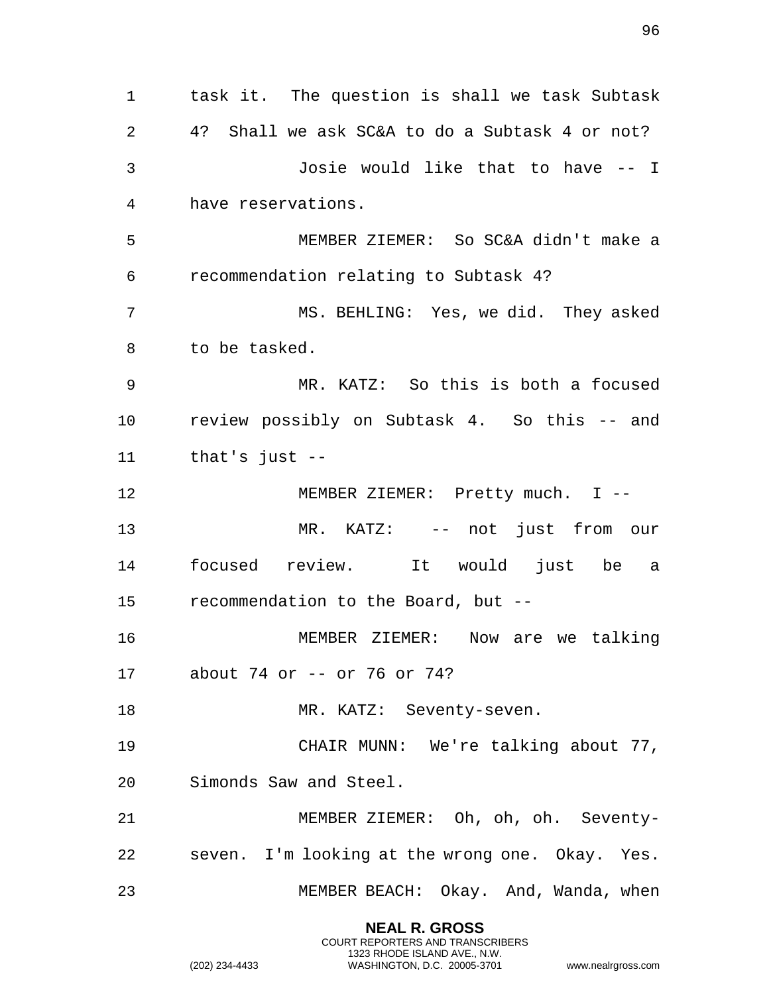**NEAL R. GROSS** 1 task it. The question is shall we task Subtask 2 4? Shall we ask SC&A to do a Subtask 4 or not? 3 Josie would like that to have -- I 4 have reservations. 5 MEMBER ZIEMER: So SC&A didn't make a 6 recommendation relating to Subtask 4? 7 MS. BEHLING: Yes, we did. They asked 8 to be tasked. 9 MR. KATZ: So this is both a focused 10 review possibly on Subtask 4. So this -- and 11 that's just -- 12 MEMBER ZIEMER: Pretty much. I -- 13 MR. KATZ: -- not just from our 14 focused review. It would just be a 15 recommendation to the Board, but -- 16 MEMBER ZIEMER: Now are we talking 17 about 74 or -- or 76 or 74? 18 MR. KATZ: Seventy-seven. 19 CHAIR MUNN: We're talking about 77, 20 Simonds Saw and Steel. 21 MEMBER ZIEMER: Oh, oh, oh. Seventy-22 seven. I'm looking at the wrong one. Okay. Yes. 23 MEMBER BEACH: Okay. And, Wanda, when

> COURT REPORTERS AND TRANSCRIBERS 1323 RHODE ISLAND AVE., N.W.

(202) 234-4433 WASHINGTON, D.C. 20005-3701 www.nealrgross.com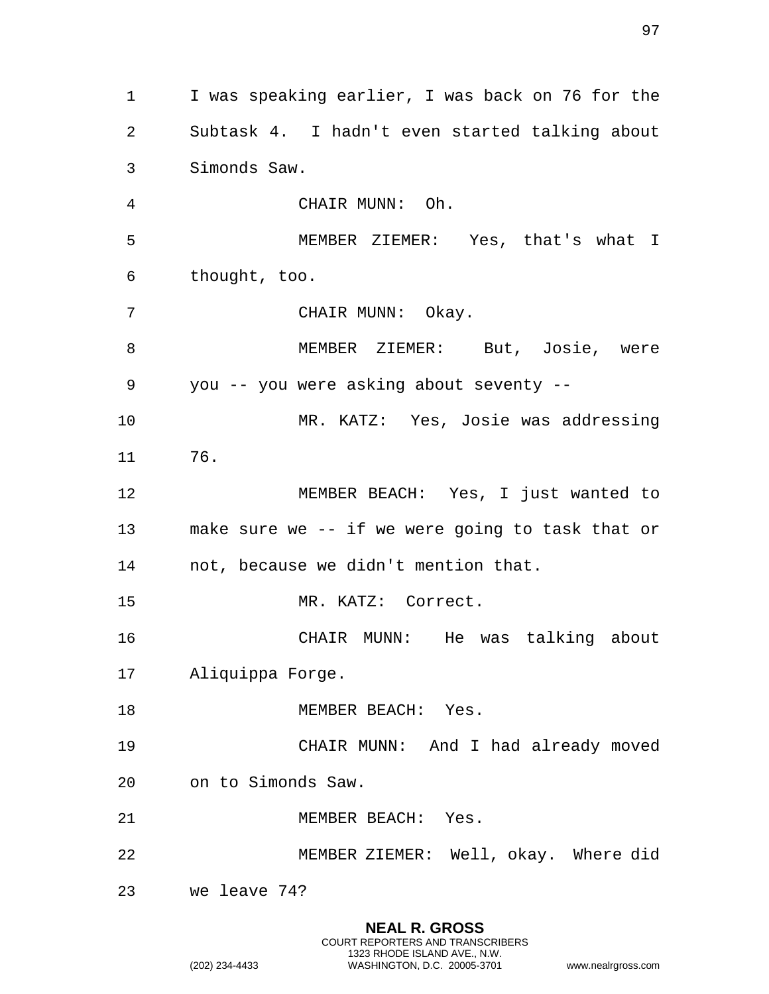1 I was speaking earlier, I was back on 76 for the 2 Subtask 4. I hadn't even started talking about 3 Simonds Saw. 4 CHAIR MUNN: Oh. 5 MEMBER ZIEMER: Yes, that's what I 6 thought, too. 7 CHAIR MUNN: Okay. 8 MEMBER ZIEMER: But, Josie, were 9 you -- you were asking about seventy -- 10 MR. KATZ: Yes, Josie was addressing 11 76. 12 MEMBER BEACH: Yes, I just wanted to 13 make sure we -- if we were going to task that or 14 not, because we didn't mention that. 15 MR. KATZ: Correct. 16 CHAIR MUNN: He was talking about 17 Aliquippa Forge. 18 MEMBER BEACH: Yes. 19 CHAIR MUNN: And I had already moved 20 on to Simonds Saw. 21 MEMBER BEACH: Yes. 22 MEMBER ZIEMER: Well, okay. Where did 23 we leave 74?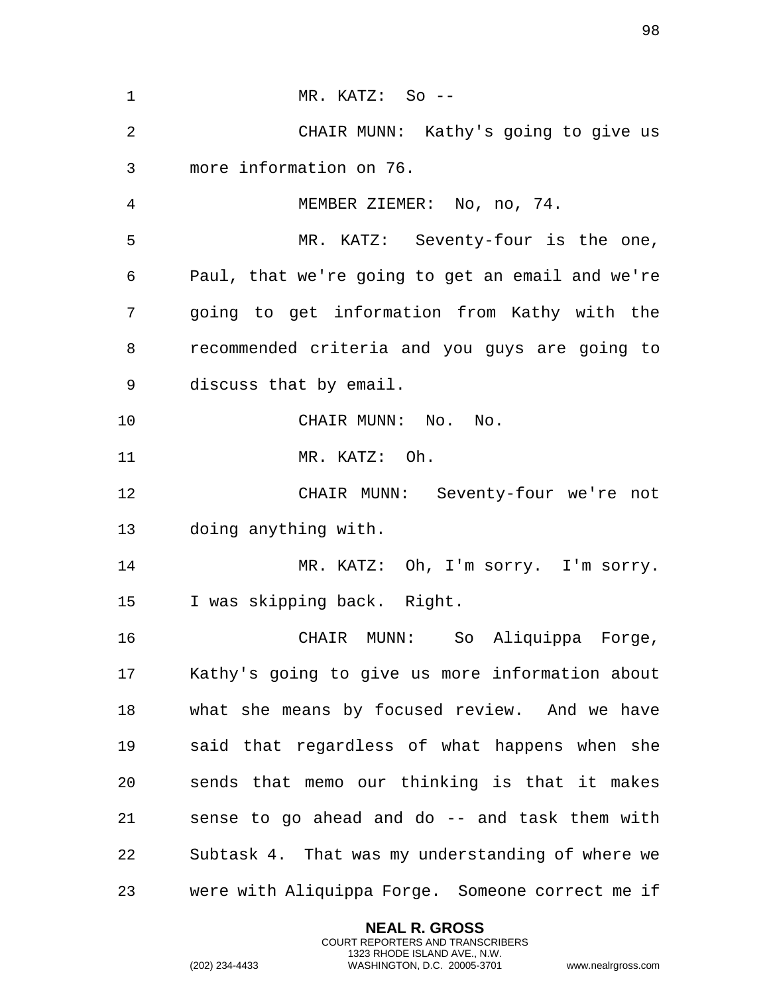| $\mathbf 1$ | MR. KATZ: So --                                  |
|-------------|--------------------------------------------------|
| 2           | CHAIR MUNN: Kathy's going to give us             |
| 3           | more information on 76.                          |
| 4           | MEMBER ZIEMER: No, no, 74.                       |
| 5           | MR. KATZ: Seventy-four is the one,               |
| 6           | Paul, that we're going to get an email and we're |
| 7           | going to get information from Kathy with the     |
| 8           | recommended criteria and you guys are going to   |
| 9           | discuss that by email.                           |
| 10          | CHAIR MUNN: No. No.                              |
| 11          | MR. KATZ: Oh.                                    |
| 12          | CHAIR MUNN: Seventy-four we're not               |
| 13          | doing anything with.                             |
| 14          | MR. KATZ: Oh, I'm sorry. I'm sorry.              |
| 15          | I was skipping back. Right.                      |
| 16          | CHAIR MUNN: So Aliquippa<br>Forge,               |
| 17          | Kathy's going to give us more information about  |
| 18          | what she means by focused review. And we have    |
| 19          | said that regardless of what happens when she    |
| 20          | sends that memo our thinking is that it makes    |
| 21          | sense to go ahead and do -- and task them with   |
| 22          | Subtask 4. That was my understanding of where we |
| 23          | were with Aliquippa Forge. Someone correct me if |

**NEAL R. GROSS** COURT REPORTERS AND TRANSCRIBERS 1323 RHODE ISLAND AVE., N.W.

(202) 234-4433 WASHINGTON, D.C. 20005-3701 www.nealrgross.com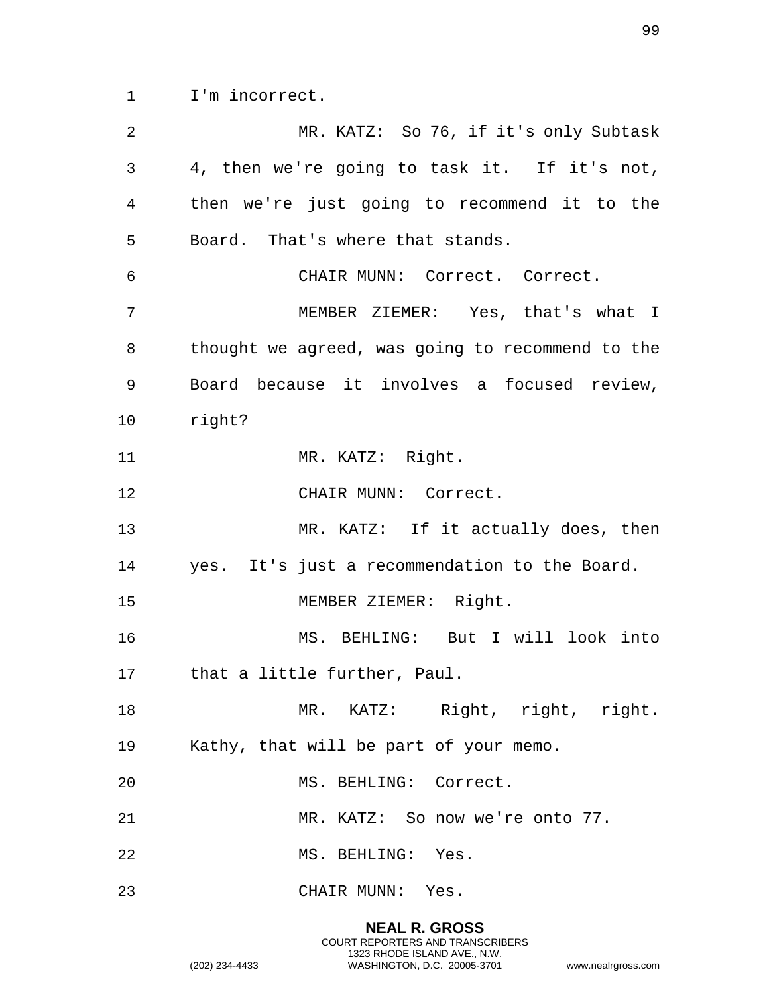1 I'm incorrect.

| 2  | MR. KATZ: So 76, if it's only Subtask            |
|----|--------------------------------------------------|
| 3  | 4, then we're going to task it. If it's not,     |
| 4  | then we're just going to recommend it to the     |
| 5  | Board. That's where that stands.                 |
| 6  | CHAIR MUNN: Correct. Correct.                    |
| 7  | MEMBER ZIEMER: Yes, that's what I                |
| 8  | thought we agreed, was going to recommend to the |
| 9  | Board because it involves a focused review,      |
| 10 | right?                                           |
| 11 | MR. KATZ: Right.                                 |
| 12 | CHAIR MUNN: Correct.                             |
| 13 | MR. KATZ: If it actually does, then              |
| 14 | yes. It's just a recommendation to the Board.    |
| 15 | MEMBER ZIEMER: Right.                            |
| 16 | MS. BEHLING: But I will look into                |
| 17 | that a little further, Paul.                     |
| 18 | MR. KATZ: Right, right, right.                   |
| 19 | Kathy, that will be part of your memo.           |
| 20 | MS. BEHLING: Correct.                            |
| 21 | MR. KATZ: So now we're onto 77.                  |
| 22 | MS. BEHLING: Yes.                                |
| 23 | CHAIR MUNN: Yes.                                 |

**NEAL R. GROSS** COURT REPORTERS AND TRANSCRIBERS 1323 RHODE ISLAND AVE., N.W.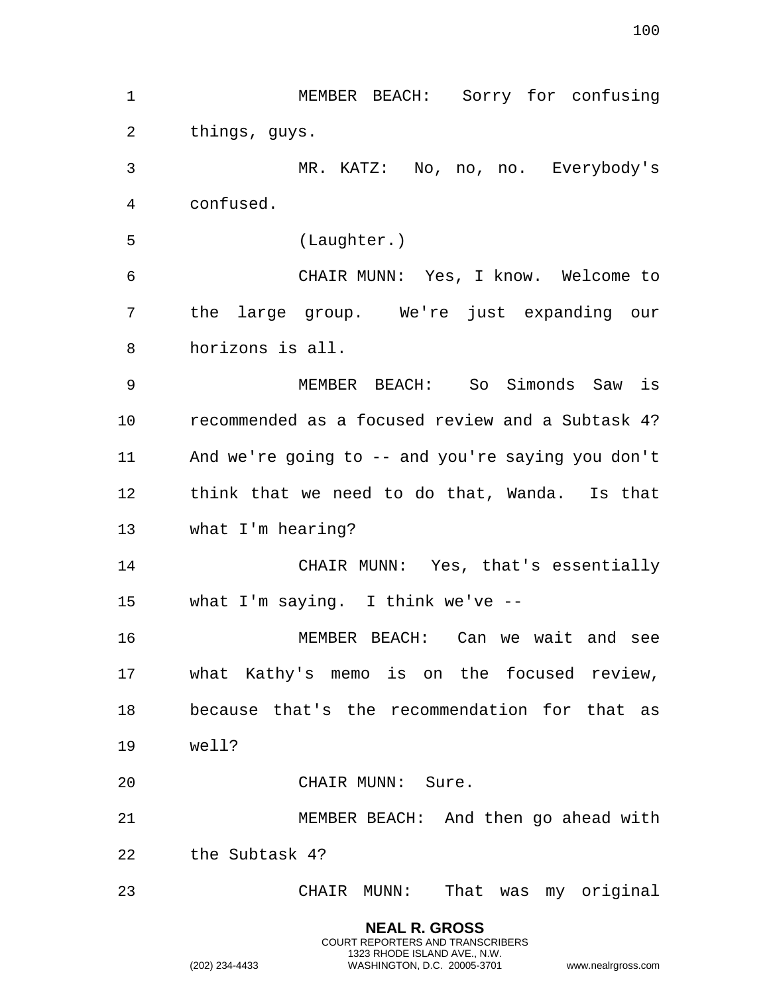| $\mathbf{1}$ | MEMBER BEACH: Sorry for confusing                 |
|--------------|---------------------------------------------------|
| 2            | things, guys.                                     |
| 3            | MR. KATZ: No, no, no. Everybody's                 |
| 4            | confused.                                         |
| 5            | (Laughter.)                                       |
| 6            | CHAIR MUNN: Yes, I know. Welcome to               |
| 7            | the large group. We're just expanding our         |
| 8            | horizons is all.                                  |
| 9            | MEMBER BEACH: So Simonds Saw is                   |
| 10           | recommended as a focused review and a Subtask 4?  |
| 11           | And we're going to -- and you're saying you don't |
| 12           | think that we need to do that, Wanda. Is that     |
| 13           | what I'm hearing?                                 |
| 14           | CHAIR MUNN: Yes, that's essentially               |
| 15           | what $I'm$ saying. I think we've $-$ -            |
| 16           | MEMBER BEACH: Can we wait and see                 |
| 17           | what Kathy's memo is on the focused review,       |
| 18           | because that's the recommendation for that as     |
| 19           | well?                                             |
| 20           | CHAIR MUNN: Sure.                                 |
| 21           | MEMBER BEACH: And then go ahead with              |
| 22           | the Subtask 4?                                    |
| 23           | CHAIR MUNN: That was my original                  |
|              | <b>NEAL R. GROSS</b>                              |

COURT REPORTERS AND TRANSCRIBERS 1323 RHODE ISLAND AVE., N.W.

(202) 234-4433 WASHINGTON, D.C. 20005-3701 www.nealrgross.com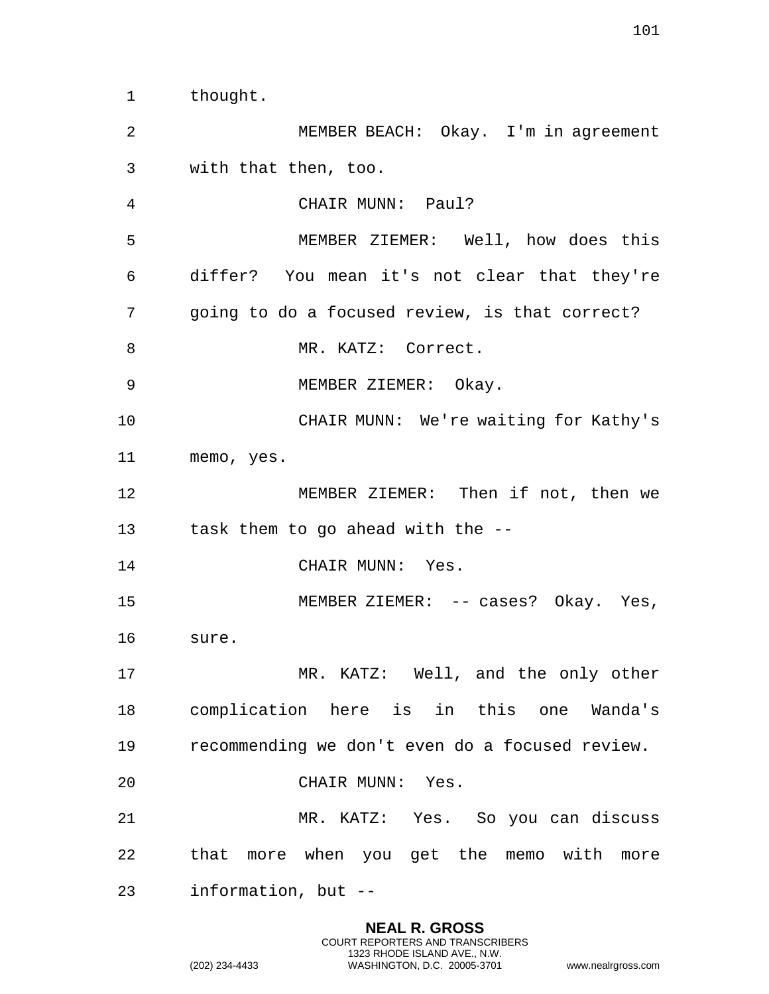thought.

**NEAL R. GROSS** COURT REPORTERS AND TRANSCRIBERS 1323 RHODE ISLAND AVE., N.W. (202) 234-4433 WASHINGTON, D.C. 20005-3701 www.nealrgross.com with that then, too. CHAIR MUNN: Paul? MEMBER ZIEMER: Well, how does this differ? You mean it's not clear that they're going to do a focused review, is that correct? 8 MR. KATZ: Correct. MEMBER ZIEMER: Okay. CHAIR MUNN: We're waiting for Kathy's memo, yes. MEMBER ZIEMER: Then if not, then we task them to go ahead with the -- 14 CHAIR MUNN: Yes. MEMBER ZIEMER: -- cases? Okay. Yes, sure. 17 MR. KATZ: Well, and the only other complication here is in this one Wanda's recommending we don't even do a focused review. CHAIR MUNN: Yes. MR. KATZ: Yes. So you can discuss that more when you get the memo with more information, but --

MEMBER BEACH: Okay. I'm in agreement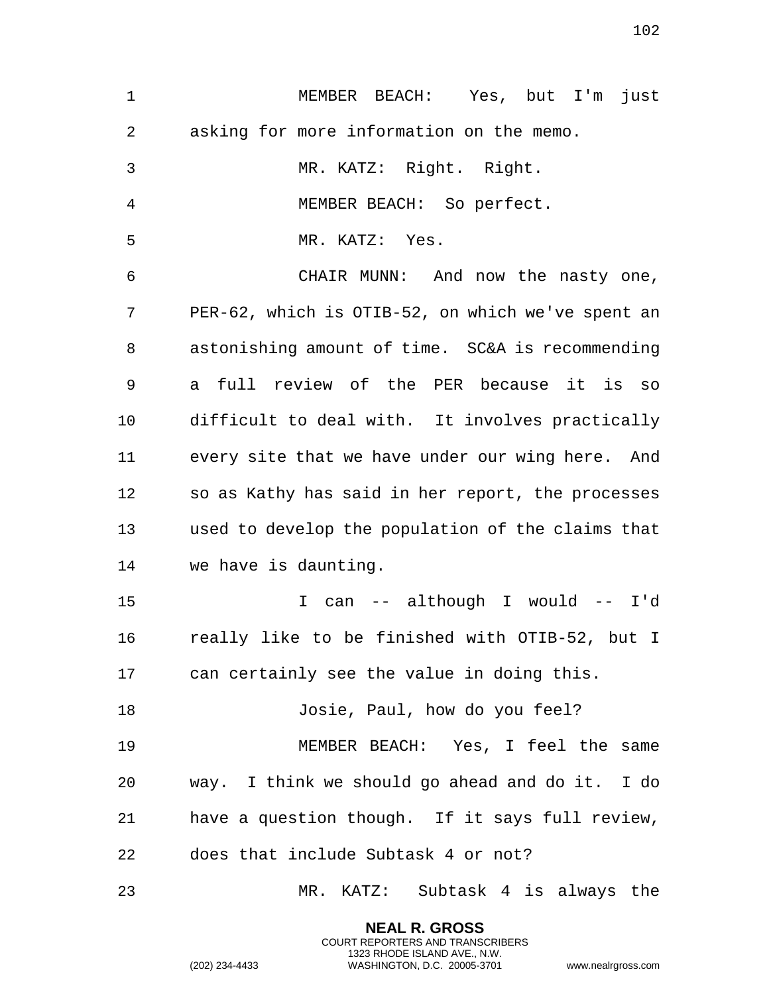| $\mathbf{1}$ | Yes, but I'm just<br>MEMBER BEACH:                |
|--------------|---------------------------------------------------|
| 2            | asking for more information on the memo.          |
| 3            | MR. KATZ: Right. Right.                           |
| 4            | MEMBER BEACH: So perfect.                         |
| 5            | MR. KATZ: Yes.                                    |
| 6            | CHAIR MUNN: And now the nasty one,                |
| 7            | PER-62, which is OTIB-52, on which we've spent an |
| 8            | astonishing amount of time. SC&A is recommending  |
| 9            | full review of the PER because it is so<br>a      |
| 10           | difficult to deal with. It involves practically   |
| 11           | every site that we have under our wing here. And  |
| 12           | so as Kathy has said in her report, the processes |
| 13           | used to develop the population of the claims that |
| 14           | we have is daunting.                              |
| 15           | can -- although I would -- I'd<br>I.              |
| 16           | really like to be finished with OTIB-52, but I    |
| 17           | can certainly see the value in doing this.        |
| 18           | Josie, Paul, how do you feel?                     |
| 19           | MEMBER BEACH: Yes, I feel the same                |
| 20           | way. I think we should go ahead and do it. I do   |
| 21           | have a question though. If it says full review,   |
| 22           | does that include Subtask 4 or not?               |
| 23           | MR. KATZ: Subtask 4 is always the                 |

**NEAL R. GROSS** COURT REPORTERS AND TRANSCRIBERS 1323 RHODE ISLAND AVE., N.W.

(202) 234-4433 WASHINGTON, D.C. 20005-3701 www.nealrgross.com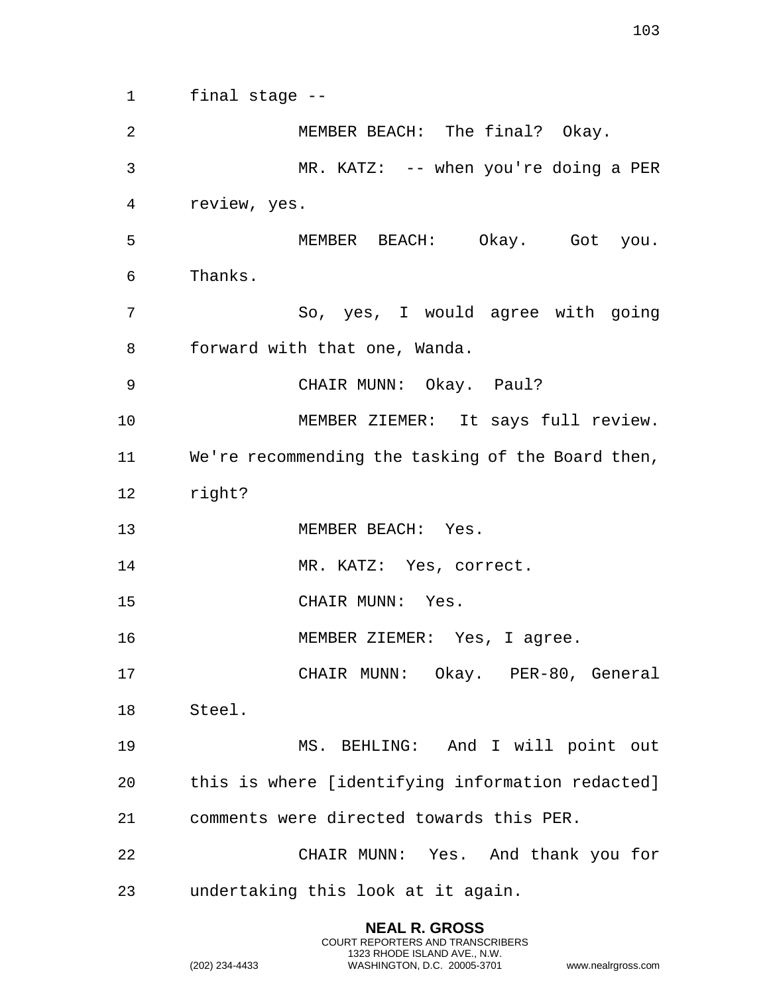final stage -- MEMBER BEACH: The final? Okay. MR. KATZ: -- when you're doing a PER review, yes. MEMBER BEACH: Okay. Got you. Thanks. So, yes, I would agree with going forward with that one, Wanda. CHAIR MUNN: Okay. Paul? MEMBER ZIEMER: It says full review. We're recommending the tasking of the Board then, right? MEMBER BEACH: Yes. 14 MR. KATZ: Yes, correct. CHAIR MUNN: Yes. 16 MEMBER ZIEMER: Yes, I agree. CHAIR MUNN: Okay. PER-80, General Steel. MS. BEHLING: And I will point out this is where [identifying information redacted] comments were directed towards this PER. CHAIR MUNN: Yes. And thank you for undertaking this look at it again.

> **NEAL R. GROSS** COURT REPORTERS AND TRANSCRIBERS 1323 RHODE ISLAND AVE., N.W.

(202) 234-4433 WASHINGTON, D.C. 20005-3701 www.nealrgross.com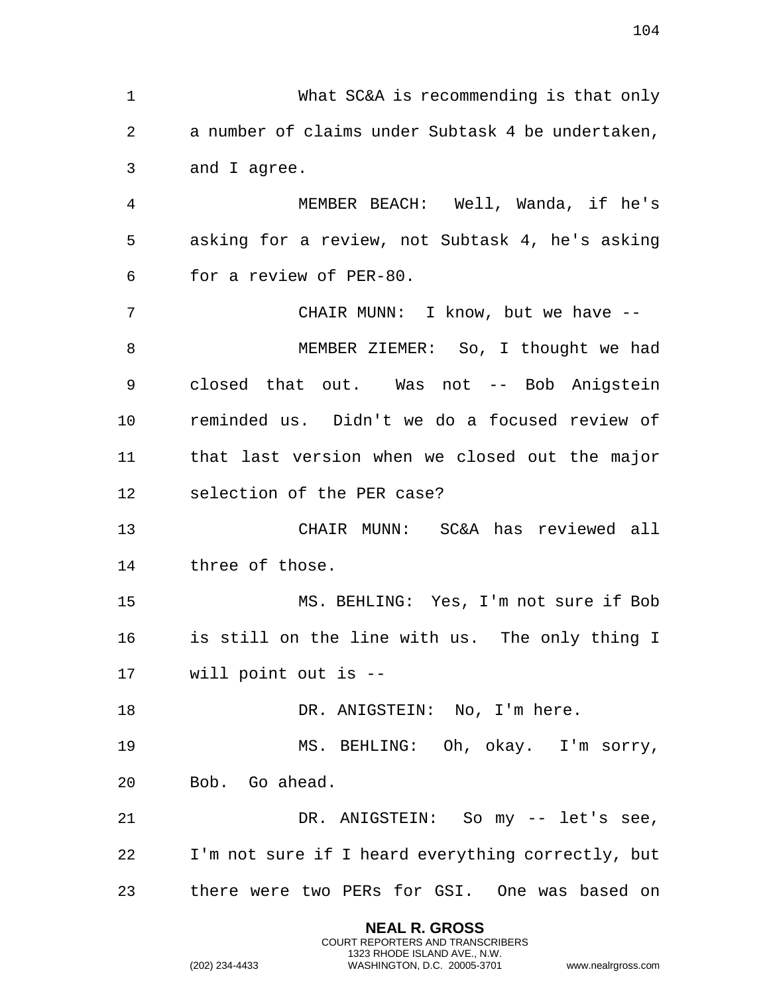What SC&A is recommending is that only a number of claims under Subtask 4 be undertaken, and I agree. MEMBER BEACH: Well, Wanda, if he's asking for a review, not Subtask 4, he's asking for a review of PER-80. CHAIR MUNN: I know, but we have -- MEMBER ZIEMER: So, I thought we had closed that out. Was not -- Bob Anigstein reminded us. Didn't we do a focused review of that last version when we closed out the major selection of the PER case? CHAIR MUNN: SC&A has reviewed all three of those. MS. BEHLING: Yes, I'm not sure if Bob is still on the line with us. The only thing I will point out is -- 18 DR. ANIGSTEIN: No, I'm here. MS. BEHLING: Oh, okay. I'm sorry, Bob. Go ahead. DR. ANIGSTEIN: So my -- let's see, I'm not sure if I heard everything correctly, but there were two PERs for GSI. One was based on

> **NEAL R. GROSS** COURT REPORTERS AND TRANSCRIBERS 1323 RHODE ISLAND AVE., N.W.

(202) 234-4433 WASHINGTON, D.C. 20005-3701 www.nealrgross.com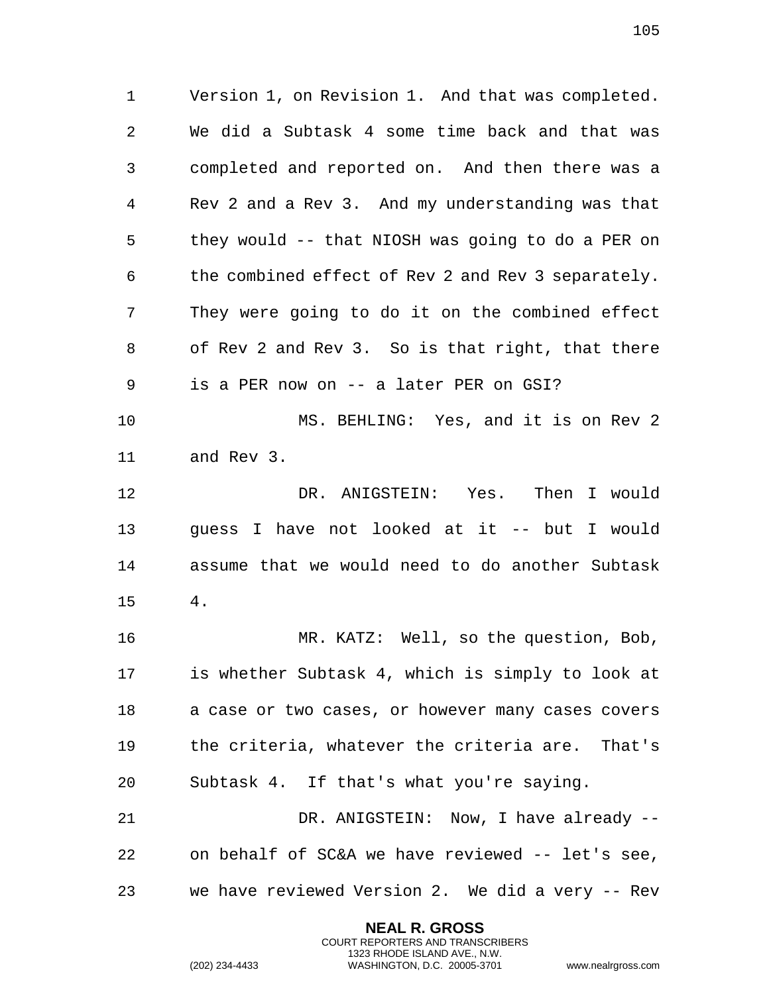Version 1, on Revision 1. And that was completed. We did a Subtask 4 some time back and that was completed and reported on. And then there was a Rev 2 and a Rev 3. And my understanding was that they would -- that NIOSH was going to do a PER on the combined effect of Rev 2 and Rev 3 separately. They were going to do it on the combined effect of Rev 2 and Rev 3. So is that right, that there is a PER now on -- a later PER on GSI? MS. BEHLING: Yes, and it is on Rev 2 and Rev 3. DR. ANIGSTEIN: Yes. Then I would guess I have not looked at it -- but I would assume that we would need to do another Subtask 4. MR. KATZ: Well, so the question, Bob, is whether Subtask 4, which is simply to look at a case or two cases, or however many cases covers the criteria, whatever the criteria are. That's Subtask 4. If that's what you're saying. DR. ANIGSTEIN: Now, I have already -- on behalf of SC&A we have reviewed -- let's see, we have reviewed Version 2. We did a very -- Rev

> **NEAL R. GROSS** COURT REPORTERS AND TRANSCRIBERS 1323 RHODE ISLAND AVE., N.W.

(202) 234-4433 WASHINGTON, D.C. 20005-3701 www.nealrgross.com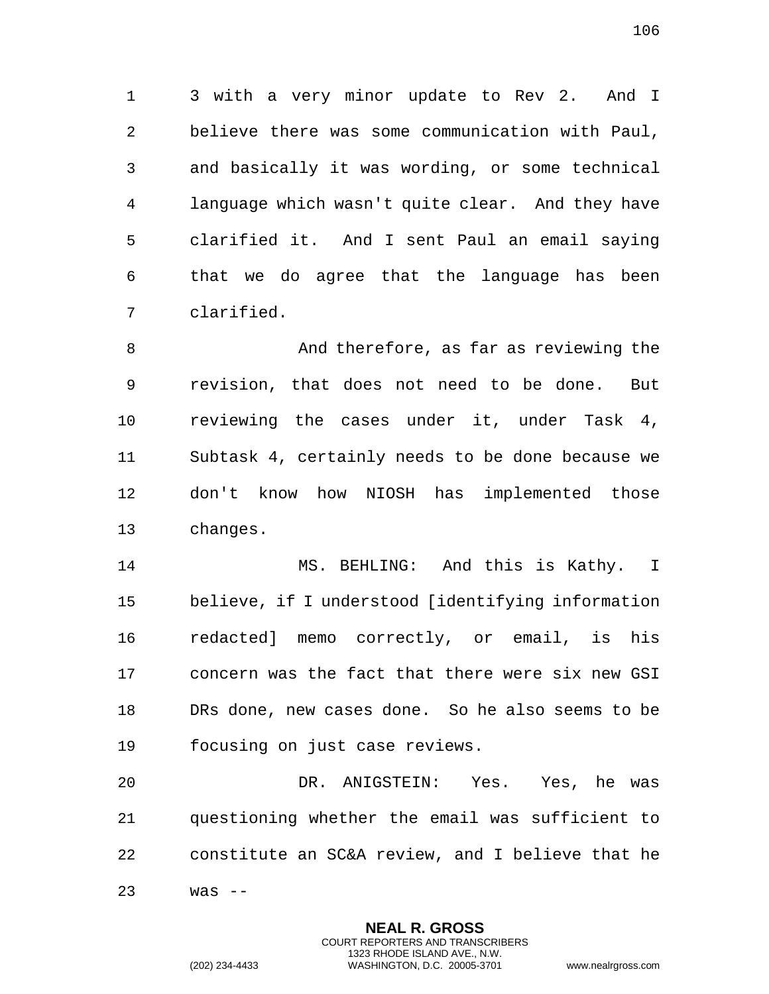3 with a very minor update to Rev 2. And I believe there was some communication with Paul, and basically it was wording, or some technical language which wasn't quite clear. And they have clarified it. And I sent Paul an email saying that we do agree that the language has been clarified.

 And therefore, as far as reviewing the revision, that does not need to be done. But reviewing the cases under it, under Task 4, Subtask 4, certainly needs to be done because we don't know how NIOSH has implemented those changes.

 MS. BEHLING: And this is Kathy. I believe, if I understood [identifying information redacted] memo correctly, or email, is his concern was the fact that there were six new GSI DRs done, new cases done. So he also seems to be focusing on just case reviews.

 DR. ANIGSTEIN: Yes. Yes, he was questioning whether the email was sufficient to constitute an SC&A review, and I believe that he

> **NEAL R. GROSS** COURT REPORTERS AND TRANSCRIBERS 1323 RHODE ISLAND AVE., N.W.

was --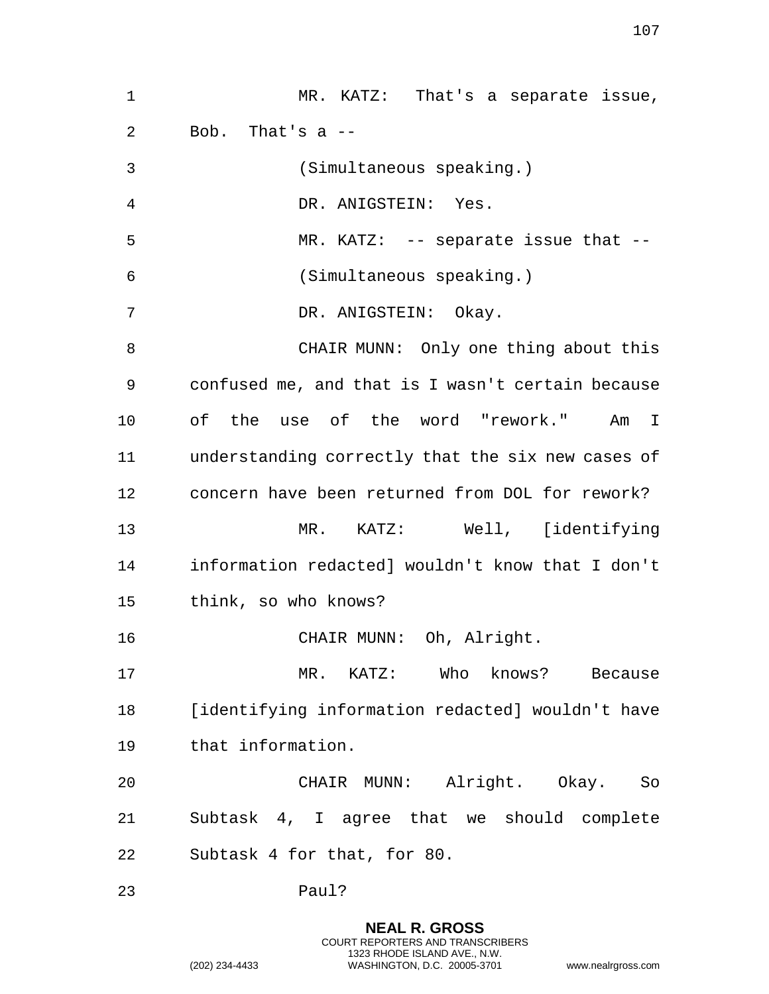| $\mathbf{1}$ | MR. KATZ: That's a separate issue,                |
|--------------|---------------------------------------------------|
| 2            | Bob. That's $a$ --                                |
| 3            | (Simultaneous speaking.)                          |
| 4            | DR. ANIGSTEIN: Yes.                               |
| 5            | MR. KATZ: -- separate issue that --               |
| 6            | (Simultaneous speaking.)                          |
| 7            | DR. ANIGSTEIN: Okay.                              |
| 8            | CHAIR MUNN: Only one thing about this             |
| 9            | confused me, and that is I wasn't certain because |
| 10           | of the use of the word "rework." Am I             |
| 11           | understanding correctly that the six new cases of |
| 12           | concern have been returned from DOL for rework?   |
| 13           | MR. KATZ: Well, [identifying                      |
| 14           | information redacted] wouldn't know that I don't  |
| 15           | think, so who knows?                              |
| 16           | CHAIR MUNN: Oh, Alright.                          |
| 17           | MR. KATZ: Who knows?<br>Because                   |
| 18           | [identifying information redacted] wouldn't have  |
| 19           | that information.                                 |
| 20           | CHAIR MUNN: Alright. Okay. So                     |
| 21           | Subtask 4, I agree that we should complete        |
| 22           | Subtask 4 for that, for 80.                       |
| 23           | Paul?                                             |

**NEAL R. GROSS** COURT REPORTERS AND TRANSCRIBERS 1323 RHODE ISLAND AVE., N.W.

(202) 234-4433 WASHINGTON, D.C. 20005-3701 www.nealrgross.com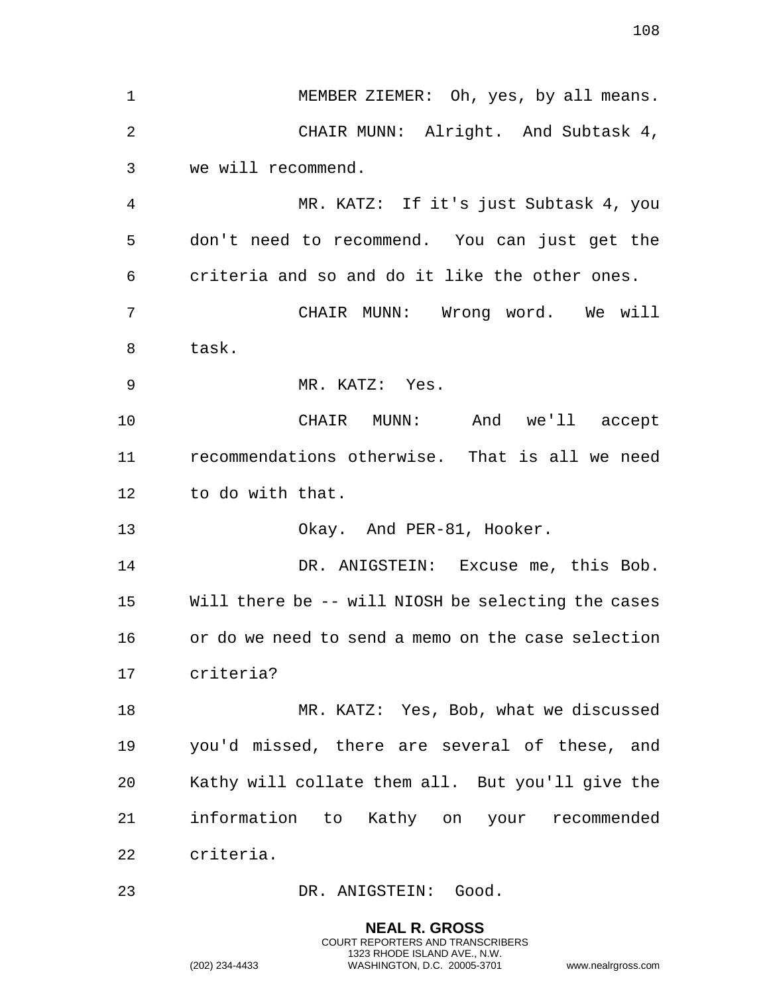**NEAL R. GROSS** MEMBER ZIEMER: Oh, yes, by all means. CHAIR MUNN: Alright. And Subtask 4, we will recommend. MR. KATZ: If it's just Subtask 4, you don't need to recommend. You can just get the criteria and so and do it like the other ones. CHAIR MUNN: Wrong word. We will task. MR. KATZ: Yes. CHAIR MUNN: And we'll accept recommendations otherwise. That is all we need to do with that. 13 Okay. And PER-81, Hooker. 14 DR. ANIGSTEIN: Excuse me, this Bob. Will there be -- will NIOSH be selecting the cases or do we need to send a memo on the case selection criteria? MR. KATZ: Yes, Bob, what we discussed you'd missed, there are several of these, and Kathy will collate them all. But you'll give the information to Kathy on your recommended criteria. DR. ANIGSTEIN: Good.

COURT REPORTERS AND TRANSCRIBERS 1323 RHODE ISLAND AVE., N.W.

(202) 234-4433 WASHINGTON, D.C. 20005-3701 www.nealrgross.com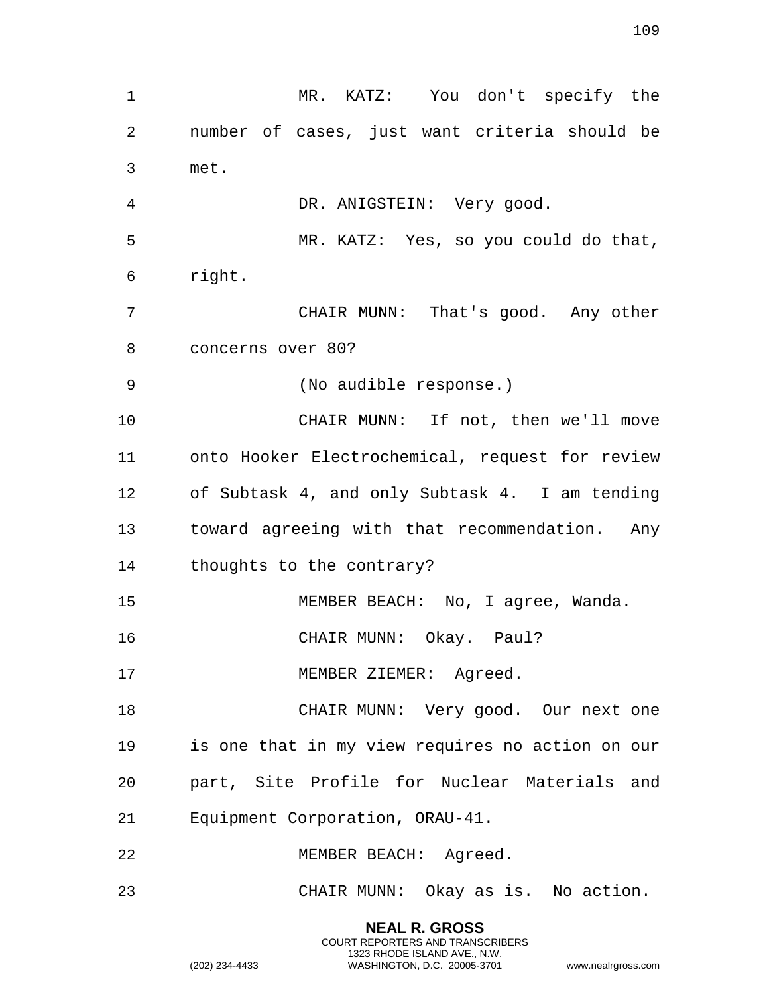**NEAL R. GROSS** MR. KATZ: You don't specify the number of cases, just want criteria should be met. DR. ANIGSTEIN: Very good. MR. KATZ: Yes, so you could do that, right. CHAIR MUNN: That's good. Any other concerns over 80? (No audible response.) CHAIR MUNN: If not, then we'll move onto Hooker Electrochemical, request for review of Subtask 4, and only Subtask 4. I am tending toward agreeing with that recommendation. Any thoughts to the contrary? MEMBER BEACH: No, I agree, Wanda. CHAIR MUNN: Okay. Paul? 17 MEMBER ZIEMER: Agreed. 18 CHAIR MUNN: Very good. Our next one is one that in my view requires no action on our part, Site Profile for Nuclear Materials and Equipment Corporation, ORAU-41. MEMBER BEACH: Agreed. CHAIR MUNN: Okay as is. No action.

> COURT REPORTERS AND TRANSCRIBERS 1323 RHODE ISLAND AVE., N.W.

(202) 234-4433 WASHINGTON, D.C. 20005-3701 www.nealrgross.com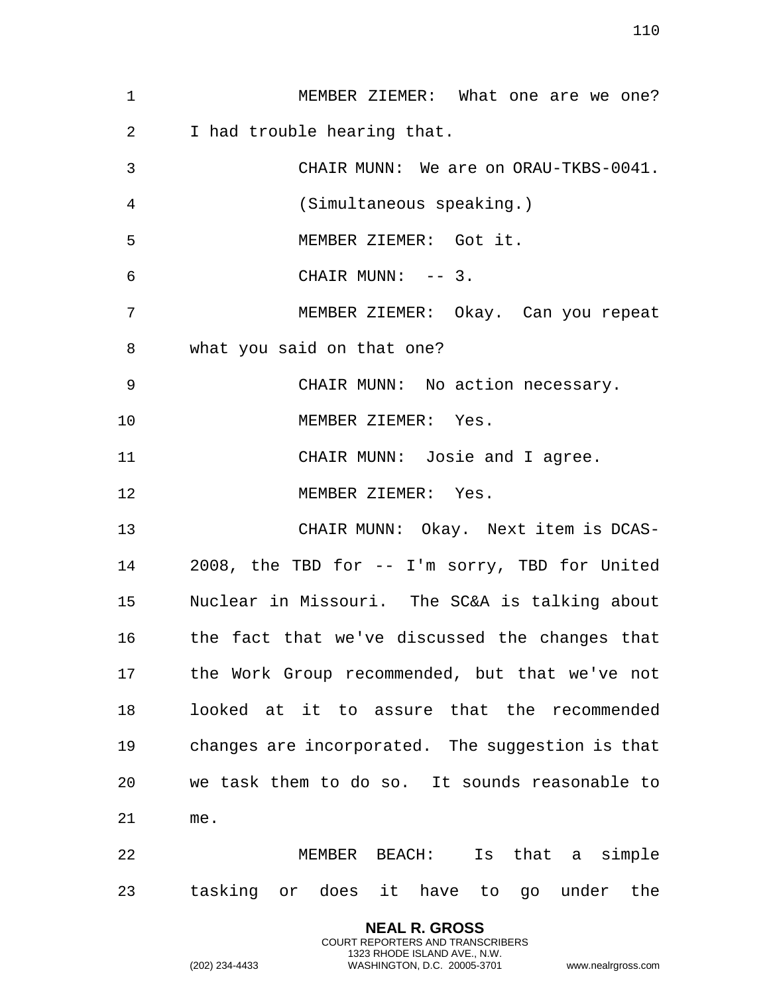| $\mathbf{1}$          | MEMBER ZIEMER: What one are we one?              |
|-----------------------|--------------------------------------------------|
| 2                     | I had trouble hearing that.                      |
| 3                     | CHAIR MUNN: We are on ORAU-TKBS-0041.            |
| 4                     | (Simultaneous speaking.)                         |
| 5                     | MEMBER ZIEMER: Got it.                           |
| 6                     | CHAIR MUNN: -- 3.                                |
| 7                     | MEMBER ZIEMER: Okay. Can you repeat              |
| 8                     | what you said on that one?                       |
| 9                     | CHAIR MUNN: No action necessary.                 |
| 10                    | MEMBER ZIEMER: Yes.                              |
| 11                    | CHAIR MUNN: Josie and I agree.                   |
| 12                    | MEMBER ZIEMER: Yes.                              |
| 13                    | CHAIR MUNN: Okay. Next item is DCAS-             |
| 14                    | 2008, the TBD for -- I'm sorry, TBD for United   |
| 15 and $\overline{a}$ | Nuclear in Missouri. The SC&A is talking about   |
| 16                    | the fact that we've discussed the changes that   |
| 17                    | the Work Group recommended, but that we've not   |
| 18                    | looked at it to assure that the recommended      |
| 19                    | changes are incorporated. The suggestion is that |
| 20                    | we task them to do so. It sounds reasonable to   |
| 21                    | me.                                              |
| 22                    | MEMBER BEACH: Is that a simple                   |
| 23                    | tasking or does it have to go under the          |
|                       | <b>NEAL R. GROSS</b>                             |

COURT REPORTERS AND TRANSCRIBERS 1323 RHODE ISLAND AVE., N.W.

(202) 234-4433 WASHINGTON, D.C. 20005-3701 www.nealrgross.com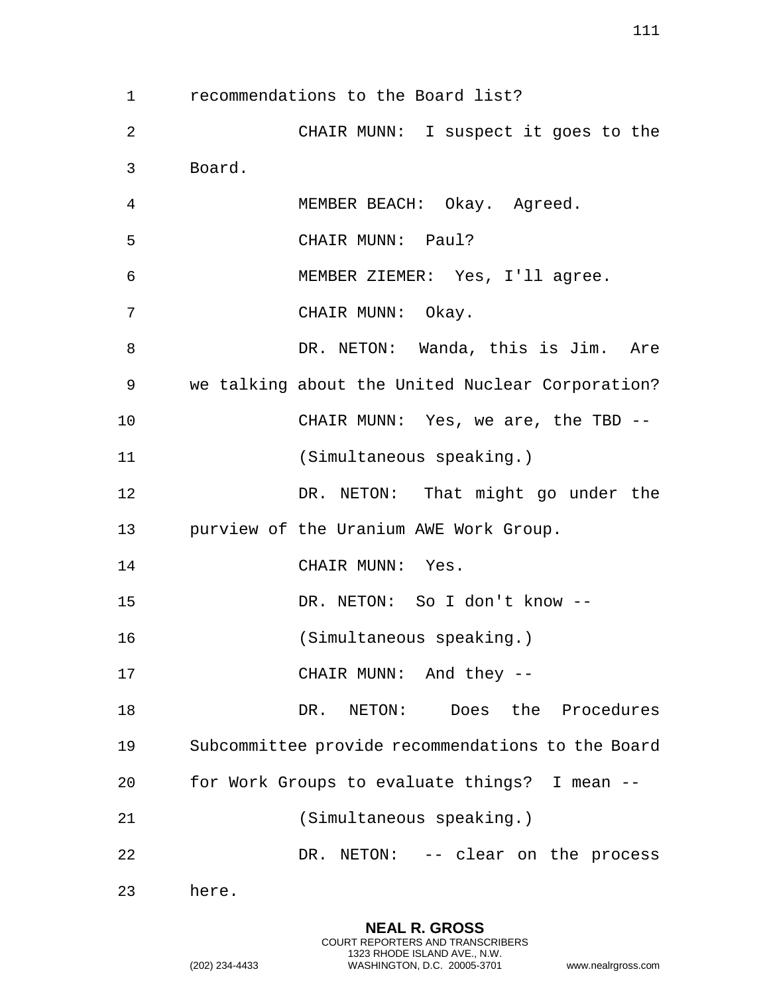recommendations to the Board list? CHAIR MUNN: I suspect it goes to the Board. MEMBER BEACH: Okay. Agreed. CHAIR MUNN: Paul? MEMBER ZIEMER: Yes, I'll agree. CHAIR MUNN: Okay. DR. NETON: Wanda, this is Jim. Are we talking about the United Nuclear Corporation? CHAIR MUNN: Yes, we are, the TBD -- (Simultaneous speaking.) 12 DR. NETON: That might go under the purview of the Uranium AWE Work Group. 14 CHAIR MUNN: Yes. DR. NETON: So I don't know -- (Simultaneous speaking.) 17 CHAIR MUNN: And they -- DR. NETON: Does the Procedures Subcommittee provide recommendations to the Board for Work Groups to evaluate things? I mean -- (Simultaneous speaking.) 22 DR. NETON: -- clear on the process here.

> **NEAL R. GROSS** COURT REPORTERS AND TRANSCRIBERS 1323 RHODE ISLAND AVE., N.W.

(202) 234-4433 WASHINGTON, D.C. 20005-3701 www.nealrgross.com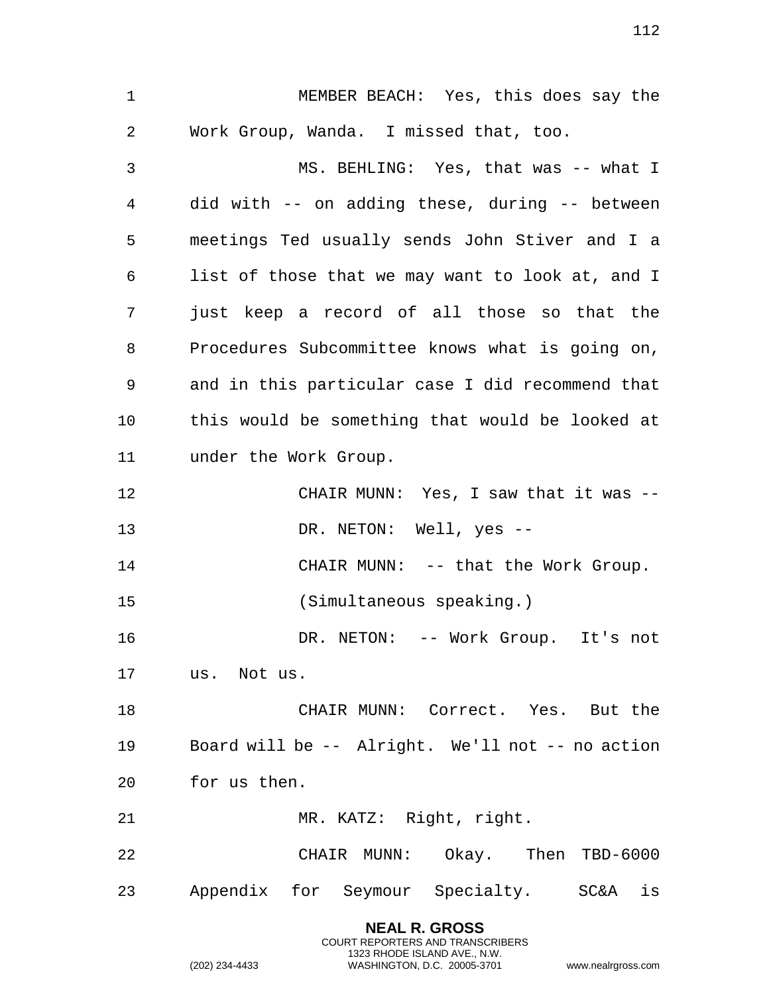**NEAL R. GROSS** 1 MEMBER BEACH: Yes, this does say the 2 Work Group, Wanda. I missed that, too. 3 MS. BEHLING: Yes, that was -- what I 4 did with -- on adding these, during -- between 5 meetings Ted usually sends John Stiver and I a 6 list of those that we may want to look at, and I 7 just keep a record of all those so that the 8 Procedures Subcommittee knows what is going on, 9 and in this particular case I did recommend that 10 this would be something that would be looked at 11 under the Work Group. 12 CHAIR MUNN: Yes, I saw that it was -- 13 DR. NETON: Well, yes --14 CHAIR MUNN: -- that the Work Group. 15 (Simultaneous speaking.) 16 DR. NETON: -- Work Group. It's not 17 us. Not us. 18 CHAIR MUNN: Correct. Yes. But the 19 Board will be -- Alright. We'll not -- no action 20 for us then. 21 MR. KATZ: Right, right. 22 CHAIR MUNN: Okay. Then TBD-6000 23 Appendix for Seymour Specialty. SC&A is

> COURT REPORTERS AND TRANSCRIBERS 1323 RHODE ISLAND AVE., N.W.

(202) 234-4433 WASHINGTON, D.C. 20005-3701 www.nealrgross.com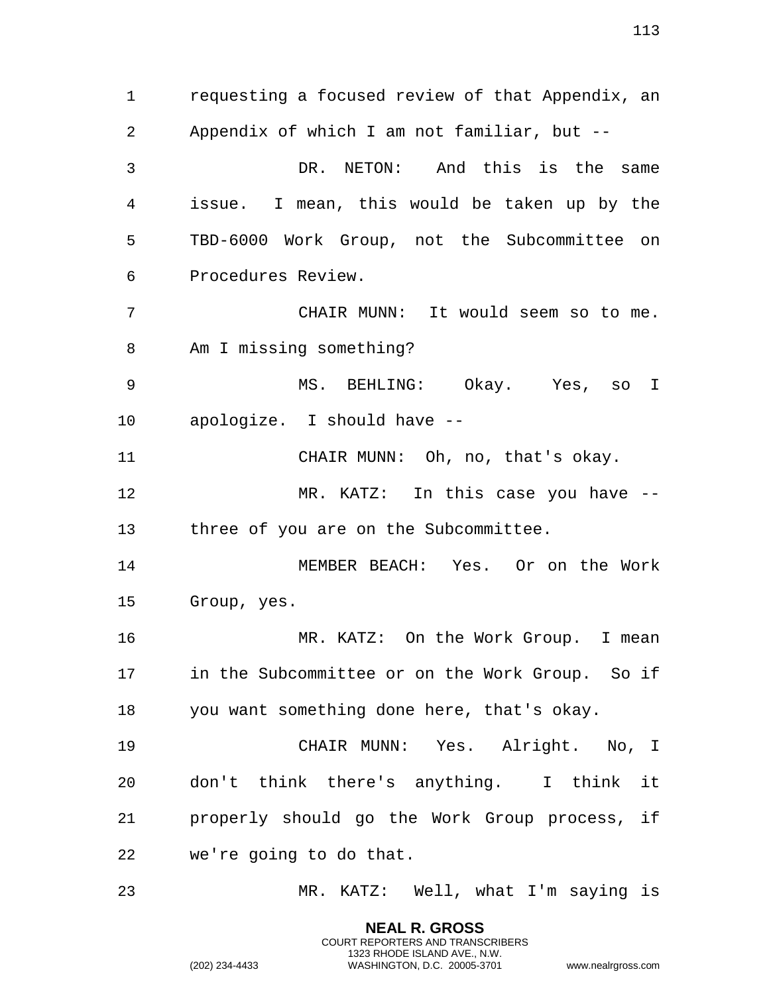1 requesting a focused review of that Appendix, an 2 Appendix of which I am not familiar, but -- 3 DR. NETON: And this is the same 4 issue. I mean, this would be taken up by the 5 TBD-6000 Work Group, not the Subcommittee on 6 Procedures Review. 7 CHAIR MUNN: It would seem so to me. 8 Am I missing something? 9 MS. BEHLING: Okay. Yes, so I 10 apologize. I should have -- 11 CHAIR MUNN: Oh, no, that's okay. 12 MR. KATZ: In this case you have -- 13 three of you are on the Subcommittee. 14 MEMBER BEACH: Yes. Or on the Work 15 Group, yes. 16 MR. KATZ: On the Work Group. I mean 17 in the Subcommittee or on the Work Group. So if 18 you want something done here, that's okay. 19 CHAIR MUNN: Yes. Alright. No, I 20 don't think there's anything. I think it 21 properly should go the Work Group process, if 22 we're going to do that. 23 MR. KATZ: Well, what I'm saying is

> **NEAL R. GROSS** COURT REPORTERS AND TRANSCRIBERS 1323 RHODE ISLAND AVE., N.W.

(202) 234-4433 WASHINGTON, D.C. 20005-3701 www.nealrgross.com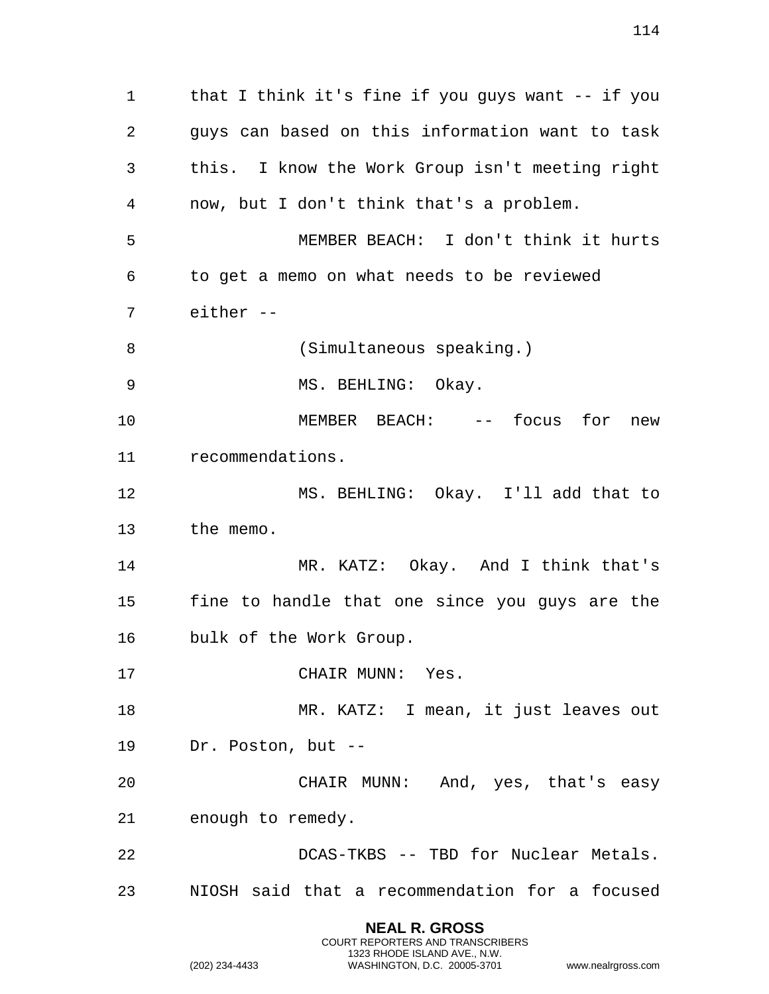1 that I think it's fine if you guys want -- if you 2 guys can based on this information want to task 3 this. I know the Work Group isn't meeting right 4 now, but I don't think that's a problem. 5 MEMBER BEACH: I don't think it hurts 6 to get a memo on what needs to be reviewed 7 either -- 8 (Simultaneous speaking.) 9 MS. BEHLING: Okay. 10 MEMBER BEACH: -- focus for new 11 recommendations. 12 MS. BEHLING: Okay. I'll add that to 13 the memo. 14 MR. KATZ: Okay. And I think that's 15 fine to handle that one since you guys are the 16 bulk of the Work Group. 17 CHAIR MUNN: Yes. 18 MR. KATZ: I mean, it just leaves out 19 Dr. Poston, but -- 20 CHAIR MUNN: And, yes, that's easy 21 enough to remedy. 22 DCAS-TKBS -- TBD for Nuclear Metals. 23 NIOSH said that a recommendation for a focused

> **NEAL R. GROSS** COURT REPORTERS AND TRANSCRIBERS 1323 RHODE ISLAND AVE., N.W.

(202) 234-4433 WASHINGTON, D.C. 20005-3701 www.nealrgross.com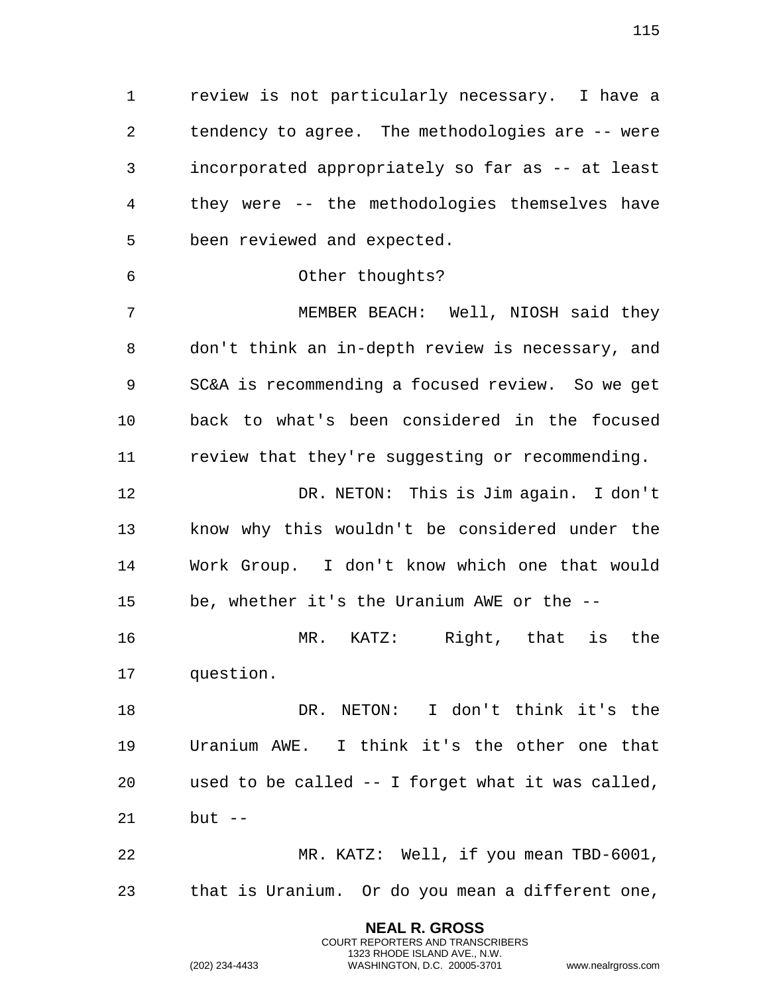1 review is not particularly necessary. I have a 2 tendency to agree. The methodologies are -- were 3 incorporated appropriately so far as -- at least 4 they were -- the methodologies themselves have 5 been reviewed and expected.

6 Other thoughts?

7 MEMBER BEACH: Well, NIOSH said they 8 don't think an in-depth review is necessary, and 9 SC&A is recommending a focused review. So we get 10 back to what's been considered in the focused 11 review that they're suggesting or recommending.

12 DR. NETON: This is Jim again. I don't 13 know why this wouldn't be considered under the 14 Work Group. I don't know which one that would 15 be, whether it's the Uranium AWE or the --

16 MR. KATZ: Right, that is the 17 question.

18 DR. NETON: I don't think it's the 19 Uranium AWE. I think it's the other one that 20 used to be called -- I forget what it was called, 21 but --

22 MR. KATZ: Well, if you mean TBD-6001, 23 that is Uranium. Or do you mean a different one,

> **NEAL R. GROSS** COURT REPORTERS AND TRANSCRIBERS 1323 RHODE ISLAND AVE., N.W.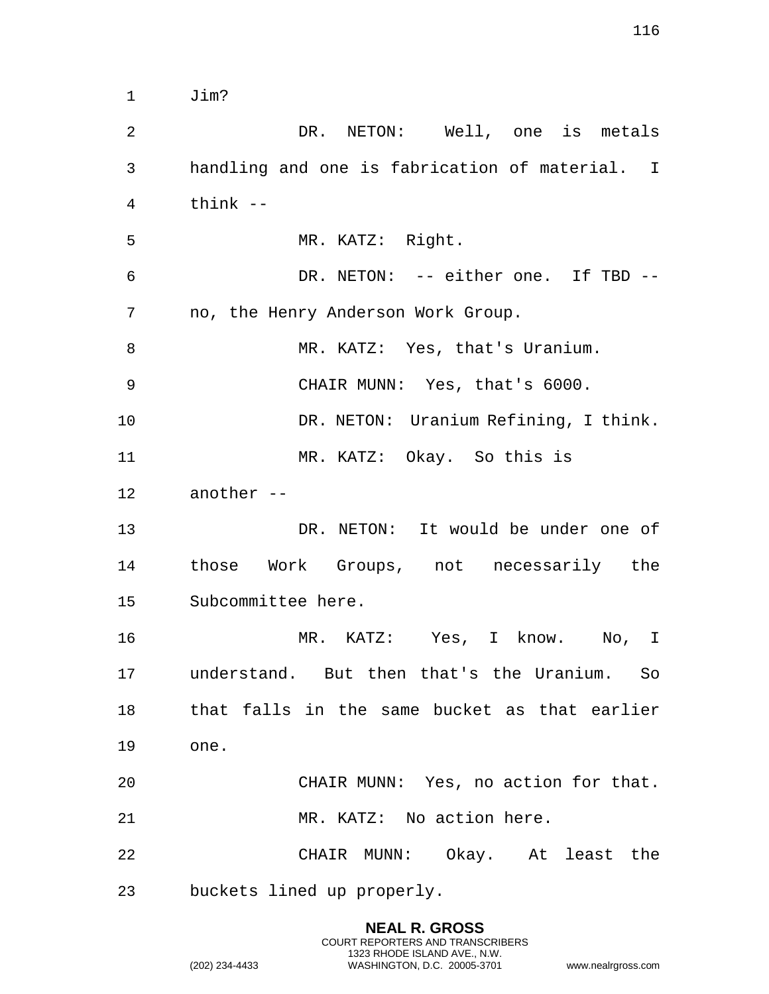1 Jim?

2 DR. NETON: Well, one is metals 3 handling and one is fabrication of material. I 4 think -- 5 MR. KATZ: Right. 6 DR. NETON: -- either one. If TBD -- 7 no, the Henry Anderson Work Group. 8 MR. KATZ: Yes, that's Uranium. 9 CHAIR MUNN: Yes, that's 6000. 10 DR. NETON: Uranium Refining, I think. 11 MR. KATZ: Okay. So this is 12 another -- 13 DR. NETON: It would be under one of 14 those Work Groups, not necessarily the 15 Subcommittee here. 16 MR. KATZ: Yes, I know. No, I 17 understand. But then that's the Uranium. So 18 that falls in the same bucket as that earlier 19 one. 20 CHAIR MUNN: Yes, no action for that. 21 MR. KATZ: No action here. 22 CHAIR MUNN: Okay. At least the 23 buckets lined up properly.

> **NEAL R. GROSS** COURT REPORTERS AND TRANSCRIBERS 1323 RHODE ISLAND AVE., N.W.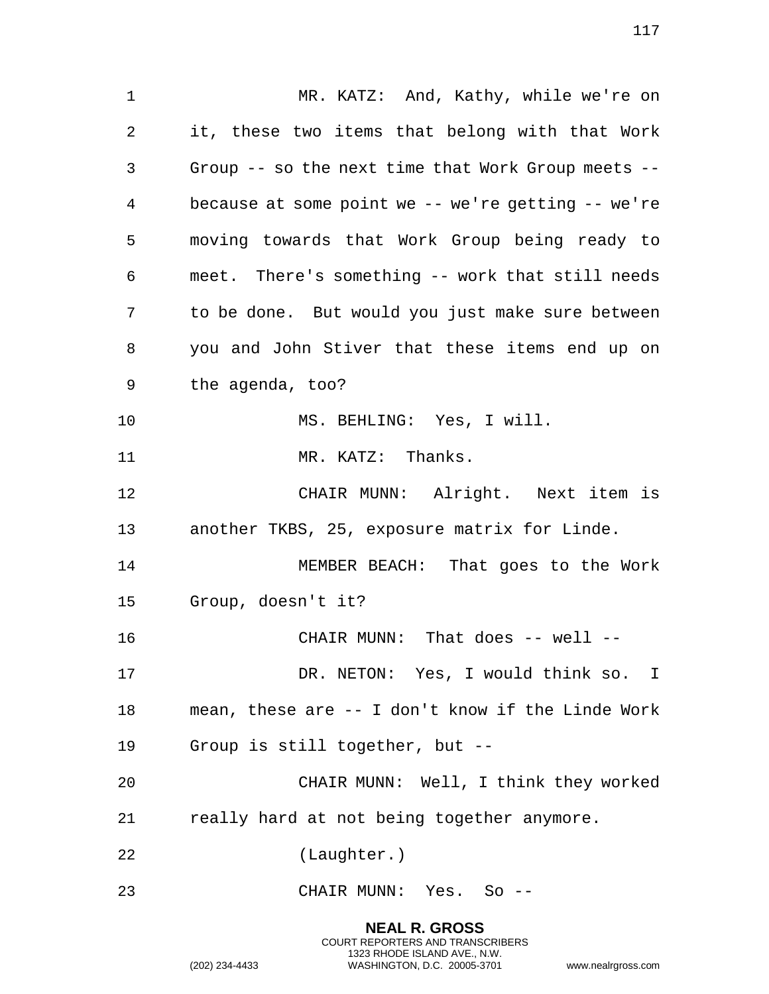1 MR. KATZ: And, Kathy, while we're on 2 it, these two items that belong with that Work 3 Group -- so the next time that Work Group meets -- 4 because at some point we -- we're getting -- we're 5 moving towards that Work Group being ready to 6 meet. There's something -- work that still needs 7 to be done. But would you just make sure between 8 you and John Stiver that these items end up on 9 the agenda, too? 10 MS. BEHLING: Yes, I will. 11 MR. KATZ: Thanks. 12 CHAIR MUNN: Alright. Next item is 13 another TKBS, 25, exposure matrix for Linde. 14 MEMBER BEACH: That goes to the Work 15 Group, doesn't it? 16 CHAIR MUNN: That does -- well --17 DR. NETON: Yes, I would think so. I 18 mean, these are -- I don't know if the Linde Work 19 Group is still together, but -- 20 CHAIR MUNN: Well, I think they worked 21 really hard at not being together anymore. 22 (Laughter.) 23 CHAIR MUNN: Yes. So --

> **NEAL R. GROSS** COURT REPORTERS AND TRANSCRIBERS 1323 RHODE ISLAND AVE., N.W.

(202) 234-4433 WASHINGTON, D.C. 20005-3701 www.nealrgross.com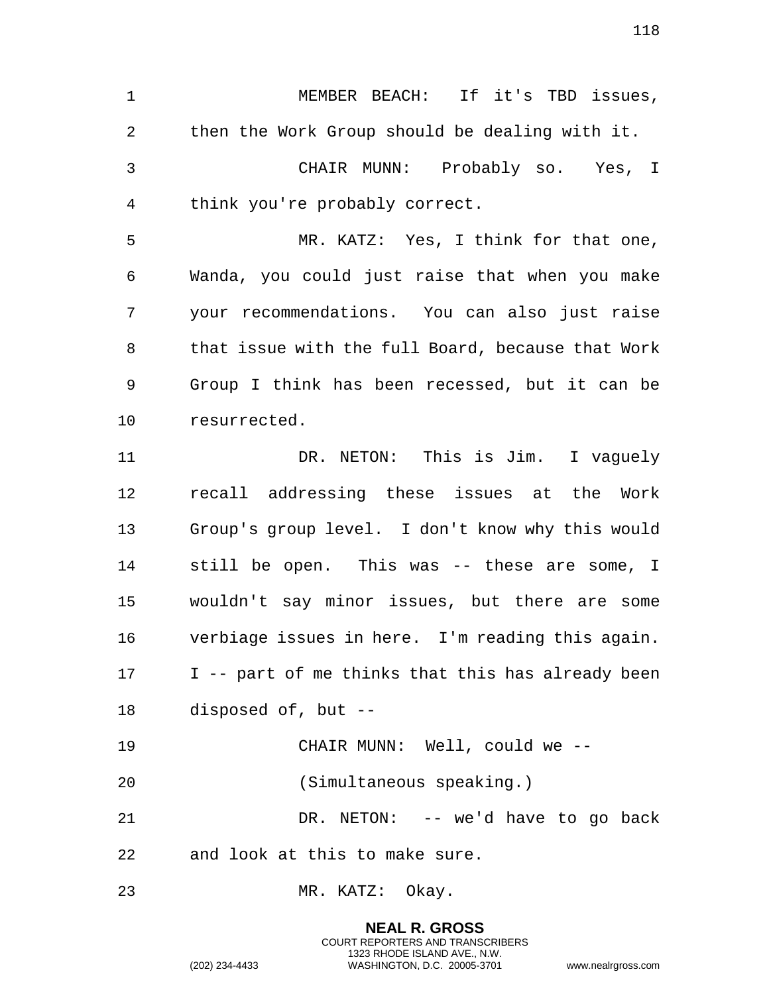1 MEMBER BEACH: If it's TBD issues, 2 then the Work Group should be dealing with it. 3 CHAIR MUNN: Probably so. Yes, I 4 think you're probably correct. 5 MR. KATZ: Yes, I think for that one, 6 Wanda, you could just raise that when you make 7 your recommendations. You can also just raise 8 that issue with the full Board, because that Work 9 Group I think has been recessed, but it can be 10 resurrected. 11 DR. NETON: This is Jim. I vaguely 12 recall addressing these issues at the Work 13 Group's group level. I don't know why this would 14 still be open. This was -- these are some, I 15 wouldn't say minor issues, but there are some 16 verbiage issues in here. I'm reading this again. 17 I -- part of me thinks that this has already been 18 disposed of, but -- 19 CHAIR MUNN: Well, could we -- 20 (Simultaneous speaking.) 21 DR. NETON: -- we'd have to go back 22 and look at this to make sure. 23 MR. KATZ: Okay.

> **NEAL R. GROSS** COURT REPORTERS AND TRANSCRIBERS 1323 RHODE ISLAND AVE., N.W.

(202) 234-4433 WASHINGTON, D.C. 20005-3701 www.nealrgross.com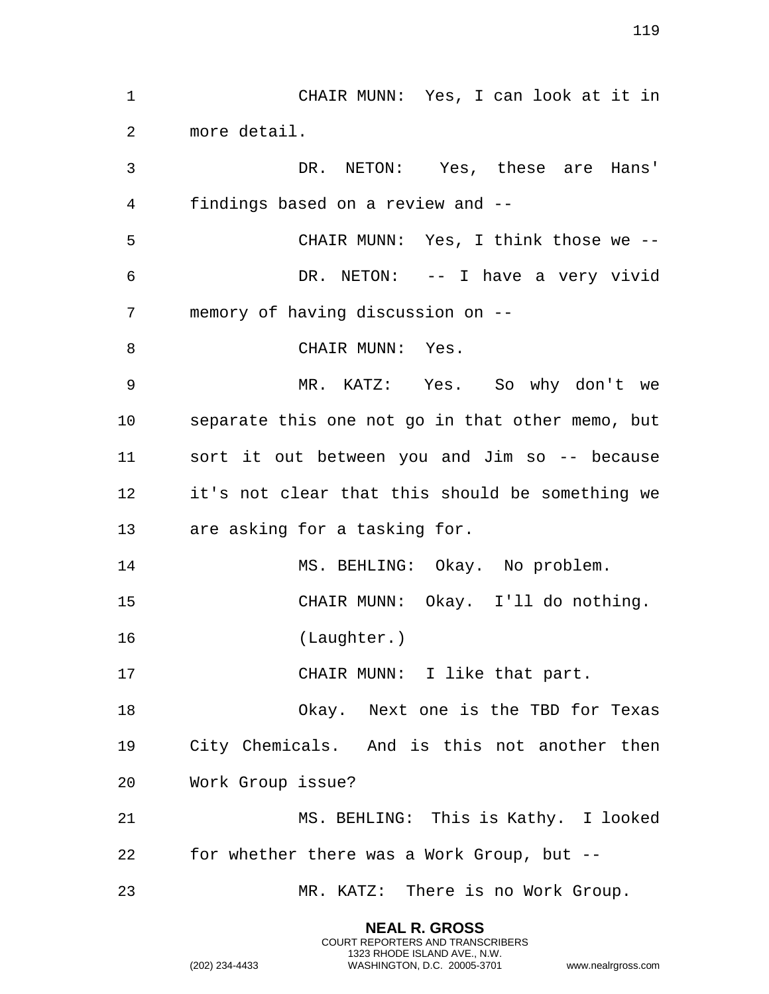1 CHAIR MUNN: Yes, I can look at it in 2 more detail. 3 DR. NETON: Yes, these are Hans' 4 findings based on a review and -- 5 CHAIR MUNN: Yes, I think those we -- 6 DR. NETON: -- I have a very vivid 7 memory of having discussion on -- 8 CHAIR MUNN: Yes. 9 MR. KATZ: Yes. So why don't we 10 separate this one not go in that other memo, but 11 sort it out between you and Jim so -- because 12 it's not clear that this should be something we 13 are asking for a tasking for. 14 MS. BEHLING: Okay. No problem. 15 CHAIR MUNN: Okay. I'll do nothing. 16 (Laughter.) 17 CHAIR MUNN: I like that part. 18 Okay. Next one is the TBD for Texas 19 City Chemicals. And is this not another then 20 Work Group issue? 21 MS. BEHLING: This is Kathy. I looked 22 for whether there was a Work Group, but -- 23 MR. KATZ: There is no Work Group.

> **NEAL R. GROSS** COURT REPORTERS AND TRANSCRIBERS 1323 RHODE ISLAND AVE., N.W.

(202) 234-4433 WASHINGTON, D.C. 20005-3701 www.nealrgross.com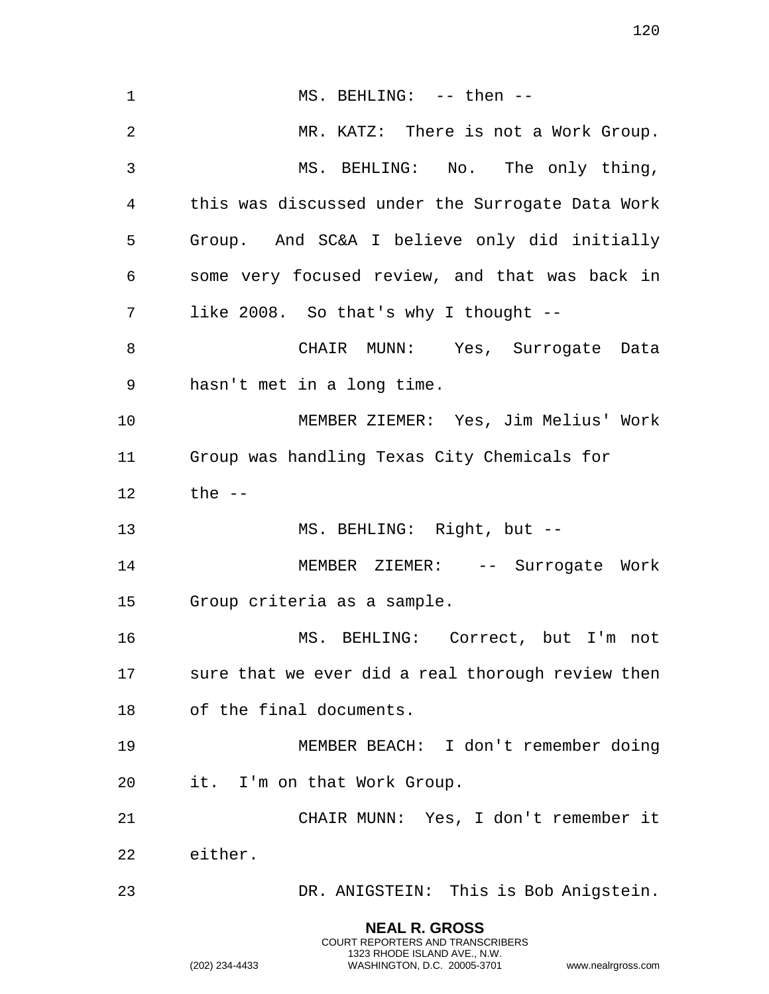**NEAL R. GROSS** 1 MS. BEHLING: -- then --2 MR. KATZ: There is not a Work Group. 3 MS. BEHLING: No. The only thing, 4 this was discussed under the Surrogate Data Work 5 Group. And SC&A I believe only did initially 6 some very focused review, and that was back in 7 like 2008. So that's why I thought -- 8 CHAIR MUNN: Yes, Surrogate Data 9 hasn't met in a long time. 10 MEMBER ZIEMER: Yes, Jim Melius' Work 11 Group was handling Texas City Chemicals for 12 the -- 13 MS. BEHLING: Right, but -- 14 MEMBER ZIEMER: -- Surrogate Work 15 Group criteria as a sample. 16 MS. BEHLING: Correct, but I'm not 17 sure that we ever did a real thorough review then 18 of the final documents. 19 MEMBER BEACH: I don't remember doing 20 it. I'm on that Work Group. 21 CHAIR MUNN: Yes, I don't remember it 22 either. 23 DR. ANIGSTEIN: This is Bob Anigstein.

> COURT REPORTERS AND TRANSCRIBERS 1323 RHODE ISLAND AVE., N.W.

(202) 234-4433 WASHINGTON, D.C. 20005-3701 www.nealrgross.com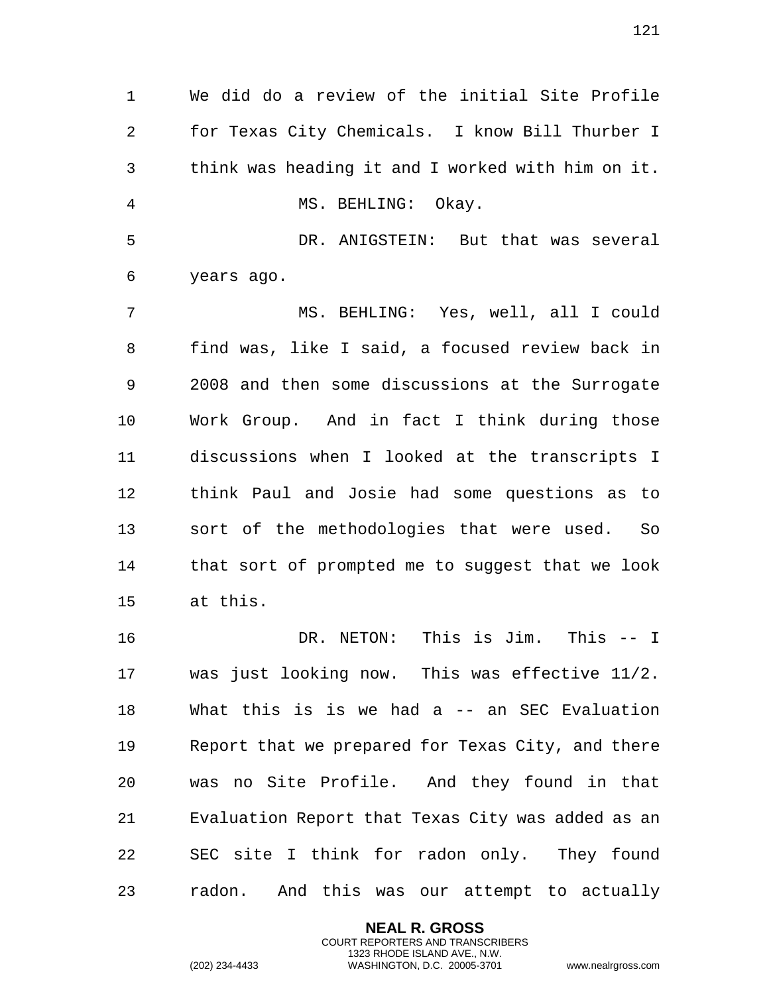1 We did do a review of the initial Site Profile 2 for Texas City Chemicals. I know Bill Thurber I 3 think was heading it and I worked with him on it. 4 MS. BEHLING: Okay. 5 DR. ANIGSTEIN: But that was several 6 years ago. 7 MS. BEHLING: Yes, well, all I could 8 find was, like I said, a focused review back in 9 2008 and then some discussions at the Surrogate 10 Work Group. And in fact I think during those 11 discussions when I looked at the transcripts I 12 think Paul and Josie had some questions as to 13 sort of the methodologies that were used. So 14 that sort of prompted me to suggest that we look 15 at this. 16 DR. NETON: This is Jim. This -- I 17 was just looking now. This was effective 11/2. 18 What this is is we had a -- an SEC Evaluation 19 Report that we prepared for Texas City, and there 20 was no Site Profile. And they found in that 21 Evaluation Report that Texas City was added as an

23 radon. And this was our attempt to actually

22 SEC site I think for radon only. They found

**NEAL R. GROSS** COURT REPORTERS AND TRANSCRIBERS 1323 RHODE ISLAND AVE., N.W.

(202) 234-4433 WASHINGTON, D.C. 20005-3701 www.nealrgross.com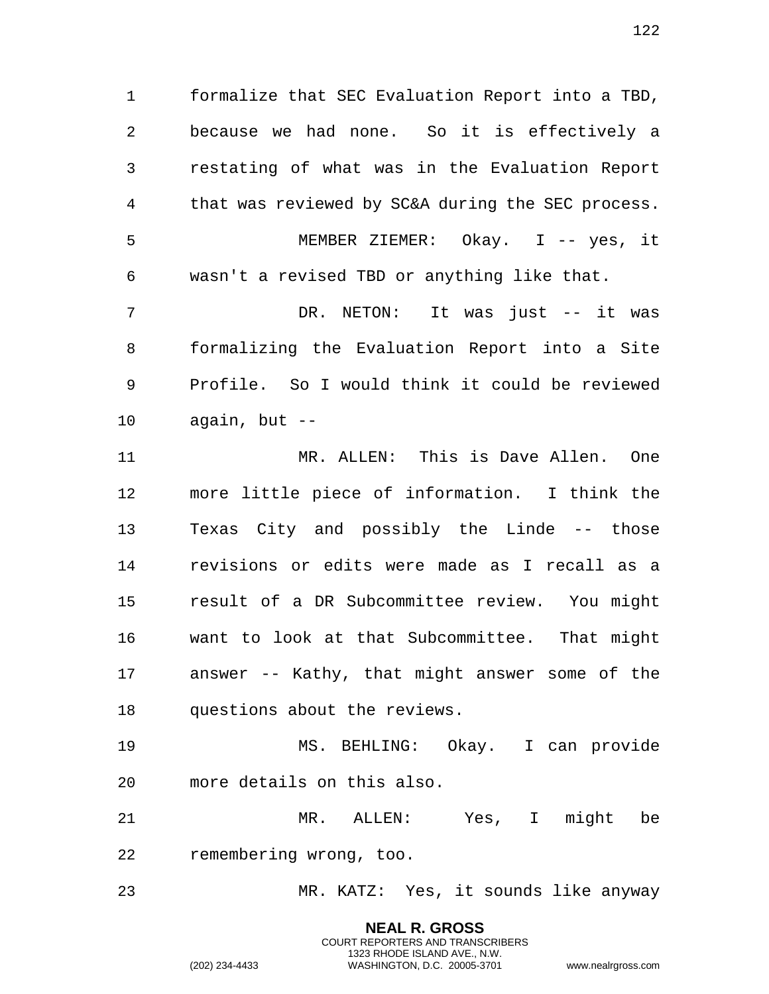1 formalize that SEC Evaluation Report into a TBD, 2 because we had none. So it is effectively a 3 restating of what was in the Evaluation Report 4 that was reviewed by SC&A during the SEC process. 5 MEMBER ZIEMER: Okay. I -- yes, it 6 wasn't a revised TBD or anything like that.

7 DR. NETON: It was just -- it was 8 formalizing the Evaluation Report into a Site 9 Profile. So I would think it could be reviewed 10 again, but --

11 MR. ALLEN: This is Dave Allen. One 12 more little piece of information. I think the 13 Texas City and possibly the Linde -- those 14 revisions or edits were made as I recall as a 15 result of a DR Subcommittee review. You might 16 want to look at that Subcommittee. That might 17 answer -- Kathy, that might answer some of the 18 questions about the reviews.

19 MS. BEHLING: Okay. I can provide 20 more details on this also.

21 MR. ALLEN: Yes, I might be 22 remembering wrong, too.

23 MR. KATZ: Yes, it sounds like anyway

**NEAL R. GROSS** COURT REPORTERS AND TRANSCRIBERS 1323 RHODE ISLAND AVE., N.W.

122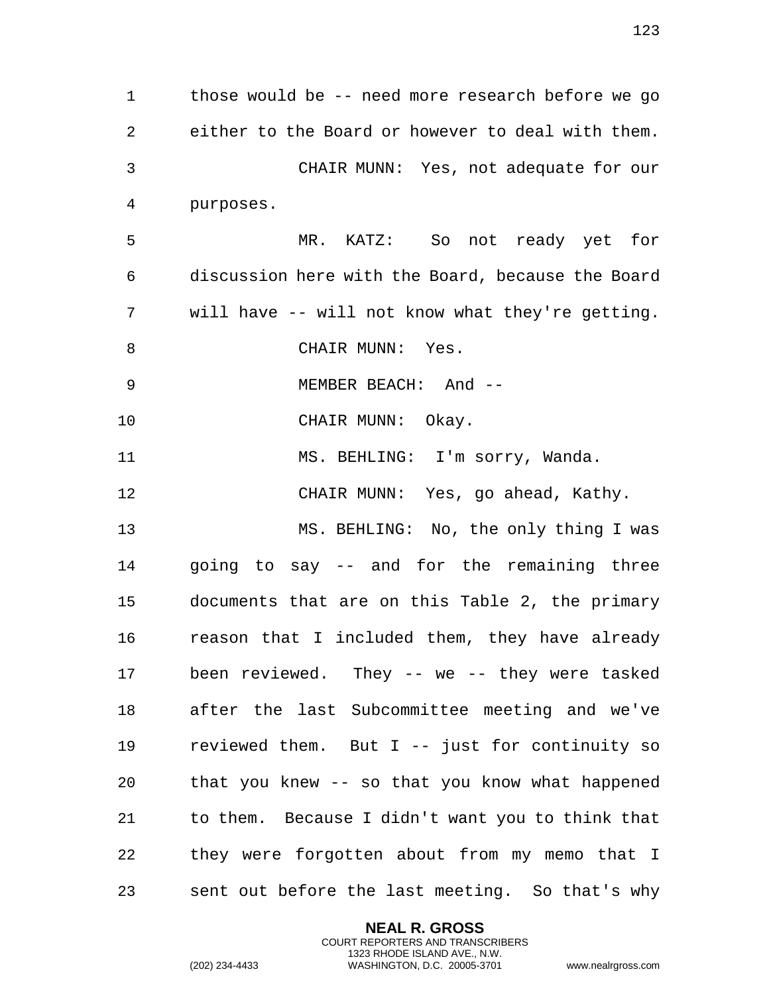123

1 those would be -- need more research before we go 2 either to the Board or however to deal with them. 3 CHAIR MUNN: Yes, not adequate for our 4 purposes. 5 MR. KATZ: So not ready yet for 6 discussion here with the Board, because the Board 7 will have -- will not know what they're getting. 8 CHAIR MUNN: Yes. 9 MEMBER BEACH: And -- 10 CHAIR MUNN: Okay. 11 MS. BEHLING: I'm sorry, Wanda. 12 CHAIR MUNN: Yes, go ahead, Kathy. 13 MS. BEHLING: No, the only thing I was 14 going to say -- and for the remaining three 15 documents that are on this Table 2, the primary 16 reason that I included them, they have already 17 been reviewed. They -- we -- they were tasked 18 after the last Subcommittee meeting and we've 19 reviewed them. But I -- just for continuity so 20 that you knew -- so that you know what happened 21 to them. Because I didn't want you to think that 22 they were forgotten about from my memo that I 23 sent out before the last meeting. So that's why

> **NEAL R. GROSS** COURT REPORTERS AND TRANSCRIBERS 1323 RHODE ISLAND AVE., N.W.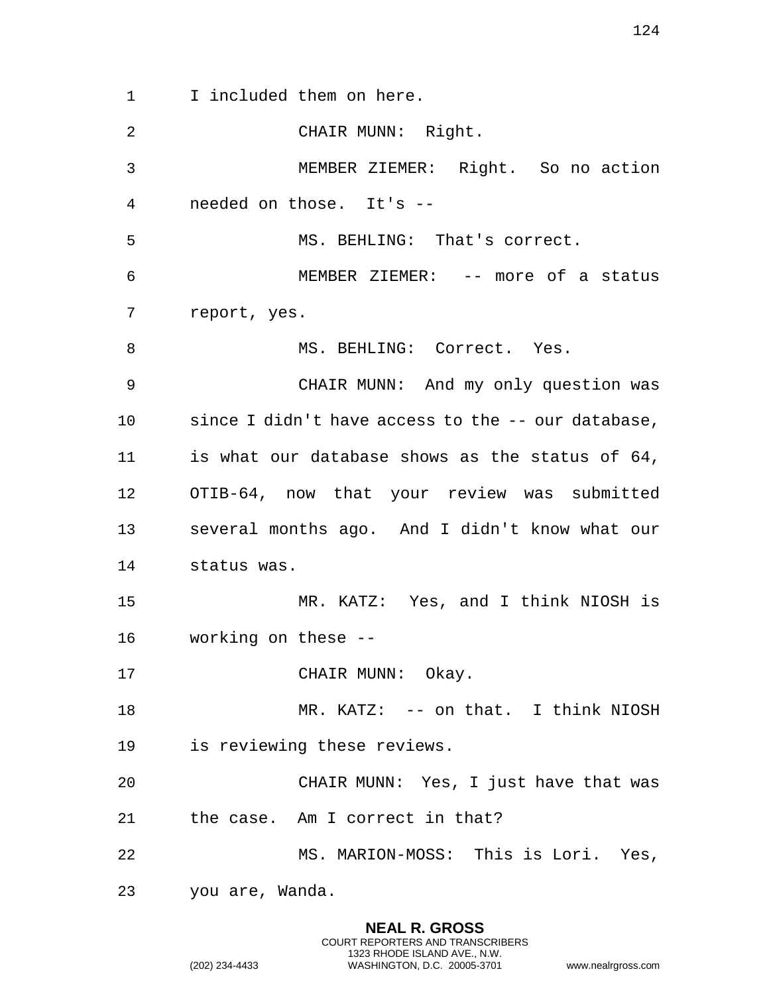1 I included them on here. 2 CHAIR MUNN: Right. 3 MEMBER ZIEMER: Right. So no action 4 needed on those. It's -- 5 MS. BEHLING: That's correct. 6 MEMBER ZIEMER: -- more of a status 7 report, yes. 8 MS. BEHLING: Correct. Yes. 9 CHAIR MUNN: And my only question was 10 since I didn't have access to the -- our database, 11 is what our database shows as the status of 64, 12 OTIB-64, now that your review was submitted 13 several months ago. And I didn't know what our 14 status was. 15 MR. KATZ: Yes, and I think NIOSH is 16 working on these -- 17 CHAIR MUNN: Okay. 18 MR. KATZ: -- on that. I think NIOSH 19 is reviewing these reviews. 20 CHAIR MUNN: Yes, I just have that was 21 the case. Am I correct in that? 22 MS. MARION-MOSS: This is Lori. Yes, 23 you are, Wanda.

> **NEAL R. GROSS** COURT REPORTERS AND TRANSCRIBERS 1323 RHODE ISLAND AVE., N.W.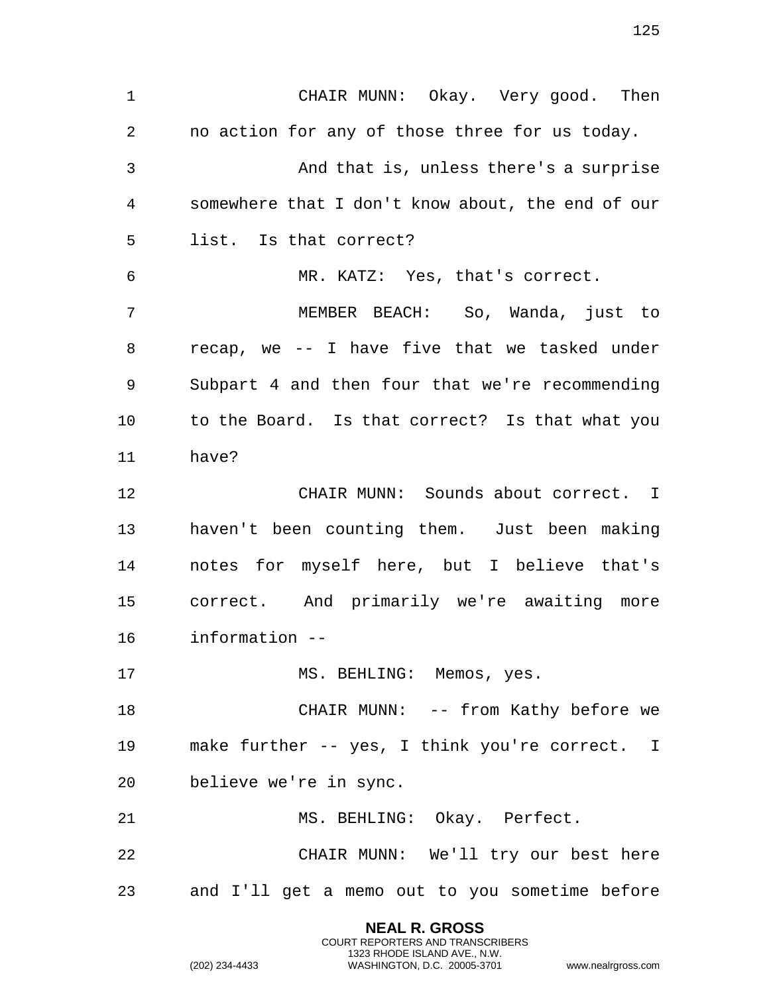1 CHAIR MUNN: Okay. Very good. Then 2 no action for any of those three for us today. 3 And that is, unless there's a surprise 4 somewhere that I don't know about, the end of our 5 list. Is that correct? 6 MR. KATZ: Yes, that's correct. 7 MEMBER BEACH: So, Wanda, just to 8 recap, we -- I have five that we tasked under 9 Subpart 4 and then four that we're recommending 10 to the Board. Is that correct? Is that what you 11 have? 12 CHAIR MUNN: Sounds about correct. I 13 haven't been counting them. Just been making 14 notes for myself here, but I believe that's 15 correct. And primarily we're awaiting more 16 information -- 17 MS. BEHLING: Memos, yes. 18 CHAIR MUNN: -- from Kathy before we 19 make further -- yes, I think you're correct. I 20 believe we're in sync. 21 MS. BEHLING: Okay. Perfect. 22 CHAIR MUNN: We'll try our best here 23 and I'll get a memo out to you sometime before

> **NEAL R. GROSS** COURT REPORTERS AND TRANSCRIBERS 1323 RHODE ISLAND AVE., N.W.

(202) 234-4433 WASHINGTON, D.C. 20005-3701 www.nealrgross.com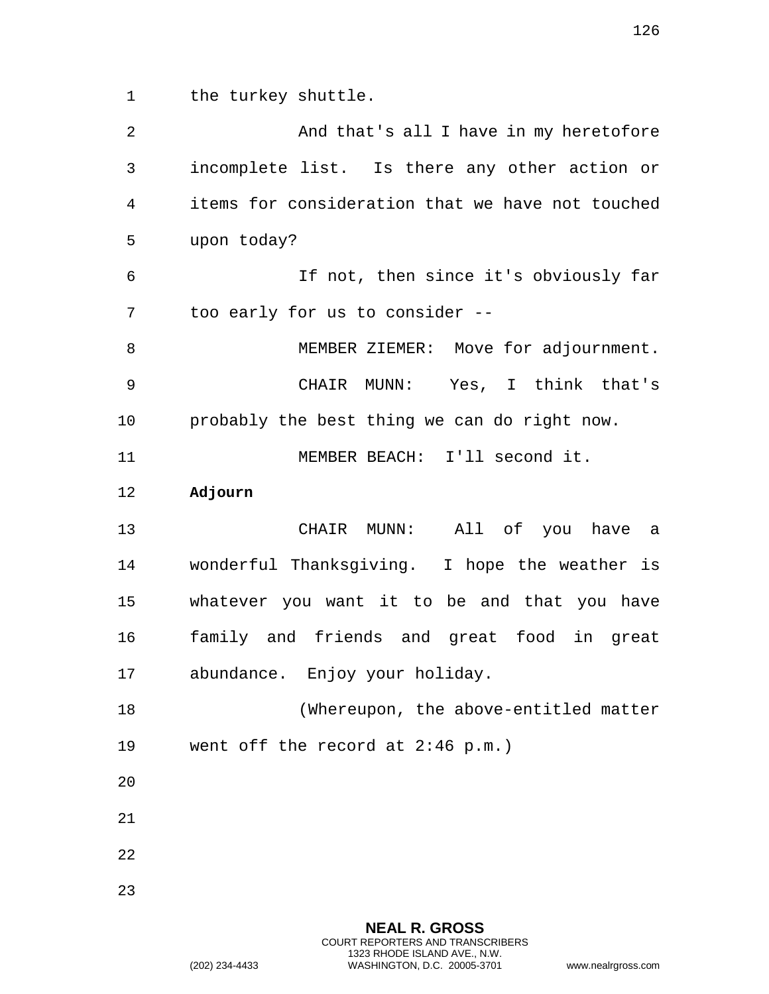1 the turkey shuttle.

| 2  | And that's all I have in my heretofore           |
|----|--------------------------------------------------|
| 3  | incomplete list. Is there any other action or    |
| 4  | items for consideration that we have not touched |
| 5  | upon today?                                      |
| 6  | If not, then since it's obviously far            |
| 7  | too early for us to consider --                  |
| 8  | MEMBER ZIEMER: Move for adjournment.             |
| 9  | CHAIR MUNN: Yes, I think that's                  |
| 10 | probably the best thing we can do right now.     |
| 11 | MEMBER BEACH: I'll second it.                    |
| 12 | Adjourn                                          |
| 13 | CHAIR MUNN:<br>All of you have a                 |
| 14 | wonderful Thanksgiving. I hope the weather is    |
| 15 | whatever you want it to be and that you have     |
| 16 | family and friends and great food in great       |
| 17 | abundance. Enjoy your holiday.                   |
| 18 | (Whereupon, the above-entitled matter            |
| 19 | went off the record at $2:46$ p.m.)              |
| 20 |                                                  |
| 21 |                                                  |
| 22 |                                                  |
| 23 |                                                  |
|    |                                                  |

**NEAL R. GROSS** COURT REPORTERS AND TRANSCRIBERS 1323 RHODE ISLAND AVE., N.W.